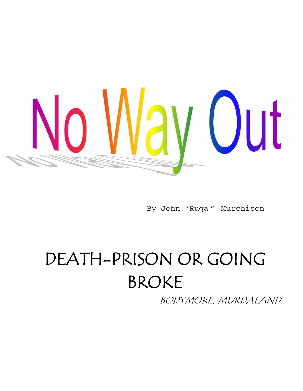

By John 'Ruga " Murchison

## DEATH-PRISON OR GOING BROKE

BODYMORE, MURDALAND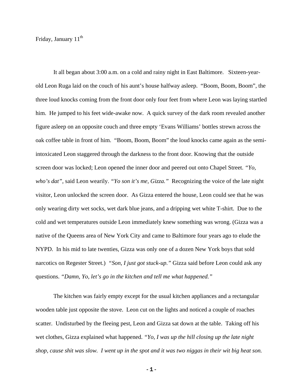Friday, January  $11<sup>th</sup>$ 

 It all began about 3:00 a.m. on a cold and rainy night in East Baltimore. Sixteen-yearold Leon Ruga laid on the couch of his aunt's house halfway asleep. "Boom, Boom, Boom", the three loud knocks coming from the front door only four feet from where Leon was laying startled him. He jumped to his feet wide-awake now. A quick survey of the dark room revealed another figure asleep on an opposite couch and three empty 'Evans Williams' bottles strewn across the oak coffee table in front of him. "Boom, Boom, Boom" the loud knocks came again as the semiintoxicated Leon staggered through the darkness to the front door. Knowing that the outside screen door was locked; Leon opened the inner door and peered out onto Chapel Street. *"Yo, who's dat",* said Leon wearily. *"Yo son it's me, Gizza."* Recognizing the voice of the late night visitor, Leon unlocked the screen door. As Gizza entered the house, Leon could see that he was only wearing dirty wet socks, wet dark blue jeans, and a dripping wet white T-shirt. Due to the cold and wet temperatures outside Leon immediately knew something was wrong. (Gizza was a native of the Queens area of New York City and came to Baltimore four years ago to elude the NYPD. In his mid to late twenties, Gizza was only one of a dozen New York boys that sold narcotics on Regester Street.) *"Son, I just got stuck-up."* Gizza said before Leon could ask any questions. *"Damn, Yo, let's go in the kitchen and tell me what happened."*

 The kitchen was fairly empty except for the usual kitchen appliances and a rectangular wooden table just opposite the stove. Leon cut on the lights and noticed a couple of roaches scatter. Undisturbed by the fleeing pest, Leon and Gizza sat down at the table. Taking off his wet clothes, Gizza explained what happened. *"Yo, I was up the hill closing up the late night shop, cause shit was slow. I went up in the spot and it was two niggas in their wit big heat son.* 

 $-1 -$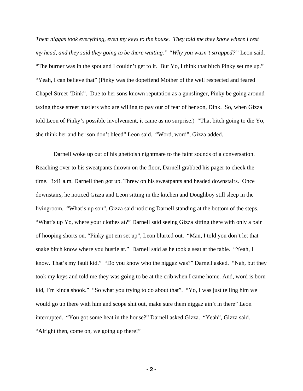*Them niggas took everything, even my keys to the house. They told me they know where I rest my head, and they said they going to be there waiting." "Why you wasn't strapped?"* Leon said. "The burner was in the spot and I couldn't get to it. But Yo, I think that bitch Pinky set me up." "Yeah, I can believe that" (Pinky was the dopefiend Mother of the well respected and feared Chapel Street 'Dink". Due to her sons known reputation as a gunslinger, Pinky be going around taxing those street hustlers who are willing to pay our of fear of her son, Dink. So, when Gizza told Leon of Pinky's possible involvement, it came as no surprise.) "That bitch going to die Yo, she think her and her son don't bleed" Leon said. "Word, word", Gizza added.

 Darnell woke up out of his ghettoish nightmare to the faint sounds of a conversation. Reaching over to his sweatpants thrown on the floor, Darnell grabbed his pager to check the time. 3:41 a.m. Darnell then got up. Threw on his sweatpants and headed downstairs. Once downstairs, he noticed Gizza and Leon sitting in the kitchen and Doughboy still sleep in the livingroom. "What's up son", Gizza said noticing Darnell standing at the bottom of the steps. "What's up Yo, where your clothes at?" Darnell said seeing Gizza sitting there with only a pair of hooping shorts on. "Pinky got em set up", Leon blurted out. "Man, I told you don't let that snake bitch know where you hustle at." Darnell said as he took a seat at the table. "Yeah, I know. That's my fault kid." "Do you know who the niggaz was?" Darnell asked. "Nah, but they took my keys and told me they was going to be at the crib when I came home. And, word is born kid, I'm kinda shook." "So what you trying to do about that". "Yo, I was just telling him we would go up there with him and scope shit out, make sure them niggaz ain't in there" Leon interrupted. "You got some heat in the house?" Darnell asked Gizza. "Yeah", Gizza said. "Alright then, come on, we going up there!"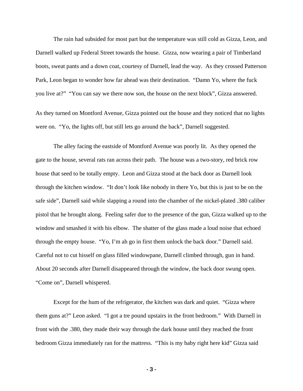The rain had subsided for most part but the temperature was still cold as Gizza, Leon, and Darnell walked up Federal Street towards the house. Gizza, now wearing a pair of Timberland boots, sweat pants and a down coat, courtesy of Darnell, lead the way. As they crossed Patterson Park, Leon began to wonder how far ahead was their destination. "Damn Yo, where the fuck you live at?" "You can say we there now son, the house on the next block", Gizza answered.

As they turned on Montford Avenue, Gizza pointed out the house and they noticed that no lights were on. "Yo, the lights off, but still lets go around the back", Darnell suggested.

 The alley facing the eastside of Montford Avenue was poorly lit. As they opened the gate to the house, several rats ran across their path. The house was a two-story, red brick row house that seed to be totally empty. Leon and Gizza stood at the back door as Darnell look through the kitchen window. "It don't look like nobody in there Yo, but this is just to be on the safe side", Darnell said while slapping a round into the chamber of the nickel-plated .380 caliber pistol that he brought along. Feeling safer due to the presence of the gun, Gizza walked up to the window and smashed it with his elbow. The shatter of the glass made a loud noise that echoed through the empty house. "Yo, I'm ah go in first them unlock the back door." Darnell said. Careful not to cut hisself on glass filled windowpane, Darnell climbed through, gun in hand. About 20 seconds after Darnell disappeared through the window, the back door swung open. "Come on", Darnell whispered.

 Except for the hum of the refrigerator, the kitchen was dark and quiet. "Gizza where them guns at?" Leon asked. "I got a tre pound upstairs in the front bedroom." With Darnell in front with the .380, they made their way through the dark house until they reached the front bedroom Gizza immediately ran for the mattress. "This is my baby right here kid" Gizza said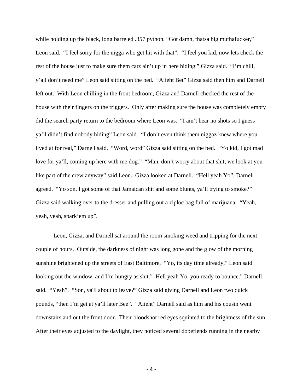while holding up the black, long barreled .357 python. "Got damn, thatsa big muthafucker," Leon said. "I feel sorry for the nigga who get hit with that". "I feel you kid, now lets check the rest of the house just to make sure them catz ain't up in here hiding." Gizza said. "I'm chill, y'all don't need me" Leon said sitting on the bed. "Aiieht Bet" Gizza said then him and Darnell left out. With Leon chilling in the front bedroom, Gizza and Darnell checked the rest of the house with their fingers on the triggers. Only after making sure the house was completely empty did the search party return to the bedroom where Leon was. "I ain't hear no shots so I guess ya'll didn't find nobody hiding" Leon said. "I don't even think them niggaz knew where you lived at for real," Darnell said. "Word, word" Gizza said sitting on the bed. "Yo kid, I got mad love for ya'll, coming up here with me dog." "Man, don't worry about that shit, we look at you like part of the crew anyway" said Leon. Gizza looked at Darnell. "Hell yeah Yo", Darnell agreed. "Yo son, I got some of that Jamaican shit and some blunts, ya'll trying to smoke?" Gizza said walking over to the dresser and pulling out a ziploc bag full of marijuana. "Yeah, yeah, yeah, spark'em up".

 Leon, Gizza, and Darnell sat around the room smoking weed and tripping for the next couple of hours. Outside, the darkness of night was long gone and the glow of the morning sunshine brightened up the streets of East Baltimore, "Yo, its day time already," Leon said looking out the window, and I'm hungry as shit." Hell yeah Yo, you ready to bounce." Darnell said. "Yeah". "Son, ya'll about to leave?" Gizza said giving Darnell and Leon two quick pounds, "then I'm get at ya'll later Bee". "Aiieht" Darnell said as him and his cousin went downstairs and out the front door. Their bloodshot red eyes squinted to the brightness of the sun. After their eyes adjusted to the daylight, they noticed several dopefiends running in the nearby

- 4 -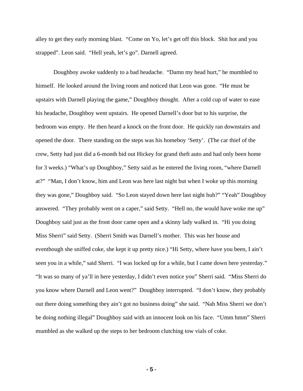alley to get they early morning blast. "Come on Yo, let's get off this block. Shit hot and you strapped". Leon said. "Hell yeah, let's go". Darnell agreed.

 Doughboy awoke suddenly to a bad headache. "Damn my head hurt," he mumbled to himself. He looked around the living room and noticed that Leon was gone. "He must be upstairs with Darnell playing the game," Doughboy thought. After a cold cup of water to ease his headache, Doughboy went upstairs. He opened Darnell's door but to his surprise, the bedroom was empty. He then heard a knock on the front door. He quickly ran downstairs and opened the door. There standing on the steps was his homeboy 'Setty'. (The car thief of the crew, Setty had just did a 6-month bid out Hickey for grand theft auto and had only been home for 3 weeks.) "What's up Doughboy," Setty said as he entered the living room, "where Darnell at?" "Man, I don't know, him and Leon was here last night but when I woke up this morning they was gone," Doughboy said. "So Leon stayed down here last night huh?" "Yeah" Doughboy answered. "They probably went on a caper," said Setty. "Hell no, the would have woke me up" Doughboy said just as the front door came open and a skinny lady walked in. "Hi you doing Miss Sherri" said Setty. (Sherri Smith was Darnell's mother. This was her house and eventhough she sniffed coke, she kept it up pretty nice.) "Hi Setty, where have you been, I ain't seen you in a while," said Sherri. "I was locked up for a while, but I came down here yesterday." "It was so many of ya'll in here yesterday, I didn't even notice you" Sherri said. "Miss Sherri do you know where Darnell and Leon went?" Doughboy interrupted. "I don't know, they probably out there doing something they ain't got no business doing" she said. "Nah Miss Sherri we don't be doing nothing illegal" Doughboy said with an innocent look on his face. "Umm hmm" Sherri mumbled as she walked up the steps to her bedroom clutching tow vials of coke.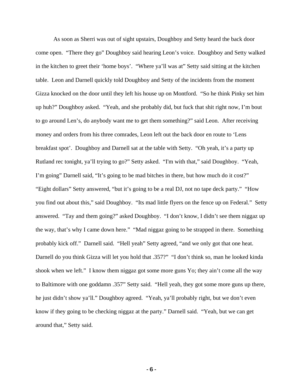As soon as Sherri was out of sight upstairs, Doughboy and Setty heard the back door come open. "There they go" Doughboy said hearing Leon's voice. Doughboy and Setty walked in the kitchen to greet their 'home boys'. "Where ya'll was at" Setty said sitting at the kitchen table. Leon and Darnell quickly told Doughboy and Setty of the incidents from the moment Gizza knocked on the door until they left his house up on Montford. "So he think Pinky set him up huh?" Doughboy asked. "Yeah, and she probably did, but fuck that shit right now, I'm bout to go around Len's, do anybody want me to get them something?" said Leon. After receiving money and orders from his three comrades, Leon left out the back door en route to 'Lens breakfast spot'. Doughboy and Darnell sat at the table with Setty. "Oh yeah, it's a party up Rutland rec tonight, ya'll trying to go?" Setty asked. "I'm with that," said Doughboy. "Yeah, I'm going" Darnell said, "It's going to be mad bitches in there, but how much do it cost?" "Eight dollars" Setty answered, "but it's going to be a real DJ, not no tape deck party." "How you find out about this," said Doughboy. "Its mad little flyers on the fence up on Federal." Setty answered. "Tay and them going?" asked Doughboy. "I don't know, I didn't see them niggaz up the way, that's why I came down here." "Mad niggaz going to be strapped in there. Something probably kick off." Darnell said. "Hell yeah" Setty agreed, "and we only got that one heat. Darnell do you think Gizza will let you hold that .357?" "I don't think so, man he looked kinda shook when we left." I know them niggaz got some more guns Yo; they ain't come all the way to Baltimore with one goddamn .357" Setty said. "Hell yeah, they got some more guns up there, he just didn't show ya'll." Doughboy agreed. "Yeah, ya'll probably right, but we don't even know if they going to be checking niggaz at the party." Darnell said. "Yeah, but we can get around that," Setty said.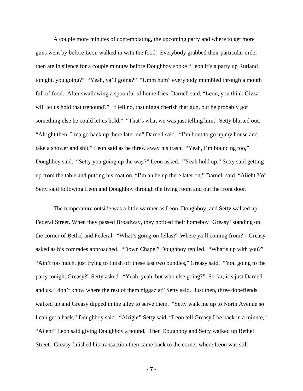A couple more minutes of contemplating, the upcoming party and where to get more guns went by before Leon walked in with the food. Everybody grabbed their particular order then ate in silence for a couple minutes before Doughboy spoke "Leon it's a party up Rutland tonight, you going?" "Yeah, ya'll going?" "Umm hum" everybody mumbled through a mouth full of food. After swallowing a spoonful of home fries, Darnell said, "Leon, you think Gizza will let us hold that trepound?" "Hell no, that nigga cherish that gun, but he probably got something else he could let us hold." "That's what we was just telling him," Setty blurted out. "Alright then, I'ma go back up there later on" Darnell said. "I'm bout to go up my house and take a shower and shit," Leon said as he threw away his trash. "Yeah, I'm bouncing too," Doughboy said. "Setty you going up the way?" Leon asked. "Yeah hold up," Setty said getting up from the table and putting his coat on. "I'm ah be up there later on," Darnell said. "Aiieht Yo" Setty said following Leon and Doughboy through the living room and out the front door.

 The temperature outside was a little warmer as Leon, Doughboy, and Setty walked up Federal Street. When they passed Broadway, they noticed their homeboy 'Greasy' standing on the corner of Bethel and Federal. "What's going on fellas?" Where ya'll coming from?" Greasy asked as his comrades approached. "Down Chapel" Doughboy replied. "What's up with you?" "Ain't too much, just trying to finish off these last two bundles," Greasy said. "You going to the party tonight Greasy?" Setty asked. "Yeah, yeah, but who else going?" So far, it's just Darnell and us. I don't know where the rest of them niggaz at" Setty said. Just then, three dopefiends walked up and Greasy dipped in the alley to serve them. "Setty walk me up to North Avenue so I can get a hack," Doughboy said. "Alright" Setty said. "Leon tell Greasy I be back in a minute," "Aiieht" Leon said giving Doughboy a pound. Then Doughboy and Setty walked up Bethel Street. Greasy finished his transaction then came back to the corner where Leon was still

 $-7 -$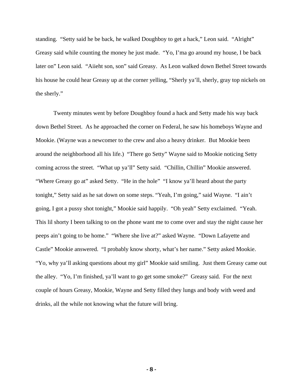standing. "Setty said he be back, he walked Doughboy to get a hack," Leon said. "Alright" Greasy said while counting the money he just made. "Yo, I'ma go around my house, I be back later on" Leon said. "Aiieht son, son" said Greasy. As Leon walked down Bethel Street towards his house he could hear Greasy up at the corner yelling, "Sherly ya'll, sherly, gray top nickels on the sherly."

 Twenty minutes went by before Doughboy found a hack and Setty made his way back down Bethel Street. As he approached the corner on Federal, he saw his homeboys Wayne and Mookie. (Wayne was a newcomer to the crew and also a heavy drinker. But Mookie been around the neighborhood all his life.) "There go Setty" Wayne said to Mookie noticing Setty coming across the street. "What up ya'll" Setty said. "Chillin, Chillin" Mookie answered. "Where Greasy go at" asked Setty. "He in the hole" "I know ya'll heard about the party tonight," Setty said as he sat down on some steps. "Yeah, I'm going," said Wayne. "I ain't going, I got a pussy shot tonight," Mookie said happily. "Oh yeah" Setty exclaimed. "Yeah. This lil shorty I been talking to on the phone want me to come over and stay the night cause her peeps ain't going to be home." "Where she live at?" asked Wayne. "Down Lafayette and Castle" Mookie answered. "I probably know shorty, what's her name." Setty asked Mookie. "Yo, why ya'll asking questions about my girl" Mookie said smiling. Just them Greasy came out the alley. "Yo, I'm finished, ya'll want to go get some smoke?" Greasy said. For the next couple of hours Greasy, Mookie, Wayne and Setty filled they lungs and body with weed and drinks, all the while not knowing what the future will bring.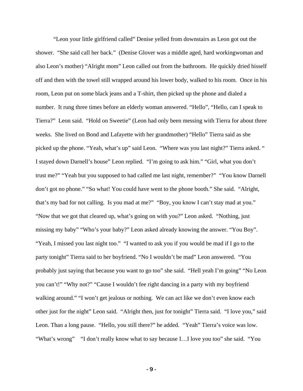"Leon your little girlfriend called" Denise yelled from downstairs as Leon got out the shower. "She said call her back." (Denise Glover was a middle aged, hard workingwoman and also Leon's mother) "Alright mom" Leon called out from the bathroom. He quickly dried hisself off and then with the towel still wrapped around his lower body, walked to his room. Once in his room, Leon put on some black jeans and a T-shirt, then picked up the phone and dialed a number. It rung three times before an elderly woman answered. "Hello", "Hello, can I speak to Tierra?" Leon said. "Hold on Sweetie" (Leon had only been messing with Tierra for about three weeks. She lived on Bond and Lafayette with her grandmother) "Hello" Tierra said as she picked up the phone. "Yeah, what's up" said Leon. "Where was you last night?" Tierra asked. " I stayed down Darnell's house" Leon replied. "I'm going to ask him." "Girl, what you don't trust me?" "Yeah but you supposed to had called me last night, remember?" "You know Darnell don't got no phone." "So what! You could have went to the phone booth." She said. "Alright, that's my bad for not calling. Is you mad at me?" "Boy, you know I can't stay mad at you." "Now that we got that cleared up, what's going on with you?" Leon asked. "Nothing, just missing my baby" "Who's your baby?" Leon asked already knowing the answer. "You Boy". "Yeah, I missed you last night too." "I wanted to ask you if you would be mad if I go to the party tonight" Tierra said to her boyfriend. "No I wouldn't be mad" Leon answered. "You probably just saying that because you want to go too" she said. "Hell yeah I'm going" "No Leon you can't!" "Why not?" "Cause I wouldn't fee right dancing in a party with my boyfriend walking around." "I won't get jealous or nothing. We can act like we don't even know each other just for the night" Leon said. "Alright then, just for tonight" Tierra said. "I love you," said Leon. Than a long pause. "Hello, you still there?" he added. "Yeah" Tierra's voice was low. "What's wrong" "I don't really know what to say because I…I love you too" she said. "You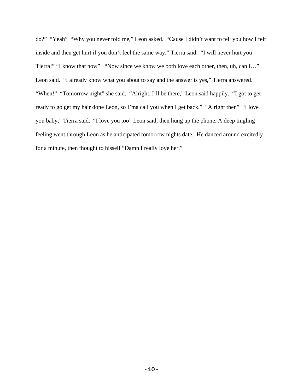do?" "Yeah" "Why you never told me," Leon asked. "Cause I didn't want to tell you how I felt inside and then get hurt if you don't feel the same way." Tierra said. "I will never hurt you Tierra!" "I know that now" "Now since we know we both love each other, then, uh, can I…" Leon said. "I already know what you about to say and the answer is yes," Tierra answered. "When!" "Tomorrow night" she said. "Alright, I'll be there," Leon said happily. "I got to get ready to go get my hair done Leon, so I'ma call you when I get back." "Alright then" "I love you baby," Tierra said. "I love you too" Leon said, then hung up the phone. A deep tingling feeling went through Leon as he anticipated tomorrow nights date. He danced around excitedly for a minute, then thought to hisself "Damn I really love her."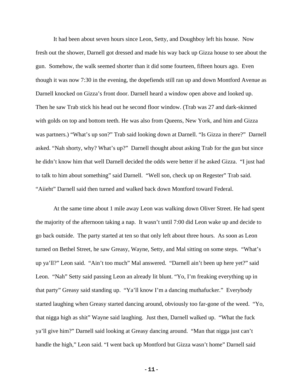It had been about seven hours since Leon, Setty, and Doughboy left his house. Now fresh out the shower, Darnell got dressed and made his way back up Gizza house to see about the gun. Somehow, the walk seemed shorter than it did some fourteen, fifteen hours ago. Even though it was now 7:30 in the evening, the dopefiends still ran up and down Montford Avenue as Darnell knocked on Gizza's front door. Darnell heard a window open above and looked up. Then he saw Trab stick his head out he second floor window. (Trab was 27 and dark-skinned with golds on top and bottom teeth. He was also from Queens, New York, and him and Gizza was partners.) "What's up son?" Trab said looking down at Darnell. "Is Gizza in there?" Darnell asked. "Nah shorty, why? What's up?" Darnell thought about asking Trab for the gun but since he didn't know him that well Darnell decided the odds were better if he asked Gizza. "I just had to talk to him about something" said Darnell. "Well son, check up on Regester" Trab said. "Aiieht" Darnell said then turned and walked back down Montford toward Federal.

 At the same time about 1 mile away Leon was walking down Oliver Street. He had spent the majority of the afternoon taking a nap. It wasn't until 7:00 did Leon wake up and decide to go back outside. The party started at ten so that only left about three hours. As soon as Leon turned on Bethel Street, he saw Greasy, Wayne, Setty, and Mal sitting on some steps. "What's up ya'll?" Leon said. "Ain't too much" Mal answered. "Darnell ain't been up here yet?" said Leon. "Nah" Setty said passing Leon an already lit blunt. "Yo, I'm freaking everything up in that party" Greasy said standing up. "Ya'll know I'm a dancing muthafucker." Everybody started laughing when Greasy started dancing around, obviously too far-gone of the weed. "Yo, that nigga high as shit" Wayne said laughing. Just then, Darnell walked up. "What the fuck ya'll give him?" Darnell said looking at Greasy dancing around. "Man that nigga just can't handle the high," Leon said. "I went back up Montford but Gizza wasn't home" Darnell said

- 11 -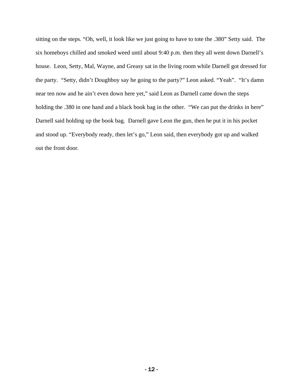sitting on the steps. "Oh, well, it look like we just going to have to tote the .380" Setty said. The six homeboys chilled and smoked weed until about 9:40 p.m. then they all went down Darnell's house. Leon, Setty, Mal, Wayne, and Greasy sat in the living room while Darnell got dressed for the party. "Setty, didn't Doughboy say he going to the party?" Leon asked. "Yeah". "It's damn near ten now and he ain't even down here yet," said Leon as Darnell came down the steps holding the .380 in one hand and a black book bag in the other. "We can put the drinks in here" Darnell said holding up the book bag. Darnell gave Leon the gun, then he put it in his pocket and stood up. "Everybody ready, then let's go," Leon said, then everybody got up and walked out the front door.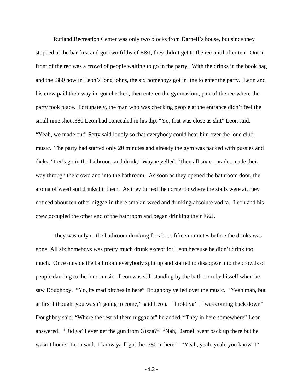Rutland Recreation Center was only two blocks from Darnell's house, but since they stopped at the bar first and got two fifths of E&J, they didn't get to the rec until after ten. Out in front of the rec was a crowd of people waiting to go in the party. With the drinks in the book bag and the .380 now in Leon's long johns, the six homeboys got in line to enter the party. Leon and his crew paid their way in, got checked, then entered the gymnasium, part of the rec where the party took place. Fortunately, the man who was checking people at the entrance didn't feel the small nine shot .380 Leon had concealed in his dip. "Yo, that was close as shit" Leon said. "Yeah, we made out" Setty said loudly so that everybody could hear him over the loud club music. The party had started only 20 minutes and already the gym was packed with pussies and dicks. "Let's go in the bathroom and drink," Wayne yelled. Then all six comrades made their way through the crowd and into the bathroom. As soon as they opened the bathroom door, the aroma of weed and drinks hit them. As they turned the corner to where the stalls were at, they noticed about ten other niggaz in there smokin weed and drinking absolute vodka. Leon and his crew occupied the other end of the bathroom and began drinking their E&J.

 They was only in the bathroom drinking for about fifteen minutes before the drinks was gone. All six homeboys was pretty much drunk except for Leon because he didn't drink too much. Once outside the bathroom everybody split up and started to disappear into the crowds of people dancing to the loud music. Leon was still standing by the bathroom by hisself when he saw Doughboy. "Yo, its mad bitches in here" Doughboy yelled over the music. "Yeah man, but at first I thought you wasn't going to come," said Leon. " I told ya'll I was coming back down" Doughboy said. "Where the rest of them niggaz at" he added. "They in here somewhere" Leon answered. "Did ya'll ever get the gun from Gizza?" "Nah, Darnell went back up there but he wasn't home" Leon said. I know ya'll got the .380 in here." "Yeah, yeah, yeah, you know it"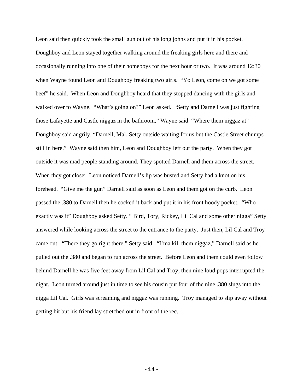Leon said then quickly took the small gun out of his long johns and put it in his pocket. Doughboy and Leon stayed together walking around the freaking girls here and there and occasionally running into one of their homeboys for the next hour or two. It was around 12:30 when Wayne found Leon and Doughboy freaking two girls. "Yo Leon, come on we got some beef" he said. When Leon and Doughboy heard that they stopped dancing with the girls and walked over to Wayne. "What's going on?" Leon asked. "Setty and Darnell was just fighting those Lafayette and Castle niggaz in the bathroom," Wayne said. "Where them niggaz at" Doughboy said angrily. "Darnell, Mal, Setty outside waiting for us but the Castle Street chumps still in here." Wayne said then him, Leon and Doughboy left out the party. When they got outside it was mad people standing around. They spotted Darnell and them across the street. When they got closer, Leon noticed Darnell's lip was busted and Setty had a knot on his forehead. "Give me the gun" Darnell said as soon as Leon and them got on the curb. Leon passed the .380 to Darnell then he cocked it back and put it in his front hoody pocket. "Who exactly was it" Doughboy asked Setty. " Bird, Tory, Rickey, Lil Cal and some other nigga" Setty answered while looking across the street to the entrance to the party. Just then, Lil Cal and Troy came out. "There they go right there," Setty said. "I'ma kill them niggaz," Darnell said as he pulled out the .380 and began to run across the street. Before Leon and them could even follow behind Darnell he was five feet away from Lil Cal and Troy, then nine loud pops interrupted the night. Leon turned around just in time to see his cousin put four of the nine .380 slugs into the nigga Lil Cal. Girls was screaming and niggaz was running. Troy managed to slip away without getting hit but his friend lay stretched out in front of the rec.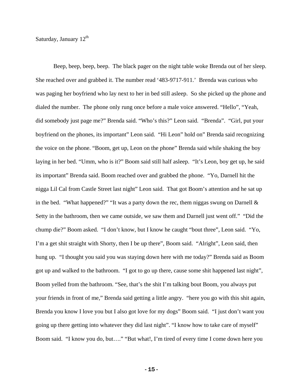Saturday, January  $12<sup>th</sup>$ 

 Beep, beep, beep, beep. The black pager on the night table woke Brenda out of her sleep. She reached over and grabbed it. The number read '483-9717-911.' Brenda was curious who was paging her boyfriend who lay next to her in bed still asleep. So she picked up the phone and dialed the number. The phone only rung once before a male voice answered. "Hello", "Yeah, did somebody just page me?" Brenda said. "Who's this?" Leon said. "Brenda". "Girl, put your boyfriend on the phones, its important" Leon said. "Hi Leon" hold on" Brenda said recognizing the voice on the phone. "Boom, get up, Leon on the phone" Brenda said while shaking the boy laying in her bed. "Umm, who is it?" Boom said still half asleep. "It's Leon, boy get up, he said its important" Brenda said. Boom reached over and grabbed the phone. "Yo, Darnell hit the nigga Lil Cal from Castle Street last night" Leon said. That got Boom's attention and he sat up in the bed. "What happened?" "It was a party down the rec, them niggas swung on Darnell  $\&$ Setty in the bathroom, then we came outside, we saw them and Darnell just went off." "Did the chump die?" Boom asked. "I don't know, but I know he caught "bout three", Leon said. "Yo, I'm a get shit straight with Shorty, then I be up there", Boom said. "Alright", Leon said, then hung up. "I thought you said you was staying down here with me today?" Brenda said as Boom got up and walked to the bathroom. "I got to go up there, cause some shit happened last night", Boom yelled from the bathroom. "See, that's the shit I'm talking bout Boom, you always put your friends in front of me," Brenda said getting a little angry. "here you go with this shit again, Brenda you know I love you but I also got love for my dogs" Boom said. "I just don't want you going up there getting into whatever they did last night". "I know how to take care of myself" Boom said. "I know you do, but…." "But what!, I'm tired of every time I come down here you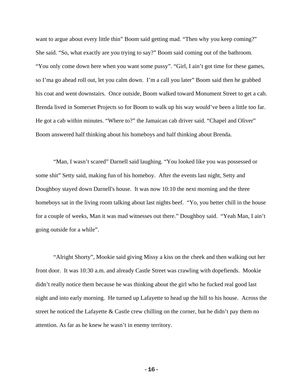want to argue about every little thin" Boom said getting mad. "Then why you keep coming?" She said. "So, what exactly are you trying to say?" Boom said coming out of the bathroom. "You only come down here when you want some pussy". "Girl, I ain't got time for these games, so I'ma go ahead roll out, let you calm down. I'm a call you later" Boom said then he grabbed his coat and went downstairs. Once outside, Boom walked toward Monument Street to get a cab. Brenda lived in Somerset Projects so for Boom to walk up his way would've been a little too far. He got a cab within minutes. "Where to?" the Jamaican cab driver said. "Chapel and Oliver" Boom answered half thinking about his homeboys and half thinking about Brenda.

"Man, I wasn't scared" Darnell said laughing. "You looked like you was possessed or some shit" Setty said, making fun of his homeboy. After the events last night, Setty and Doughboy stayed down Darnell's house. It was now 10:10 the next morning and the three homeboys sat in the living room talking about last nights beef. "Yo, you better chill in the house for a couple of weeks, Man it was mad witnesses out there." Doughboy said. "Yeah Man, I ain't going outside for a while".

 "Alright Shorty", Mookie said giving Missy a kiss on the cheek and then walking out her front door. It was 10:30 a.m. and already Castle Street was crawling with dopefiends. Mookie didn't really notice them because he was thinking about the girl who he fucked real good last night and into early morning. He turned up Lafayette to head up the hill to his house. Across the street he noticed the Lafayette & Castle crew chilling on the corner, but he didn't pay them no attention. As far as he knew he wasn't in enemy territory.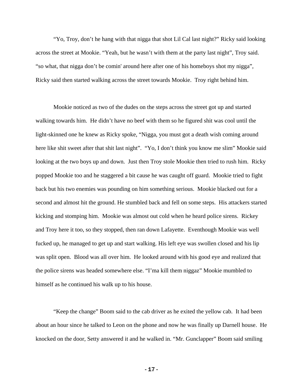"Yo, Troy, don't he hang with that nigga that shot Lil Cal last night?" Ricky said looking across the street at Mookie. "Yeah, but he wasn't with them at the party last night", Troy said. "so what, that nigga don't be comin' around here after one of his homeboys shot my nigga", Ricky said then started walking across the street towards Mookie. Troy right behind him.

 Mookie noticed as two of the dudes on the steps across the street got up and started walking towards him. He didn't have no beef with them so he figured shit was cool until the light-skinned one he knew as Ricky spoke, "Nigga, you must got a death wish coming around here like shit sweet after that shit last night". "Yo, I don't think you know me slim" Mookie said looking at the two boys up and down. Just then Troy stole Mookie then tried to rush him. Ricky popped Mookie too and he staggered a bit cause he was caught off guard. Mookie tried to fight back but his two enemies was pounding on him something serious. Mookie blacked out for a second and almost hit the ground. He stumbled back and fell on some steps. His attackers started kicking and stomping him. Mookie was almost out cold when he heard police sirens. Rickey and Troy here it too, so they stopped, then ran down Lafayette. Eventhough Mookie was well fucked up, he managed to get up and start walking. His left eye was swollen closed and his lip was split open. Blood was all over him. He looked around with his good eye and realized that the police sirens was headed somewhere else. "I'ma kill them niggaz" Mookie mumbled to himself as he continued his walk up to his house.

 "Keep the change" Boom said to the cab driver as he exited the yellow cab. It had been about an hour since he talked to Leon on the phone and now he was finally up Darnell house. He knocked on the door, Setty answered it and he walked in. "Mr. Gunclapper" Boom said smiling

- 17 -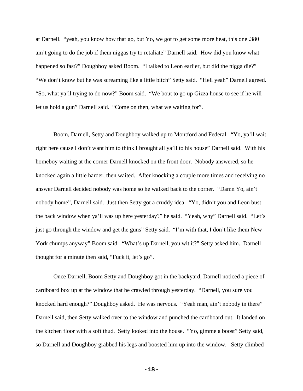at Darnell. "yeah, you know how that go, but Yo, we got to get some more heat, this one .380 ain't going to do the job if them niggas try to retaliate" Darnell said. How did you know what happened so fast?" Doughboy asked Boom. "I talked to Leon earlier, but did the nigga die?" "We don't know but he was screaming like a little bitch" Setty said. "Hell yeah" Darnell agreed. "So, what ya'll trying to do now?" Boom said. "We bout to go up Gizza house to see if he will let us hold a gun" Darnell said. "Come on then, what we waiting for".

 Boom, Darnell, Setty and Doughboy walked up to Montford and Federal. "Yo, ya'll wait right here cause I don't want him to think I brought all ya'll to his house" Darnell said. With his homeboy waiting at the corner Darnell knocked on the front door. Nobody answered, so he knocked again a little harder, then waited. After knocking a couple more times and receiving no answer Darnell decided nobody was home so he walked back to the corner. "Damn Yo, ain't nobody home", Darnell said. Just then Setty got a cruddy idea. "Yo, didn't you and Leon bust the back window when ya'll was up here yesterday?" he said. "Yeah, why" Darnell said. "Let's just go through the window and get the guns" Setty said. "I'm with that, I don't like them New York chumps anyway" Boom said. "What's up Darnell, you wit it?" Setty asked him. Darnell thought for a minute then said, "Fuck it, let's go".

 Once Darnell, Boom Setty and Doughboy got in the backyard, Darnell noticed a piece of cardboard box up at the window that he crawled through yesterday. "Darnell, you sure you knocked hard enough?" Doughboy asked. He was nervous. "Yeah man, ain't nobody in there" Darnell said, then Setty walked over to the window and punched the cardboard out. It landed on the kitchen floor with a soft thud. Setty looked into the house. "Yo, gimme a boost" Setty said, so Darnell and Doughboy grabbed his legs and boosted him up into the window. Setty climbed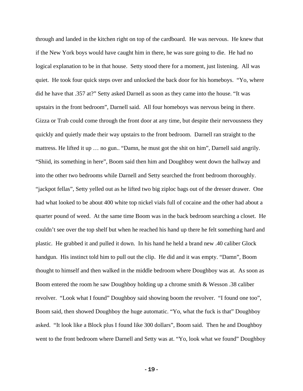through and landed in the kitchen right on top of the cardboard. He was nervous. He knew that if the New York boys would have caught him in there, he was sure going to die. He had no logical explanation to be in that house. Setty stood there for a moment, just listening. All was quiet. He took four quick steps over and unlocked the back door for his homeboys. "Yo, where did he have that .357 at?" Setty asked Darnell as soon as they came into the house. "It was upstairs in the front bedroom", Darnell said. All four homeboys was nervous being in there. Gizza or Trab could come through the front door at any time, but despite their nervousness they quickly and quietly made their way upstairs to the front bedroom. Darnell ran straight to the mattress. He lifted it up … no gun.. "Damn, he must got the shit on him", Darnell said angrily. "Shiid, its something in here", Boom said then him and Doughboy went down the hallway and into the other two bedrooms while Darnell and Setty searched the front bedroom thoroughly. "jackpot fellas", Setty yelled out as he lifted two big ziploc bags out of the dresser drawer. One had what looked to be about 400 white top nickel vials full of cocaine and the other had about a quarter pound of weed. At the same time Boom was in the back bedroom searching a closet. He couldn't see over the top shelf but when he reached his hand up there he felt something hard and plastic. He grabbed it and pulled it down. In his hand he held a brand new .40 caliber Glock handgun. His instinct told him to pull out the clip. He did and it was empty. "Damn", Boom thought to himself and then walked in the middle bedroom where Doughboy was at. As soon as Boom entered the room he saw Doughboy holding up a chrome smith & Wesson .38 caliber revolver. "Look what I found" Doughboy said showing boom the revolver. "I found one too", Boom said, then showed Doughboy the huge automatic. "Yo, what the fuck is that" Doughboy asked. "It look like a Block plus I found like 300 dollars", Boom said. Then he and Doughboy went to the front bedroom where Darnell and Setty was at. "Yo, look what we found" Doughboy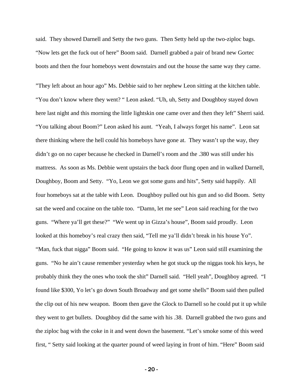said. They showed Darnell and Setty the two guns. Then Setty held up the two-ziploc bags. "Now lets get the fuck out of here" Boom said. Darnell grabbed a pair of brand new Gortec boots and then the four homeboys went downstairs and out the house the same way they came.

"They left about an hour ago" Ms. Debbie said to her nephew Leon sitting at the kitchen table. "You don't know where they went? " Leon asked. "Uh, uh, Setty and Doughboy stayed down here last night and this morning the little lightskin one came over and then they left" Sherri said. "You talking about Boom?" Leon asked his aunt. "Yeah, I always forget his name". Leon sat there thinking where the hell could his homeboys have gone at. They wasn't up the way, they didn't go on no caper because he checked in Darnell's room and the .380 was still under his mattress. As soon as Ms. Debbie went upstairs the back door flung open and in walked Darnell, Doughboy, Boom and Setty. "Yo, Leon we got some guns and hits", Setty said happily. All four homeboys sat at the table with Leon. Doughboy pulled out his gun and so did Boom. Setty sat the weed and cocaine on the table too. "Damn, let me see" Leon said reaching for the two guns. "Where ya'll get these?" "We went up in Gizza's house", Boom said proudly. Leon looked at this homeboy's real crazy then said, "Tell me ya'll didn't break in his house Yo". "Man, fuck that nigga" Boom said. "He going to know it was us" Leon said still examining the guns. "No he ain't cause remember yesterday when he got stuck up the niggas took his keys, he probably think they the ones who took the shit" Darnell said. "Hell yeah", Doughboy agreed. "I found like \$300, Yo let's go down South Broadway and get some shells" Boom said then pulled the clip out of his new weapon. Boom then gave the Glock to Darnell so he could put it up while they went to get bullets. Doughboy did the same with his .38. Darnell grabbed the two guns and the ziploc bag with the coke in it and went down the basement. "Let's smoke some of this weed first, " Setty said looking at the quarter pound of weed laying in front of him. "Here" Boom said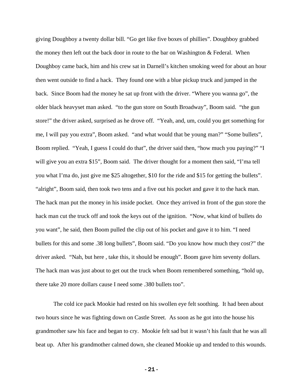giving Doughboy a twenty dollar bill. "Go get like five boxes of phillies". Doughboy grabbed the money then left out the back door in route to the bar on Washington  $\&$  Federal. When Doughboy came back, him and his crew sat in Darnell's kitchen smoking weed for about an hour then went outside to find a hack. They found one with a blue pickup truck and jumped in the back. Since Boom had the money he sat up front with the driver. "Where you wanna go", the older black heavyset man asked. "to the gun store on South Broadway", Boom said. "the gun store!" the driver asked, surprised as he drove off. "Yeah, and, um, could you get something for me, I will pay you extra", Boom asked. "and what would that be young man?" "Some bullets", Boom replied. "Yeah, I guess I could do that", the driver said then, "how much you paying?" "I will give you an extra \$15", Boom said. The driver thought for a moment then said, "I'ma tell you what I'ma do, just give me \$25 altogether, \$10 for the ride and \$15 for getting the bullets". "alright", Boom said, then took two tens and a five out his pocket and gave it to the hack man. The hack man put the money in his inside pocket. Once they arrived in front of the gun store the hack man cut the truck off and took the keys out of the ignition. "Now, what kind of bullets do you want", he said, then Boom pulled the clip out of his pocket and gave it to him. "I need bullets for this and some .38 long bullets", Boom said. "Do you know how much they cost?" the driver asked. "Nah, but here , take this, it should be enough". Boom gave him seventy dollars. The hack man was just about to get out the truck when Boom remembered something, "hold up, there take 20 more dollars cause I need some .380 bullets too".

 The cold ice pack Mookie had rested on his swollen eye felt soothing. It had been about two hours since he was fighting down on Castle Street. As soon as he got into the house his grandmother saw his face and began to cry. Mookie felt sad but it wasn't his fault that he was all beat up. After his grandmother calmed down, she cleaned Mookie up and tended to this wounds.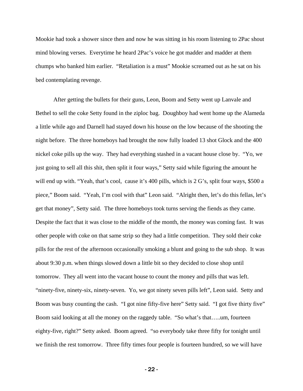Mookie had took a shower since then and now he was sitting in his room listening to 2Pac shout mind blowing verses. Everytime he heard 2Pac's voice he got madder and madder at them chumps who banked him earlier. "Retaliation is a must" Mookie screamed out as he sat on his bed contemplating revenge.

 After getting the bullets for their guns, Leon, Boom and Setty went up Lanvale and Bethel to sell the coke Setty found in the ziploc bag. Doughboy had went home up the Alameda a little while ago and Darnell had stayed down his house on the low because of the shooting the night before. The three homeboys had brought the now fully loaded 13 shot Glock and the 400 nickel coke pills up the way. They had everything stashed in a vacant house close by. "Yo, we just going to sell all this shit, then split it four ways," Setty said while figuring the amount he will end up with. "Yeah, that's cool, cause it's 400 pills, which is 2 G's, split four ways, \$500 a piece," Boom said. "Yeah, I'm cool with that" Leon said. "Alright then, let's do this fellas, let's get that money", Setty said. The three homeboys took turns serving the fiends as they came. Despite the fact that it was close to the middle of the month, the money was coming fast. It was other people with coke on that same strip so they had a little competition. They sold their coke pills for the rest of the afternoon occasionally smoking a blunt and going to the sub shop. It was about 9:30 p.m. when things slowed down a little bit so they decided to close shop until tomorrow. They all went into the vacant house to count the money and pills that was left. "ninety-five, ninety-six, ninety-seven. Yo, we got ninety seven pills left", Leon said. Setty and Boom was busy counting the cash. "I got nine fifty-five here" Setty said. "I got five thirty five" Boom said looking at all the money on the raggedy table. "So what's that…..um, fourteen eighty-five, right?" Setty asked. Boom agreed. "so everybody take three fifty for tonight until we finish the rest tomorrow. Three fifty times four people is fourteen hundred, so we will have

- 22 -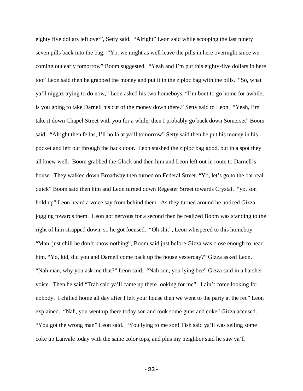eighty five dollars left over", Setty said. "Alright" Leon said while scooping the last ninety seven pills back into the bag. "Yo, we might as well leave the pills in here overnight since we coming out early tomorrow" Boom suggested. "Yeah and I'm put this eighty-five dollars in here too" Leon said then he grabbed the money and put it in the ziploc bag with the pills. "So, what ya'll niggaz trying to do now," Leon asked his two homeboys. "I'm bout to go home for awhile, is you going to take Darnell his cut of the money down there." Setty said to Leon. "Yeah, I'm take it down Chapel Street with you for a while, then I probably go back down Somerset" Boom said. "Alright then fellas, I'll holla at ya'll tomorrow" Setty said then he put his money in his pocket and left out through the back door. Leon stashed the ziploc bag good, but in a spot they all knew well. Boom grabbed the Glock and then him and Leon left out in route to Darnell's house. They walked down Broadway then turned on Federal Street. "Yo, let's go to the bar real quick" Boom said then him and Leon turned down Regester Street towards Crystal. "yo, son hold up" Leon heard a voice say from behind them. As they turned around he noticed Gizza jogging towards them. Leon got nervous for a second then he realized Boom was standing to the right of him strapped down, so he got focused. "Oh shit", Leon whispered to this homeboy. "Man, just chill he don't know nothing", Boom said just before Gizza was close enough to hear him. "Yo, kid, did you and Darnell come back up the house yesterday?" Gizza asked Leon. "Nah man, why you ask me that?" Leon said. "Nah son, you lying bee" Gizza said in a harsher voice. Then he said "Trab said ya'll came up there looking for me". I ain't come looking for nobody. I chilled home all day after I left your house then we went to the party at the rec" Leon explained. "Nah, you went up there today son and took some guns and coke" Gizza accused. "You got the wrong man" Leon said. "You lying to me son! Tish said ya'll was selling some coke up Lanvale today with the same color tops, and plus my neighbor said he saw ya'll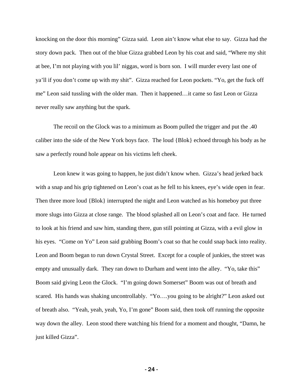knocking on the door this morning" Gizza said. Leon ain't know what else to say. Gizza had the story down pack. Then out of the blue Gizza grabbed Leon by his coat and said, "Where my shit at bee, I'm not playing with you lil' niggas, word is born son. I will murder every last one of ya'll if you don't come up with my shit". Gizza reached for Leon pockets. "Yo, get the fuck off me" Leon said tussling with the older man. Then it happened…it came so fast Leon or Gizza never really saw anything but the spark.

 The recoil on the Glock was to a minimum as Boom pulled the trigger and put the .40 caliber into the side of the New York boys face. The loud {Blok} echoed through his body as he saw a perfectly round hole appear on his victims left cheek.

 Leon knew it was going to happen, he just didn't know when. Gizza's head jerked back with a snap and his grip tightened on Leon's coat as he fell to his knees, eye's wide open in fear. Then three more loud {Blok} interrupted the night and Leon watched as his homeboy put three more slugs into Gizza at close range. The blood splashed all on Leon's coat and face. He turned to look at his friend and saw him, standing there, gun still pointing at Gizza, with a evil glow in his eyes. "Come on Yo" Leon said grabbing Boom's coat so that he could snap back into reality. Leon and Boom began to run down Crystal Street. Except for a couple of junkies, the street was empty and unusually dark. They ran down to Durham and went into the alley. "Yo, take this" Boom said giving Leon the Glock. "I'm going down Somerset" Boom was out of breath and scared. His hands was shaking uncontrollably. "Yo….you going to be alright?" Leon asked out of breath also. "Yeah, yeah, yeah, Yo, I'm gone" Boom said, then took off running the opposite way down the alley. Leon stood there watching his friend for a moment and thought, "Damn, he just killed Gizza".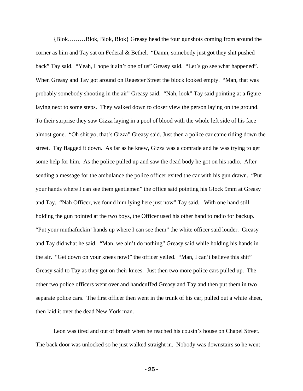{Blok………Blok, Blok, Blok} Greasy head the four gunshots coming from around the corner as him and Tay sat on Federal & Bethel. "Damn, somebody just got they shit pushed back" Tay said. "Yeah, I hope it ain't one of us" Greasy said. "Let's go see what happened". When Greasy and Tay got around on Regester Street the block looked empty. "Man, that was probably somebody shooting in the air" Greasy said. "Nah, look" Tay said pointing at a figure laying next to some steps. They walked down to closer view the person laying on the ground. To their surprise they saw Gizza laying in a pool of blood with the whole left side of his face almost gone. "Oh shit yo, that's Gizza" Greasy said. Just then a police car came riding down the street. Tay flagged it down. As far as he knew, Gizza was a comrade and he was trying to get some help for him. As the police pulled up and saw the dead body he got on his radio. After sending a message for the ambulance the police officer exited the car with his gun drawn. "Put your hands where I can see them gentlemen" the office said pointing his Glock 9mm at Greasy and Tay. "Nah Officer, we found him lying here just now" Tay said. With one hand still holding the gun pointed at the two boys, the Officer used his other hand to radio for backup. "Put your muthafuckin' hands up where I can see them" the white officer said louder. Greasy and Tay did what he said. "Man, we ain't do nothing" Greasy said while holding his hands in the air. "Get down on your knees now!" the officer yelled. "Man, I can't believe this shit" Greasy said to Tay as they got on their knees. Just then two more police cars pulled up. The other two police officers went over and handcuffed Greasy and Tay and then put them in two separate police cars. The first officer then went in the trunk of his car, pulled out a white sheet, then laid it over the dead New York man.

 Leon was tired and out of breath when he reached his cousin's house on Chapel Street. The back door was unlocked so he just walked straight in. Nobody was downstairs so he went

- 25 -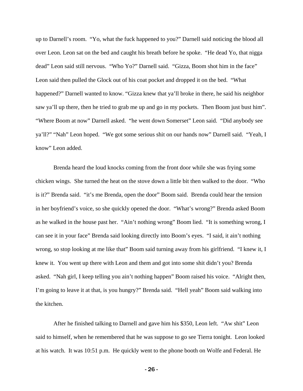up to Darnell's room. "Yo, what the fuck happened to you?" Darnell said noticing the blood all over Leon. Leon sat on the bed and caught his breath before he spoke. "He dead Yo, that nigga dead" Leon said still nervous. "Who Yo?" Darnell said. "Gizza, Boom shot him in the face" Leon said then pulled the Glock out of his coat pocket and dropped it on the bed. "What happened?" Darnell wanted to know. "Gizza knew that ya'll broke in there, he said his neighbor saw ya'll up there, then he tried to grab me up and go in my pockets. Then Boom just bust him". "Where Boom at now" Darnell asked. "he went down Somerset" Leon said. "Did anybody see ya'll?" "Nah" Leon hoped. "We got some serious shit on our hands now" Darnell said. "Yeah, I know" Leon added.

 Brenda heard the loud knocks coming from the front door while she was frying some chicken wings. She turned the heat on the stove down a little bit then walked to the door. "Who is it?" Brenda said. "it's me Brenda, open the door" Boom said. Brenda could hear the tension in her boyfriend's voice, so she quickly opened the door. "What's wrong?" Brenda asked Boom as he walked in the house past her. "Ain't nothing wrong" Boom lied. "It is something wrong, I can see it in your face" Brenda said looking directly into Boom's eyes. "I said, it ain't nothing wrong, so stop looking at me like that" Boom said turning away from his girlfriend. "I knew it, I knew it. You went up there with Leon and them and got into some shit didn't you? Brenda asked. "Nah girl, I keep telling you ain't nothing happen" Boom raised his voice. "Alright then, I'm going to leave it at that, is you hungry?" Brenda said. "Hell yeah" Boom said walking into the kitchen.

 After he finished talking to Darnell and gave him his \$350, Leon left. "Aw shit" Leon said to himself, when he remembered that he was suppose to go see Tierra tonight. Leon looked at his watch. It was 10:51 p.m. He quickly went to the phone booth on Wolfe and Federal. He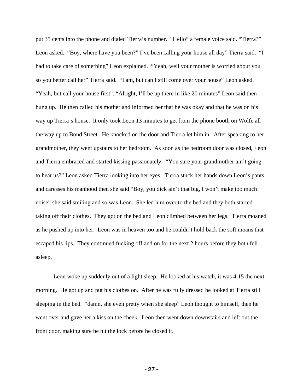put 35 cents into the phone and dialed Tierra's number. "Hello" a female voice said. "Tierra?" Leon asked. "Boy, where have you been?" I've been calling your house all day" Tierra said. "I had to take care of something" Leon explained. "Yeah, well your mother is worried about you so you better call her" Tierra said. "I am, but can I still come over your house" Leon asked. "Yeah, but call your house first". "Alright, I'll be up there in like 20 minutes" Leon said then hung up. He then called his mother and informed her that he was okay and that he was on his way up Tierra's house. It only took Leon 13 minutes to get from the phone booth on Wolfe all the way up to Bond Street. He knocked on the door and Tierra let him in. After speaking to her grandmother, they went upstairs to her bedroom. As soon as the bedroom door was closed, Leon and Tierra embraced and started kissing passionately. "You sure your grandmother ain't going to hear us?" Leon asked Tierra looking into her eyes. Tierra stuck her hands down Leon's pants and caresses his manhood then she said "Boy, you dick ain't that big, I won't make too much noise" she said smiling and so was Leon. She led him over to the bed and they both started taking off their clothes. They got on the bed and Leon climbed between her legs. Tierra moaned as he pushed up into her. Leon was in heaven too and he couldn't hold back the soft moans that escaped his lips. They continued fucking off and on for the next 2 hours before they both fell asleep.

 Leon woke up suddenly out of a light sleep. He looked at his watch, it was 4:15 the next morning. He got up and put his clothes on. After he was fully dressed he looked at Tierra still sleeping in the bed. "damn, she even pretty when she sleep" Leon thought to himself, then he went over and gave her a kiss on the cheek. Leon then went down downstairs and left out the front door, making sure he hit the lock before he closed it.

- 27 -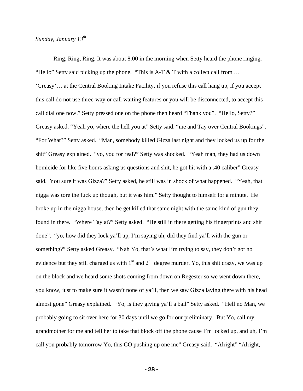## *Sunday, January 13th*

 Ring, Ring, Ring. It was about 8:00 in the morning when Setty heard the phone ringing. "Hello" Setty said picking up the phone. "This is A-T  $&$  T with a collect call from ... 'Greasy'… at the Central Booking Intake Facility, if you refuse this call hang up, if you accept this call do not use three-way or call waiting features or you will be disconnected, to accept this call dial one now." Setty pressed one on the phone then heard "Thank you". "Hello, Setty?" Greasy asked. "Yeah yo, where the hell you at" Setty said. "me and Tay over Central Bookings". "For What?" Setty asked. "Man, somebody killed Gizza last night and they locked us up for the shit" Greasy explained. "yo, you for real?" Setty was shocked. "Yeah man, they had us down homicide for like five hours asking us questions and shit, he got hit with a .40 caliber" Greasy said. You sure it was Gizza?" Setty asked, he still was in shock of what happened. "Yeah, that nigga was tore the fuck up though, but it was him." Setty thought to himself for a minute. He broke up in the nigga house, then he get killed that same night with the same kind of gun they found in there. "Where Tay at?" Setty asked. "He still in there getting his fingerprints and shit done". "yo, how did they lock ya'll up, I'm saying uh, did they find ya'll with the gun or something?" Setty asked Greasy. "Nah Yo, that's what I'm trying to say, they don't got no evidence but they still charged us with  $1<sup>st</sup>$  and  $2<sup>nd</sup>$  degree murder. Yo, this shit crazy, we was up on the block and we heard some shots coming from down on Regester so we went down there, you know, just to make sure it wasn't none of ya'll, then we saw Gizza laying there with his head almost gone" Greasy explained. "Yo, is they giving ya'll a bail" Setty asked. "Hell no Man, we probably going to sit over here for 30 days until we go for our preliminary. But Yo, call my grandmother for me and tell her to take that block off the phone cause I'm locked up, and uh, I'm call you probably tomorrow Yo, this CO pushing up one me" Greasy said. "Alright" "Alright,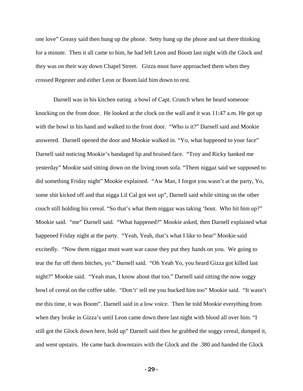one love" Greasy said then hung up the phone. Setty hung up the phone and sat there thinking for a minute. Then it all came to him, he had left Leon and Boom last night with the Glock and they was on their way down Chapel Street. Gizza must have approached them when they crossed Regester and either Leon or Boom laid him down to rest.

 Darnell was in his kitchen eating a bowl of Capt. Crunch when he heard someone knocking on the front door. He looked at the clock on the wall and it was 11:47 a.m. He got up with the bowl in his hand and walked to the front door. "Who is it?" Darnell said and Mookie answered. Darnell opened the door and Mookie walked in. "Yo, what happened to your face" Darnell said noticing Mookie's bandaged lip and bruised face. "Troy and Ricky banked me yesterday" Mookie said sitting down on the living room sofa. "Them niggaz said we supposed to did something Friday night" Mookie explained. "Aw Man, I forgot you wasn't at the party, Yo, some shit kicked off and that nigga Lil Cal got wet up", Darnell said while sitting on the other couch still holding his cereal. "So that's what them niggaz was taking 'bout. Who hit him up?" Mookie said. "me" Darnell said. "What happened?" Mookie asked, then Darnell explained what happened Friday night at the party. "Yeah, Yeah, that's what I like to hear" Mookie said excitedly. "Now them niggaz must want war cause they put they hands on you. We going to tear the fur off them bitches, yo." Darnell said. "Oh Yeah Yo, you heard Gizza got killed last night?" Mookie said. "Yeah man, I know about that too." Darnell said sitting the now soggy bowl of cereal on the coffee table. "Don't' tell me you bucked him too" Mookie said. "It wasn't me this time, it was Boom". Darnell said in a low voice. Then he told Mookie everything from when they broke in Gizza's until Leon came down there last night with blood all over him. "I still got the Glock down here, hold up" Darnell said then he grabbed the soggy cereal, dumped it, and went upstairs. He came back downstairs with the Glock and the .380 and handed the Glock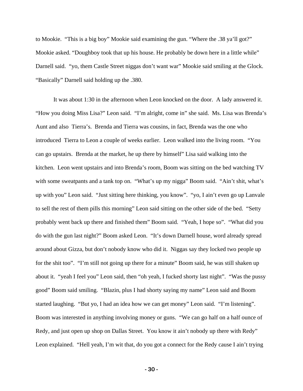to Mookie. "This is a big boy" Mookie said examining the gun. "Where the .38 ya'll got?" Mookie asked. "Doughboy took that up his house. He probably be down here in a little while" Darnell said. "yo, them Castle Street niggas don't want war" Mookie said smiling at the Glock. "Basically" Darnell said holding up the .380.

 It was about 1:30 in the afternoon when Leon knocked on the door. A lady answered it. "How you doing Miss Lisa?" Leon said. "I'm alright, come in" she said. Ms. Lisa was Brenda's Aunt and also Tierra's. Brenda and Tierra was cousins, in fact, Brenda was the one who introduced Tierra to Leon a couple of weeks earlier. Leon walked into the living room. "You can go upstairs. Brenda at the market, he up there by himself" Lisa said walking into the kitchen. Leon went upstairs and into Brenda's room, Boom was sitting on the bed watching TV with some sweatpants and a tank top on. "What's up my nigga" Boom said. "Ain't shit, what's up with you" Leon said. "Just sitting here thinking, you know". "yo, I ain't even go up Lanvale to sell the rest of them pills this morning" Leon said sitting on the other side of the bed. "Setty probably went back up there and finished them" Boom said. "Yeah, I hope so". "What did you do with the gun last night?" Boom asked Leon. "It's down Darnell house, word already spread around about Gizza, but don't nobody know who did it. Niggas say they locked two people up for the shit too". "I'm still not going up there for a minute" Boom said, he was still shaken up about it. "yeah I feel you" Leon said, then "oh yeah, I fucked shorty last night". "Was the pussy good" Boom said smiling. "Blazin, plus I had shorty saying my name" Leon said and Boom started laughing. "But yo, I had an idea how we can get money" Leon said. "I'm listening". Boom was interested in anything involving money or guns. "We can go half on a half ounce of Redy, and just open up shop on Dallas Street. You know it ain't nobody up there with Redy" Leon explained. "Hell yeah, I'm wit that, do you got a connect for the Redy cause I ain't trying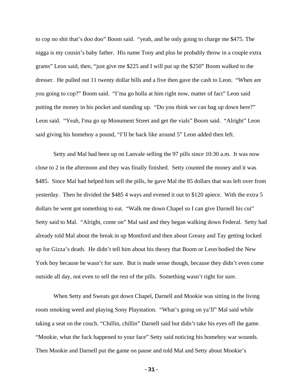to cop no shit that's doo doo" Boom said. "yeah, and he only going to charge me \$475. The nigga is my cousin's baby father. His name Tony and plus he probably throw in a couple extra grams" Leon said, then, "just give me \$225 and I will put up the \$250" Boom walked to the dresser. He pulled out 11 twenty dollar bills and a five then gave the cash to Leon. "When are you going to cop?" Boom said. "I'ma go holla at him right now, matter of fact" Leon said putting the money in his pocket and standing up. "Do you think we can bag up down here?" Leon said. "Yeah, I'ma go up Monument Street and get the vials" Boom said. "Alright" Leon said giving his homeboy a pound, "I'll be back like around 5" Leon added then left.

 Setty and Mal had been up on Lanvale selling the 97 pills since 10:30 a.m. It was now close to 2 in the afternoon and they was finally finished. Setty counted the money and it was \$485. Since Mal had helped him sell the pills, he gave Mal the 85 dollars that was left over from yesterday. Then he divided the \$485 4 ways and evened it out to \$120 apiece. With the extra 5 dollars he went got something to eat. "Walk me down Chapel so I can give Darnell his cut" Setty said to Mal. "Alright, come on" Mal said and they began walking down Federal. Setty had already told Mal about the break in up Montford and then about Greasy and Tay getting locked up for Gizza's death. He didn't tell him about his theory that Boom or Leon bodied the New York boy because he wasn't for sure. But is made sense though, because they didn't even come outside all day, not even to sell the rest of the pills. Something wasn't right for sure.

 When Setty and Sweats got down Chapel, Darnell and Mookie was sitting in the living room smoking weed and playing Sony Playstation. "What's going on ya'll" Mal said while taking a seat on the couch. "Chillin, chillin" Darnell said but didn't take his eyes off the game. "Mookie, what the fuck happened to your face" Setty said noticing his homeboy war wounds. Then Mookie and Darnell put the game on pause and told Mal and Setty about Mookie's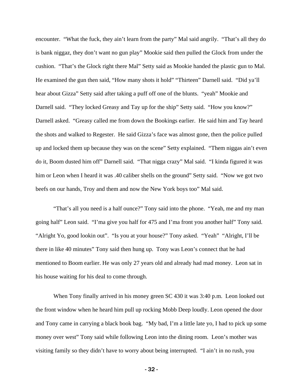encounter. "What the fuck, they ain't learn from the party" Mal said angrily. "That's all they do is bank niggaz, they don't want no gun play" Mookie said then pulled the Glock from under the cushion. "That's the Glock right there Mal" Setty said as Mookie handed the plastic gun to Mal. He examined the gun then said, "How many shots it hold" "Thirteen" Darnell said. "Did ya'll hear about Gizza" Setty said after taking a puff off one of the blunts. "yeah" Mookie and Darnell said. "They locked Greasy and Tay up for the ship" Setty said. "How you know?" Darnell asked. "Greasy called me from down the Bookings earlier. He said him and Tay heard the shots and walked to Regester. He said Gizza's face was almost gone, then the police pulled up and locked them up because they was on the scene" Setty explained. "Them niggas ain't even do it, Boom dusted him off" Darnell said. "That nigga crazy" Mal said. "I kinda figured it was him or Leon when I heard it was .40 caliber shells on the ground" Setty said. "Now we got two beefs on our hands, Troy and them and now the New York boys too" Mal said.

 "That's all you need is a half ounce?" Tony said into the phone. "Yeah, me and my man going half" Leon said. "I'ma give you half for 475 and I'ma front you another half" Tony said. "Alright Yo, good lookin out". "Is you at your house?" Tony asked. "Yeah" "Alright, I'll be there in like 40 minutes" Tony said then hung up. Tony was Leon's connect that he had mentioned to Boom earlier. He was only 27 years old and already had mad money. Leon sat in his house waiting for his deal to come through.

 When Tony finally arrived in his money green SC 430 it was 3:40 p.m. Leon looked out the front window when he heard him pull up rocking Mobb Deep loudly. Leon opened the door and Tony came in carrying a black book bag. "My bad, I'm a little late yo, I had to pick up some money over west" Tony said while following Leon into the dining room. Leon's mother was visiting family so they didn't have to worry about being interrupted. "I ain't in no rush, you

- 32 -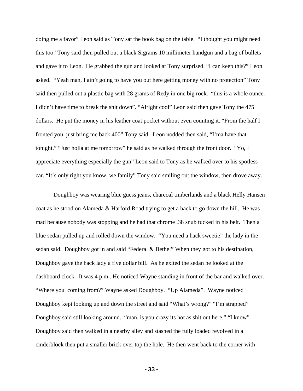doing me a favor" Leon said as Tony sat the book bag on the table. "I thought you might need this too" Tony said then pulled out a black Sigrams 10 millimeter handgun and a bag of bullets and gave it to Leon. He grabbed the gun and looked at Tony surprised. "I can keep this?" Leon asked. "Yeah man, I ain't going to have you out here getting money with no protection" Tony said then pulled out a plastic bag with 28 grams of Redy in one big rock. "this is a whole ounce. I didn't have time to break the shit down". "Alright cool" Leon said then gave Tony the 475 dollars. He put the money in his leather coat pocket without even counting it. "From the half I fronted you, just bring me back 400" Tony said. Leon nodded then said, "I'ma have that tonight." "Just holla at me tomorrow" he said as he walked through the front door. "Yo, I appreciate everything especially the gun" Leon said to Tony as he walked over to his spotless car. "It's only right you know, we family" Tony said smiling out the window, then drove away.

 Doughboy was wearing blue guess jeans, charcoal timberlands and a black Helly Hansen coat as he stood on Alameda & Harford Road trying to get a hack to go down the hill. He was mad because nobody was stopping and he had that chrome .38 snub tucked in his belt. Then a blue sedan pulled up and rolled down the window. "You need a hack sweetie" the lady in the sedan said. Doughboy got in and said "Federal & Bethel" When they got to his destination, Doughboy gave the hack lady a five dollar bill. As he exited the sedan he looked at the dashboard clock. It was 4 p.m.. He noticed Wayne standing in front of the bar and walked over. "Where you coming from?" Wayne asked Doughboy. "Up Alameda". Wayne noticed Doughboy kept looking up and down the street and said "What's wrong?" "I'm strapped" Doughboy said still looking around. "man, is you crazy its hot as shit out here." "I know" Doughboy said then walked in a nearby alley and stashed the fully loaded revolved in a cinderblock then put a smaller brick over top the hole. He then went back to the corner with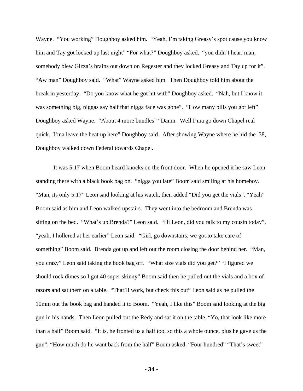Wayne. "You working" Doughboy asked him. "Yeah, I'm taking Greasy's spot cause you know him and Tay got locked up last night" "For what?" Doughboy asked. "you didn't hear, man, somebody blew Gizza's brains out down on Regester and they locked Greasy and Tay up for it". "Aw man" Doughboy said. "What" Wayne asked him. Then Doughboy told him about the break in yesterday. "Do you know what he got hit with" Doughboy asked. "Nah, but I know it was something big, niggas say half that nigga face was gone". "How many pills you got left" Doughboy asked Wayne. "About 4 more bundles" "Damn. Well I'ma go down Chapel real quick. I'ma leave the heat up here" Doughboy said. After showing Wayne where he hid the .38, Doughboy walked down Federal towards Chapel.

 It was 5:17 when Boom heard knocks on the front door. When he opened it he saw Leon standing there with a black book bag on. "nigga you late" Boom said smiling at his homeboy. "Man, its only 5:17" Leon said looking at his watch, then added "Did you get the vials". "Yeah" Boom said as him and Leon walked upstairs. They went into the bedroom and Brenda was sitting on the bed. "What's up Brenda?" Leon said. "Hi Leon, did you talk to my cousin today". "yeah, I hollered at her earlier" Leon said. "Girl, go downstairs, we got to take care of something" Boom said. Brenda got up and left out the room closing the door behind her. "Man, you crazy" Leon said taking the book bag off. "What size vials did you get?" "I figured we should rock dimes so I got 40 super skinny" Boom said then he pulled out the vials and a box of razors and sat them on a table. "That'll work, but check this out" Leon said as he pulled the 10mm out the book bag and handed it to Boom. "Yeah, I like this" Boom said looking at the big gun in his hands. Then Leon pulled out the Redy and sat it on the table. "Yo, that look like more than a half" Boom said. "It is, he fronted us a half too, so this a whole ounce, plus he gave us the gun". "How much do he want back from the half" Boom asked. "Four hundred" "That's sweet"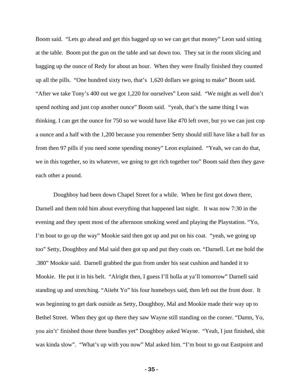Boom said. "Lets go ahead and get this bagged up so we can get that money" Leon said sitting at the table. Boom put the gun on the table and sat down too. They sat in the room slicing and bagging up the ounce of Redy for about an hour. When they were finally finished they counted up all the pills. "One hundred sixty two, that's 1,620 dollars we going to make" Boom said. "After we take Tony's 400 out we got 1,220 for ourselves" Leon said. "We might as well don't spend nothing and just cop another ounce" Boom said. "yeah, that's the same thing I was thinking. I can get the ounce for 750 so we would have like 470 left over, but yo we can just cop a ounce and a half with the 1,200 because you remember Setty should still have like a ball for us from then 97 pills if you need some spending money" Leon explained. "Yeah, we can do that, we in this together, so its whatever, we going to get rich together too" Boom said then they gave each other a pound.

 Doughboy had been down Chapel Street for a while. When he first got down there, Darnell and them told him about everything that happened last night. It was now 7:30 in the evening and they spent most of the afternoon smoking weed and playing the Playstation. "Yo, I'm bout to go up the way" Mookie said then got up and put on his coat. "yeah, we going up too" Setty, Doughboy and Mal said then got up and put they coats on. "Darnell. Let me hold the .380" Mookie said. Darnell grabbed the gun from under his seat cushion and handed it to Mookie. He put it in his belt. "Alright then, I guess I'll holla at ya'll tomorrow" Darnell said standing up and stretching. "Aiieht Yo" his four homeboys said, then left out the front door. It was beginning to get dark outside as Setty, Doughboy, Mal and Mookie made their way up to Bethel Street. When they got up there they saw Wayne still standing on the corner. "Damn, Yo, you ain't' finished those three bundles yet" Doughboy asked Wayne. "Yeah, I just finished, shit was kinda slow". "What's up with you now" Mal asked him. "I'm bout to go out Eastpoint and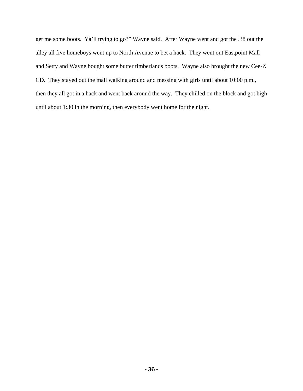get me some boots. Ya'll trying to go?" Wayne said. After Wayne went and got the .38 out the alley all five homeboys went up to North Avenue to bet a hack. They went out Eastpoint Mall and Setty and Wayne bought some butter timberlands boots. Wayne also brought the new Cee-Z CD. They stayed out the mall walking around and messing with girls until about 10:00 p.m., then they all got in a hack and went back around the way. They chilled on the block and got high until about 1:30 in the morning, then everybody went home for the night.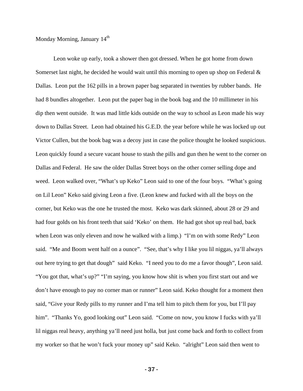Monday Morning, January 14<sup>th</sup>

 Leon woke up early, took a shower then got dressed. When he got home from down Somerset last night, he decided he would wait until this morning to open up shop on Federal  $\&$ Dallas. Leon put the 162 pills in a brown paper bag separated in twenties by rubber bands. He had 8 bundles altogether. Leon put the paper bag in the book bag and the 10 millimeter in his dip then went outside. It was mad little kids outside on the way to school as Leon made his way down to Dallas Street. Leon had obtained his G.E.D. the year before while he was locked up out Victor Cullen, but the book bag was a decoy just in case the police thought he looked suspicious. Leon quickly found a secure vacant house to stash the pills and gun then he went to the corner on Dallas and Federal. He saw the older Dallas Street boys on the other corner selling dope and weed. Leon walked over, "What's up Keko" Leon said to one of the four boys. "What's going on Lil Leon" Keko said giving Leon a five. (Leon knew and fucked with all the boys on the corner, but Keko was the one he trusted the most. Keko was dark skinned, about 28 or 29 and had four golds on his front teeth that said 'Keko' on them. He had got shot up real bad, back when Leon was only eleven and now he walked with a limp.) "I'm on with some Redy" Leon said. "Me and Boom went half on a ounce". "See, that's why I like you lil niggas, ya'll always out here trying to get that dough" said Keko. "I need you to do me a favor though", Leon said. "You got that, what's up?" "I'm saying, you know how shit is when you first start out and we don't have enough to pay no corner man or runner" Leon said. Keko thought for a moment then said, "Give your Redy pills to my runner and I'ma tell him to pitch them for you, but I'll pay him". "Thanks Yo, good looking out" Leon said. "Come on now, you know I fucks with ya'll lil niggas real heavy, anything ya'll need just holla, but just come back and forth to collect from my worker so that he won't fuck your money up" said Keko. "alright" Leon said then went to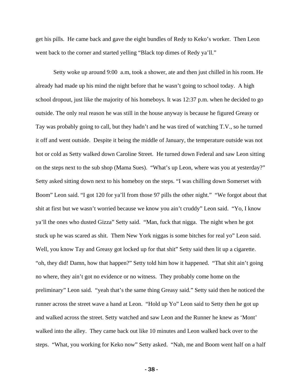get his pills. He came back and gave the eight bundles of Redy to Keko's worker. Then Leon went back to the corner and started yelling "Black top dimes of Redy ya'll."

 Setty woke up around 9:00 a.m, took a shower, ate and then just chilled in his room. He already had made up his mind the night before that he wasn't going to school today. A high school dropout, just like the majority of his homeboys. It was 12:37 p.m. when he decided to go outside. The only real reason he was still in the house anyway is because he figured Greasy or Tay was probably going to call, but they hadn't and he was tired of watching T.V., so he turned it off and went outside. Despite it being the middle of January, the temperature outside was not hot or cold as Setty walked down Caroline Street. He turned down Federal and saw Leon sitting on the steps next to the sub shop (Mama Sues). "What's up Leon, where was you at yesterday?" Setty asked sitting down next to his homeboy on the steps. "I was chilling down Somerset with Boom" Leon said. "I got 120 for ya'll from those 97 pills the other night." "We forgot about that shit at first but we wasn't worried because we know you ain't cruddy" Leon said. "Yo, I know ya'll the ones who dusted Gizza" Setty said. "Man, fuck that nigga. The night when he got stuck up he was scared as shit. Them New York niggas is some bitches for real yo" Leon said. Well, you know Tay and Greasy got locked up for that shit" Setty said then lit up a cigarette. "oh, they did! Damn, how that happen?" Setty told him how it happened. "That shit ain't going no where, they ain't got no evidence or no witness. They probably come home on the preliminary" Leon said. "yeah that's the same thing Greasy said." Setty said then he noticed the runner across the street wave a hand at Leon. "Hold up Yo" Leon said to Setty then he got up and walked across the street. Setty watched and saw Leon and the Runner he knew as 'Mont' walked into the alley. They came back out like 10 minutes and Leon walked back over to the steps. "What, you working for Keko now" Setty asked. "Nah, me and Boom went half on a half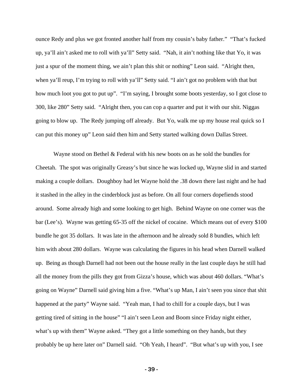ounce Redy and plus we got fronted another half from my cousin's baby father." "That's fucked up, ya'll ain't asked me to roll with ya'll" Setty said. "Nah, it ain't nothing like that Yo, it was just a spur of the moment thing, we ain't plan this shit or nothing" Leon said. "Alright then, when ya'll reup, I'm trying to roll with ya'll" Setty said. "I ain't got no problem with that but how much loot you got to put up". "I'm saying, I brought some boots yesterday, so I got close to 300, like 280" Setty said. "Alright then, you can cop a quarter and put it with our shit. Niggas going to blow up. The Redy jumping off already. But Yo, walk me up my house real quick so I can put this money up" Leon said then him and Setty started walking down Dallas Street.

Wayne stood on Bethel  $\&$  Federal with his new boots on as he sold the bundles for Cheetah. The spot was originally Greasy's but since he was locked up, Wayne slid in and started making a couple dollars. Doughboy had let Wayne hold the .38 down there last night and he had it stashed in the alley in the cinderblock just as before. On all four corners dopefiends stood around. Some already high and some looking to get high. Behind Wayne on one corner was the bar (Lee's). Wayne was getting 65-35 off the nickel of cocaine. Which means out of every \$100 bundle he got 35 dollars. It was late in the afternoon and he already sold 8 bundles, which left him with about 280 dollars. Wayne was calculating the figures in his head when Darnell walked up. Being as though Darnell had not been out the house really in the last couple days he still had all the money from the pills they got from Gizza's house, which was about 460 dollars. "What's going on Wayne" Darnell said giving him a five. "What's up Man, I ain't seen you since that shit happened at the party" Wayne said. "Yeah man, I had to chill for a couple days, but I was getting tired of sitting in the house" "I ain't seen Leon and Boom since Friday night either, what's up with them" Wayne asked. "They got a little something on they hands, but they probably be up here later on" Darnell said. "Oh Yeah, I heard". "But what's up with you, I see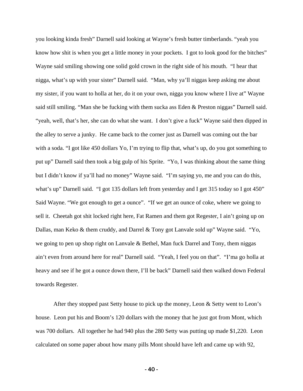you looking kinda fresh" Darnell said looking at Wayne's fresh butter timberlands. "yeah you know how shit is when you get a little money in your pockets. I got to look good for the bitches" Wayne said smiling showing one solid gold crown in the right side of his mouth. "I hear that nigga, what's up with your sister" Darnell said. "Man, why ya'll niggas keep asking me about my sister, if you want to holla at her, do it on your own, nigga you know where I live at" Wayne said still smiling. "Man she be fucking with them sucka ass Eden & Preston niggas" Darnell said. "yeah, well, that's her, she can do what she want. I don't give a fuck" Wayne said then dipped in the alley to serve a junky. He came back to the corner just as Darnell was coming out the bar with a soda. "I got like 450 dollars Yo, I'm trying to flip that, what's up, do you got something to put up" Darnell said then took a big gulp of his Sprite. "Yo, I was thinking about the same thing but I didn't know if ya'll had no money" Wayne said. "I'm saying yo, me and you can do this, what's up" Darnell said. "I got 135 dollars left from yesterday and I get 315 today so I got 450" Said Wayne. "We got enough to get a ounce". "If we get an ounce of coke, where we going to sell it. Cheetah got shit locked right here, Fat Ramen and them got Regester, I ain't going up on Dallas, man Keko & them cruddy, and Darrel & Tony got Lanvale sold up" Wayne said. "Yo, we going to pen up shop right on Lanvale & Bethel, Man fuck Darrel and Tony, them niggas ain't even from around here for real" Darnell said. "Yeah, I feel you on that". "I'ma go holla at heavy and see if he got a ounce down there, I'll be back" Darnell said then walked down Federal towards Regester.

 After they stopped past Setty house to pick up the money, Leon & Setty went to Leon's house. Leon put his and Boom's 120 dollars with the money that he just got from Mont, which was 700 dollars. All together he had 940 plus the 280 Setty was putting up made \$1,220. Leon calculated on some paper about how many pills Mont should have left and came up with 92,

- 40 -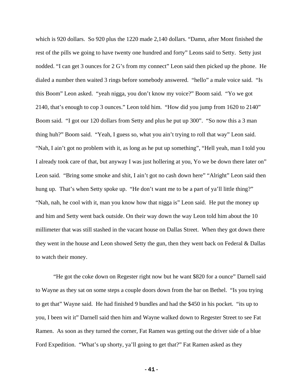which is 920 dollars. So 920 plus the 1220 made 2,140 dollars. "Damn, after Mont finished the rest of the pills we going to have twenty one hundred and forty" Leons said to Setty. Setty just nodded. "I can get 3 ounces for 2 G's from my connect" Leon said then picked up the phone. He dialed a number then waited 3 rings before somebody answered. "hello" a male voice said. "Is this Boom" Leon asked. "yeah nigga, you don't know my voice?" Boom said. "Yo we got 2140, that's enough to cop 3 ounces." Leon told him. "How did you jump from 1620 to 2140" Boom said. "I got our 120 dollars from Setty and plus he put up 300". "So now this a 3 man thing huh?" Boom said. "Yeah, I guess so, what you ain't trying to roll that way" Leon said. "Nah, I ain't got no problem with it, as long as he put up something", "Hell yeah, man I told you I already took care of that, but anyway I was just hollering at you, Yo we be down there later on" Leon said. "Bring some smoke and shit, I ain't got no cash down here" "Alright" Leon said then hung up. That's when Setty spoke up. "He don't want me to be a part of ya'll little thing?" "Nah, nah, he cool with it, man you know how that nigga is" Leon said. He put the money up and him and Setty went back outside. On their way down the way Leon told him about the 10 millimeter that was still stashed in the vacant house on Dallas Street. When they got down there they went in the house and Leon showed Setty the gun, then they went back on Federal & Dallas to watch their money.

 "He got the coke down on Regester right now but he want \$820 for a ounce" Darnell said to Wayne as they sat on some steps a couple doors down from the bar on Bethel. "Is you trying to get that" Wayne said. He had finished 9 bundles and had the \$450 in his pocket. "its up to you, I been wit it" Darnell said then him and Wayne walked down to Regester Street to see Fat Ramen. As soon as they turned the corner, Fat Ramen was getting out the driver side of a blue Ford Expedition. "What's up shorty, ya'll going to get that?" Fat Ramen asked as they

- 41 -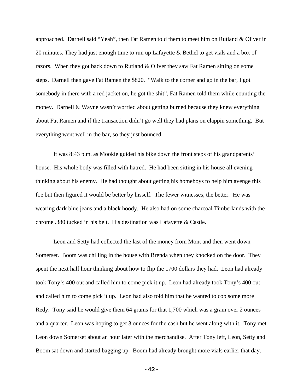approached. Darnell said "Yeah", then Fat Ramen told them to meet him on Rutland & Oliver in 20 minutes. They had just enough time to run up Lafayette & Bethel to get vials and a box of razors. When they got back down to Rutland & Oliver they saw Fat Ramen sitting on some steps. Darnell then gave Fat Ramen the \$820. "Walk to the corner and go in the bar, I got somebody in there with a red jacket on, he got the shit", Fat Ramen told them while counting the money. Darnell & Wayne wasn't worried about getting burned because they knew everything about Fat Ramen and if the transaction didn't go well they had plans on clappin something. But everything went well in the bar, so they just bounced.

 It was 8:43 p.m. as Mookie guided his bike down the front steps of his grandparents' house. His whole body was filled with hatred. He had been sitting in his house all evening thinking about his enemy. He had thought about getting his homeboys to help him avenge this foe but then figured it would be better by hisself. The fewer witnesses, the better. He was wearing dark blue jeans and a black hoody. He also had on some charcoal Timberlands with the chrome .380 tucked in his belt. His destination was Lafayette & Castle.

 Leon and Setty had collected the last of the money from Mont and then went down Somerset. Boom was chilling in the house with Brenda when they knocked on the door. They spent the next half hour thinking about how to flip the 1700 dollars they had. Leon had already took Tony's 400 out and called him to come pick it up. Leon had already took Tony's 400 out and called him to come pick it up. Leon had also told him that he wanted to cop some more Redy. Tony said he would give them 64 grams for that 1,700 which was a gram over 2 ounces and a quarter. Leon was hoping to get 3 ounces for the cash but he went along with it. Tony met Leon down Somerset about an hour later with the merchandise. After Tony left, Leon, Setty and Boom sat down and started bagging up. Boom had already brought more vials earlier that day.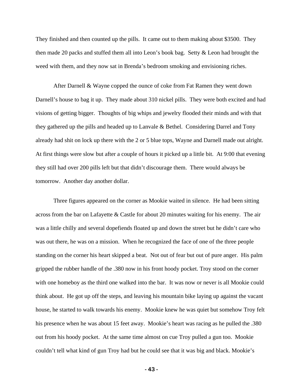They finished and then counted up the pills. It came out to them making about \$3500. They then made 20 packs and stuffed them all into Leon's book bag. Setty & Leon had brought the weed with them, and they now sat in Brenda's bedroom smoking and envisioning riches.

 After Darnell & Wayne copped the ounce of coke from Fat Ramen they went down Darnell's house to bag it up. They made about 310 nickel pills. They were both excited and had visions of getting bigger. Thoughts of big whips and jewelry flooded their minds and with that they gathered up the pills and headed up to Lanvale & Bethel. Considering Darrel and Tony already had shit on lock up there with the 2 or 5 blue tops, Wayne and Darnell made out alright. At first things were slow but after a couple of hours it picked up a little bit. At 9:00 that evening they still had over 200 pills left but that didn't discourage them. There would always be tomorrow. Another day another dollar.

 Three figures appeared on the corner as Mookie waited in silence. He had been sitting across from the bar on Lafayette & Castle for about 20 minutes waiting for his enemy. The air was a little chilly and several dopefiends floated up and down the street but he didn't care who was out there, he was on a mission. When he recognized the face of one of the three people standing on the corner his heart skipped a beat. Not out of fear but out of pure anger. His palm gripped the rubber handle of the .380 now in his front hoody pocket. Troy stood on the corner with one homeboy as the third one walked into the bar. It was now or never is all Mookie could think about. He got up off the steps, and leaving his mountain bike laying up against the vacant house, he started to walk towards his enemy. Mookie knew he was quiet but somehow Troy felt his presence when he was about 15 feet away. Mookie's heart was racing as he pulled the .380 out from his hoody pocket. At the same time almost on cue Troy pulled a gun too. Mookie couldn't tell what kind of gun Troy had but he could see that it was big and black. Mookie's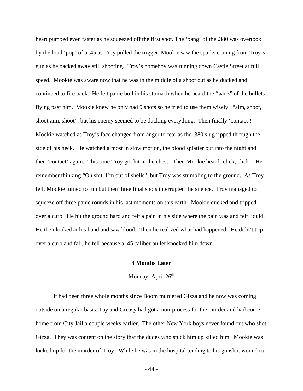heart pumped even faster as he squeezed off the first shot. The 'bang' of the .380 was overtook by the loud 'pop' of a .45 as Troy pulled the trigger. Mookie saw the sparks coming from Troy's gun as he backed away still shooting. Troy's homeboy was running down Castle Street at full speed. Mookie was aware now that he was in the middle of a shoot out as he ducked and continued to fire back. He felt panic boil in his stomach when he heard the "whiz" of the bullets flying past him. Mookie knew he only had 9 shots so he tried to use them wisely. "aim, shoot, shoot aim, shoot", but his enemy seemed to be ducking everything. Then finally 'contact'! Mookie watched as Troy's face changed from anger to fear as the .380 slug ripped through the side of his neck. He watched almost in slow motion, the blood splatter out into the night and then 'contact' again. This time Troy got hit in the chest. Then Mookie heard 'click, click'. He remember thinking "Oh shit, I'm out of shells", but Troy was stumbling to the ground. As Troy fell, Mookie turned to run but then three final shots interrupted the silence. Troy managed to squeeze off three panic rounds in his last moments on this earth. Mookie ducked and tripped over a curb. He hit the ground hard and felt a pain in his side where the pain was and felt liquid. He then looked at his hand and saw blood. Then he realized what had happened. He didn't trip over a curb and fall, he fell because a .45 caliber bullet knocked him down.

## **3 Months Later**

Monday, April  $26<sup>th</sup>$ 

 It had been three whole months since Boom murdered Gizza and he now was coming outside on a regular basis. Tay and Greasy had got a non-process for the murder and had come home from City Jail a couple weeks earlier. The other New York boys never found out who shot Gizza. They was content on the story that the dudes who stuck him up killed him. Mookie was locked up for the murder of Troy. While he was in the hospital tending to his gunshot wound to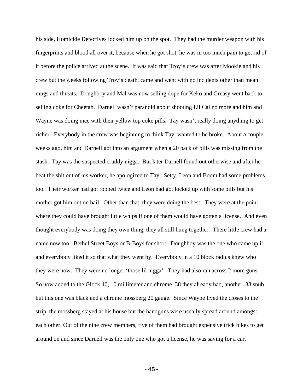his side, Homicide Detectives locked him up on the spot. They had the murder weapon with his fingerprints and blood all over it, because when he got shot, he was in too much pain to get rid of it before the police arrived at the scene. It was said that Troy's crew was after Mookie and his crew but the weeks following Troy's death, came and went with no incidents other than mean mugs and threats. Doughboy and Mal was now selling dope for Keko and Greasy went back to selling coke for Cheetah. Darnell wasn't paranoid about shooting Lil Cal no more and him and Wayne was doing nice with their yellow top coke pills. Tay wasn't really doing anything to get richer. Everybody in the crew was beginning to think Tay wanted to be broke. About a couple weeks ago, him and Darnell got into an argument when a 20 pack of pills was missing from the stash. Tay was the suspected cruddy nigga. But later Darnell found out otherwise and after he beat the shit out of his worker, he apologized to Tay. Setty, Leon and Boom had some problems too. Their worker had got robbed twice and Leon had got locked up with some pills but his mother got him out on bail. Other than that, they were doing the best. They were at the point where they could have brought little whips if one of them would have gotten a license. And even thought everybody was doing they own thing, they all still hung together. There little crew had a name now too. Bethel Street Boys or B-Boys for short. Doughboy was the one who came up it and everybody liked it so that what they went by. Everybody in a 10 block radius knew who they were now. They were no longer 'those lil nigga'. They had also ran across 2 more guns. So now added to the Glock 40, 10 millimeter and chrome .38 they already had, another .38 snub but this one was black and a chrome mossberg 20 gauge. Since Wayne lived the closes to the strip, the mossberg stayed at his house but the handguns were usually spread around amongst each other. Out of the nine crew members, five of them had brought expensive trick bikes to get around on and since Darnell was the only one who got a license, he was saving for a car.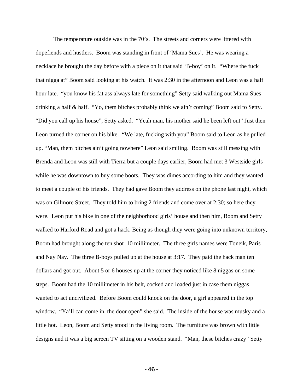The temperature outside was in the 70's. The streets and corners were littered with dopefiends and hustlers. Boom was standing in front of 'Mama Sues'. He was wearing a necklace he brought the day before with a piece on it that said 'B-boy' on it. "Where the fuck that nigga at" Boom said looking at his watch. It was 2:30 in the afternoon and Leon was a half hour late. "you know his fat ass always late for something" Setty said walking out Mama Sues drinking a half & half. "Yo, them bitches probably think we ain't coming" Boom said to Setty. "Did you call up his house", Setty asked. "Yeah man, his mother said he been left out" Just then Leon turned the corner on his bike. "We late, fucking with you" Boom said to Leon as he pulled up. "Man, them bitches ain't going nowhere" Leon said smiling. Boom was still messing with Brenda and Leon was still with Tierra but a couple days earlier, Boom had met 3 Westside girls while he was downtown to buy some boots. They was dimes according to him and they wanted to meet a couple of his friends. They had gave Boom they address on the phone last night, which was on Gilmore Street. They told him to bring 2 friends and come over at 2:30; so here they were. Leon put his bike in one of the neighborhood girls' house and then him, Boom and Setty walked to Harford Road and got a hack. Being as though they were going into unknown territory, Boom had brought along the ten shot .10 millimeter. The three girls names were Toneik, Paris and Nay Nay. The three B-boys pulled up at the house at 3:17. They paid the hack man ten dollars and got out. About 5 or 6 houses up at the corner they noticed like 8 niggas on some steps. Boom had the 10 millimeter in his belt, cocked and loaded just in case them niggas wanted to act uncivilized. Before Boom could knock on the door, a girl appeared in the top window. "Ya'll can come in, the door open" she said. The inside of the house was musky and a little hot. Leon, Boom and Setty stood in the living room. The furniture was brown with little designs and it was a big screen TV sitting on a wooden stand. "Man, these bitches crazy" Setty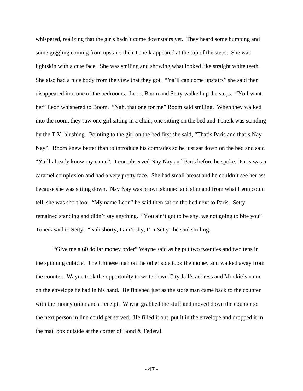whispered, realizing that the girls hadn't come downstairs yet. They heard some bumping and some giggling coming from upstairs then Toneik appeared at the top of the steps. She was lightskin with a cute face. She was smiling and showing what looked like straight white teeth. She also had a nice body from the view that they got. "Ya'll can come upstairs" she said then disappeared into one of the bedrooms. Leon, Boom and Setty walked up the steps. "Yo I want her" Leon whispered to Boom. "Nah, that one for me" Boom said smiling. When they walked into the room, they saw one girl sitting in a chair, one sitting on the bed and Toneik was standing by the T.V. blushing. Pointing to the girl on the bed first she said, "That's Paris and that's Nay Nay". Boom knew better than to introduce his comrades so he just sat down on the bed and said "Ya'll already know my name". Leon observed Nay Nay and Paris before he spoke. Paris was a caramel complexion and had a very pretty face. She had small breast and he couldn't see her ass because she was sitting down. Nay Nay was brown skinned and slim and from what Leon could tell, she was short too. "My name Leon" he said then sat on the bed next to Paris. Setty remained standing and didn't say anything. "You ain't got to be shy, we not going to bite you" Toneik said to Setty. "Nah shorty, I ain't shy, I'm Setty" he said smiling.

 "Give me a 60 dollar money order" Wayne said as he put two twenties and two tens in the spinning cubicle. The Chinese man on the other side took the money and walked away from the counter. Wayne took the opportunity to write down City Jail's address and Mookie's name on the envelope he had in his hand. He finished just as the store man came back to the counter with the money order and a receipt. Wayne grabbed the stuff and moved down the counter so the next person in line could get served. He filled it out, put it in the envelope and dropped it in the mail box outside at the corner of Bond & Federal.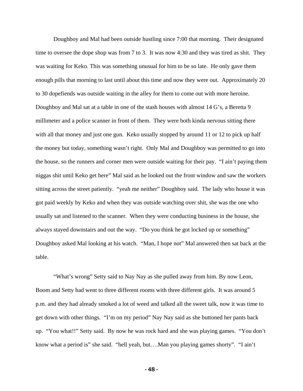Doughboy and Mal had been outside hustling since 7:00 that morning. Their designated time to oversee the dope shop was from 7 to 3. It was now 4:30 and they was tired as shit. They was waiting for Keko. This was something unusual for him to be so late. He only gave them enough pills that morning to last until about this time and now they were out. Approximately 20 to 30 dopefiends was outside waiting in the alley for them to come out with more heroine. Doughboy and Mal sat at a table in one of the stash houses with almost 14 G's, a Beretta 9 millimeter and a police scanner in front of them. They were both kinda nervous sitting there with all that money and just one gun. Keko usually stopped by around 11 or 12 to pick up half the money but today, something wasn't right. Only Mal and Doughboy was permitted to go into the house, so the runners and corner men were outside waiting for their pay. "I ain't paying them niggas shit until Keko get here" Mal said as he looked out the front window and saw the workers sitting across the street patiently. "yeah me neither" Doughboy said. The lady who house it was got paid weekly by Keko and when they was outside watching over shit, she was the one who usually sat and listened to the scanner. When they were conducting business in the house, she always stayed downstairs and out the way. "Do you think he got locked up or something" Doughboy asked Mal looking at his watch. "Man, I hope not" Mal answered then sat back at the table.

 "What's wrong" Setty said to Nay Nay as she pulled away from him. By now Leon, Boom and Setty had went to three different rooms with three different girls. It was around 5 p.m. and they had already smoked a lot of weed and talked all the sweet talk, now it was time to get down with other things. "I'm on my period" Nay Nay said as she buttoned her pants back up. "You what!!" Setty said. By now he was rock hard and she was playing games. "You don't know what a period is" she said. "hell yeah, but….Man you playing games shorty". "I ain't

- 48 -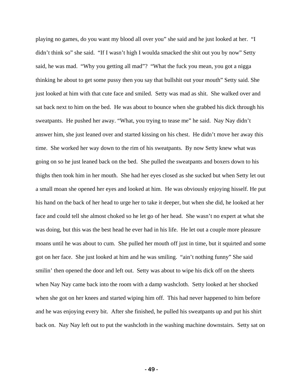playing no games, do you want my blood all over you" she said and he just looked at her. "I didn't think so" she said. "If I wasn't high I woulda smacked the shit out you by now" Setty said, he was mad. "Why you getting all mad"? "What the fuck you mean, you got a nigga thinking he about to get some pussy then you say that bullshit out your mouth" Setty said. She just looked at him with that cute face and smiled. Setty was mad as shit. She walked over and sat back next to him on the bed. He was about to bounce when she grabbed his dick through his sweatpants. He pushed her away. "What, you trying to tease me" he said. Nay Nay didn't answer him, she just leaned over and started kissing on his chest. He didn't move her away this time. She worked her way down to the rim of his sweatpants. By now Setty knew what was going on so he just leaned back on the bed. She pulled the sweatpants and boxers down to his thighs then took him in her mouth. She had her eyes closed as she sucked but when Setty let out a small moan she opened her eyes and looked at him. He was obviously enjoying hisself. He put his hand on the back of her head to urge her to take it deeper, but when she did, he looked at her face and could tell she almost choked so he let go of her head. She wasn't no expert at what she was doing, but this was the best head he ever had in his life. He let out a couple more pleasure moans until he was about to cum. She pulled her mouth off just in time, but it squirted and some got on her face. She just looked at him and he was smiling. "ain't nothing funny" She said smilin' then opened the door and left out. Setty was about to wipe his dick off on the sheets when Nay Nay came back into the room with a damp washcloth. Setty looked at her shocked when she got on her knees and started wiping him off. This had never happened to him before and he was enjoying every bit. After she finished, he pulled his sweatpants up and put his shirt back on. Nay Nay left out to put the washcloth in the washing machine downstairs. Setty sat on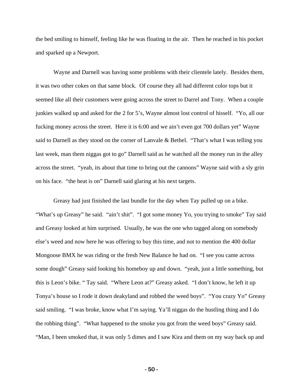the bed smiling to himself, feeling like he was floating in the air. Then he reached in his pocket and sparked up a Newport.

 Wayne and Darnell was having some problems with their clientele lately. Besides them, it was two other cokes on that same block. Of course they all had different color tops but it seemed like all their customers were going across the street to Darrel and Tony. When a couple junkies walked up and asked for the 2 for 5's, Wayne almost lost control of hisself. "Yo, all our fucking money across the street. Here it is 6:00 and we ain't even got 700 dollars yet" Wayne said to Darnell as they stood on the corner of Lanvale & Bethel. "That's what I was telling you last week, man them niggas got to go" Darnell said as he watched all the money run in the alley across the street. "yeah, its about that time to bring out the cannons" Wayne said with a sly grin on his face. "the heat is on" Darnell said glaring at his next targets.

 Greasy had just finished the last bundle for the day when Tay pulled up on a bike. "What's up Greasy" he said. "ain't shit". "I got some money Yo, you trying to smoke" Tay said and Greasy looked at him surprised. Usually, he was the one who tagged along on somebody else's weed and now here he was offering to buy this time, and not to mention the 400 dollar Mongoose BMX he was riding or the fresh New Balance he had on. "I see you came across some dough" Greasy said looking his homeboy up and down. "yeah, just a little something, but this is Leon's bike. " Tay said. "Where Leon at?" Greasy asked. "I don't know, he left it up Tonya's house so I rode it down deakyland and robbed the weed boys". "You crazy Yo" Greasy said smiling. "I was broke, know what I'm saying. Ya'll niggas do the hustling thing and I do the robbing thing". "What happened to the smoke you got from the weed boys" Greasy said. "Man, I been smoked that, it was only 5 dimes and I saw Kira and them on my way back up and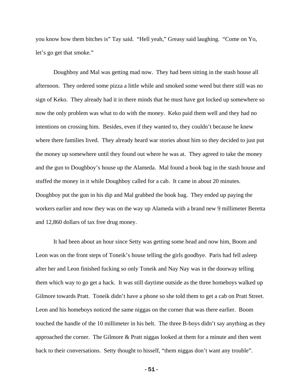you know how them bitches is" Tay said. "Hell yeah," Greasy said laughing. "Come on Yo, let's go get that smoke."

 Doughboy and Mal was getting mad now. They had been sitting in the stash house all afternoon. They ordered some pizza a little while and smoked some weed but there still was no sign of Keko. They already had it in there minds that he must have got locked up somewhere so now the only problem was what to do with the money. Keko paid them well and they had no intentions on crossing him. Besides, even if they wanted to, they couldn't because he knew where there families lived. They already heard war stories about him so they decided to just put the money up somewhere until they found out where he was at. They agreed to take the money and the gun to Doughboy's house up the Alameda. Mal found a book bag in the stash house and stuffed the money in it while Doughboy called for a cab. It came in about 20 minutes. Doughboy put the gun in his dip and Mal grabbed the book bag. They ended up paying the workers earlier and now they was on the way up Alameda with a brand new 9 millimeter Beretta and 12,860 dollars of tax free drug money.

 It had been about an hour since Setty was getting some head and now him, Boom and Leon was on the front steps of Toneik's house telling the girls goodbye. Paris had fell asleep after her and Leon finished fucking so only Toneik and Nay Nay was in the doorway telling them which way to go get a hack. It was still daytime outside as the three homeboys walked up Gilmore towards Pratt. Toneik didn't have a phone so she told them to get a cab on Pratt Street. Leon and his homeboys noticed the same niggas on the corner that was there earlier. Boom touched the handle of the 10 millimeter in his belt. The three B-boys didn't say anything as they approached the corner. The Gilmore & Pratt niggas looked at them for a minute and then went back to their conversations. Setty thought to hisself, "them niggas don't want any trouble".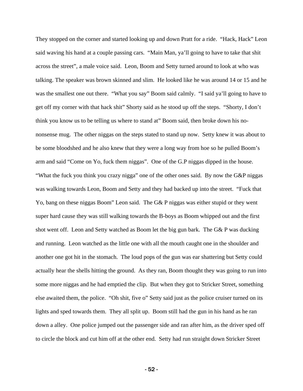They stopped on the corner and started looking up and down Pratt for a ride. "Hack, Hack" Leon said waving his hand at a couple passing cars. "Main Man, ya'll going to have to take that shit across the street", a male voice said. Leon, Boom and Setty turned around to look at who was talking. The speaker was brown skinned and slim. He looked like he was around 14 or 15 and he was the smallest one out there. "What you say" Boom said calmly. "I said ya'll going to have to get off my corner with that hack shit" Shorty said as he stood up off the steps. "Shorty, I don't think you know us to be telling us where to stand at" Boom said, then broke down his nononsense mug. The other niggas on the steps stated to stand up now. Setty knew it was about to be some bloodshed and he also knew that they were a long way from hoe so he pulled Boom's arm and said "Come on Yo, fuck them niggas". One of the G.P niggas dipped in the house. "What the fuck you think you crazy nigga" one of the other ones said. By now the G&P niggas was walking towards Leon, Boom and Setty and they had backed up into the street. "Fuck that Yo, bang on these niggas Boom" Leon said. The G& P niggas was either stupid or they went super hard cause they was still walking towards the B-boys as Boom whipped out and the first shot went off. Leon and Setty watched as Boom let the big gun bark. The G& P was ducking and running. Leon watched as the little one with all the mouth caught one in the shoulder and another one got hit in the stomach. The loud pops of the gun was ear shattering but Setty could actually hear the shells hitting the ground. As they ran, Boom thought they was going to run into some more niggas and he had emptied the clip. But when they got to Stricker Street, something else awaited them, the police. "Oh shit, five o" Setty said just as the police cruiser turned on its lights and sped towards them. They all split up. Boom still had the gun in his hand as he ran down a alley. One police jumped out the passenger side and ran after him, as the driver sped off to circle the block and cut him off at the other end. Setty had run straight down Stricker Street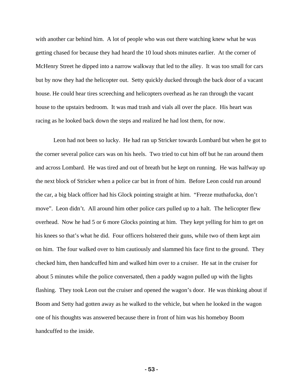with another car behind him. A lot of people who was out there watching knew what he was getting chased for because they had heard the 10 loud shots minutes earlier. At the corner of McHenry Street he dipped into a narrow walkway that led to the alley. It was too small for cars but by now they had the helicopter out. Setty quickly ducked through the back door of a vacant house. He could hear tires screeching and helicopters overhead as he ran through the vacant house to the upstairs bedroom. It was mad trash and vials all over the place. His heart was racing as he looked back down the steps and realized he had lost them, for now.

 Leon had not been so lucky. He had ran up Stricker towards Lombard but when he got to the corner several police cars was on his heels. Two tried to cut him off but he ran around them and across Lombard. He was tired and out of breath but he kept on running. He was halfway up the next block of Stricker when a police car but in front of him. Before Leon could run around the car, a big black officer had his Glock pointing straight at him. "Freeze muthafucka, don't move". Leon didn't. All around him other police cars pulled up to a halt. The helicopter flew overhead. Now he had 5 or 6 more Glocks pointing at him. They kept yelling for him to get on his knees so that's what he did. Four officers holstered their guns, while two of them kept aim on him. The four walked over to him cautiously and slammed his face first to the ground. They checked him, then handcuffed him and walked him over to a cruiser. He sat in the cruiser for about 5 minutes while the police conversated, then a paddy wagon pulled up with the lights flashing. They took Leon out the cruiser and opened the wagon's door. He was thinking about if Boom and Setty had gotten away as he walked to the vehicle, but when he looked in the wagon one of his thoughts was answered because there in front of him was his homeboy Boom handcuffed to the inside.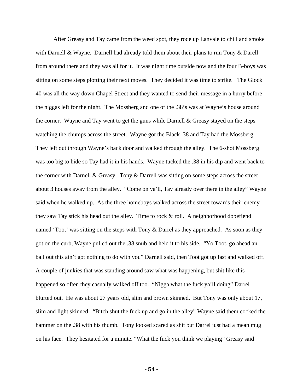After Greasy and Tay came from the weed spot, they rode up Lanvale to chill and smoke with Darnell & Wayne. Darnell had already told them about their plans to run Tony  $\&$  Darell from around there and they was all for it. It was night time outside now and the four B-boys was sitting on some steps plotting their next moves. They decided it was time to strike. The Glock 40 was all the way down Chapel Street and they wanted to send their message in a hurry before the niggas left for the night. The Mossberg and one of the .38's was at Wayne's house around the corner. Wayne and Tay went to get the guns while Darnell & Greasy stayed on the steps watching the chumps across the street. Wayne got the Black .38 and Tay had the Mossberg. They left out through Wayne's back door and walked through the alley. The 6-shot Mossberg was too big to hide so Tay had it in his hands. Wayne tucked the .38 in his dip and went back to the corner with Darnell & Greasy. Tony  $\&$  Darrell was sitting on some steps across the street about 3 houses away from the alley. "Come on ya'll, Tay already over there in the alley" Wayne said when he walked up. As the three homeboys walked across the street towards their enemy they saw Tay stick his head out the alley. Time to rock & roll. A neighborhood dopefiend named 'Toot' was sitting on the steps with Tony & Darrel as they approached. As soon as they got on the curb, Wayne pulled out the .38 snub and held it to his side. "Yo Toot, go ahead an ball out this ain't got nothing to do with you" Darnell said, then Toot got up fast and walked off. A couple of junkies that was standing around saw what was happening, but shit like this happened so often they casually walked off too. "Nigga what the fuck ya'll doing" Darrel blurted out. He was about 27 years old, slim and brown skinned. But Tony was only about 17, slim and light skinned. "Bitch shut the fuck up and go in the alley" Wayne said them cocked the hammer on the .38 with his thumb. Tony looked scared as shit but Darrel just had a mean mug on his face. They hesitated for a minute. "What the fuck you think we playing" Greasy said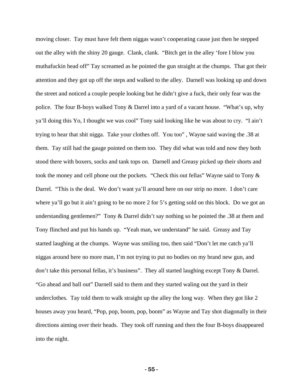moving closer. Tay must have felt them niggas wasn't cooperating cause just then he stepped out the alley with the shiny 20 gauge. Clank, clank. "Bitch get in the alley 'fore I blow you muthafuckin head off" Tay screamed as he pointed the gun straight at the chumps. That got their attention and they got up off the steps and walked to the alley. Darnell was looking up and down the street and noticed a couple people looking but he didn't give a fuck, their only fear was the police. The four B-boys walked Tony & Darrel into a yard of a vacant house. "What's up, why ya'll doing this Yo, I thought we was cool" Tony said looking like he was about to cry. "I ain't trying to hear that shit nigga. Take your clothes off. You too" , Wayne said waving the .38 at them. Tay still had the gauge pointed on them too. They did what was told and now they both stood there with boxers, socks and tank tops on. Darnell and Greasy picked up their shorts and took the money and cell phone out the pockets. "Check this out fellas" Wayne said to Tony & Darrel. "This is the deal. We don't want ya'll around here on our strip no more. I don't care where ya'll go but it ain't going to be no more 2 for 5's getting sold on this block. Do we got an understanding gentlemen?" Tony & Darrel didn't say nothing so he pointed the .38 at them and Tony flinched and put his hands up. "Yeah man, we understand" he said. Greasy and Tay started laughing at the chumps. Wayne was smiling too, then said "Don't let me catch ya'll niggas around here no more man, I'm not trying to put no bodies on my brand new gun, and don't take this personal fellas, it's business". They all started laughing except Tony & Darrel. "Go ahead and ball out" Darnell said to them and they started waling out the yard in their underclothes. Tay told them to walk straight up the alley the long way. When they got like 2 houses away you heard, "Pop, pop, boom, pop, boom" as Wayne and Tay shot diagonally in their directions aiming over their heads. They took off running and then the four B-boys disappeared into the night.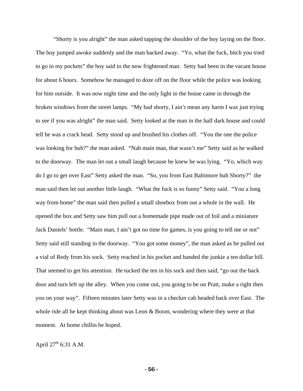"Shorty is you alright" the man asked tapping the shoulder of the boy laying on the floor. The boy jumped awoke suddenly and the man backed away. "Yo, what the fuck, bitch you tried to go in my pockets" the boy said to the now frightened man. Setty had been in the vacant house for about 6 hours. Somehow he managed to doze off on the floor while the police was looking for him outside. It was now night time and the only light in the house came in through the broken windows from the street lamps. "My bad shorty, I ain't mean any harm I was just trying to see if you was alright" the man said. Setty looked at the man in the half dark house and could tell he was a crack head. Setty stood up and brushed his clothes off. "You the one the police was looking for huh?" the man asked. "Nah main man, that wasn't me" Setty said as he walked to the doorway. The man let out a small laugh because he knew he was lying. "Yo, which way do I go to get over East" Setty asked the man. "So, you from East Baltimore huh Shorty?" the man said then let out another little laugh. "What the fuck is so funny" Setty said. "You a long way from home" the man said then pulled a small shoebox from out a whole in the wall. He opened the box and Setty saw him pull out a homemade pipe made out of foil and a miniature Jack Daniels' bottle. "Main man, I ain't got no time for games, is you going to tell me or not" Setty said still standing in the doorway. "You got some money", the man asked as he pulled out a vial of Redy from his sock. Setty reached in his pocket and handed the junkie a ten dollar bill. That seemed to get his attention. He tucked the ten in his sock and then said, "go out the back door and turn left up the alley. When you come out, you going to be on Pratt, make a right then you on your way". Fifteen minutes later Setty was in a checker cab headed back over East. The whole ride all he kept thinking about was Leon & Boom, wondering where they were at that moment. At home chillin he hoped.

April  $27^{th}$  6:31 A.M.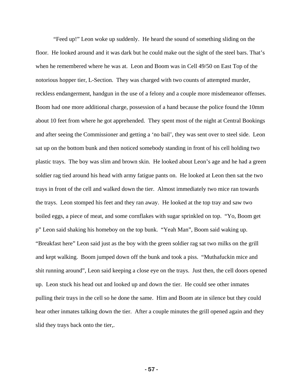"Feed up!" Leon woke up suddenly. He heard the sound of something sliding on the floor. He looked around and it was dark but he could make out the sight of the steel bars. That's when he remembered where he was at. Leon and Boom was in Cell 49/50 on East Top of the notorious hopper tier, L-Section. They was charged with two counts of attempted murder, reckless endangerment, handgun in the use of a felony and a couple more misdemeanor offenses. Boom had one more additional charge, possession of a hand because the police found the 10mm about 10 feet from where he got apprehended. They spent most of the night at Central Bookings and after seeing the Commissioner and getting a 'no bail', they was sent over to steel side. Leon sat up on the bottom bunk and then noticed somebody standing in front of his cell holding two plastic trays. The boy was slim and brown skin. He looked about Leon's age and he had a green soldier rag tied around his head with army fatigue pants on. He looked at Leon then sat the two trays in front of the cell and walked down the tier. Almost immediately two mice ran towards the trays. Leon stomped his feet and they ran away. He looked at the top tray and saw two boiled eggs, a piece of meat, and some cornflakes with sugar sprinkled on top. "Yo, Boom get p" Leon said shaking his homeboy on the top bunk. "Yeah Man", Boom said waking up. "Breakfast here" Leon said just as the boy with the green soldier rag sat two milks on the grill and kept walking. Boom jumped down off the bunk and took a piss. "Muthafuckin mice and shit running around", Leon said keeping a close eye on the trays. Just then, the cell doors opened up. Leon stuck his head out and looked up and down the tier. He could see other inmates pulling their trays in the cell so he done the same. Him and Boom ate in silence but they could hear other inmates talking down the tier. After a couple minutes the grill opened again and they slid they trays back onto the tier,.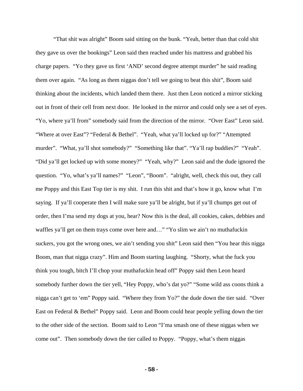"That shit was alright" Boom said sitting on the bunk. "Yeah, better than that cold shit they gave us over the bookings" Leon said then reached under his mattress and grabbed his charge papers. "Yo they gave us first 'AND' second degree attempt murder" he said reading them over again. "As long as them niggas don't tell we going to beat this shit", Boom said thinking about the incidents, which landed them there. Just then Leon noticed a mirror sticking out in front of their cell from next door. He looked in the mirror and could only see a set of eyes. "Yo, where ya'll from" somebody said from the direction of the mirror. "Over East" Leon said. "Where at over East"? "Federal & Bethel". "Yeah, what ya'll locked up for?" "Attempted murder". "What, ya'll shot somebody?" "Something like that". "Ya'll rap buddies?" "Yeah". "Did ya'll get locked up with some money?" "Yeah, why?" Leon said and the dude ignored the question. "Yo, what's ya'll names?" "Leon", "Boom". "alright, well, check this out, they call me Poppy and this East Top tier is my shit. I run this shit and that's how it go, know what I'm saying. If ya'll cooperate then I will make sure ya'll be alright, but if ya'll chumps get out of order, then I'ma send my dogs at you, hear? Now this is the deal, all cookies, cakes, debbies and waffles ya'll get on them trays come over here and..." "Yo slim we ain't no muthafuckin suckers, you got the wrong ones, we ain't sending you shit" Leon said then "You hear this nigga Boom, man that nigga crazy". Him and Boom starting laughing. "Shorty, what the fuck you think you tough, bitch I'll chop your muthafuckin head off" Poppy said then Leon heard somebody further down the tier yell, "Hey Poppy, who's dat yo?" "Some wild ass coons think a nigga can't get to 'em" Poppy said. "Where they from Yo?" the dude down the tier said. "Over East on Federal & Bethel" Poppy said. Leon and Boom could hear people yelling down the tier to the other side of the section. Boom said to Leon "I'ma smash one of these niggas when we come out". Then somebody down the tier called to Poppy. "Poppy, what's them niggas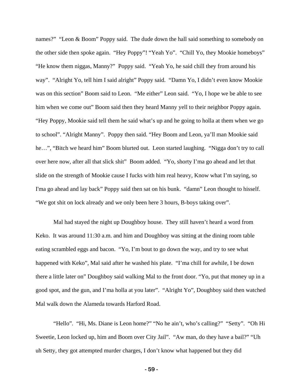names?" "Leon & Boom" Poppy said. The dude down the hall said something to somebody on the other side then spoke again. "Hey Poppy"! "Yeah Yo". "Chill Yo, they Mookie homeboys" "He know them niggas, Manny?" Poppy said. "Yeah Yo, he said chill they from around his way". "Alright Yo, tell him I said alright" Poppy said. "Damn Yo, I didn't even know Mookie was on this section" Boom said to Leon. "Me either" Leon said. "Yo, I hope we be able to see him when we come out" Boom said then they heard Manny yell to their neighbor Poppy again. "Hey Poppy, Mookie said tell them he said what's up and he going to holla at them when we go to school". "Alright Manny". Poppy then said. "Hey Boom and Leon, ya'll man Mookie said he…", "Bitch we heard him" Boom blurted out. Leon started laughing. "Nigga don't try to call over here now, after all that slick shit" Boom added. "Yo, shorty I'ma go ahead and let that slide on the strength of Mookie cause I fucks with him real heavy, Know what I'm saying, so I'ma go ahead and lay back" Poppy said then sat on his bunk. "damn" Leon thought to hisself. "We got shit on lock already and we only been here 3 hours, B-boys taking over".

 Mal had stayed the night up Doughboy house. They still haven't heard a word from Keko. It was around 11:30 a.m. and him and Doughboy was sitting at the dining room table eating scrambled eggs and bacon. "Yo, I'm bout to go down the way, and try to see what happened with Keko", Mal said after he washed his plate. "I'ma chill for awhile, I be down there a little later on" Doughboy said walking Mal to the front door. "Yo, put that money up in a good spot, and the gun, and I'ma holla at you later". "Alright Yo", Doughboy said then watched Mal walk down the Alameda towards Harford Road.

 "Hello". "Hi, Ms. Diane is Leon home?" "No he ain't, who's calling?" "Setty". "Oh Hi Sweetie, Leon locked up, him and Boom over City Jail". "Aw man, do they have a bail?" "Uh uh Setty, they got attempted murder charges, I don't know what happened but they did

- 59 -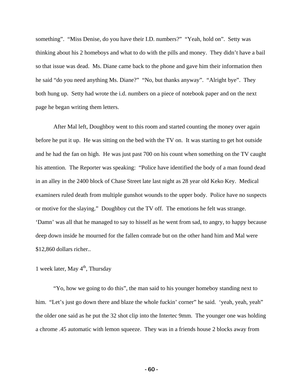something". "Miss Denise, do you have their I.D. numbers?" "Yeah, hold on". Setty was thinking about his 2 homeboys and what to do with the pills and money. They didn't have a bail so that issue was dead. Ms. Diane came back to the phone and gave him their information then he said "do you need anything Ms. Diane?" "No, but thanks anyway". "Alright bye". They both hung up. Setty had wrote the i.d. numbers on a piece of notebook paper and on the next page he began writing them letters.

 After Mal left, Doughboy went to this room and started counting the money over again before he put it up. He was sitting on the bed with the TV on. It was starting to get hot outside and he had the fan on high. He was just past 700 on his count when something on the TV caught his attention. The Reporter was speaking: "Police have identified the body of a man found dead in an alley in the 2400 block of Chase Street late last night as 28 year old Keko Key. Medical examiners ruled death from multiple gunshot wounds to the upper body. Police have no suspects or motive for the slaying." Doughboy cut the TV off. The emotions he felt was strange. 'Damn' was all that he managed to say to hisself as he went from sad, to angry, to happy because deep down inside he mourned for the fallen comrade but on the other hand him and Mal were \$12,860 dollars richer..

1 week later, May  $4<sup>th</sup>$ , Thursday

 "Yo, how we going to do this", the man said to his younger homeboy standing next to him. "Let's just go down there and blaze the whole fuckin' corner" he said. 'yeah, yeah, yeah'' the older one said as he put the 32 shot clip into the Intertec 9mm. The younger one was holding a chrome .45 automatic with lemon squeeze. They was in a friends house 2 blocks away from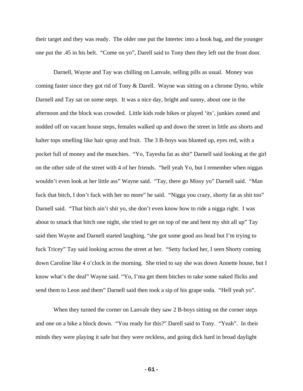their target and they was ready. The older one put the Intertec into a book bag, and the younger one put the .45 in his belt. "Come on yo", Darell said to Tony then they left out the front door.

 Darnell, Wayne and Tay was chilling on Lanvale, selling pills as usual. Money was coming faster since they got rid of Tony & Darell. Wayne was sitting on a chrome Dyno, while Darnell and Tay sat on some steps. It was a nice day, bright and sunny, about one in the afternoon and the block was crowded. Little kids rode bikes or played 'its', junkies zoned and nodded off on vacant house steps, females walked up and down the street in little ass shorts and halter tops smelling like hair spray and fruit. The 3 B-boys was blunted up, eyes red, with a pocket full of money and the munchies. "Yo, Tayesha fat as shit" Darnell said looking at the girl on the other side of the street with 4 of her friends. "hell yeah Yo, but I remember when niggas wouldn't even look at her little ass" Wayne said. "Tay, there go Missy yo" Darnell said. "Man fuck that bitch, I don't fuck with her no more" he said. "Nigga you crazy, shorty fat as shit too" Darnell said. "That bitch ain't shit yo, she don't even know how to ride a nigga right. I was about to smack that bitch one night, she tried to get on top of me and bent my shit all up" Tay said then Wayne and Darnell started laughing. "she got some good ass head but I'm trying to fuck Tricey" Tay said looking across the street at her. "Setty fucked her, I seen Shorty coming down Caroline like 4 o'clock in the morning. She tried to say she was down Annette house, but I know what's the deal" Wayne said. "Yo, I'ma get them bitches to take some naked flicks and send them to Leon and them" Darnell said then took a sip of his grape soda. "Hell yeah yo".

When they turned the corner on Lanvale they saw 2 B-boys sitting on the corner steps and one on a bike a block down. "You ready for this?" Darell said to Tony. "Yeah". In their minds they were playing it safe but they were reckless, and going dick hard in broad daylight

- 61 -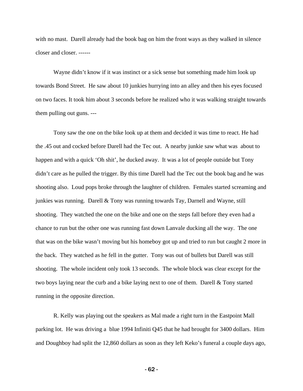with no mast. Darell already had the book bag on him the front ways as they walked in silence closer and closer. ------

 Wayne didn't know if it was instinct or a sick sense but something made him look up towards Bond Street. He saw about 10 junkies hurrying into an alley and then his eyes focused on two faces. It took him about 3 seconds before he realized who it was walking straight towards them pulling out guns. ---

 Tony saw the one on the bike look up at them and decided it was time to react. He had the .45 out and cocked before Darell had the Tec out. A nearby junkie saw what was about to happen and with a quick 'Oh shit', he ducked away. It was a lot of people outside but Tony didn't care as he pulled the trigger. By this time Darell had the Tec out the book bag and he was shooting also. Loud pops broke through the laughter of children. Females started screaming and junkies was running. Darell & Tony was running towards Tay, Darnell and Wayne, still shooting. They watched the one on the bike and one on the steps fall before they even had a chance to run but the other one was running fast down Lanvale ducking all the way. The one that was on the bike wasn't moving but his homeboy got up and tried to run but caught 2 more in the back. They watched as he fell in the gutter. Tony was out of bullets but Darell was still shooting. The whole incident only took 13 seconds. The whole block was clear except for the two boys laying near the curb and a bike laying next to one of them. Darell & Tony started running in the opposite direction.

 R. Kelly was playing out the speakers as Mal made a right turn in the Eastpoint Mall parking lot. He was driving a blue 1994 Infiniti Q45 that he had brought for 3400 dollars. Him and Doughboy had split the 12,860 dollars as soon as they left Keko's funeral a couple days ago,

- 62 -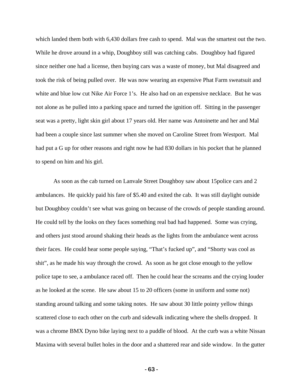which landed them both with 6,430 dollars free cash to spend. Mal was the smartest out the two. While he drove around in a whip, Doughboy still was catching cabs. Doughboy had figured since neither one had a license, then buying cars was a waste of money, but Mal disagreed and took the risk of being pulled over. He was now wearing an expensive Phat Farm sweatsuit and white and blue low cut Nike Air Force 1's. He also had on an expensive necklace. But he was not alone as he pulled into a parking space and turned the ignition off. Sitting in the passenger seat was a pretty, light skin girl about 17 years old. Her name was Antoinette and her and Mal had been a couple since last summer when she moved on Caroline Street from Westport. Mal had put a G up for other reasons and right now he had 830 dollars in his pocket that he planned to spend on him and his girl.

 As soon as the cab turned on Lanvale Street Doughboy saw about 15police cars and 2 ambulances. He quickly paid his fare of \$5.40 and exited the cab. It was still daylight outside but Doughboy couldn't see what was going on because of the crowds of people standing around. He could tell by the looks on they faces something real bad had happened. Some was crying, and others just stood around shaking their heads as the lights from the ambulance went across their faces. He could hear some people saying, "That's fucked up", and "Shorty was cool as shit", as he made his way through the crowd. As soon as he got close enough to the yellow police tape to see, a ambulance raced off. Then he could hear the screams and the crying louder as he looked at the scene. He saw about 15 to 20 officers (some in uniform and some not) standing around talking and some taking notes. He saw about 30 little pointy yellow things scattered close to each other on the curb and sidewalk indicating where the shells dropped. It was a chrome BMX Dyno bike laying next to a puddle of blood. At the curb was a white Nissan Maxima with several bullet holes in the door and a shattered rear and side window. In the gutter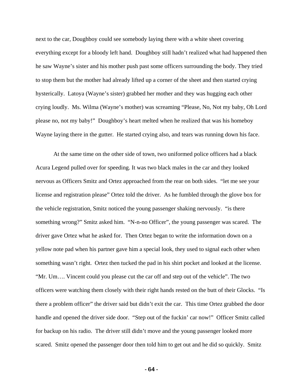next to the car, Doughboy could see somebody laying there with a white sheet covering everything except for a bloody left hand. Doughboy still hadn't realized what had happened then he saw Wayne's sister and his mother push past some officers surrounding the body. They tried to stop them but the mother had already lifted up a corner of the sheet and then started crying hysterically. Latoya (Wayne's sister) grabbed her mother and they was hugging each other crying loudly. Ms. Wilma (Wayne's mother) was screaming "Please, No, Not my baby, Oh Lord please no, not my baby!" Doughboy's heart melted when he realized that was his homeboy Wayne laying there in the gutter. He started crying also, and tears was running down his face.

 At the same time on the other side of town, two uniformed police officers had a black Acura Legend pulled over for speeding. It was two black males in the car and they looked nervous as Officers Smitz and Ortez approached from the rear on both sides. "let me see your license and registration please" Ortez told the driver. As he fumbled through the glove box for the vehicle registration, Smitz noticed the young passenger shaking nervously. "is there something wrong?" Smitz asked him. "N-n-no Officer", the young passenger was scared. The driver gave Ortez what he asked for. Then Ortez began to write the information down on a yellow note pad when his partner gave him a special look, they used to signal each other when something wasn't right. Ortez then tucked the pad in his shirt pocket and looked at the license. "Mr. Um…. Vincent could you please cut the car off and step out of the vehicle". The two officers were watching them closely with their right hands rested on the butt of their Glocks. "Is there a problem officer" the driver said but didn't exit the car. This time Ortez grabbed the door handle and opened the driver side door. "Step out of the fuckin' car now!" Officer Smitz called for backup on his radio. The driver still didn't move and the young passenger looked more scared. Smitz opened the passenger door then told him to get out and he did so quickly. Smitz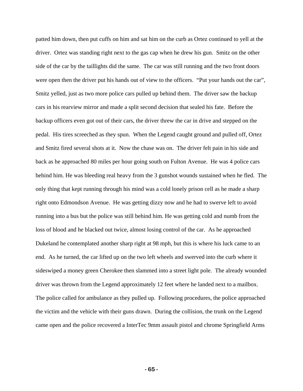patted him down, then put cuffs on him and sat him on the curb as Ortez continued to yell at the driver. Ortez was standing right next to the gas cap when he drew his gun. Smitz on the other side of the car by the taillights did the same. The car was still running and the two front doors were open then the driver put his hands out of view to the officers. "Put your hands out the car", Smitz yelled, just as two more police cars pulled up behind them. The driver saw the backup cars in his rearview mirror and made a split second decision that sealed his fate. Before the backup officers even got out of their cars, the driver threw the car in drive and stepped on the pedal. His tires screeched as they spun. When the Legend caught ground and pulled off, Ortez and Smitz fired several shots at it. Now the chase was on. The driver felt pain in his side and back as he approached 80 miles per hour going south on Fulton Avenue. He was 4 police cars behind him. He was bleeding real heavy from the 3 gunshot wounds sustained when he fled. The only thing that kept running through his mind was a cold lonely prison cell as he made a sharp right onto Edmondson Avenue. He was getting dizzy now and he had to swerve left to avoid running into a bus but the police was still behind him. He was getting cold and numb from the loss of blood and he blacked out twice, almost losing control of the car. As he approached Dukeland he contemplated another sharp right at 98 mph, but this is where his luck came to an end. As he turned, the car lifted up on the two left wheels and swerved into the curb where it sideswiped a money green Cherokee then slammed into a street light pole. The already wounded driver was thrown from the Legend approximately 12 feet where he landed next to a mailbox. The police called for ambulance as they pulled up. Following procedures, the police approached the victim and the vehicle with their guns drawn. During the collision, the trunk on the Legend came open and the police recovered a InterTec 9mm assault pistol and chrome Springfield Arms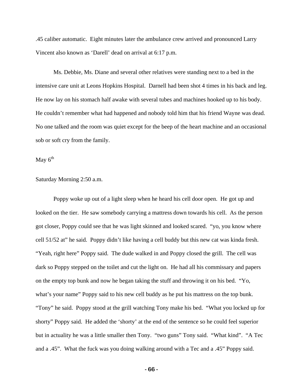.45 caliber automatic. Eight minutes later the ambulance crew arrived and pronounced Larry Vincent also known as 'Darell' dead on arrival at 6:17 p.m.

 Ms. Debbie, Ms. Diane and several other relatives were standing next to a bed in the intensive care unit at Leons Hopkins Hospital. Darnell had been shot 4 times in his back and leg. He now lay on his stomach half awake with several tubes and machines hooked up to his body. He couldn't remember what had happened and nobody told him that his friend Wayne was dead. No one talked and the room was quiet except for the beep of the heart machine and an occasional sob or soft cry from the family.

May  $6<sup>th</sup>$ 

Saturday Morning 2:50 a.m.

 Poppy woke up out of a light sleep when he heard his cell door open. He got up and looked on the tier. He saw somebody carrying a mattress down towards his cell. As the person got closer, Poppy could see that he was light skinned and looked scared. "yo, you know where cell 51/52 at" he said. Poppy didn't like having a cell buddy but this new cat was kinda fresh. "Yeah, right here" Poppy said. The dude walked in and Poppy closed the grill. The cell was dark so Poppy stepped on the toilet and cut the light on. He had all his commissary and papers on the empty top bunk and now he began taking the stuff and throwing it on his bed. "Yo, what's your name" Poppy said to his new cell buddy as he put his mattress on the top bunk. "Tony" he said. Poppy stood at the grill watching Tony make his bed. "What you locked up for shorty" Poppy said. He added the 'shorty' at the end of the sentence so he could feel superior but in actuality he was a little smaller then Tony. "two guns" Tony said. "What kind". "A Tec and a .45". What the fuck was you doing walking around with a Tec and a .45" Poppy said.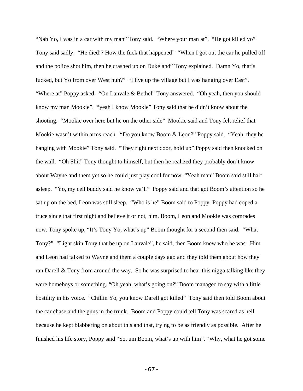"Nah Yo, I was in a car with my man" Tony said. "Where your man at". "He got killed yo" Tony said sadly. "He died!? How the fuck that happened" "When I got out the car he pulled off and the police shot him, then he crashed up on Dukeland" Tony explained. Damn Yo, that's fucked, but Yo from over West huh?" "I live up the village but I was hanging over East". "Where at" Poppy asked. "On Lanvale & Bethel" Tony answered. "Oh yeah, then you should know my man Mookie". "yeah I know Mookie" Tony said that he didn't know about the shooting. "Mookie over here but he on the other side" Mookie said and Tony felt relief that Mookie wasn't within arms reach. "Do you know Boom & Leon?" Poppy said. "Yeah, they be hanging with Mookie" Tony said. "They right next door, hold up" Poppy said then knocked on the wall. "Oh Shit" Tony thought to himself, but then he realized they probably don't know about Wayne and them yet so he could just play cool for now. "Yeah man" Boom said still half asleep. "Yo, my cell buddy said he know ya'll" Poppy said and that got Boom's attention so he sat up on the bed, Leon was still sleep. "Who is he" Boom said to Poppy. Poppy had coped a truce since that first night and believe it or not, him, Boom, Leon and Mookie was comrades now. Tony spoke up, "It's Tony Yo, what's up" Boom thought for a second then said. "What Tony?" "Light skin Tony that be up on Lanvale", he said, then Boom knew who he was. Him and Leon had talked to Wayne and them a couple days ago and they told them about how they ran Darell & Tony from around the way. So he was surprised to hear this nigga talking like they were homeboys or something. "Oh yeah, what's going on?" Boom managed to say with a little hostility in his voice. "Chillin Yo, you know Darell got killed" Tony said then told Boom about the car chase and the guns in the trunk. Boom and Poppy could tell Tony was scared as hell because he kept blabbering on about this and that, trying to be as friendly as possible. After he finished his life story, Poppy said "So, um Boom, what's up with him". "Why, what he got some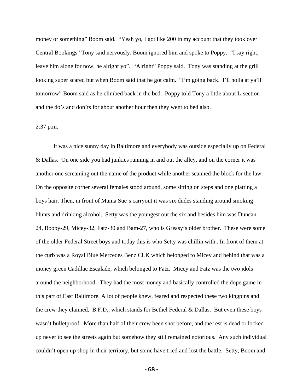money or something" Boom said. "Yeah yo, I got like 200 in my account that they took over Central Bookings" Tony said nervously. Boom ignored him and spoke to Poppy. "I say right, leave him alone for now, he alright yo". "Alright" Poppy said. Tony was standing at the grill looking super scared but when Boom said that he got calm. "I'm going back. I'll holla at ya'll tomorrow" Boom said as he climbed back in the bed. Poppy told Tony a little about L-section and the do's and don'ts for about another hour then they went to bed also.

## 2:37 p.m.

 It was a nice sunny day in Baltimore and everybody was outside especially up on Federal & Dallas. On one side you had junkies running in and out the alley, and on the corner it was another one screaming out the name of the product while another scanned the block for the law. On the opposite corner several females stood around, some sitting on steps and one platting a boys hair. Then, in front of Mama Sue's carryout it was six dudes standing around smoking blunts and drinking alcohol. Setty was the youngest out the six and besides him was Duncan – 24, Booby-29, Micey-32, Fatz-30 and Bam-27, who is Greasy's older brother. These were some of the older Federal Street boys and today this is who Setty was chillin with.. In front of them at the curb was a Royal Blue Mercedes Benz CLK which belonged to Micey and behind that was a money green Cadillac Escalade, which belonged to Fatz. Micey and Fatz was the two idols around the neighborhood. They had the most money and basically controlled the dope game in this part of East Baltimore. A lot of people knew, feared and respected these two kingpins and the crew they claimed, B.F.D., which stands for Bethel Federal & Dallas. But even these boys wasn't bulletproof. More than half of their crew been shot before, and the rest is dead or locked up never to see the streets again but somehow they still remained notorious. Any such individual couldn't open up shop in their territory, but some have tried and lost the battle. Setty, Boom and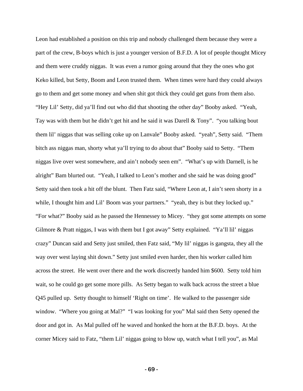Leon had established a position on this trip and nobody challenged them because they were a part of the crew, B-boys which is just a younger version of B.F.D. A lot of people thought Micey and them were cruddy niggas. It was even a rumor going around that they the ones who got Keko killed, but Setty, Boom and Leon trusted them. When times were hard they could always go to them and get some money and when shit got thick they could get guns from them also. "Hey Lil' Setty, did ya'll find out who did that shooting the other day" Booby asked. "Yeah, Tay was with them but he didn't get hit and he said it was Darell & Tony". "you talking bout them lil' niggas that was selling coke up on Lanvale" Booby asked. "yeah", Setty said. "Them bitch ass niggas man, shorty what ya'll trying to do about that" Booby said to Setty. "Them niggas live over west somewhere, and ain't nobody seen em". "What's up with Darnell, is he alright" Bam blurted out. "Yeah, I talked to Leon's mother and she said he was doing good" Setty said then took a hit off the blunt. Then Fatz said, "Where Leon at, I ain't seen shorty in a while, I thought him and Lil' Boom was your partners." "yeah, they is but they locked up." "For what?" Booby said as he passed the Hennessey to Micey. "they got some attempts on some Gilmore & Pratt niggas, I was with them but I got away" Setty explained. "Ya'll lil' niggas crazy" Duncan said and Setty just smiled, then Fatz said, "My lil' niggas is gangsta, they all the way over west laying shit down." Setty just smiled even harder, then his worker called him across the street. He went over there and the work discreetly handed him \$600. Setty told him wait, so he could go get some more pills. As Setty began to walk back across the street a blue Q45 pulled up. Setty thought to himself 'Right on time'. He walked to the passenger side window. "Where you going at Mal?" "I was looking for you" Mal said then Setty opened the door and got in. As Mal pulled off he waved and honked the horn at the B.F.D. boys. At the corner Micey said to Fatz, "them Lil' niggas going to blow up, watch what I tell you", as Mal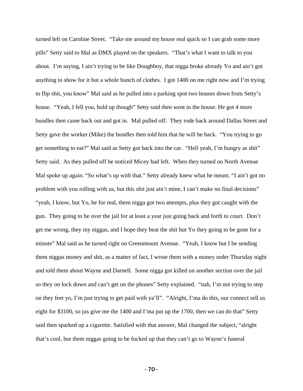turned left on Caroline Street. "Take me around my house real quick so I can grab some more pills" Setty said to Mal as DMX played on the speakers. "That's what I want to talk to you about. I'm saying, I ain't trying to be like Doughboy, that nigga broke already Yo and ain't got anything to show for it but a whole bunch of clothes. I got 1400 on me right now and I'm trying to flip shit, you know" Mal said as he pulled into a parking spot two houses down from Setty's house. "Yeah, I fell you, hold up though" Setty said then went in the house. He got 4 more bundles then came back out and got in. Mal pulled off. They rode back around Dallas Street and Setty gave the worker (Mike) the bundles then told him that he will be back. "You trying to go get something to eat?" Mal said as Setty got back into the car. "Hell yeah, I'm hungry as shit" Setty said. As they pulled off he noticed Micey had left. When they turned on North Avenue Mal spoke up again. "So what's up with that." Setty already knew what he meant. "I ain't got no problem with you rolling with us, but this shit just ain't mine, I can't make no final decisions" "yeah, I know, but Yo, be for real, them nigga got two attempts, plus they got caught with the gun. They going to be over the jail for at least a year just going back and forth to court. Don't get me wrong, they my niggas, and I hope they beat the shit but Yo they going to be gone for a minute" Mal said as he turned right on Greenmount Avenue. "Yeah, I know but I be sending them niggas money and shit, as a matter of fact, I wrote them with a money order Thursday night and told them about Wayne and Darnell. Some nigga got killed on another section over the jail so they on lock down and can't get on the phones" Setty explained. "nah, I'm not trying to step on they feet yo, I'm just trying to get paid with ya'll". "Alright, I'ma do this, our connect sell us eight for \$3100, so jus give me the 1400 and I'ma put up the 1700, then we can do that" Setty said then sparked up a cigarette. Satisfied with that answer, Mal changed the subject, "alright that's cool, but them niggas going to be fucked up that they can't go to Wayne's funeral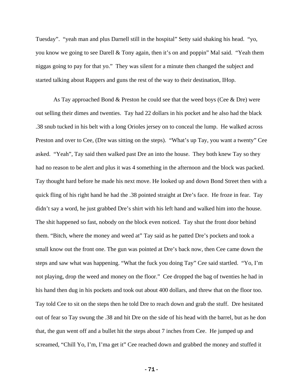Tuesday". "yeah man and plus Darnell still in the hospital" Setty said shaking his head. "yo, you know we going to see Darell & Tony again, then it's on and poppin" Mal said. "Yeah them niggas going to pay for that yo." They was silent for a minute then changed the subject and started talking about Rappers and guns the rest of the way to their destination, IHop.

 As Tay approached Bond & Preston he could see that the weed boys (Cee & Dre) were out selling their dimes and twenties. Tay had 22 dollars in his pocket and he also had the black .38 snub tucked in his belt with a long Orioles jersey on to conceal the lump. He walked across Preston and over to Cee, (Dre was sitting on the steps). "What's up Tay, you want a twenty" Cee asked. "Yeah", Tay said then walked past Dre an into the house. They both knew Tay so they had no reason to be alert and plus it was 4 something in the afternoon and the block was packed. Tay thought hard before he made his next move. He looked up and down Bond Street then with a quick fling of his right hand he had the .38 pointed straight at Dre's face. He froze in fear. Tay didn't say a word, he just grabbed Dre's shirt with his left hand and walked him into the house. The shit happened so fast, nobody on the block even noticed. Tay shut the front door behind them. "Bitch, where the money and weed at" Tay said as he patted Dre's pockets and took a small know out the front one. The gun was pointed at Dre's back now, then Cee came down the steps and saw what was happening. "What the fuck you doing Tay" Cee said startled. "Yo, I'm not playing, drop the weed and money on the floor." Cee dropped the bag of twenties he had in his hand then dug in his pockets and took out about 400 dollars, and threw that on the floor too. Tay told Cee to sit on the steps then he told Dre to reach down and grab the stuff. Dre hesitated out of fear so Tay swung the .38 and hit Dre on the side of his head with the barrel, but as he don that, the gun went off and a bullet hit the steps about 7 inches from Cee. He jumped up and screamed, "Chill Yo, I'm, I'ma get it" Cee reached down and grabbed the money and stuffed it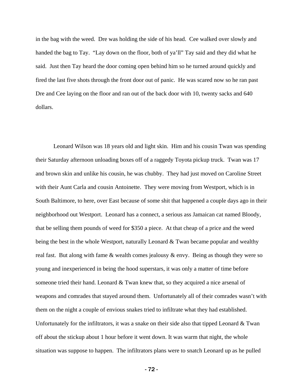in the bag with the weed. Dre was holding the side of his head. Cee walked over slowly and handed the bag to Tay. "Lay down on the floor, both of ya'll" Tay said and they did what he said. Just then Tay heard the door coming open behind him so he turned around quickly and fired the last five shots through the front door out of panic. He was scared now so he ran past Dre and Cee laying on the floor and ran out of the back door with 10, twenty sacks and 640 dollars.

 Leonard Wilson was 18 years old and light skin. Him and his cousin Twan was spending their Saturday afternoon unloading boxes off of a raggedy Toyota pickup truck. Twan was 17 and brown skin and unlike his cousin, he was chubby. They had just moved on Caroline Street with their Aunt Carla and cousin Antoinette. They were moving from Westport, which is in South Baltimore, to here, over East because of some shit that happened a couple days ago in their neighborhood out Westport. Leonard has a connect, a serious ass Jamaican cat named Bloody, that be selling them pounds of weed for \$350 a piece. At that cheap of a price and the weed being the best in the whole Westport, naturally Leonard & Twan became popular and wealthy real fast. But along with fame & wealth comes jealousy & envy. Being as though they were so young and inexperienced in being the hood superstars, it was only a matter of time before someone tried their hand. Leonard & Twan knew that, so they acquired a nice arsenal of weapons and comrades that stayed around them. Unfortunately all of their comrades wasn't with them on the night a couple of envious snakes tried to infiltrate what they had established. Unfortunately for the infiltrators, it was a snake on their side also that tipped Leonard  $&$  Twan off about the stickup about 1 hour before it went down. It was warm that night, the whole situation was suppose to happen. The infiltrators plans were to snatch Leonard up as he pulled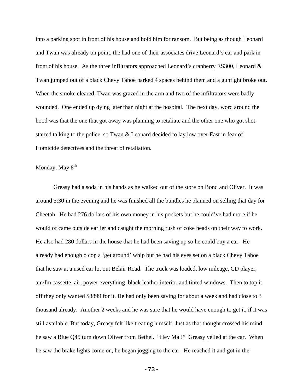into a parking spot in front of his house and hold him for ransom. But being as though Leonard and Twan was already on point, the had one of their associates drive Leonard's car and park in front of his house. As the three infiltrators approached Leonard's cranberry ES300, Leonard & Twan jumped out of a black Chevy Tahoe parked 4 spaces behind them and a gunfight broke out. When the smoke cleared, Twan was grazed in the arm and two of the infiltrators were badly wounded. One ended up dying later than night at the hospital. The next day, word around the hood was that the one that got away was planning to retaliate and the other one who got shot started talking to the police, so Twan & Leonard decided to lay low over East in fear of Homicide detectives and the threat of retaliation.

## Monday, May  $8^{th}$

 Greasy had a soda in his hands as he walked out of the store on Bond and Oliver. It was around 5:30 in the evening and he was finished all the bundles he planned on selling that day for Cheetah. He had 276 dollars of his own money in his pockets but he could've had more if he would of came outside earlier and caught the morning rush of coke heads on their way to work. He also had 280 dollars in the house that he had been saving up so he could buy a car. He already had enough o cop a 'get around' whip but he had his eyes set on a black Chevy Tahoe that he saw at a used car lot out Belair Road. The truck was loaded, low mileage, CD player, am/fm cassette, air, power everything, black leather interior and tinted windows. Then to top it off they only wanted \$8899 for it. He had only been saving for about a week and had close to 3 thousand already. Another 2 weeks and he was sure that he would have enough to get it, if it was still available. But today, Greasy felt like treating himself. Just as that thought crossed his mind, he saw a Blue Q45 turn down Oliver from Bethel. "Hey Mal!" Greasy yelled at the car. When he saw the brake lights come on, he began jogging to the car. He reached it and got in the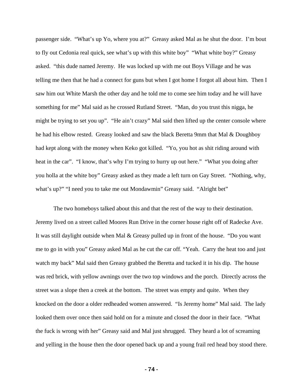passenger side. "What's up Yo, where you at?" Greasy asked Mal as he shut the door. I'm bout to fly out Cedonia real quick, see what's up with this white boy" "What white boy?" Greasy asked. "this dude named Jeremy. He was locked up with me out Boys Village and he was telling me then that he had a connect for guns but when I got home I forgot all about him. Then I saw him out White Marsh the other day and he told me to come see him today and he will have something for me" Mal said as he crossed Rutland Street. "Man, do you trust this nigga, he might be trying to set you up". "He ain't crazy" Mal said then lifted up the center console where he had his elbow rested. Greasy looked and saw the black Beretta 9mm that Mal & Doughboy had kept along with the money when Keko got killed. "Yo, you hot as shit riding around with heat in the car". "I know, that's why I'm trying to hurry up out here." "What you doing after you holla at the white boy" Greasy asked as they made a left turn on Gay Street. "Nothing, why, what's up?" "I need you to take me out Mondawmin" Greasy said. "Alright bet"

 The two homeboys talked about this and that the rest of the way to their destination. Jeremy lived on a street called Moores Run Drive in the corner house right off of Radecke Ave. It was still daylight outside when Mal & Greasy pulled up in front of the house. "Do you want me to go in with you" Greasy asked Mal as he cut the car off. "Yeah. Carry the heat too and just watch my back" Mal said then Greasy grabbed the Beretta and tucked it in his dip. The house was red brick, with yellow awnings over the two top windows and the porch. Directly across the street was a slope then a creek at the bottom. The street was empty and quite. When they knocked on the door a older redheaded women answered. "Is Jeremy home" Mal said. The lady looked them over once then said hold on for a minute and closed the door in their face. "What the fuck is wrong with her" Greasy said and Mal just shrugged. They heard a lot of screaming and yelling in the house then the door opened back up and a young frail red head boy stood there.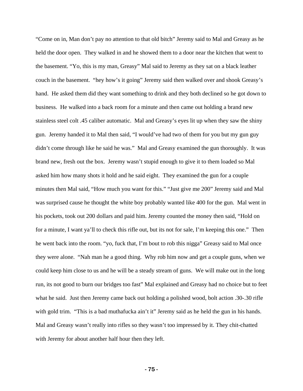"Come on in, Man don't pay no attention to that old bitch" Jeremy said to Mal and Greasy as he held the door open. They walked in and he showed them to a door near the kitchen that went to the basement. "Yo, this is my man, Greasy" Mal said to Jeremy as they sat on a black leather couch in the basement. "hey how's it going" Jeremy said then walked over and shook Greasy's hand. He asked them did they want something to drink and they both declined so he got down to business. He walked into a back room for a minute and then came out holding a brand new stainless steel colt .45 caliber automatic. Mal and Greasy's eyes lit up when they saw the shiny gun. Jeremy handed it to Mal then said, "I would've had two of them for you but my gun guy didn't come through like he said he was." Mal and Greasy examined the gun thoroughly. It was brand new, fresh out the box. Jeremy wasn't stupid enough to give it to them loaded so Mal asked him how many shots it hold and he said eight. They examined the gun for a couple minutes then Mal said, "How much you want for this." "Just give me 200" Jeremy said and Mal was surprised cause he thought the white boy probably wanted like 400 for the gun. Mal went in his pockets, took out 200 dollars and paid him. Jeremy counted the money then said, "Hold on for a minute, I want ya'll to check this rifle out, but its not for sale, I'm keeping this one." Then he went back into the room. "yo, fuck that, I'm bout to rob this nigga" Greasy said to Mal once they were alone. "Nah man he a good thing. Why rob him now and get a couple guns, when we could keep him close to us and he will be a steady stream of guns. We will make out in the long run, its not good to burn our bridges too fast" Mal explained and Greasy had no choice but to feet what he said. Just then Jeremy came back out holding a polished wood, bolt action .30-.30 rifle with gold trim. "This is a bad muthafucka ain't it" Jeremy said as he held the gun in his hands. Mal and Greasy wasn't really into rifles so they wasn't too impressed by it. They chit-chatted with Jeremy for about another half hour then they left.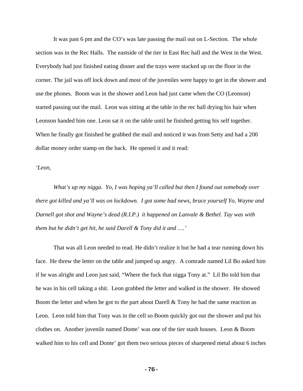It was past 6 pm and the CO's was late passing the mail out on L-Section. The whole section was in the Rec Halls. The eastside of the tier in East Rec hall and the West in the West. Everybody had just finished eating dinner and the trays were stacked up on the floor in the corner. The jail was off lock down and most of the juveniles were happy to get in the shower and use the phones. Boom was in the shower and Leon had just came when the CO (Leonson) started passing out the mail. Leon was sitting at the table in the rec hall drying his hair when Leonson handed him one. Leon sat it on the table until he finished getting his self together. When he finally got finished he grabbed the mail and noticed it was from Setty and had a 200 dollar money order stamp on the back. He opened it and it read:

*'Leon,* 

 *What's up my nigga. Yo, I was hoping ya'll called but then I found out somebody over there got killed and ya'll was on lockdown. I got some bad news, brace yourself Yo, Wayne and Darnell got shot and Wayne's dead (R.I.P.) it happened on Lanvale & Bethel. Tay was with them but he didn't get hit, he said Darell & Tony did it and ….'* 

 That was all Leon needed to read. He didn't realize it but he had a tear running down his face. He threw the letter on the table and jumped up angry. A comrade named Lil Bo asked him if he was alright and Leon just said, "Where the fuck that nigga Tony at." Lil Bo told him that he was in his cell taking a shit. Leon grabbed the letter and walked in the shower. He showed Boom the letter and when he got to the part about Darell  $\&$  Tony he had the same reaction as Leon. Leon told him that Tony was in the cell so Boom quickly got out the shower and put his clothes on. Another juvenile named Donte' was one of the tier stash houses. Leon & Boom walked him to his cell and Donte' got them two serious pieces of sharpened metal about 6 inches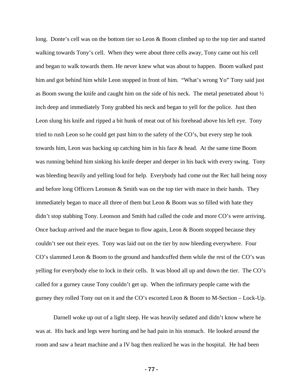long. Donte's cell was on the bottom tier so Leon & Boom climbed up to the top tier and started walking towards Tony's cell. When they were about three cells away, Tony came out his cell and began to walk towards them. He never knew what was about to happen. Boom walked past him and got behind him while Leon stopped in front of him. "What's wrong Yo" Tony said just as Boom swung the knife and caught him on the side of his neck. The metal penetrated about  $\frac{1}{2}$ inch deep and immediately Tony grabbed his neck and began to yell for the police. Just then Leon slung his knife and ripped a bit hunk of meat out of his forehead above his left eye. Tony tried to rush Leon so he could get past him to the safety of the CO's, but every step he took towards him, Leon was backing up catching him in his face & head. At the same time Boom was running behind him sinking his knife deeper and deeper in his back with every swing. Tony was bleeding heavily and yelling loud for help. Everybody had come out the Rec hall being nosy and before long Officers Leonson & Smith was on the top tier with mace in their hands. They immediately began to mace all three of them but Leon & Boom was so filled with hate they didn't stop stabbing Tony. Leonson and Smith had called the code and more CO's were arriving. Once backup arrived and the mace began to flow again, Leon & Boom stopped because they couldn't see out their eyes. Tony was laid out on the tier by now bleeding everywhere. Four CO's slammed Leon & Boom to the ground and handcuffed them while the rest of the CO's was yelling for everybody else to lock in their cells. It was blood all up and down the tier. The CO's called for a gurney cause Tony couldn't get up. When the infirmary people came with the gurney they rolled Tony out on it and the CO's escorted Leon & Boom to M-Section – Lock-Up.

 Darnell woke up out of a light sleep. He was heavily sedated and didn't know where he was at. His back and legs were hurting and he had pain in his stomach. He looked around the room and saw a heart machine and a IV bag then realized he was in the hospital. He had been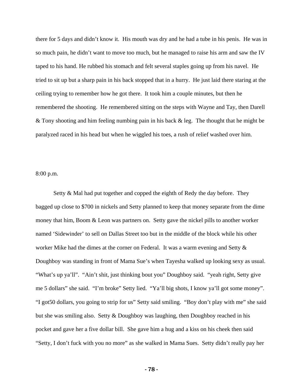there for 5 days and didn't know it. His mouth was dry and he had a tube in his penis. He was in so much pain, he didn't want to move too much, but he managed to raise his arm and saw the IV taped to his hand. He rubbed his stomach and felt several staples going up from his navel. He tried to sit up but a sharp pain in his back stopped that in a hurry. He just laid there staring at the ceiling trying to remember how he got there. It took him a couple minutes, but then he remembered the shooting. He remembered sitting on the steps with Wayne and Tay, then Darell & Tony shooting and him feeling numbing pain in his back & leg. The thought that he might be paralyzed raced in his head but when he wiggled his toes, a rush of relief washed over him.

8:00 p.m.

 Setty & Mal had put together and copped the eighth of Redy the day before. They bagged up close to \$700 in nickels and Setty planned to keep that money separate from the dime money that him, Boom & Leon was partners on. Setty gave the nickel pills to another worker named 'Sidewinder' to sell on Dallas Street too but in the middle of the block while his other worker Mike had the dimes at the corner on Federal. It was a warm evening and Setty & Doughboy was standing in front of Mama Sue's when Tayesha walked up looking sexy as usual. "What's up ya'll". "Ain't shit, just thinking bout you" Doughboy said. "yeah right, Setty give me 5 dollars" she said. "I'm broke" Setty lied. "Ya'll big shots, I know ya'll got some money". "I got50 dollars, you going to strip for us" Setty said smiling. "Boy don't play with me" she said but she was smiling also. Setty & Doughboy was laughing, then Doughboy reached in his pocket and gave her a five dollar bill. She gave him a hug and a kiss on his cheek then said "Setty, I don't fuck with you no more" as she walked in Mama Sues. Setty didn't really pay her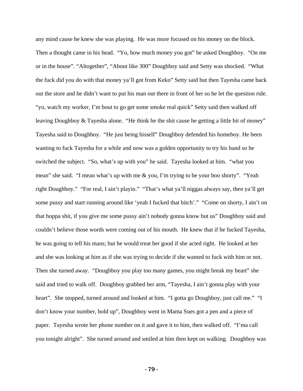any mind cause he knew she was playing. He was more focused on his money on the block. Then a thought came in his head. "Yo, how much money you got" he asked Doughboy. "On me or in the house". "Altogether", "About like 300" Doughboy said and Setty was shocked. "What the fuck did you do with that money ya'll got from Keko" Setty said but then Tayesha came back out the store and he didn't want to put his man out there in front of her so he let the question ride. "yo, watch my worker, I'm bout to go get some smoke real quick" Setty said then walked off leaving Doughboy & Tayesha alone. "He think he the shit cause he getting a little bit of money" Tayesha said to Doughboy. "He just being hisself" Doughboy defended his homeboy. He been wanting to fuck Tayesha for a while and now was a golden opportunity to try his hand so he switched the subject. "So, what's up with you" he said. Tayesha looked at him. "what you mean" she said. "I mean what's up with me & you, I'm trying to be your boo shorty". "Yeah right Doughboy." "For real, I ain't playin." "That's what ya'll niggas always say, then ya'll get some pussy and start running around like 'yeah I fucked that bitch'." "Come on shorty, I ain't on that hoppa shit, if you give me some pussy ain't nobody gonna know but us" Doughboy said and couldn't believe those words were coming out of his mouth. He knew that if he fucked Tayesha, he was going to tell his mans; but he would treat her good if she acted right. He looked at her and she was looking at him as if she was trying to decide if she wanted to fuck with him or not. Then she turned away. "Doughboy you play too many games, you might break my heart" she said and tried to walk off. Doughboy grabbed her arm, "Tayesha, I ain't gonna play with your heart". She stopped, turned around and looked at him. "I gotta go Doughboy, just call me." "I don't know your number, hold up", Doughboy went in Mama Sues got a pen and a piece of paper. Tayesha wrote her phone number on it and gave it to him, then walked off. "I'ma call you tonight alright". She turned around and smiled at him then kept on walking. Doughboy was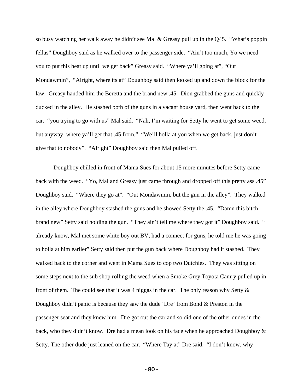so busy watching her walk away he didn't see Mal & Greasy pull up in the Q45. "What's poppin fellas" Doughboy said as he walked over to the passenger side. "Ain't too much, Yo we need you to put this heat up until we get back" Greasy said. "Where ya'll going at", "Out Mondawmin", "Alright, where its at" Doughboy said then looked up and down the block for the law. Greasy handed him the Beretta and the brand new .45. Dion grabbed the guns and quickly ducked in the alley. He stashed both of the guns in a vacant house yard, then went back to the car. "you trying to go with us" Mal said. "Nah, I'm waiting for Setty he went to get some weed, but anyway, where ya'll get that .45 from." "We'll holla at you when we get back, just don't give that to nobody". "Alright" Doughboy said then Mal pulled off.

 Doughboy chilled in front of Mama Sues for about 15 more minutes before Setty came back with the weed. "Yo, Mal and Greasy just came through and dropped off this pretty ass .45" Doughboy said. "Where they go at". "Out Mondawmin, but the gun in the alley". They walked in the alley where Doughboy stashed the guns and he showed Setty the .45. "Damn this bitch brand new" Setty said holding the gun. "They ain't tell me where they got it" Doughboy said. "I already know, Mal met some white boy out BV, had a connect for guns, he told me he was going to holla at him earlier" Setty said then put the gun back where Doughboy had it stashed. They walked back to the corner and went in Mama Sues to cop two Dutchies. They was sitting on some steps next to the sub shop rolling the weed when a Smoke Grey Toyota Camry pulled up in front of them. The could see that it was 4 niggas in the car. The only reason why Setty  $\&$ Doughboy didn't panic is because they saw the dude 'Dre' from Bond & Preston in the passenger seat and they knew him. Dre got out the car and so did one of the other dudes in the back, who they didn't know. Dre had a mean look on his face when he approached Doughboy & Setty. The other dude just leaned on the car. "Where Tay at" Dre said. "I don't know, why

- 80 -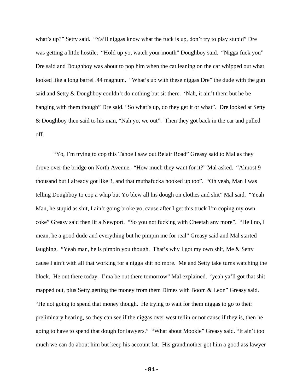what's up?" Setty said. "Ya'll niggas know what the fuck is up, don't try to play stupid" Dre was getting a little hostile. "Hold up yo, watch your mouth" Doughboy said. "Nigga fuck you" Dre said and Doughboy was about to pop him when the cat leaning on the car whipped out what looked like a long barrel .44 magnum. "What's up with these niggas Dre" the dude with the gun said and Setty & Doughboy couldn't do nothing but sit there. 'Nah, it ain't them but he be hanging with them though" Dre said. "So what's up, do they get it or what". Dre looked at Setty & Doughboy then said to his man, "Nah yo, we out". Then they got back in the car and pulled off.

 "Yo, I'm trying to cop this Tahoe I saw out Belair Road" Greasy said to Mal as they drove over the bridge on North Avenue. "How much they want for it?" Mal asked. "Almost 9 thousand but I already got like 3, and that muthafucka hooked up too". "Oh yeah, Man I was telling Doughboy to cop a whip but Yo blew all his dough on clothes and shit" Mal said. "Yeah Man, he stupid as shit, I ain't going broke yo, cause after I get this truck I'm coping my own coke" Greasy said then lit a Newport. "So you not fucking with Cheetah any more". "Hell no, I mean, he a good dude and everything but he pimpin me for real" Greasy said and Mal started laughing. "Yeah man, he is pimpin you though. That's why I got my own shit, Me & Setty cause I ain't with all that working for a nigga shit no more. Me and Setty take turns watching the block. He out there today. I'ma be out there tomorrow" Mal explained. 'yeah ya'll got that shit mapped out, plus Setty getting the money from them Dimes with Boom & Leon" Greasy said. "He not going to spend that money though. He trying to wait for them niggas to go to their preliminary hearing, so they can see if the niggas over west tellin or not cause if they is, then he going to have to spend that dough for lawyers." "What about Mookie" Greasy said. "It ain't too much we can do about him but keep his account fat. His grandmother got him a good ass lawyer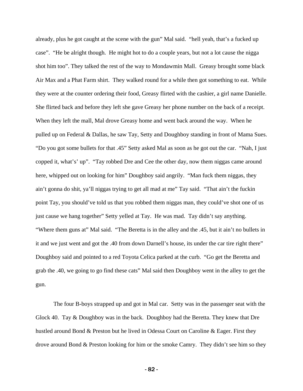already, plus he got caught at the scene with the gun" Mal said. "hell yeah, that's a fucked up case". "He be alright though. He might hot to do a couple years, but not a lot cause the nigga shot him too". They talked the rest of the way to Mondawmin Mall. Greasy brought some black Air Max and a Phat Farm shirt. They walked round for a while then got something to eat. While they were at the counter ordering their food, Greasy flirted with the cashier, a girl name Danielle. She flirted back and before they left she gave Greasy her phone number on the back of a receipt. When they left the mall, Mal drove Greasy home and went back around the way. When he pulled up on Federal & Dallas, he saw Tay, Setty and Doughboy standing in front of Mama Sues. "Do you got some bullets for that .45" Setty asked Mal as soon as he got out the car. "Nah, I just copped it, what's' up". "Tay robbed Dre and Cee the other day, now them niggas came around here, whipped out on looking for him" Doughboy said angrily. "Man fuck them niggas, they ain't gonna do shit, ya'll niggas trying to get all mad at me" Tay said. "That ain't the fuckin point Tay, you should've told us that you robbed them niggas man, they could've shot one of us just cause we hang together" Setty yelled at Tay. He was mad. Tay didn't say anything. "Where them guns at" Mal said. "The Beretta is in the alley and the .45, but it ain't no bullets in it and we just went and got the .40 from down Darnell's house, its under the car tire right there" Doughboy said and pointed to a red Toyota Celica parked at the curb. "Go get the Beretta and grab the .40, we going to go find these cats" Mal said then Doughboy went in the alley to get the gun.

 The four B-boys strapped up and got in Mal car. Setty was in the passenger seat with the Glock 40. Tay & Doughboy was in the back. Doughboy had the Beretta. They knew that Dre hustled around Bond & Preston but he lived in Odessa Court on Caroline & Eager. First they drove around Bond & Preston looking for him or the smoke Camry. They didn't see him so they

- 82 -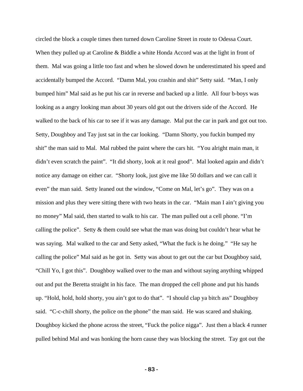circled the block a couple times then turned down Caroline Street in route to Odessa Court. When they pulled up at Caroline & Biddle a white Honda Accord was at the light in front of them. Mal was going a little too fast and when he slowed down he underestimated his speed and accidentally bumped the Accord. "Damn Mal, you crashin and shit" Setty said. "Man, I only bumped him" Mal said as he put his car in reverse and backed up a little. All four b-boys was looking as a angry looking man about 30 years old got out the drivers side of the Accord. He walked to the back of his car to see if it was any damage. Mal put the car in park and got out too. Setty, Doughboy and Tay just sat in the car looking. "Damn Shorty, you fuckin bumped my shit" the man said to Mal. Mal rubbed the paint where the cars hit. "You alright main man, it didn't even scratch the paint". "It did shorty, look at it real good". Mal looked again and didn't notice any damage on either car. "Shorty look, just give me like 50 dollars and we can call it even" the man said. Setty leaned out the window, "Come on Mal, let's go". They was on a mission and plus they were sitting there with two heats in the car. "Main man I ain't giving you no money" Mal said, then started to walk to his car. The man pulled out a cell phone. "I'm calling the police". Setty & them could see what the man was doing but couldn't hear what he was saying. Mal walked to the car and Setty asked, "What the fuck is he doing." "He say he calling the police" Mal said as he got in. Setty was about to get out the car but Doughboy said, "Chill Yo, I got this". Doughboy walked over to the man and without saying anything whipped out and put the Beretta straight in his face. The man dropped the cell phone and put his hands up. "Hold, hold, hold shorty, you ain't got to do that". "I should clap ya bitch ass" Doughboy said. "C-c-chill shorty, the police on the phone" the man said. He was scared and shaking. Doughboy kicked the phone across the street, "Fuck the police nigga". Just then a black 4 runner pulled behind Mal and was honking the horn cause they was blocking the street. Tay got out the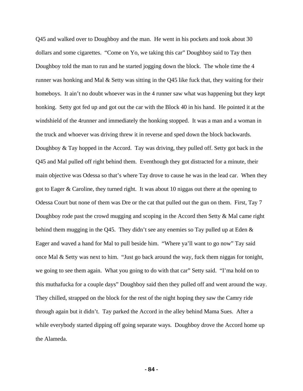Q45 and walked over to Doughboy and the man. He went in his pockets and took about 30 dollars and some cigarettes. "Come on Yo, we taking this car" Doughboy said to Tay then Doughboy told the man to run and he started jogging down the block. The whole time the 4 runner was honking and Mal & Setty was sitting in the Q45 like fuck that, they waiting for their homeboys. It ain't no doubt whoever was in the 4 runner saw what was happening but they kept honking. Setty got fed up and got out the car with the Block 40 in his hand. He pointed it at the windshield of the 4runner and immediately the honking stopped. It was a man and a woman in the truck and whoever was driving threw it in reverse and sped down the block backwards. Doughboy & Tay hopped in the Accord. Tay was driving, they pulled off. Setty got back in the Q45 and Mal pulled off right behind them. Eventhough they got distracted for a minute, their main objective was Odessa so that's where Tay drove to cause he was in the lead car. When they got to Eager & Caroline, they turned right. It was about 10 niggas out there at the opening to Odessa Court but none of them was Dre or the cat that pulled out the gun on them. First, Tay 7 Doughboy rode past the crowd mugging and scoping in the Accord then Setty & Mal came right behind them mugging in the Q45. They didn't see any enemies so Tay pulled up at Eden & Eager and waved a hand for Mal to pull beside him. "Where ya'll want to go now" Tay said once Mal  $\&$  Setty was next to him. "Just go back around the way, fuck them niggas for tonight, we going to see them again. What you going to do with that car" Setty said. "I'ma hold on to this muthafucka for a couple days" Doughboy said then they pulled off and went around the way. They chilled, strapped on the block for the rest of the night hoping they saw the Camry ride through again but it didn't. Tay parked the Accord in the alley behind Mama Sues. After a while everybody started dipping off going separate ways. Doughboy drove the Accord home up the Alameda.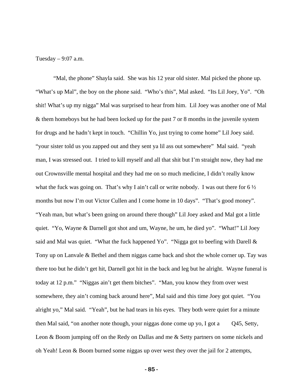Tuesday  $-9:07$  a.m.

 "Mal, the phone" Shayla said. She was his 12 year old sister. Mal picked the phone up. "What's up Mal", the boy on the phone said. "Who's this", Mal asked. "Its Lil Joey, Yo". "Oh shit! What's up my nigga" Mal was surprised to hear from him. Lil Joey was another one of Mal & them homeboys but he had been locked up for the past 7 or 8 months in the juvenile system for drugs and he hadn't kept in touch. "Chillin Yo, just trying to come home" Lil Joey said. "your sister told us you zapped out and they sent ya lil ass out somewhere" Mal said. "yeah man, I was stressed out. I tried to kill myself and all that shit but I'm straight now, they had me out Crownsville mental hospital and they had me on so much medicine, I didn't really know what the fuck was going on. That's why I ain't call or write nobody. I was out there for  $6\frac{1}{2}$ months but now I'm out Victor Cullen and I come home in 10 days". "That's good money". "Yeah man, but what's been going on around there though" Lil Joey asked and Mal got a little quiet. "Yo, Wayne & Darnell got shot and um, Wayne, he um, he died yo". "What!" Lil Joey said and Mal was quiet. "What the fuck happened Yo". "Nigga got to beefing with Darell  $\&$ Tony up on Lanvale & Bethel and them niggas came back and shot the whole corner up. Tay was there too but he didn't get hit, Darnell got hit in the back and leg but he alright. Wayne funeral is today at 12 p.m." "Niggas ain't get them bitches". "Man, you know they from over west somewhere, they ain't coming back around here", Mal said and this time Joey got quiet. "You alright yo," Mal said. "Yeah", but he had tears in his eyes. They both were quiet for a minute then Mal said, "on another note though, your niggas done come up yo, I got a Q45, Setty, Leon & Boom jumping off on the Redy on Dallas and me & Setty partners on some nickels and oh Yeah! Leon & Boom burned some niggas up over west they over the jail for 2 attempts,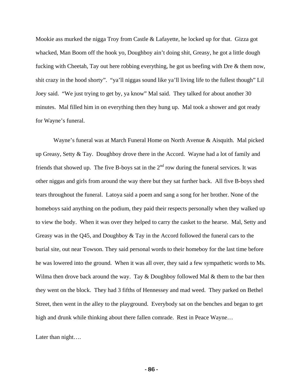Mookie ass murked the nigga Troy from Castle & Lafayette, he locked up for that. Gizza got whacked, Man Boom off the hook yo, Doughboy ain't doing shit, Greasy, he got a little dough fucking with Cheetah, Tay out here robbing everything, he got us beefing with Dre & them now, shit crazy in the hood shorty". "ya'll niggas sound like ya'll living life to the fullest though" Lil Joey said. "We just trying to get by, ya know" Mal said. They talked for about another 30 minutes. Mal filled him in on everything then they hung up. Mal took a shower and got ready for Wayne's funeral.

 Wayne's funeral was at March Funeral Home on North Avenue & Aisquith. Mal picked up Greasy, Setty & Tay. Doughboy drove there in the Accord. Wayne had a lot of family and friends that showed up. The five B-boys sat in the  $2<sup>nd</sup>$  row during the funeral services. It was other niggas and girls from around the way there but they sat further back. All five B-boys shed tears throughout the funeral. Latoya said a poem and sang a song for her brother. None of the homeboys said anything on the podium, they paid their respects personally when they walked up to view the body. When it was over they helped to carry the casket to the hearse. Mal, Setty and Greasy was in the Q45, and Doughboy & Tay in the Accord followed the funeral cars to the burial site, out near Towson. They said personal words to their homeboy for the last time before he was lowered into the ground. When it was all over, they said a few sympathetic words to Ms. Wilma then drove back around the way. Tay & Doughboy followed Mal & them to the bar then they went on the block. They had 3 fifths of Hennessey and mad weed. They parked on Bethel Street, then went in the alley to the playground. Everybody sat on the benches and began to get high and drunk while thinking about there fallen comrade. Rest in Peace Wayne…

Later than night….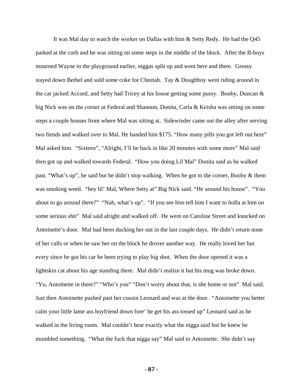It was Mal day to watch the worker on Dallas with him & Setty Redy. He had the Q45 parked at the curb and he was sitting on some steps in the middle of the block. After the B-boys mourned Wayne in the playground earlier, niggas split up and went here and there. Greasy stayed down Bethel and sold some coke for Cheetah. Tay & Doughboy went riding around in the car jacked Accord, and Setty had Tricey at his house getting some pussy. Booby, Duncan  $\&$ big Nick was on the corner at Federal and Shannon, Donita, Carla & Keisha was sitting on some steps a couple houses from where Mal was sitting at. Sidewinder came out the alley after serving two fiends and walked over to Mal. He handed him \$175. "How many pills you got left out here" Mal asked him. "Sixteen", "Alright, I'll be back in like 20 minutes with some more" Mal said then got up and walked towards Federal. "How you doing Lil Mal" Donita said as he walked past. "What's up", he said but he didn't stop walking. When he got to the corner, Booby & them was smoking weed. "hey lil' Mal, Where Setty at" Big Nick said. "He around his house". "You about to go around there?" "Nah, what's up". "If you see him tell him I want to holla at him on some serious shit" Mal said alright and walked off. He went on Caroline Street and knocked on Antoinette's door. Mal had been ducking her out in the last couple days. He didn't return none of her calls or when he saw her on the block he drover another way. He really loved her but every since he got his car he been trying to play big shot. When the door opened it was a lightskin cat about his age standing there. Mal didn't realize it but his mug was broke down. "Yo, Antoinette in there?" "Who's you" "Don't worry about that, is she home or not" Mal said. Just then Antoinette pushed past her cousin Leonard and was at the door. "Antoinette you better calm your little lame ass boyfriend down fore' he get his ass tossed up" Leonard said as he walked in the living room. Mal couldn't hear exactly what the nigga said but he knew he mumbled something. "What the fuck that nigga say" Mal said to Antoinette. She didn't say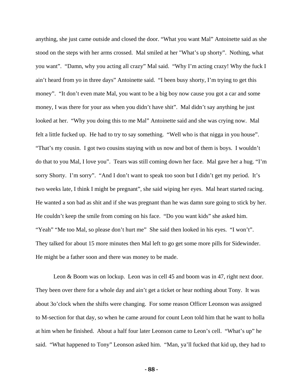anything, she just came outside and closed the door. "What you want Mal" Antoinette said as she stood on the steps with her arms crossed. Mal smiled at her "What's up shorty". Nothing, what you want". "Damn, why you acting all crazy" Mal said. "Why I'm acting crazy! Why the fuck I ain't heard from yo in three days" Antoinette said. "I been busy shorty, I'm trying to get this money". "It don't even mate Mal, you want to be a big boy now cause you got a car and some money, I was there for your ass when you didn't have shit". Mal didn't say anything he just looked at her. "Why you doing this to me Mal" Antoinette said and she was crying now. Mal felt a little fucked up. He had to try to say something. "Well who is that nigga in you house". "That's my cousin. I got two cousins staying with us now and bot of them is boys. I wouldn't do that to you Mal, I love you". Tears was still coming down her face. Mal gave her a hug. "I'm sorry Shorty. I'm sorry". "And I don't want to speak too soon but I didn't get my period. It's two weeks late, I think I might be pregnant", she said wiping her eyes. Mal heart started racing. He wanted a son bad as shit and if she was pregnant than he was damn sure going to stick by her. He couldn't keep the smile from coming on his face. "Do you want kids" she asked him. "Yeah" "Me too Mal, so please don't hurt me" She said then looked in his eyes. "I won't". They talked for about 15 more minutes then Mal left to go get some more pills for Sidewinder. He might be a father soon and there was money to be made.

Leon & Boom was on lockup. Leon was in cell 45 and boom was in 47, right next door. They been over there for a whole day and ain't get a ticket or hear nothing about Tony. It was about 3o'clock when the shifts were changing. For some reason Officer Leonson was assigned to M-section for that day, so when he came around for count Leon told him that he want to holla at him when he finished. About a half four later Leonson came to Leon's cell. "What's up" he said. "What happened to Tony" Leonson asked him. "Man, ya'll fucked that kid up, they had to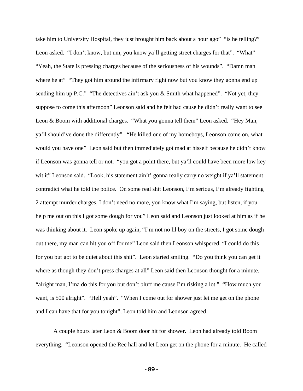take him to University Hospital, they just brought him back about a hour ago" "is he telling?" Leon asked. "I don't know, but um, you know ya'll getting street charges for that". "What" "Yeah, the State is pressing charges because of the seriousness of his wounds". "Damn man where he at" "They got him around the infirmary right now but you know they gonna end up sending him up P.C." "The detectives ain't ask you & Smith what happened". "Not yet, they suppose to come this afternoon" Leonson said and he felt bad cause he didn't really want to see Leon & Boom with additional charges. "What you gonna tell them" Leon asked. "Hey Man, ya'll should've done the differently". "He killed one of my homeboys, Leonson come on, what would you have one" Leon said but then immediately got mad at hisself because he didn't know if Leonson was gonna tell or not. "you got a point there, but ya'll could have been more low key wit it" Leonson said. "Look, his statement ain't' gonna really carry no weight if ya'll statement contradict what he told the police. On some real shit Leonson, I'm serious, I'm already fighting 2 attempt murder charges, I don't need no more, you know what I'm saying, but listen, if you help me out on this I got some dough for you" Leon said and Leonson just looked at him as if he was thinking about it. Leon spoke up again, "I'm not no lil boy on the streets, I got some dough out there, my man can hit you off for me" Leon said then Leonson whispered, "I could do this for you but got to be quiet about this shit". Leon started smiling. "Do you think you can get it where as though they don't press charges at all" Leon said then Leonson thought for a minute. "alright man, I'ma do this for you but don't bluff me cause I'm risking a lot." "How much you want, is 500 alright". "Hell yeah". "When I come out for shower just let me get on the phone and I can have that for you tonight", Leon told him and Leonson agreed.

 A couple hours later Leon & Boom door hit for shower. Leon had already told Boom everything. "Leonson opened the Rec hall and let Leon get on the phone for a minute. He called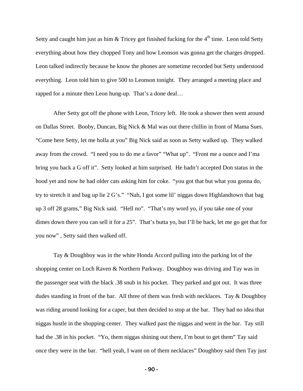Setty and caught him just as him  $\&$  Tricey got finished fucking for the 4<sup>th</sup> time. Leon told Setty everything about how they chopped Tony and how Leonson was gonna get the charges dropped. Leon talked indirectly because he know the phones are sometime recorded but Setty understood everything. Leon told him to give 500 to Leonson tonight. They arranged a meeting place and rapped for a minute then Leon hung-up. That's a done deal…

 After Setty got off the phone with Leon, Tricey left. He took a shower then went around on Dallas Street. Booby, Duncan, Big Nick & Mal was out there chillin in front of Mama Sues. "Come here Setty, let me holla at you" Big Nick said as soon as Setty walked up. They walked away from the crowd. "I need you to do me a favor" "What up". "Front me a ounce and I'ma bring you back a G off it". Setty looked at him surprised. He hadn't accepted Don status in the hood yet and now he had older cats asking him for coke. "you got that but what you gonna do, try to stretch it and bag up lie 2 G's." "Nah, I got some lil' niggas down Highlandtown that bag up 3 off 28 grams," Big Nick said. "Hell no". "That's my word yo, if you take one of your dimes down there you can sell it for a 25". That's butta yo, but I'll be back, let me go get that for you now" , Setty said then walked off.

 Tay & Doughboy was in the white Honda Accord pulling into the parking lot of the shopping center on Loch Raven & Northern Parkway. Doughboy was driving and Tay was in the passenger seat with the black .38 snub in his pocket. They parked and got out. It was three dudes standing in front of the bar. All three of them was fresh with necklaces. Tay & Doughboy was riding around looking for a caper, but then decided to stop at the bar. They had no idea that niggas hustle in the shopping center. They walked past the niggas and went in the bar. Tay still had the .38 in his pocket. "Yo, them niggas shining out there, I'm bout to get them" Tay said once they were in the bar. "hell yeah, I want on of them necklaces" Doughboy said then Tay just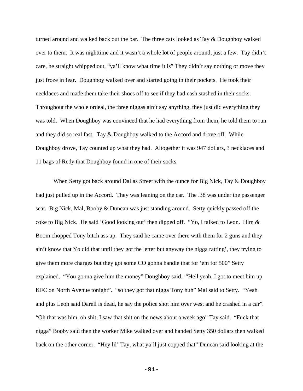turned around and walked back out the bar. The three cats looked as Tay & Doughboy walked over to them. It was nighttime and it wasn't a whole lot of people around, just a few. Tay didn't care, he straight whipped out, "ya'll know what time it is" They didn't say nothing or move they just froze in fear. Doughboy walked over and started going in their pockets. He took their necklaces and made them take their shoes off to see if they had cash stashed in their socks. Throughout the whole ordeal, the three niggas ain't say anything, they just did everything they was told. When Doughboy was convinced that he had everything from them, he told them to run and they did so real fast. Tay & Doughboy walked to the Accord and drove off. While Doughboy drove, Tay counted up what they had. Altogether it was 947 dollars, 3 necklaces and 11 bags of Redy that Doughboy found in one of their socks.

When Setty got back around Dallas Street with the ounce for Big Nick, Tay & Doughboy had just pulled up in the Accord. They was leaning on the car. The .38 was under the passenger seat. Big Nick, Mal, Booby & Duncan was just standing around. Setty quickly passed off the coke to Big Nick. He said 'Good looking out' then dipped off. "Yo, I talked to Leon. Him & Boom chopped Tony bitch ass up. They said he came over there with them for 2 guns and they ain't know that Yo did that until they got the letter but anyway the nigga ratting', they trying to give them more charges but they got some CO gonna handle that for 'em for 500" Setty explained. "You gonna give him the money" Doughboy said. "Hell yeah, I got to meet him up KFC on North Avenue tonight". "so they got that nigga Tony huh" Mal said to Setty. "Yeah and plus Leon said Darell is dead, he say the police shot him over west and he crashed in a car". "Oh that was him, oh shit, I saw that shit on the news about a week ago" Tay said. "Fuck that nigga" Booby said then the worker Mike walked over and handed Setty 350 dollars then walked back on the other corner. "Hey lil' Tay, what ya'll just copped that" Duncan said looking at the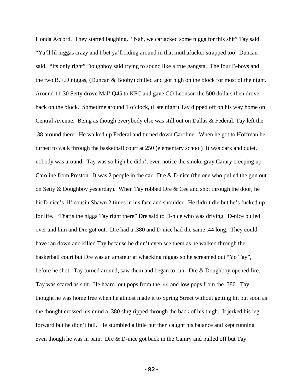Honda Accord. They started laughing. "Nah, we carjacked some nigga for this shit" Tay said. "Ya'll lil niggas crazy and I bet ya'll riding around in that muthafucker strapped too" Duncan said. "Its only right" Doughboy said trying to sound like a true gangsta. The four B-boys and the two B.F.D niggas, (Duncan & Booby) chilled and got high on the block for most of the night. Around 11:30 Setty drove Mal' Q45 to KFC and gave CO Leonson the 500 dollars then drove back on the block. Sometime around 1 o'clock, (Late night) Tay dipped off on his way home on Central Avenue. Being as though everybody else was still out on Dallas & Federal, Tay left the .38 around there. He walked up Federal and turned down Caroline. When he got to Hoffman he turned to walk through the basketball court at 250 (elementary school) It was dark and quiet, nobody was around. Tay was so high he didn't even notice the smoke gray Camry creeping up Caroline from Preston. It was 2 people in the car. Dre & D-nice (the one who pulled the gun out on Setty & Doughboy yesterday). When Tay robbed Dre & Cee and shot through the door, he hit D-nice's lil' cousin Shawn 2 times in his face and shoulder. He didn't die but he's fucked up for life. "That's the nigga Tay right there" Dre said to D-nice who was driving. D-nice pulled over and him and Dre got out. Dre had a .380 and D-nice had the same .44 long. They could have ran down and killed Tay because he didn't even see them as he walked through the basketball court but Dre was an amateur at whacking niggas so he screamed out "Yo Tay", before he shot. Tay turned around, saw them and began to run. Dre & Doughboy opened fire. Tay was scared as shit. He heard lout pops from the .44 and low pops from the .380. Tay thought he was home free when he almost made it to Spring Street without getting hit but soon as the thought crossed his mind a .380 slug ripped through the back of his thigh. It jerked his leg forward but he didn't fall. He stumbled a little but then caught his balance and kept running even though he was in pain. Dre  $\&$  D-nice got back in the Camry and pulled off but Tay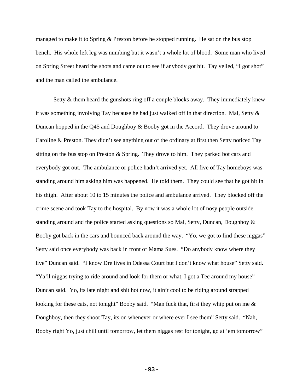managed to make it to Spring & Preston before he stopped running. He sat on the bus stop bench. His whole left leg was numbing but it wasn't a whole lot of blood. Some man who lived on Spring Street heard the shots and came out to see if anybody got hit. Tay yelled, "I got shot" and the man called the ambulance.

 Setty & them heard the gunshots ring off a couple blocks away. They immediately knew it was something involving Tay because he had just walked off in that direction. Mal, Setty & Duncan hopped in the Q45 and Doughboy & Booby got in the Accord. They drove around to Caroline & Preston. They didn't see anything out of the ordinary at first then Setty noticed Tay sitting on the bus stop on Preston & Spring. They drove to him. They parked bot cars and everybody got out. The ambulance or police hadn't arrived yet. All five of Tay homeboys was standing around him asking him was happened. He told them. They could see that he got hit in his thigh. After about 10 to 15 minutes the police and ambulance arrived. They blocked off the crime scene and took Tay to the hospital. By now it was a whole lot of nosy people outside standing around and the police started asking questions so Mal, Setty, Duncan, Doughboy & Booby got back in the cars and bounced back around the way. "Yo, we got to find these niggas" Setty said once everybody was back in front of Mama Sues. "Do anybody know where they live" Duncan said. "I know Dre lives in Odessa Court but I don't know what house" Setty said. "Ya'll niggas trying to ride around and look for them or what, I got a Tec around my house" Duncan said. Yo, its late night and shit hot now, it ain't cool to be riding around strapped looking for these cats, not tonight" Booby said. "Man fuck that, first they whip put on me & Doughboy, then they shoot Tay, its on whenever or where ever I see them" Setty said. "Nah, Booby right Yo, just chill until tomorrow, let them niggas rest for tonight, go at 'em tomorrow"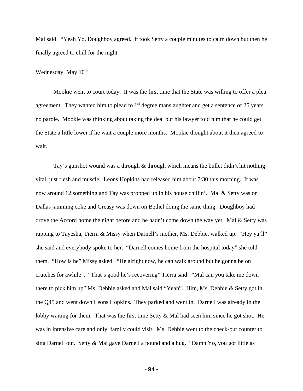Mal said. "Yeah Yo, Doughboy agreed. It took Setty a couple minutes to calm down but then he finally agreed to chill for the night.

Wednesday, May  $10^{th}$ 

 Mookie went to court today. It was the first time that the State was willing to offer a plea agreement. They wanted him to plead to  $1<sup>st</sup>$  degree manslaughter and get a sentence of 25 years no parole. Mookie was thinking about taking the deal but his lawyer told him that he could get the State a little lower if he wait a couple more months. Mookie thought about it then agreed to wait.

Tay's gunshot wound was a through  $\&$  through which means the bullet didn't hit nothing vital, just flesh and muscle. Leons Hopkins had released him about 7:30 this morning. It was now around 12 something and Tay was propped up in his house chillin'. Mal & Setty was on Dallas jamming coke and Greasy was down on Bethel doing the same thing. Doughboy had drove the Accord home the night before and he hadn't come down the way yet. Mal & Setty was rapping to Tayesha, Tierra & Missy when Darnell's mother, Ms. Debbie, walked up. "Hey ya'll" she said and everybody spoke to her. "Darnell comes home from the hospital today" she told them. "How is he" Missy asked. "He alright now, he can walk around but he gonna be on crutches for awhile". "That's good he's recovering" Tierra said. "Mal can you take me down there to pick him up" Ms. Debbie asked and Mal said "Yeah". Him, Ms. Debbie & Setty got in the Q45 and went down Leons Hopkins. They parked and went in. Darnell was already in the lobby waiting for them. That was the first time Setty  $\&$  Mal had seen him since he got shot. He was in intensive care and only family could visit. Ms. Debbie went to the check-out counter to sing Darnell out. Setty & Mal gave Darnell a pound and a hug. "Damn Yo, you got little as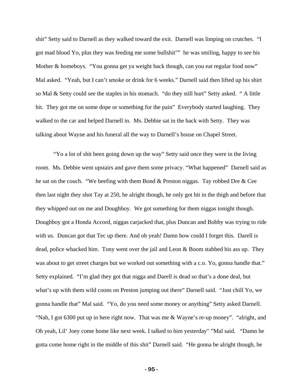shit" Setty said to Darnell as they walked toward the exit. Darnell was limping on crutches. "I got mad blood Yo, plus they was feeding me some bullshit"" he was smiling, happy to see his Mother & homeboys. "You gonna get ya weight back though, can you eat regular food now" Mal asked. "Yeah, but I can't smoke or drink for 6 weeks." Darnell said then lifted up his shirt so Mal & Setty could see the staples in his stomach. "do they still hurt" Setty asked. " A little bit. They got me on some dope or something for the pain" Everybody started laughing. They walked to the car and helped Darnell in. Ms. Debbie sat in the back with Setty. They was talking about Wayne and his funeral all the way to Darnell's house on Chapel Street.

 "Yo a lot of shit been going down up the way" Setty said once they were in the living room. Ms. Debbie went upstairs and gave them some privacy. "What happened" Darnell said as he sat on the couch. "We beefing with them Bond & Preston niggas. Tay robbed Dre & Cee then last night they shot Tay at 250, he alright though, he only got hit in the thigh and before that they whipped out on me and Doughboy. We got something for them niggas tonight though. Doughboy got a Honda Accord, niggas carjacked that, plus Duncan and Bobby was trying to ride with us. Duncan got that Tec up there. And oh yeah! Damn how could I forget this. Darell is dead, police whacked him. Tony went over the jail and Leon & Boom stabbed his ass up. They was about to get street charges but we worked out something with a c.o. Yo, gonna handle that." Setty explained. "I'm glad they got that nigga and Darell is dead so that's a done deal, but what's up with them wild coons on Preston jumping out there" Darnell said. "Just chill Yo, we gonna handle that" Mal said. "Yo, do you need some money or anything" Setty asked Darnell. "Nah, I got 6300 put up in here right now. That was me & Wayne's re-up money". "alright, and Oh yeah, Lil' Joey come home like next week. I talked to him yesterday" "Mal said. "Damn he gotta come home right in the middle of this shit" Darnell said. "He gonna be alright though, he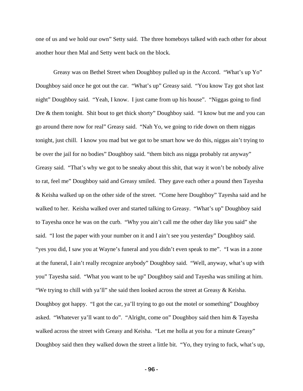one of us and we hold our own" Setty said. The three homeboys talked with each other for about another hour then Mal and Setty went back on the block.

 Greasy was on Bethel Street when Doughboy pulled up in the Accord. "What's up Yo" Doughboy said once he got out the car. "What's up" Greasy said. "You know Tay got shot last night" Doughboy said. "Yeah, I know. I just came from up his house". "Niggas going to find Dre & them tonight. Shit bout to get thick shorty" Doughboy said. "I know but me and you can go around there now for real" Greasy said. "Nah Yo, we going to ride down on them niggas tonight, just chill. I know you mad but we got to be smart how we do this, niggas ain't trying to be over the jail for no bodies" Doughboy said. "them bitch ass nigga probably rat anyway" Greasy said. "That's why we got to be sneaky about this shit, that way it won't be nobody alive to rat, feel me" Doughboy said and Greasy smiled. They gave each other a pound then Tayesha & Keisha walked up on the other side of the street. "Come here Doughboy" Tayesha said and he walked to her. Keisha walked over and started talking to Greasy. "What's up" Doughboy said to Tayesha once he was on the curb. "Why you ain't call me the other day like you said" she said. "I lost the paper with your number on it and I ain't see you yesterday" Doughboy said. "yes you did, I saw you at Wayne's funeral and you didn't even speak to me". "I was in a zone at the funeral, I ain't really recognize anybody" Doughboy said. "Well, anyway, what's up with you" Tayesha said. "What you want to be up" Doughboy said and Tayesha was smiling at him. "We trying to chill with ya'll" she said then looked across the street at Greasy & Keisha. Doughboy got happy. "I got the car, ya'll trying to go out the motel or something" Doughboy asked. "Whatever ya'll want to do". "Alright, come on" Doughboy said then him & Tayesha walked across the street with Greasy and Keisha. "Let me holla at you for a minute Greasy" Doughboy said then they walked down the street a little bit. "Yo, they trying to fuck, what's up,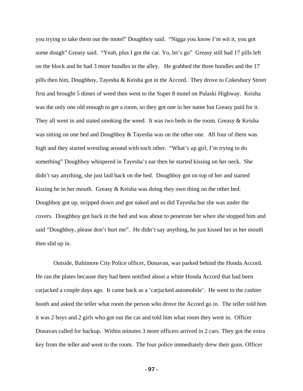you trying to take them out the motel" Doughboy said. "Nigga you know I'm wit it, you got some dough" Greasy said. "Yeah, plus I got the car. Yo, let's go" Greasy still had 17 pills left on the block and he had 3 more bundles in the alley. He grabbed the three bundles and the 17 pills then him, Doughboy, Tayesha & Keisha got in the Accord. They drove to Cokesbury Street first and brought 5 dimes of weed then went to the Super 8 motel on Pulaski Highway. Keisha was the only one old enough to get a room, so they got one in her name but Greasy paid for it. They all went in and stated smoking the weed. It was two beds in the room. Greasy  $\&$  Keisha was sitting on one bed and Doughboy & Tayesha was on the other one. All four of them was high and they started wrestling around with each other. "What's up girl, I'm trying to do something" Doughboy whispered in Tayesha's ear then he started kissing on her neck. She didn't say anything, she just laid back on the bed. Doughboy got on top of her and started kissing he in her mouth. Greasy & Keisha was doing they own thing on the other bed. Doughboy got up, stripped down and got naked and so did Tayesha but she was under the covers. Doughboy got back in the bed and was about to penetrate her when she stopped him and said "Doughboy, please don't hurt me". He didn't say anything, he just kissed her in her mouth then slid up in.

 Outside, Baltimore City Police officer, Donavan, was parked behind the Honda Accord. He ran the plates because they had been notified about a white Honda Accord that had been carjacked a couple days ago. It came back as a 'carjacked automobile'. He went to the cashier booth and asked the teller what room the person who drove the Accord go in. The teller told him it was 2 boys and 2 girls who got out the car and told him what room they went in. Officer Donavan called for backup. Within minutes 3 more officers arrived in 2 cars. They got the extra key from the teller and went to the room. The four police immediately drew their guns. Officer

- 97 -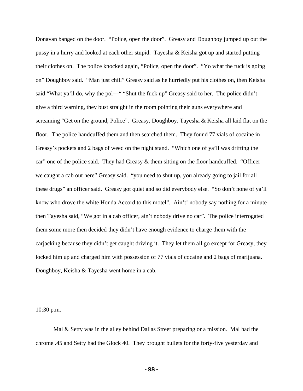Donavan banged on the door. "Police, open the door". Greasy and Doughboy jumped up out the pussy in a hurry and looked at each other stupid. Tayesha & Keisha got up and started putting their clothes on. The police knocked again, "Police, open the door". "Yo what the fuck is going on" Doughboy said. "Man just chill" Greasy said as he hurriedly put his clothes on, then Keisha said "What ya'll do, why the pol---" "Shut the fuck up" Greasy said to her. The police didn't give a third warning, they bust straight in the room pointing their guns everywhere and screaming "Get on the ground, Police". Greasy, Doughboy, Tayesha & Keisha all laid flat on the floor. The police handcuffed them and then searched them. They found 77 vials of cocaine in Greasy's pockets and 2 bags of weed on the night stand. "Which one of ya'll was drifting the car" one of the police said. They had Greasy & them sitting on the floor handcuffed. "Officer we caught a cab out here" Greasy said. "you need to shut up, you already going to jail for all these drugs" an officer said. Greasy got quiet and so did everybody else. "So don't none of ya'll know who drove the white Honda Accord to this motel". Ain't' nobody say nothing for a minute then Tayesha said, "We got in a cab officer, ain't nobody drive no car". The police interrogated them some more then decided they didn't have enough evidence to charge them with the carjacking because they didn't get caught driving it. They let them all go except for Greasy, they locked him up and charged him with possession of 77 vials of cocaine and 2 bags of marijuana. Doughboy, Keisha & Tayesha went home in a cab.

10:30 p.m.

 Mal & Setty was in the alley behind Dallas Street preparing or a mission. Mal had the chrome .45 and Setty had the Glock 40. They brought bullets for the forty-five yesterday and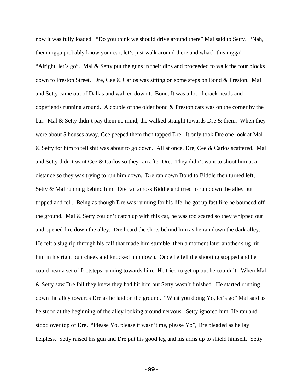now it was fully loaded. "Do you think we should drive around there" Mal said to Setty. "Nah, them nigga probably know your car, let's just walk around there and whack this nigga". "Alright, let's go". Mal & Setty put the guns in their dips and proceeded to walk the four blocks down to Preston Street. Dre, Cee & Carlos was sitting on some steps on Bond & Preston. Mal and Setty came out of Dallas and walked down to Bond. It was a lot of crack heads and dopefiends running around. A couple of the older bond & Preston cats was on the corner by the bar. Mal & Setty didn't pay them no mind, the walked straight towards Dre & them. When they were about 5 houses away, Cee peeped them then tapped Dre. It only took Dre one look at Mal & Setty for him to tell shit was about to go down. All at once, Dre, Cee & Carlos scattered. Mal and Setty didn't want Cee & Carlos so they ran after Dre. They didn't want to shoot him at a distance so they was trying to run him down. Dre ran down Bond to Biddle then turned left, Setty & Mal running behind him. Dre ran across Biddle and tried to run down the alley but tripped and fell. Being as though Dre was running for his life, he got up fast like he bounced off the ground. Mal  $\&$  Setty couldn't catch up with this cat, he was too scared so they whipped out and opened fire down the alley. Dre heard the shots behind him as he ran down the dark alley. He felt a slug rip through his calf that made him stumble, then a moment later another slug hit him in his right butt cheek and knocked him down. Once he fell the shooting stopped and he could hear a set of footsteps running towards him. He tried to get up but he couldn't. When Mal & Setty saw Dre fall they knew they had hit him but Setty wasn't finished. He started running down the alley towards Dre as he laid on the ground. "What you doing Yo, let's go" Mal said as he stood at the beginning of the alley looking around nervous. Setty ignored him. He ran and stood over top of Dre. "Please Yo, please it wasn't me, please Yo", Dre pleaded as he lay helpless. Setty raised his gun and Dre put his good leg and his arms up to shield himself. Setty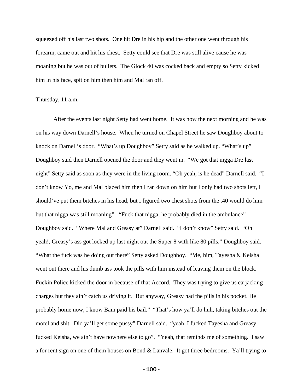squeezed off his last two shots. One hit Dre in his hip and the other one went through his forearm, came out and hit his chest. Setty could see that Dre was still alive cause he was moaning but he was out of bullets. The Glock 40 was cocked back and empty so Setty kicked him in his face, spit on him then him and Mal ran off.

## Thursday, 11 a.m.

 After the events last night Setty had went home. It was now the next morning and he was on his way down Darnell's house. When he turned on Chapel Street he saw Doughboy about to knock on Darnell's door. "What's up Doughboy" Setty said as he walked up. "What's up" Doughboy said then Darnell opened the door and they went in. "We got that nigga Dre last night" Setty said as soon as they were in the living room. "Oh yeah, is he dead" Darnell said. "I don't know Yo, me and Mal blazed him then I ran down on him but I only had two shots left, I should've put them bitches in his head, but I figured two chest shots from the .40 would do him but that nigga was still moaning". "Fuck that nigga, he probably died in the ambulance" Doughboy said. "Where Mal and Greasy at" Darnell said. "I don't know" Setty said. "Oh yeah!, Greasy's ass got locked up last night out the Super 8 with like 80 pills," Doughboy said. "What the fuck was he doing out there" Setty asked Doughboy. "Me, him, Tayesha & Keisha went out there and his dumb ass took the pills with him instead of leaving them on the block. Fuckin Police kicked the door in because of that Accord. They was trying to give us carjacking charges but they ain't catch us driving it. But anyway, Greasy had the pills in his pocket. He probably home now, I know Bam paid his bail." "That's how ya'll do huh, taking bitches out the motel and shit. Did ya'll get some pussy" Darnell said. "yeah, I fucked Tayesha and Greasy fucked Keisha, we ain't have nowhere else to go". "Yeah, that reminds me of something. I saw a for rent sign on one of them houses on Bond & Lanvale. It got three bedrooms. Ya'll trying to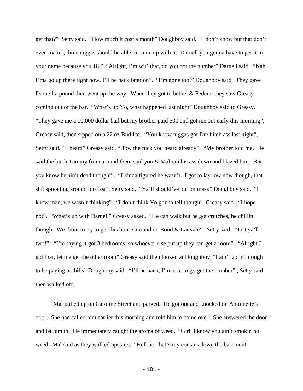get that?" Setty said. "How much it cost a month" Doughboy said. "I don't know but that don't even matter, three niggas should be able to come up with it. Darnell you gonna have to get it in your name because you 18." "Alright, I'm wit' that, do you got the number" Darnell said. "Nah, I'ma go up there right now, I'll be back later on". "I'm gone too!" Doughboy said. They gave Darnell a pound then went up the way. When they got to bethel  $&$  Federal they saw Greasy coming out of the bar. "What's up Yo, what happened last night" Doughboy said to Greasy. "They gave me a 10,000 dollar bail but my brother paid 500 and got me out early this morning", Greasy said, then sipped on a 22 oz Bud Ice. "You know niggas got Dre bitch ass last night", Setty said. "I heard" Greasy said. "How the fuck you heard already". "My brother told me. He said the bitch Tammy from around there said you & Mal ran his ass down and blazed him. But you know he ain't dead thought". "I kinda figured he wasn't. I got to lay low now though, that shit spreading around too fast", Setty said. "Ya'll should've put on mask" Doughboy said. "I know man, we wasn't thinking". "I don't think Yo gonna tell though" Greasy said. "I hope not". "What's up with Darnell" Greasy asked. "He can walk but he got crutches, he chillin though. We 'bout to try to get this house around on Bond & Lanvale". Setty said. "Just ya'll two!". "I'm saying it got 3 bedrooms, so whoever else put up they can get a room". "Alright I got that, let me get the other room" Greasy said then looked at Doughboy. "I ain't got no dough to be paying no bills" Doughboy said. "I'll be back, I'm bout to go get the number" , Setty said then walked off.

 Mal pulled up on Caroline Street and parked. He got out and knocked on Antoinette's door. She had called him earlier this morning and told him to come over. She answered the door and let him in. He immediately caught the aroma of weed. "Girl, I know you ain't smokin no weed" Mal said as they walked upstairs. "Hell no, that's my cousins down the basement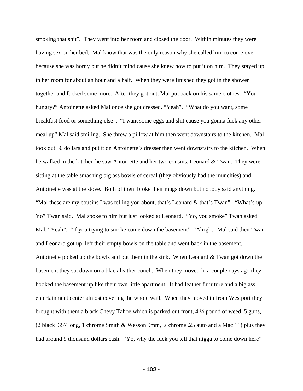smoking that shit". They went into her room and closed the door. Within minutes they were having sex on her bed. Mal know that was the only reason why she called him to come over because she was horny but he didn't mind cause she knew how to put it on him. They stayed up in her room for about an hour and a half. When they were finished they got in the shower together and fucked some more. After they got out, Mal put back on his same clothes. "You hungry?" Antoinette asked Mal once she got dressed. "Yeah". "What do you want, some breakfast food or something else". "I want some eggs and shit cause you gonna fuck any other meal up" Mal said smiling. She threw a pillow at him then went downstairs to the kitchen. Mal took out 50 dollars and put it on Antoinette's dresser then went downstairs to the kitchen. When he walked in the kitchen he saw Antoinette and her two cousins, Leonard & Twan. They were sitting at the table smashing big ass bowls of cereal (they obviously had the munchies) and Antoinette was at the stove. Both of them broke their mugs down but nobody said anything. "Mal these are my cousins I was telling you about, that's Leonard & that's Twan". "What's up Yo" Twan said. Mal spoke to him but just looked at Leonard. "Yo, you smoke" Twan asked Mal. "Yeah". "If you trying to smoke come down the basement". "Alright" Mal said then Twan and Leonard got up, left their empty bowls on the table and went back in the basement. Antoinette picked up the bowls and put them in the sink. When Leonard & Twan got down the basement they sat down on a black leather couch. When they moved in a couple days ago they hooked the basement up like their own little apartment. It had leather furniture and a big ass entertainment center almost covering the whole wall. When they moved in from Westport they brought with them a black Chevy Tahoe which is parked out front, 4 ½ pound of weed, 5 guns, (2 black .357 long, 1 chrome Smith & Wesson 9mm, a chrome .25 auto and a Mac 11) plus they had around 9 thousand dollars cash. "Yo, why the fuck you tell that nigga to come down here"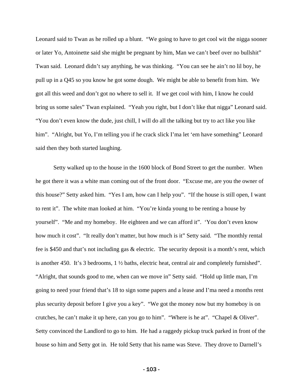Leonard said to Twan as he rolled up a blunt. "We going to have to get cool wit the nigga sooner or later Yo, Antoinette said she might be pregnant by him, Man we can't beef over no bullshit" Twan said. Leonard didn't say anything, he was thinking. "You can see he ain't no lil boy, he pull up in a Q45 so you know he got some dough. We might be able to benefit from him. We got all this weed and don't got no where to sell it. If we get cool with him, I know he could bring us some sales" Twan explained. "Yeah you right, but I don't like that nigga" Leonard said. "You don't even know the dude, just chill, I will do all the talking but try to act like you like him". "Alright, but Yo, I'm telling you if he crack slick I'ma let 'em have something" Leonard said then they both started laughing.

 Setty walked up to the house in the 1600 block of Bond Street to get the number. When he got there it was a white man coming out of the front door. "Excuse me, are you the owner of this house?" Setty asked him. "Yes I am, how can I help you". "If the house is still open, I want to rent it". The white man looked at him. "You're kinda young to be renting a house by yourself". "Me and my homeboy. He eighteen and we can afford it". 'You don't even know how much it cost". "It really don't matter, but how much is it" Setty said. "The monthly rental fee is \$450 and that's not including gas & electric. The security deposit is a month's rent, which is another 450. It's 3 bedrooms,  $1 \frac{1}{2}$  baths, electric heat, central air and completely furnished". "Alright, that sounds good to me, when can we move in" Setty said. "Hold up little man, I'm going to need your friend that's 18 to sign some papers and a lease and I'ma need a months rent plus security deposit before I give you a key". "We got the money now but my homeboy is on crutches, he can't make it up here, can you go to him". "Where is he at". "Chapel & Oliver". Setty convinced the Landlord to go to him. He had a raggedy pickup truck parked in front of the house so him and Setty got in. He told Setty that his name was Steve. They drove to Darnell's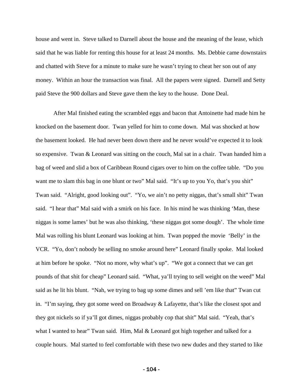house and went in. Steve talked to Darnell about the house and the meaning of the lease, which said that he was liable for renting this house for at least 24 months. Ms. Debbie came downstairs and chatted with Steve for a minute to make sure he wasn't trying to cheat her son out of any money. Within an hour the transaction was final. All the papers were signed. Darnell and Setty paid Steve the 900 dollars and Steve gave them the key to the house. Done Deal.

 After Mal finished eating the scrambled eggs and bacon that Antoinette had made him he knocked on the basement door. Twan yelled for him to come down. Mal was shocked at how the basement looked. He had never been down there and he never would've expected it to look so expensive. Twan & Leonard was sitting on the couch, Mal sat in a chair. Twan handed him a bag of weed and slid a box of Caribbean Round cigars over to him on the coffee table. "Do you want me to slam this bag in one blunt or two" Mal said. "It's up to you Yo, that's you shit" Twan said. "Alright, good looking out". "Yo, we ain't no petty niggas, that's small shit" Twan said. "I hear that" Mal said with a smirk on his face. In his mind he was thinking 'Man, these niggas is some lames' but he was also thinking, 'these niggas got some dough'. The whole time Mal was rolling his blunt Leonard was looking at him. Twan popped the movie 'Belly' in the VCR. "Yo, don't nobody be selling no smoke around here" Leonard finally spoke. Mal looked at him before he spoke. "Not no more, why what's up". "We got a connect that we can get pounds of that shit for cheap" Leonard said. "What, ya'll trying to sell weight on the weed" Mal said as he lit his blunt. "Nah, we trying to bag up some dimes and sell 'em like that" Twan cut in. "I'm saying, they got some weed on Broadway & Lafayette, that's like the closest spot and they got nickels so if ya'll got dimes, niggas probably cop that shit" Mal said. "Yeah, that's what I wanted to hear" Twan said. Him, Mal & Leonard got high together and talked for a couple hours. Mal started to feel comfortable with these two new dudes and they started to like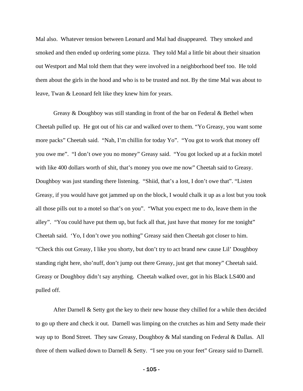Mal also. Whatever tension between Leonard and Mal had disappeared. They smoked and smoked and then ended up ordering some pizza. They told Mal a little bit about their situation out Westport and Mal told them that they were involved in a neighborhood beef too. He told them about the girls in the hood and who is to be trusted and not. By the time Mal was about to leave, Twan & Leonard felt like they knew him for years.

 Greasy & Doughboy was still standing in front of the bar on Federal & Bethel when Cheetah pulled up. He got out of his car and walked over to them. "Yo Greasy, you want some more packs" Cheetah said. "Nah, I'm chillin for today Yo". "You got to work that money off you owe me". "I don't owe you no money" Greasy said. "You got locked up at a fuckin motel with like 400 dollars worth of shit, that's money you owe me now" Cheetah said to Greasy. Doughboy was just standing there listening. "Shiid, that's a lost, I don't owe that". "Listen Greasy, if you would have got jammed up on the block, I would chalk it up as a lost but you took all those pills out to a motel so that's on you". "What you expect me to do, leave them in the alley". "You could have put them up, but fuck all that, just have that money for me tonight" Cheetah said. 'Yo, I don't owe you nothing" Greasy said then Cheetah got closer to him. "Check this out Greasy, I like you shorty, but don't try to act brand new cause Lil' Doughboy standing right here, sho'nuff, don't jump out there Greasy, just get that money" Cheetah said. Greasy or Doughboy didn't say anything. Cheetah walked over, got in his Black LS400 and pulled off.

 After Darnell & Setty got the key to their new house they chilled for a while then decided to go up there and check it out. Darnell was limping on the crutches as him and Setty made their way up to Bond Street. They saw Greasy, Doughboy & Mal standing on Federal & Dallas. All three of them walked down to Darnell & Setty. "I see you on your feet" Greasy said to Darnell.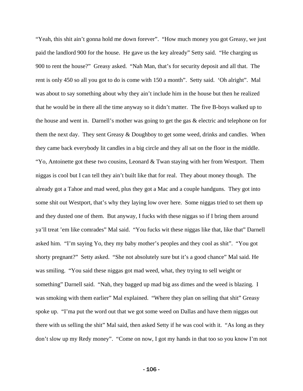"Yeah, this shit ain't gonna hold me down forever". "How much money you got Greasy, we just paid the landlord 900 for the house. He gave us the key already" Setty said. "He charging us 900 to rent the house?" Greasy asked. "Nah Man, that's for security deposit and all that. The rent is only 450 so all you got to do is come with 150 a month". Setty said. 'Oh alright". Mal was about to say something about why they ain't include him in the house but then he realized that he would be in there all the time anyway so it didn't matter. The five B-boys walked up to the house and went in. Darnell's mother was going to get the gas & electric and telephone on for them the next day. They sent Greasy & Doughboy to get some weed, drinks and candles. When they came back everybody lit candles in a big circle and they all sat on the floor in the middle. "Yo, Antoinette got these two cousins, Leonard  $&$  Twan staying with her from Westport. Them niggas is cool but I can tell they ain't built like that for real. They about money though. The already got a Tahoe and mad weed, plus they got a Mac and a couple handguns. They got into some shit out Westport, that's why they laying low over here. Some niggas tried to set them up and they dusted one of them. But anyway, I fucks with these niggas so if I bring them around ya'll treat 'em like comrades" Mal said. "You fucks wit these niggas like that, like that" Darnell asked him. "I'm saying Yo, they my baby mother's peoples and they cool as shit". "You got shorty pregnant?" Setty asked. "She not absolutely sure but it's a good chance" Mal said. He was smiling. "You said these niggas got mad weed, what, they trying to sell weight or something" Darnell said. "Nah, they bagged up mad big ass dimes and the weed is blazing. I was smoking with them earlier" Mal explained. "Where they plan on selling that shit" Greasy spoke up. "I'ma put the word out that we got some weed on Dallas and have them niggas out there with us selling the shit" Mal said, then asked Setty if he was cool with it. "As long as they don't slow up my Redy money". "Come on now, I got my hands in that too so you know I'm not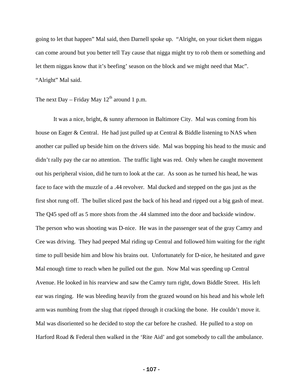going to let that happen" Mal said, then Darnell spoke up. "Alright, on your ticket them niggas can come around but you better tell Tay cause that nigga might try to rob them or something and let them niggas know that it's beefing' season on the block and we might need that Mac". "Alright" Mal said.

The next Day – Friday May  $12<sup>th</sup>$  around 1 p.m.

 It was a nice, bright, & sunny afternoon in Baltimore City. Mal was coming from his house on Eager & Central. He had just pulled up at Central & Biddle listening to NAS when another car pulled up beside him on the drivers side. Mal was bopping his head to the music and didn't rally pay the car no attention. The traffic light was red. Only when he caught movement out his peripheral vision, did he turn to look at the car. As soon as he turned his head, he was face to face with the muzzle of a .44 revolver. Mal ducked and stepped on the gas just as the first shot rung off. The bullet sliced past the back of his head and ripped out a big gash of meat. The Q45 sped off as 5 more shots from the .44 slammed into the door and backside window. The person who was shooting was D-nice. He was in the passenger seat of the gray Camry and Cee was driving. They had peeped Mal riding up Central and followed him waiting for the right time to pull beside him and blow his brains out. Unfortunately for D-nice, he hesitated and gave Mal enough time to reach when he pulled out the gun. Now Mal was speeding up Central Avenue. He looked in his rearview and saw the Camry turn right, down Biddle Street. His left ear was ringing. He was bleeding heavily from the grazed wound on his head and his whole left arm was numbing from the slug that ripped through it cracking the bone. He couldn't move it. Mal was disoriented so he decided to stop the car before he crashed. He pulled to a stop on Harford Road & Federal then walked in the 'Rite Aid' and got somebody to call the ambulance.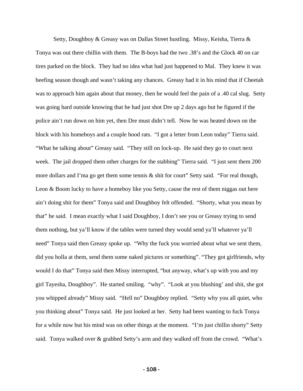Setty, Doughboy & Greasy was on Dallas Street hustling. Missy, Keisha, Tierra & Tonya was out there chillin with them. The B-boys had the two .38's and the Glock 40 on car tires parked on the block. They had no idea what had just happened to Mal. They knew it was beefing season though and wasn't taking any chances. Greasy had it in his mind that if Cheetah was to approach him again about that money, then he would feel the pain of a .40 cal slug. Setty was going hard outside knowing that he had just shot Dre up 2 days ago but he figured if the police ain't run down on him yet, then Dre must didn't tell. Now he was heated down on the block with his homeboys and a couple hood rats. "I got a letter from Leon today" Tierra said. "What he talking about" Greasy said. "They still on lock-up. He said they go to court next week. The jail dropped them other charges for the stabbing" Tierra said. "I just sent them 200 more dollars and I'ma go get them some tennis & shit for court" Setty said. "For real though, Leon & Boom lucky to have a homeboy like you Setty, cause the rest of them niggas out here ain't doing shit for them" Tonya said and Doughboy felt offended. "Shorty, what you mean by that" he said. I mean exactly what I said Doughboy, I don't see you or Greasy trying to send them nothing, but ya'll know if the tables were turned they would send ya'll whatever ya'll need" Tonya said then Greasy spoke up. "Why the fuck you worried about what we sent them, did you holla at them, send them some naked pictures or something". "They got girlfriends, why would I do that" Tonya said then Missy interrupted, "but anyway, what's up with you and my girl Tayesha, Doughboy". He started smiling. "why". "Look at you blushing' and shit, she got you whipped already" Missy said. "Hell no" Doughboy replied. "Setty why you all quiet, who you thinking about" Tonya said. He just looked at her. Setty had been wanting to fuck Tonya for a while now but his mind was on other things at the moment. "I'm just chillin shorty" Setty said. Tonya walked over & grabbed Setty's arm and they walked off from the crowd. "What's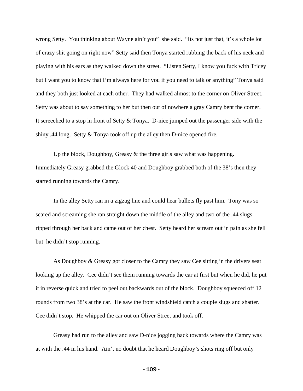wrong Setty. You thinking about Wayne ain't you" she said. "Its not just that, it's a whole lot of crazy shit going on right now" Setty said then Tonya started rubbing the back of his neck and playing with his ears as they walked down the street. "Listen Setty, I know you fuck with Tricey but I want you to know that I'm always here for you if you need to talk or anything" Tonya said and they both just looked at each other. They had walked almost to the corner on Oliver Street. Setty was about to say something to her but then out of nowhere a gray Camry bent the corner. It screeched to a stop in front of Setty & Tonya. D-nice jumped out the passenger side with the shiny .44 long. Setty & Tonya took off up the alley then D-nice opened fire.

Up the block, Doughboy, Greasy & the three girls saw what was happening. Immediately Greasy grabbed the Glock 40 and Doughboy grabbed both of the 38's then they started running towards the Camry.

 In the alley Setty ran in a zigzag line and could hear bullets fly past him. Tony was so scared and screaming she ran straight down the middle of the alley and two of the .44 slugs ripped through her back and came out of her chest. Setty heard her scream out in pain as she fell but he didn't stop running.

 As Doughboy & Greasy got closer to the Camry they saw Cee sitting in the drivers seat looking up the alley. Cee didn't see them running towards the car at first but when he did, he put it in reverse quick and tried to peel out backwards out of the block. Doughboy squeezed off 12 rounds from two 38's at the car. He saw the front windshield catch a couple slugs and shatter. Cee didn't stop. He whipped the car out on Oliver Street and took off.

 Greasy had run to the alley and saw D-nice jogging back towards where the Camry was at with the .44 in his hand. Ain't no doubt that he heard Doughboy's shots ring off but only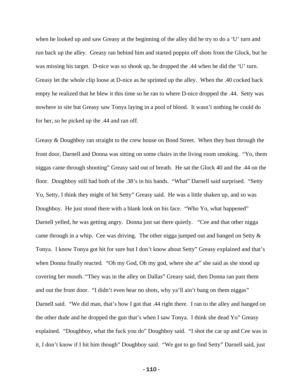when he looked up and saw Greasy at the beginning of the alley did he try to do a 'U' turn and run back up the alley. Greasy ran behind him and started poppin off shots from the Glock, but he was missing his target. D-nice was so shook up, he dropped the .44 when he did the 'U' turn. Greasy let the whole clip loose at D-nice as he sprinted up the alley. When the .40 cocked back empty he realized that he blew it this time so he ran to where D-nice dropped the .44. Setty was nowhere in site but Greasy saw Tonya laying in a pool of blood. It wasn't nothing he could do for her, so he picked up the .44 and ran off.

Greasy & Doughboy ran straight to the crew house on Bond Street. When they bust through the front door, Darnell and Donna was sitting on some chairs in the living room smoking. "Yo, them niggas came through shooting" Greasy said out of breath. He sat the Glock 40 and the .44 on the floor. Doughboy still had both of the .38's in his hands. "What" Darnell said surprised. "Setty Yo, Setty, I think they might of hit Setty" Greasy said. He was a little shaken up, and so was Doughboy. He just stood there with a blank look on his face. "Who Yo, what happened" Darnell yelled, he was getting angry. Donna just sat there quietly. "Cee and that other nigga came through in a whip. Cee was driving. The other nigga jumped out and banged on Setty & Tonya. I know Tonya got hit for sure but I don't know about Setty" Greasy explained and that's when Donna finally reacted. "Oh my God, Oh my god, where she at" she said as she stood up covering her mouth. "They was in the alley on Dallas" Greasy said, then Donna ran past them and out the front door. "I didn't even hear no shots, why ya'll ain't bang on them niggas" Darnell said. "We did man, that's how I got that .44 right there. I ran to the alley and banged on the other dude and he dropped the gun that's when I saw Tonya. I think she dead Yo" Greasy explained. "Doughboy, what the fuck you do" Doughboy said. "I shot the car up and Cee was in it, I don't know if I hit him though" Doughboy said. "We got to go find Setty" Darnell said, just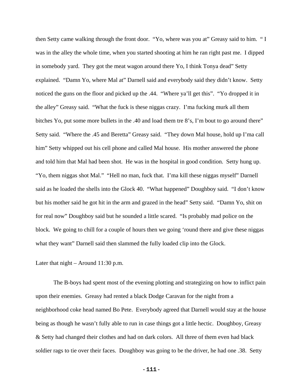then Setty came walking through the front door. "Yo, where was you at" Greasy said to him. " I was in the alley the whole time, when you started shooting at him he ran right past me. I dipped in somebody yard. They got the meat wagon around there Yo, I think Tonya dead" Setty explained. "Damn Yo, where Mal at" Darnell said and everybody said they didn't know. Setty noticed the guns on the floor and picked up the .44. "Where ya'll get this". "Yo dropped it in the alley" Greasy said. "What the fuck is these niggas crazy. I'ma fucking murk all them bitches Yo, put some more bullets in the .40 and load them tre 8's, I'm bout to go around there" Setty said. "Where the .45 and Beretta" Greasy said. "They down Mal house, hold up I'ma call him" Setty whipped out his cell phone and called Mal house. His mother answered the phone and told him that Mal had been shot. He was in the hospital in good condition. Setty hung up. "Yo, them niggas shot Mal." "Hell no man, fuck that. I'ma kill these niggas myself" Darnell said as he loaded the shells into the Glock 40. "What happened" Doughboy said. "I don't know but his mother said he got hit in the arm and grazed in the head" Setty said. "Damn Yo, shit on for real now" Doughboy said but he sounded a little scared. "Is probably mad police on the block. We going to chill for a couple of hours then we going 'round there and give these niggas what they want" Darnell said then slammed the fully loaded clip into the Glock.

Later that night – Around 11:30 p.m.

 The B-boys had spent most of the evening plotting and strategizing on how to inflict pain upon their enemies. Greasy had rented a black Dodge Caravan for the night from a neighborhood coke head named Bo Pete. Everybody agreed that Darnell would stay at the house being as though he wasn't fully able to run in case things got a little hectic. Doughboy, Greasy & Setty had changed their clothes and had on dark colors. All three of them even had black soldier rags to tie over their faces. Doughboy was going to be the driver, he had one .38. Setty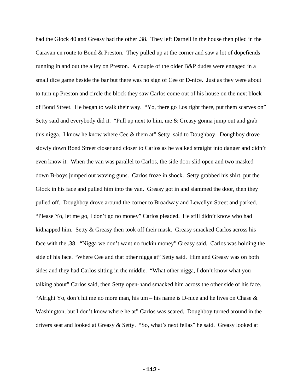had the Glock 40 and Greasy had the other .38. They left Darnell in the house then piled in the Caravan en route to Bond  $&$  Preston. They pulled up at the corner and saw a lot of doperfiends running in and out the alley on Preston. A couple of the older B&P dudes were engaged in a small dice game beside the bar but there was no sign of Cee or D-nice. Just as they were about to turn up Preston and circle the block they saw Carlos come out of his house on the next block of Bond Street. He began to walk their way. "Yo, there go Los right there, put them scarves on" Setty said and everybody did it. "Pull up next to him, me & Greasy gonna jump out and grab this nigga. I know he know where Cee & them at" Setty said to Doughboy. Doughboy drove slowly down Bond Street closer and closer to Carlos as he walked straight into danger and didn't even know it. When the van was parallel to Carlos, the side door slid open and two masked down B-boys jumped out waving guns. Carlos froze in shock. Setty grabbed his shirt, put the Glock in his face and pulled him into the van. Greasy got in and slammed the door, then they pulled off. Doughboy drove around the corner to Broadway and Lewellyn Street and parked. "Please Yo, let me go, I don't go no money" Carlos pleaded. He still didn't know who had kidnapped him. Setty & Greasy then took off their mask. Greasy smacked Carlos across his face with the .38. "Nigga we don't want no fuckin money" Greasy said. Carlos was holding the side of his face. "Where Cee and that other nigga at" Setty said. Him and Greasy was on both sides and they had Carlos sitting in the middle. "What other nigga, I don't know what you talking about" Carlos said, then Setty open-hand smacked him across the other side of his face. "Alright Yo, don't hit me no more man, his um – his name is D-nice and he lives on Chase  $\&$ Washington, but I don't know where he at" Carlos was scared. Doughboy turned around in the drivers seat and looked at Greasy & Setty. "So, what's next fellas" he said. Greasy looked at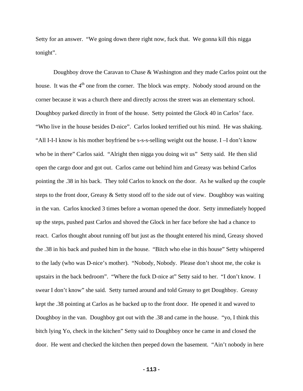Setty for an answer. "We going down there right now, fuck that. We gonna kill this nigga tonight".

 Doughboy drove the Caravan to Chase & Washington and they made Carlos point out the house. It was the 4<sup>th</sup> one from the corner. The block was empty. Nobody stood around on the corner because it was a church there and directly across the street was an elementary school. Doughboy parked directly in front of the house. Setty pointed the Glock 40 in Carlos' face. "Who live in the house besides D-nice". Carlos looked terrified out his mind. He was shaking. "All I-I-I know is his mother boyfriend be s-s-s-selling weight out the house. I –I don't know who be in there" Carlos said. "Alright then nigga you doing wit us" Setty said. He then slid open the cargo door and got out. Carlos came out behind him and Greasy was behind Carlos pointing the .38 in his back. They told Carlos to knock on the door. As he walked up the couple steps to the front door, Greasy & Setty stood off to the side out of view. Doughboy was waiting in the van. Carlos knocked 3 times before a woman opened the door. Setty immediately hopped up the steps, pushed past Carlos and shoved the Glock in her face before she had a chance to react. Carlos thought about running off but just as the thought entered his mind, Greasy shoved the .38 in his back and pushed him in the house. "Bitch who else in this house" Setty whispered to the lady (who was D-nice's mother). "Nobody, Nobody. Please don't shoot me, the coke is upstairs in the back bedroom". "Where the fuck D-nice at" Setty said to her. "I don't know. I swear I don't know" she said. Setty turned around and told Greasy to get Doughboy. Greasy kept the .38 pointing at Carlos as he backed up to the front door. He opened it and waved to Doughboy in the van. Doughboy got out with the .38 and came in the house. "yo, I think this bitch lying Yo, check in the kitchen" Setty said to Doughboy once he came in and closed the door. He went and checked the kitchen then peeped down the basement. "Ain't nobody in here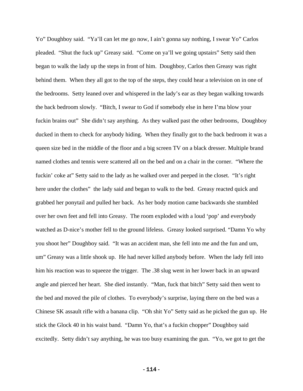Yo" Doughboy said. "Ya'll can let me go now, I ain't gonna say nothing, I swear Yo" Carlos pleaded. "Shut the fuck up" Greasy said. "Come on ya'll we going upstairs" Setty said then began to walk the lady up the steps in front of him. Doughboy, Carlos then Greasy was right behind them. When they all got to the top of the steps, they could hear a television on in one of the bedrooms. Setty leaned over and whispered in the lady's ear as they began walking towards the back bedroom slowly. "Bitch, I swear to God if somebody else in here I'ma blow your fuckin brains out" She didn't say anything. As they walked past the other bedrooms, Doughboy ducked in them to check for anybody hiding. When they finally got to the back bedroom it was a queen size bed in the middle of the floor and a big screen TV on a black dresser. Multiple brand named clothes and tennis were scattered all on the bed and on a chair in the corner. "Where the fuckin' coke at" Setty said to the lady as he walked over and peeped in the closet. "It's right here under the clothes" the lady said and began to walk to the bed. Greasy reacted quick and grabbed her ponytail and pulled her back. As her body motion came backwards she stumbled over her own feet and fell into Greasy. The room exploded with a loud 'pop' and everybody watched as D-nice's mother fell to the ground lifeless. Greasy looked surprised. "Damn Yo why you shoot her" Doughboy said. "It was an accident man, she fell into me and the fun and um, um" Greasy was a little shook up. He had never killed anybody before. When the lady fell into him his reaction was to squeeze the trigger. The .38 slug went in her lower back in an upward angle and pierced her heart. She died instantly. "Man, fuck that bitch" Setty said then went to the bed and moved the pile of clothes. To everybody's surprise, laying there on the bed was a Chinese SK assault rifle with a banana clip. "Oh shit Yo" Setty said as he picked the gun up. He stick the Glock 40 in his waist band. "Damn Yo, that's a fuckin chopper" Doughboy said excitedly. Setty didn't say anything, he was too busy examining the gun. "Yo, we got to get the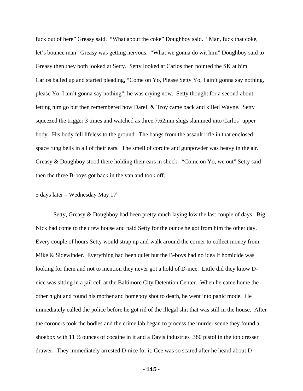fuck out of here" Greasy said. "What about the coke" Doughboy said. "Man, fuck that coke, let's bounce man" Greasy was getting nervous. "What we gonna do wit him" Doughboy said to Greasy then they both looked at Setty. Setty looked at Carlos then pointed the SK at him. Carlos balled up and started pleading, "Come on Yo, Please Setty Yo, I ain't gonna say nothing, please Yo, I ain't gonna say nothing", he was crying now. Setty thought for a second about letting him go but then remembered how Darell & Troy came back and killed Wayne. Setty squeezed the trigger 3 times and watched as three 7.62mm slugs slammed into Carlos' upper body. His body fell lifeless to the ground. The bangs from the assault rifle in that enclosed space rung bells in all of their ears. The smell of cordite and gunpowder was heavy in the air. Greasy & Doughboy stood there holding their ears in shock. "Come on Yo, we out" Setty said then the three B-boys got back in the van and took off.

## 5 days later – Wednesday May 17th

 Setty, Greasy & Doughboy had been pretty much laying low the last couple of days. Big Nick had come to the crew house and paid Setty for the ounce he got from him the other day. Every couple of hours Setty would strap up and walk around the corner to collect money from Mike & Sidewinder. Everything had been quiet but the B-boys had no idea if homicide was looking for them and not to mention they never got a hold of D-nice. Little did they know Dnice was sitting in a jail cell at the Baltimore City Detention Center. When he came home the other night and found his mother and homeboy shot to death, he went into panic mode. He immediately called the police before he got rid of the illegal shit that was still in the house. After the coroners took the bodies and the crime lab began to process the murder scene they found a shoebox with 11 ½ ounces of cocaine in it and a Davis industries .380 pistol in the top dresser drawer. They immediately arrested D-nice for it. Cee was so scared after he heard about D-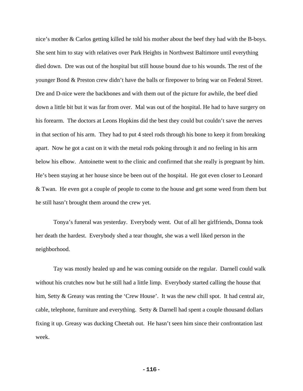nice's mother & Carlos getting killed he told his mother about the beef they had with the B-boys. She sent him to stay with relatives over Park Heights in Northwest Baltimore until everything died down. Dre was out of the hospital but still house bound due to his wounds. The rest of the younger Bond & Preston crew didn't have the balls or firepower to bring war on Federal Street. Dre and D-nice were the backbones and with them out of the picture for awhile, the beef died down a little bit but it was far from over. Mal was out of the hospital. He had to have surgery on his forearm. The doctors at Leons Hopkins did the best they could but couldn't save the nerves in that section of his arm. They had to put 4 steel rods through his bone to keep it from breaking apart. Now he got a cast on it with the metal rods poking through it and no feeling in his arm below his elbow. Antoinette went to the clinic and confirmed that she really is pregnant by him. He's been staying at her house since be been out of the hospital. He got even closer to Leonard & Twan. He even got a couple of people to come to the house and get some weed from them but he still hasn't brought them around the crew yet.

 Tonya's funeral was yesterday. Everybody went. Out of all her girlfriends, Donna took her death the hardest. Everybody shed a tear thought, she was a well liked person in the neighborhood.

 Tay was mostly healed up and he was coming outside on the regular. Darnell could walk without his crutches now but he still had a little limp. Everybody started calling the house that him, Setty & Greasy was renting the 'Crew House'. It was the new chill spot. It had central air, cable, telephone, furniture and everything. Setty & Darnell had spent a couple thousand dollars fixing it up. Greasy was ducking Cheetah out. He hasn't seen him since their confrontation last week.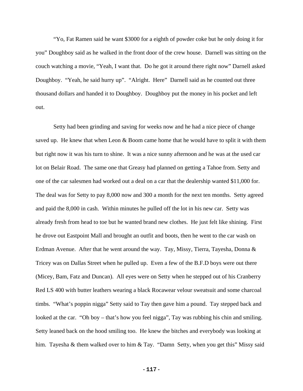"Yo, Fat Ramen said he want \$3000 for a eighth of powder coke but he only doing it for you" Doughboy said as he walked in the front door of the crew house. Darnell was sitting on the couch watching a movie, "Yeah, I want that. Do he got it around there right now" Darnell asked Doughboy. "Yeah, he said hurry up". "Alright. Here" Darnell said as he counted out three thousand dollars and handed it to Doughboy. Doughboy put the money in his pocket and left out.

 Setty had been grinding and saving for weeks now and he had a nice piece of change saved up. He knew that when Leon & Boom came home that he would have to split it with them but right now it was his turn to shine. It was a nice sunny afternoon and he was at the used car lot on Belair Road. The same one that Greasy had planned on getting a Tahoe from. Setty and one of the car salesmen had worked out a deal on a car that the dealership wanted \$11,000 for. The deal was for Setty to pay 8,000 now and 300 a month for the next ten months. Setty agreed and paid the 8,000 in cash. Within minutes he pulled off the lot in his new car. Setty was already fresh from head to toe but he wanted brand new clothes. He just felt like shining. First he drove out Eastpoint Mall and brought an outfit and boots, then he went to the car wash on Erdman Avenue. After that he went around the way. Tay, Missy, Tierra, Tayesha, Donna & Tricey was on Dallas Street when he pulled up. Even a few of the B.F.D boys were out there (Micey, Bam, Fatz and Duncan). All eyes were on Setty when he stepped out of his Cranberry Red LS 400 with butter leathers wearing a black Rocawear velour sweatsuit and some charcoal timbs. "What's poppin nigga" Setty said to Tay then gave him a pound. Tay stepped back and looked at the car. "Oh boy – that's how you feel nigga", Tay was rubbing his chin and smiling. Setty leaned back on the hood smiling too. He knew the bitches and everybody was looking at him. Tayesha & them walked over to him & Tay. "Damn Setty, when you get this" Missy said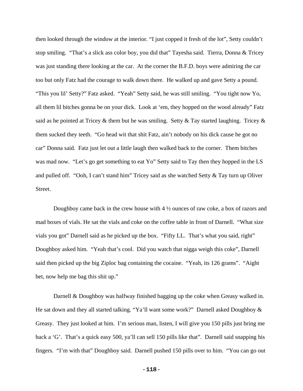then looked through the window at the interior. "I just copped it fresh of the lot", Setty couldn't stop smiling. "That's a slick ass color boy, you did that" Tayesha said. Tierra, Donna & Tricey was just standing there looking at the car. At the corner the B.F.D. boys were admiring the car too but only Fatz had the courage to walk down there. He walked up and gave Setty a pound. "This you lil' Setty?" Fatz asked. "Yeah" Setty said, he was still smiling. "You tight now Yo, all them lil bitches gonna be on your dick. Look at 'em, they hopped on the wood already" Fatz said as he pointed at Tricey & them but he was smiling. Setty & Tay started laughing. Tricey & them sucked they teeth. "Go head wit that shit Fatz, ain't nobody on his dick cause he got no car" Donna said. Fatz just let out a little laugh then walked back to the corner. Them bitches was mad now. "Let's go get something to eat Yo" Setty said to Tay then they hopped in the LS and pulled off. "Ooh, I can't stand him" Tricey said as she watched Setty & Tay turn up Oliver Street.

Doughboy came back in the crew house with  $4\frac{1}{2}$  ounces of raw coke, a box of razors and mad boxes of vials. He sat the vials and coke on the coffee table in front of Darnell. "What size vials you got" Darnell said as he picked up the box. "Fifty LL. That's what you said, right" Doughboy asked him. "Yeah that's cool. Did you watch that nigga weigh this coke", Darnell said then picked up the big Ziploc bag containing the cocaine. "Yeah, its 126 grams". "Aight bet, now help me bag this shit up."

 Darnell & Doughboy was halfway finished bagging up the coke when Greasy walked in. He sat down and they all started talking. "Ya'll want some work?" Darnell asked Doughboy & Greasy. They just looked at him. I'm serious man, listen, I will give you 150 pills just bring me back a 'G'. That's a quick easy 500, ya'll can sell 150 pills like that". Darnell said snapping his fingers. "I'm with that" Doughboy said. Darnell pushed 150 pills over to him. "You can go out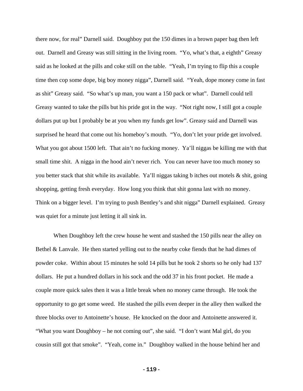there now, for real" Darnell said. Doughboy put the 150 dimes in a brown paper bag then left out. Darnell and Greasy was still sitting in the living room. "Yo, what's that, a eighth" Greasy said as he looked at the pills and coke still on the table. "Yeah, I'm trying to flip this a couple time then cop some dope, big boy money nigga", Darnell said. "Yeah, dope money come in fast as shit" Greasy said. "So what's up man, you want a 150 pack or what". Darnell could tell Greasy wanted to take the pills but his pride got in the way. "Not right now, I still got a couple dollars put up but I probably be at you when my funds get low". Greasy said and Darnell was surprised he heard that come out his homeboy's mouth. "Yo, don't let your pride get involved. What you got about 1500 left. That ain't no fucking money. Ya'll niggas be killing me with that small time shit. A nigga in the hood ain't never rich. You can never have too much money so you better stack that shit while its available. Ya'll niggas taking b itches out motels & shit, going shopping, getting fresh everyday. How long you think that shit gonna last with no money. Think on a bigger level. I'm trying to push Bentley's and shit nigga" Darnell explained. Greasy was quiet for a minute just letting it all sink in.

 When Doughboy left the crew house he went and stashed the 150 pills near the alley on Bethel & Lanvale. He then started yelling out to the nearby coke fiends that he had dimes of powder coke. Within about 15 minutes he sold 14 pills but he took 2 shorts so he only had 137 dollars. He put a hundred dollars in his sock and the odd 37 in his front pocket. He made a couple more quick sales then it was a little break when no money came through. He took the opportunity to go get some weed. He stashed the pills even deeper in the alley then walked the three blocks over to Antoinette's house. He knocked on the door and Antoinette answered it. "What you want Doughboy – he not coming out", she said. "I don't want Mal girl, do you cousin still got that smoke". "Yeah, come in." Doughboy walked in the house behind her and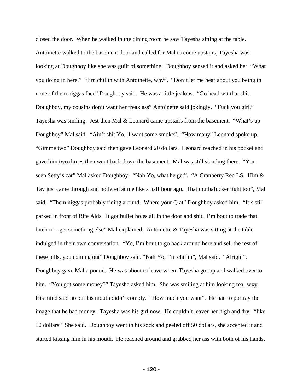closed the door. When he walked in the dining room he saw Tayesha sitting at the table. Antoinette walked to the basement door and called for Mal to come upstairs, Tayesha was looking at Doughboy like she was guilt of something. Doughboy sensed it and asked her, "What you doing in here." "I'm chillin with Antoinette, why". "Don't let me hear about you being in none of them niggas face" Doughboy said. He was a little jealous. "Go head wit that shit Doughboy, my cousins don't want her freak ass" Antoinette said jokingly. "Fuck you girl," Tayesha was smiling. Jest then Mal & Leonard came upstairs from the basement. "What's up Doughboy" Mal said. "Ain't shit Yo. I want some smoke". "How many" Leonard spoke up. "Gimme two" Doughboy said then gave Leonard 20 dollars. Leonard reached in his pocket and gave him two dimes then went back down the basement. Mal was still standing there. "You seen Setty's car" Mal asked Doughboy. "Nah Yo, what he get". "A Cranberry Red LS. Him & Tay just came through and hollered at me like a half hour ago. That muthafucker tight too", Mal said. "Them niggas probably riding around. Where your Q at" Doughboy asked him. "It's still parked in front of Rite Aids. It got bullet holes all in the door and shit. I'm bout to trade that bitch in – get something else" Mal explained. Antoinette  $\&$  Tayesha was sitting at the table indulged in their own conversation. "Yo, I'm bout to go back around here and sell the rest of these pills, you coming out" Doughboy said. "Nah Yo, I'm chillin", Mal said. "Alright", Doughboy gave Mal a pound. He was about to leave when Tayesha got up and walked over to him. "You got some money?" Tayesha asked him. She was smiling at him looking real sexy. His mind said no but his mouth didn't comply. "How much you want". He had to portray the image that he had money. Tayesha was his girl now. He couldn't leaver her high and dry. "like 50 dollars" She said. Doughboy went in his sock and peeled off 50 dollars, she accepted it and started kissing him in his mouth. He reached around and grabbed her ass with both of his hands.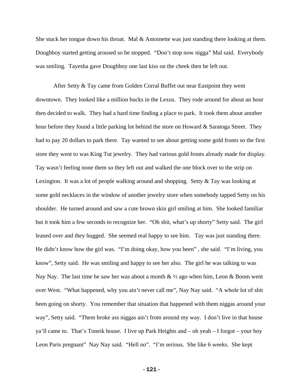She stuck her tongue down his throat. Mal & Antoinette was just standing there looking at them. Doughboy started getting aroused so he stopped. "Don't stop now nigga" Mal said. Everybody was smiling. Tayesha gave Doughboy one last kiss on the cheek then he left out.

 After Setty & Tay came from Golden Corral Buffet out near Eastpoint they went downtown. They looked like a million bucks in the Lexus. They rode around for about an hour then decided to walk. They had a hard time finding a place to park. It took them about another hour before they found a little parking lot behind the store on Howard & Saratoga Street. They had to pay 20 dollars to park there. Tay wanted to see about getting some gold fronts so the first store they went to was King Tut jewelry. They had various gold fronts already made for display. Tay wasn't feeling none them so they left out and walked the one block over to the strip on Lexington. It was a lot of people walking around and shopping. Setty & Tay was looking at some gold necklaces in the window of another jewelry store when somebody tapped Setty on his shoulder. He turned around and saw a cute brown skin girl smiling at him. She looked familiar but it took him a few seconds to recognize her. "Oh shit, what's up shorty" Setty said. The girl leaned over and they hugged. She seemed real happy to see him. Tay was just standing there. He didn't know how the girl was. "I'm doing okay, how you been" , she said. "I'm living, you know", Setty said. He was smiling and happy to see her also. The girl he was talking to was Nay Nay. The last time he saw her was about a month  $\& \frac{1}{2}$  ago when him, Leon  $\&$  Boom went over West. "What happened, why you ain't never call me", Nay Nay said. "A whole lot of shit been going on shorty. You remember that situation that happened with them niggas around your way", Setty said. "Them broke ass niggas ain't from around my way. I don't live in that house ya'll came to. That's Toneik house. I live up Park Heights and – oh yeah – I forgot – your boy Leon Paris pregnant" Nay Nay said. "Hell no". "I'm serious. She like 6 weeks. She kept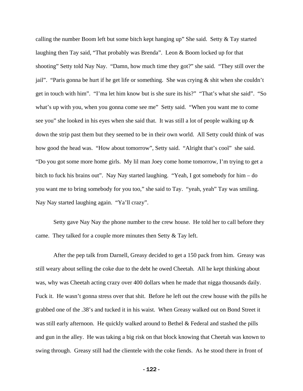calling the number Boom left but some bitch kept hanging up" She said. Setty & Tay started laughing then Tay said, "That probably was Brenda". Leon & Boom locked up for that shooting" Setty told Nay Nay. "Damn, how much time they got?" she said. "They still over the jail". "Paris gonna be hurt if he get life or something. She was crying & shit when she couldn't get in touch with him". "I'ma let him know but is she sure its his?" "That's what she said". "So what's up with you, when you gonna come see me" Setty said. "When you want me to come see you" she looked in his eyes when she said that. It was still a lot of people walking up  $\&$ down the strip past them but they seemed to be in their own world. All Setty could think of was how good the head was. "How about tomorrow", Setty said. "Alright that's cool" she said. "Do you got some more home girls. My lil man Joey come home tomorrow, I'm trying to get a bitch to fuck his brains out". Nay Nay started laughing. "Yeah, I got somebody for him – do you want me to bring somebody for you too," she said to Tay. "yeah, yeah" Tay was smiling. Nay Nay started laughing again. "Ya'll crazy".

 Setty gave Nay Nay the phone number to the crew house. He told her to call before they came. They talked for a couple more minutes then Setty & Tay left.

 After the pep talk from Darnell, Greasy decided to get a 150 pack from him. Greasy was still weary about selling the coke due to the debt he owed Cheetah. All he kept thinking about was, why was Cheetah acting crazy over 400 dollars when he made that nigga thousands daily. Fuck it. He wasn't gonna stress over that shit. Before he left out the crew house with the pills he grabbed one of the .38's and tucked it in his waist. When Greasy walked out on Bond Street it was still early afternoon. He quickly walked around to Bethel & Federal and stashed the pills and gun in the alley. He was taking a big risk on that block knowing that Cheetah was known to swing through. Greasy still had the clientele with the coke fiends. As he stood there in front of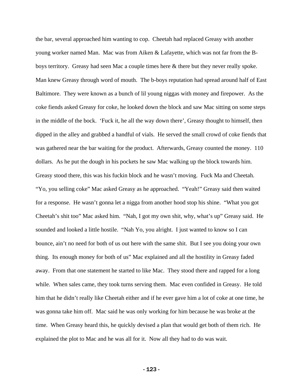the bar, several approached him wanting to cop. Cheetah had replaced Greasy with another young worker named Man. Mac was from Aiken & Lafayette, which was not far from the Bboys territory. Greasy had seen Mac a couple times here & there but they never really spoke. Man knew Greasy through word of mouth. The b-boys reputation had spread around half of East Baltimore. They were known as a bunch of lil young niggas with money and firepower. As the coke fiends asked Greasy for coke, he looked down the block and saw Mac sitting on some steps in the middle of the bock. 'Fuck it, he all the way down there', Greasy thought to himself, then dipped in the alley and grabbed a handful of vials. He served the small crowd of coke fiends that was gathered near the bar waiting for the product. Afterwards, Greasy counted the money. 110 dollars. As he put the dough in his pockets he saw Mac walking up the block towards him. Greasy stood there, this was his fuckin block and he wasn't moving. Fuck Ma and Cheetah. "Yo, you selling coke" Mac asked Greasy as he approached. "Yeah!" Greasy said then waited for a response. He wasn't gonna let a nigga from another hood stop his shine. "What you got Cheetah's shit too" Mac asked him. "Nah, I got my own shit, why, what's up" Greasy said. He sounded and looked a little hostile. "Nah Yo, you alright. I just wanted to know so I can bounce, ain't no need for both of us out here with the same shit. But I see you doing your own thing. Its enough money for both of us" Mac explained and all the hostility in Greasy faded away. From that one statement he started to like Mac. They stood there and rapped for a long while. When sales came, they took turns serving them. Mac even confided in Greasy. He told him that he didn't really like Cheetah either and if he ever gave him a lot of coke at one time, he was gonna take him off. Mac said he was only working for him because he was broke at the time. When Greasy heard this, he quickly devised a plan that would get both of them rich. He explained the plot to Mac and he was all for it. Now all they had to do was wait.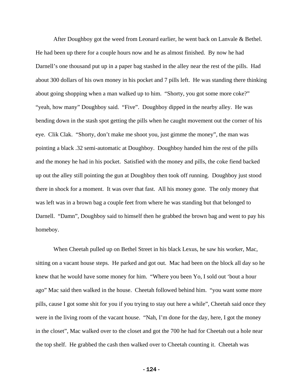After Doughboy got the weed from Leonard earlier, he went back on Lanvale & Bethel. He had been up there for a couple hours now and he as almost finished. By now he had Darnell's one thousand put up in a paper bag stashed in the alley near the rest of the pills. Had about 300 dollars of his own money in his pocket and 7 pills left. He was standing there thinking about going shopping when a man walked up to him. "Shorty, you got some more coke?" "yeah, how many" Doughboy said. "Five". Doughboy dipped in the nearby alley. He was bending down in the stash spot getting the pills when he caught movement out the corner of his eye. Clik Clak. "Shorty, don't make me shoot you, just gimme the money", the man was pointing a black .32 semi-automatic at Doughboy. Doughboy handed him the rest of the pills and the money he had in his pocket. Satisfied with the money and pills, the coke fiend backed up out the alley still pointing the gun at Doughboy then took off running. Doughboy just stood there in shock for a moment. It was over that fast. All his money gone. The only money that was left was in a brown bag a couple feet from where he was standing but that belonged to Darnell. "Damn", Doughboy said to himself then he grabbed the brown bag and went to pay his homeboy.

 When Cheetah pulled up on Bethel Street in his black Lexus, he saw his worker, Mac, sitting on a vacant house steps. He parked and got out. Mac had been on the block all day so he knew that he would have some money for him. "Where you been Yo, I sold out 'bout a hour ago" Mac said then walked in the house. Cheetah followed behind him. "you want some more pills, cause I got some shit for you if you trying to stay out here a while", Cheetah said once they were in the living room of the vacant house. "Nah, I'm done for the day, here, I got the money in the closet", Mac walked over to the closet and got the 700 he had for Cheetah out a hole near the top shelf. He grabbed the cash then walked over to Cheetah counting it. Cheetah was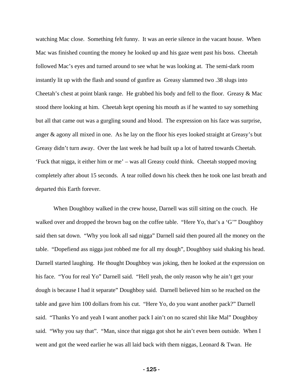watching Mac close. Something felt funny. It was an eerie silence in the vacant house. When Mac was finished counting the money he looked up and his gaze went past his boss. Cheetah followed Mac's eyes and turned around to see what he was looking at. The semi-dark room instantly lit up with the flash and sound of gunfire as Greasy slammed two .38 slugs into Cheetah's chest at point blank range. He grabbed his body and fell to the floor. Greasy & Mac stood there looking at him. Cheetah kept opening his mouth as if he wanted to say something but all that came out was a gurgling sound and blood. The expression on his face was surprise, anger & agony all mixed in one. As he lay on the floor his eyes looked straight at Greasy's but Greasy didn't turn away. Over the last week he had built up a lot of hatred towards Cheetah. 'Fuck that nigga, it either him or me' – was all Greasy could think. Cheetah stopped moving completely after about 15 seconds. A tear rolled down his cheek then he took one last breath and departed this Earth forever.

 When Doughboy walked in the crew house, Darnell was still sitting on the couch. He walked over and dropped the brown bag on the coffee table. "Here Yo, that's a 'G'" Doughboy said then sat down. "Why you look all sad nigga" Darnell said then poured all the money on the table. "Dopefiend ass nigga just robbed me for all my dough", Doughboy said shaking his head. Darnell started laughing. He thought Doughboy was joking, then he looked at the expression on his face. "You for real Yo" Darnell said. "Hell yeah, the only reason why he ain't get your dough is because I had it separate" Doughboy said. Darnell believed him so he reached on the table and gave him 100 dollars from his cut. "Here Yo, do you want another pack?" Darnell said. "Thanks Yo and yeah I want another pack I ain't on no scared shit like Mal" Doughboy said. "Why you say that". "Man, since that nigga got shot he ain't even been outside. When I went and got the weed earlier he was all laid back with them niggas, Leonard & Twan. He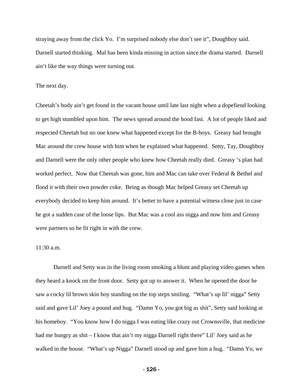straying away from the click Yo. I'm surprised nobody else don't see it", Doughboy said. Darnell started thinking. Mal has been kinda missing in action since the drama started. Darnell ain't like the way things were turning out.

## The next day.

Cheetah's body ain't get found in the vacant house until late last night when a dopefiend looking to get high stumbled upon him. The news spread around the hood fast. A lot of people liked and respected Cheetah but no one knew what happened except for the B-boys. Greasy had brought Mac around the crew house with him when he explained what happened. Setty, Tay, Doughboy and Darnell were the only other people who knew how Cheetah really died. Greasy 's plan had worked perfect. Now that Cheetah was gone, him and Mac can take over Federal & Bethel and flood it with their own powder coke. Being as though Mac helped Greasy set Cheetah up everybody decided to keep him around. It's better to have a potential witness close just in case he got a sudden case of the loose lips. But Mac was a cool ass nigga and now him and Greasy were partners so he fit right in with the crew.

## 11:30 a.m.

 Darnell and Setty was in the living room smoking a blunt and playing video games when they heard a knock on the front door. Setty got up to answer it. When he opened the door he saw a cocky lil brown skin boy standing on the top steps smiling. "What's up lil' nigga" Setty said and gave Lil' Joey a pound and hug. "Damn Yo, you got big as shit", Setty said looking at his homeboy. "You know how I do nigga I was eating like crazy out Crownsville, that medicine had me hungry as shit – I know that ain't my nigga Darnell right there" Lil' Joey said as he walked in the house. "What's up Nigga" Darnell stood up and gave him a hug. "Damn Yo, we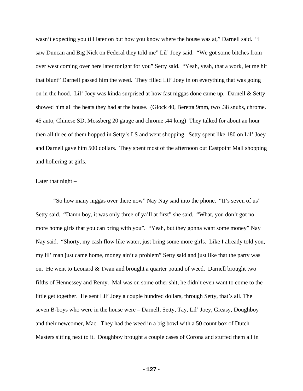wasn't expecting you till later on but how you know where the house was at," Darnell said. "I saw Duncan and Big Nick on Federal they told me" Lil' Joey said. "We got some bitches from over west coming over here later tonight for you" Setty said. "Yeah, yeah, that a work, let me hit that blunt" Darnell passed him the weed. They filled Lil' Joey in on everything that was going on in the hood. Lil' Joey was kinda surprised at how fast niggas done came up. Darnell & Setty showed him all the heats they had at the house. (Glock 40, Beretta 9mm, two .38 snubs, chrome. 45 auto, Chinese SD, Mossberg 20 gauge and chrome .44 long) They talked for about an hour then all three of them hopped in Setty's LS and went shopping. Setty spent like 180 on Lil' Joey and Darnell gave him 500 dollars. They spent most of the afternoon out Eastpoint Mall shopping and hollering at girls.

## Later that  $night$  –

 "So how many niggas over there now" Nay Nay said into the phone. "It's seven of us" Setty said. "Damn boy, it was only three of ya'll at first" she said. "What, you don't got no more home girls that you can bring with you". "Yeah, but they gonna want some money" Nay Nay said. "Shorty, my cash flow like water, just bring some more girls. Like I already told you, my lil' man just came home, money ain't a problem" Setty said and just like that the party was on. He went to Leonard & Twan and brought a quarter pound of weed. Darnell brought two fifths of Hennessey and Remy. Mal was on some other shit, he didn't even want to come to the little get together. He sent Lil' Joey a couple hundred dollars, through Setty, that's all. The seven B-boys who were in the house were – Darnell, Setty, Tay, Lil' Joey, Greasy, Doughboy and their newcomer, Mac. They had the weed in a big bowl with a 50 count box of Dutch Masters sitting next to it. Doughboy brought a couple cases of Corona and stuffed them all in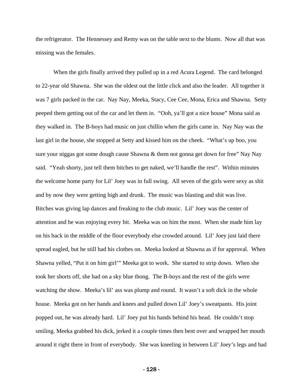the refrigerator. The Hennessey and Remy was on the table next to the blunts. Now all that was missing was the females.

 When the girls finally arrived they pulled up in a red Acura Legend. The card belonged to 22-year old Shawna. She was the oldest out the little click and also the leader. All together it was 7 girls packed in the car. Nay Nay, Meeka, Stacy, Cee Cee, Mona, Erica and Shawna. Setty peeped them getting out of the car and let them in. "Ooh, ya'll got a nice house" Mona said as they walked in. The B-boys had music on just chillin when the girls came in. Nay Nay was the last girl in the house, she stopped at Setty and kissed him on the cheek. "What's up boo, you sure your niggas got some dough cause Shawna & them not gonna get down for free" Nay Nay said. "Yeah shorty, just tell them bitches to get naked, we'll handle the rest". Within minutes the welcome home party for Lil' Joey was in full swing. All seven of the girls were sexy as shit and by now they were getting high and drunk. The music was blasting and shit was live. Bitches was giving lap dances and freaking to the club music. Lil' Joey was the center of attention and he was enjoying every bit. Meeka was on him the most. When she made him lay on his back in the middle of the floor everybody else crowded around. Lil' Joey just laid there spread eagled, but he still had his clothes on. Meeka looked at Shawna as if for approval. When Shawna yelled, "Put it on him girl'" Meeka got to work. She started to strip down. When she took her shorts off, she had on a sky blue thong. The B-boys and the rest of the girls were watching the show. Meeka's lil' ass was plump and round. It wasn't a soft dick in the whole house. Meeka got on her hands and knees and pulled down Lil' Joey's sweatpants. His joint popped out, he was already hard. Lil' Joey put his hands behind his head. He couldn't stop smiling. Meeka grabbed his dick, jerked it a couple times then bent over and wrapped her mouth around it right there in front of everybody. She was kneeling in between Lil' Joey's legs and had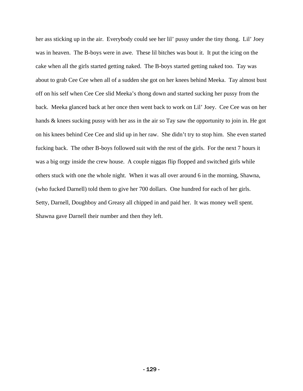her ass sticking up in the air. Everybody could see her lil' pussy under the tiny thong. Lil' Joey was in heaven. The B-boys were in awe. These lil bitches was bout it. It put the icing on the cake when all the girls started getting naked. The B-boys started getting naked too. Tay was about to grab Cee Cee when all of a sudden she got on her knees behind Meeka. Tay almost bust off on his self when Cee Cee slid Meeka's thong down and started sucking her pussy from the back. Meeka glanced back at her once then went back to work on Lil' Joey. Cee Cee was on her hands & knees sucking pussy with her ass in the air so Tay saw the opportunity to join in. He got on his knees behind Cee Cee and slid up in her raw. She didn't try to stop him. She even started fucking back. The other B-boys followed suit with the rest of the girls. For the next 7 hours it was a big orgy inside the crew house. A couple niggas flip flopped and switched girls while others stuck with one the whole night. When it was all over around 6 in the morning, Shawna, (who fucked Darnell) told them to give her 700 dollars. One hundred for each of her girls. Setty, Darnell, Doughboy and Greasy all chipped in and paid her. It was money well spent. Shawna gave Darnell their number and then they left.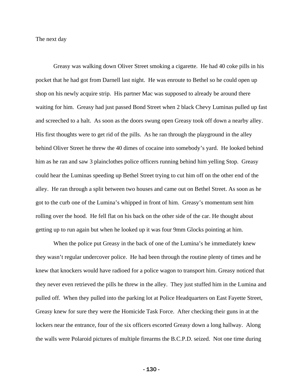The next day

 Greasy was walking down Oliver Street smoking a cigarette. He had 40 coke pills in his pocket that he had got from Darnell last night. He was enroute to Bethel so he could open up shop on his newly acquire strip. His partner Mac was supposed to already be around there waiting for him. Greasy had just passed Bond Street when 2 black Chevy Luminas pulled up fast and screeched to a halt. As soon as the doors swung open Greasy took off down a nearby alley. His first thoughts were to get rid of the pills. As he ran through the playground in the alley behind Oliver Street he threw the 40 dimes of cocaine into somebody's yard. He looked behind him as he ran and saw 3 plainclothes police officers running behind him yelling Stop. Greasy could hear the Luminas speeding up Bethel Street trying to cut him off on the other end of the alley. He ran through a split between two houses and came out on Bethel Street. As soon as he got to the curb one of the Lumina's whipped in front of him. Greasy's momentum sent him rolling over the hood. He fell flat on his back on the other side of the car. He thought about getting up to run again but when he looked up it was four 9mm Glocks pointing at him.

When the police put Greasy in the back of one of the Lumina's he immediately knew they wasn't regular undercover police. He had been through the routine plenty of times and he knew that knockers would have radioed for a police wagon to transport him. Greasy noticed that they never even retrieved the pills he threw in the alley. They just stuffed him in the Lumina and pulled off. When they pulled into the parking lot at Police Headquarters on East Fayette Street, Greasy knew for sure they were the Homicide Task Force. After checking their guns in at the lockers near the entrance, four of the six officers escorted Greasy down a long hallway. Along the walls were Polaroid pictures of multiple firearms the B.C.P.D. seized. Not one time during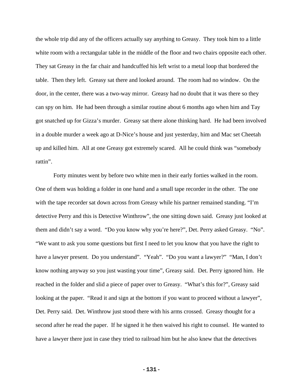the whole trip did any of the officers actually say anything to Greasy. They took him to a little white room with a rectangular table in the middle of the floor and two chairs opposite each other. They sat Greasy in the far chair and handcuffed his left wrist to a metal loop that bordered the table. Then they left. Greasy sat there and looked around. The room had no window. On the door, in the center, there was a two-way mirror. Greasy had no doubt that it was there so they can spy on him. He had been through a similar routine about 6 months ago when him and Tay got snatched up for Gizza's murder. Greasy sat there alone thinking hard. He had been involved in a double murder a week ago at D-Nice's house and just yesterday, him and Mac set Cheetah up and killed him. All at one Greasy got extremely scared. All he could think was "somebody rattin".

 Forty minutes went by before two white men in their early forties walked in the room. One of them was holding a folder in one hand and a small tape recorder in the other. The one with the tape recorder sat down across from Greasy while his partner remained standing. "I'm detective Perry and this is Detective Winthrow", the one sitting down said. Greasy just looked at them and didn't say a word. "Do you know why you're here?", Det. Perry asked Greasy. "No". "We want to ask you some questions but first I need to let you know that you have the right to have a lawyer present. Do you understand". "Yeah". "Do you want a lawyer?" "Man, I don't know nothing anyway so you just wasting your time", Greasy said. Det. Perry ignored him. He reached in the folder and slid a piece of paper over to Greasy. "What's this for?", Greasy said looking at the paper. "Read it and sign at the bottom if you want to proceed without a lawyer", Det. Perry said. Det. Winthrow just stood there with his arms crossed. Greasy thought for a second after he read the paper. If he signed it he then waived his right to counsel. He wanted to have a lawyer there just in case they tried to railroad him but he also knew that the detectives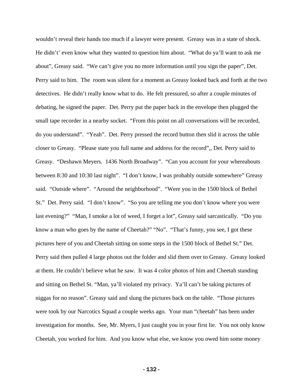wouldn't reveal their hands too much if a lawyer were present. Greasy was in a state of shock. He didn't' even know what they wanted to question him about. "What do ya'll want to ask me about", Greasy said. "We can't give you no more information until you sign the paper", Det. Perry said to him. The room was silent for a moment as Greasy looked back and forth at the two detectives. He didn't really know what to do. He felt pressured, so after a couple minutes of debating, he signed the paper. Det. Perry put the paper back in the envelope then plugged the small tape recorder in a nearby socket. "From this point on all conversations will be recorded, do you understand". "Yeah". Det. Perry pressed the record button then slid it across the table closer to Greasy. "Please state you full name and address for the record",, Det. Perry said to Greasy. "Deshawn Meyers. 1436 North Broadway". "Can you account for your whereabouts between 8:30 and 10:30 last night". "I don't know, I was probably outside somewhere" Greasy said. "Outside where". "Around the neighborhood". "Were you in the 1500 block of Bethel St." Det. Perry said. "I don't know". "So you are telling me you don't know where you were last evening?" "Man, I smoke a lot of weed, I forget a lot", Greasy said sarcastically. "Do you know a man who goes by the name of Cheetah?" "No". "That's funny, you see, I got these pictures here of you and Cheetah sitting on some steps in the 1500 block of Bethel St." Det. Perry said then pulled 4 large photos out the folder and slid them over to Greasy. Greasy looked at them. He couldn't believe what he saw. It was 4 color photos of him and Cheetah standing and sitting on Bethel St. "Man, ya'll violated my privacy. Ya'll can't be taking pictures of niggas for no reason". Greasy said and slung the pictures back on the table. "Those pictures were took by our Narcotics Squad a couple weeks ago. Your man "cheetah" has been under investigation for months. See, Mr. Myers, I just caught you in your first lie. You not only know Cheetah, you worked for him. And you know what else, we know you owed him some money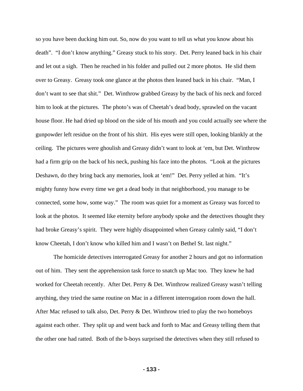so you have been ducking him out. So, now do you want to tell us what you know about his death". "I don't know anything." Greasy stuck to his story. Det. Perry leaned back in his chair and let out a sigh. Then he reached in his folder and pulled out 2 more photos. He slid them over to Greasy. Greasy took one glance at the photos then leaned back in his chair. "Man, I don't want to see that shit." Det. Winthrow grabbed Greasy by the back of his neck and forced him to look at the pictures. The photo's was of Cheetah's dead body, sprawled on the vacant house floor. He had dried up blood on the side of his mouth and you could actually see where the gunpowder left residue on the front of his shirt. His eyes were still open, looking blankly at the ceiling. The pictures were ghoulish and Greasy didn't want to look at 'em, but Det. Winthrow had a firm grip on the back of his neck, pushing his face into the photos. "Look at the pictures Deshawn, do they bring back any memories, look at 'em!" Det. Perry yelled at him. "It's mighty funny how every time we get a dead body in that neighborhood, you manage to be connected, some how, some way." The room was quiet for a moment as Greasy was forced to look at the photos. It seemed like eternity before anybody spoke and the detectives thought they had broke Greasy's spirit. They were highly disappointed when Greasy calmly said, "I don't know Cheetah, I don't know who killed him and I wasn't on Bethel St. last night."

 The homicide detectives interrogated Greasy for another 2 hours and got no information out of him. They sent the apprehension task force to snatch up Mac too. They knew he had worked for Cheetah recently. After Det. Perry & Det. Winthrow realized Greasy wasn't telling anything, they tried the same routine on Mac in a different interrogation room down the hall. After Mac refused to talk also, Det. Perry & Det. Winthrow tried to play the two homeboys against each other. They split up and went back and forth to Mac and Greasy telling them that the other one had ratted. Both of the b-boys surprised the detectives when they still refused to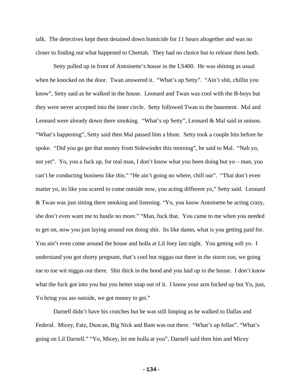talk. The detectives kept them detained down homicide for 11 hours altogether and was no closer to finding out what happened to Cheetah. They had no choice but to release them both.

 Setty pulled up in front of Antoinette's house in the LS400. He was shining as usual when he knocked on the door. Twan answered it. "What's up Setty". "Ain't shit, chillin you know", Setty said as he walked in the house. Leonard and Twan was cool with the B-boys but they were never accepted into the inner circle. Setty followed Twan to the basement. Mal and Leonard were already down there smoking. "What's up Setty", Leonard & Mal said in unison. "What's happening", Setty said then Mal passed him a blunt. Setty took a couple hits before he spoke. "Did you go get that money from Sidewinder this morning", he said to Mal. "Nah yo, not yet". Yo, you a fuck up, for real man, I don't know what you been doing but yo – man, you can't be conducting business like this." "He ain't going no where, chill out". "That don't even matter yo, its like you scared to come outside now, you acting different yo," Setty said. Leonard & Twan was just sitting there smoking and listening. "Yo, you know Antoinette be acting crazy, she don't even want me to hustle no more." "Man, fuck that. You came to me when you needed to get on, now you just laying around not doing shit. Its like damn, what is you getting paid for. You ain't even come around the house and holla at Lil Joey last night. You getting soft yo. I understand you got shorty pregnant, that's cool but niggas out there in the storm son, we going toe to toe wit niggas out there. Shit thick in the hood and you laid up in the house. I don't know what the fuck got into you but you better snap out of it. I know your arm fucked up but Yo, just, Yo bring you ass outside, we got money to get."

 Darnell didn't have his crutches but he was still limping as he walked to Dallas and Federal. Micey, Fatz, Duncan, Big Nick and Bam was out there. "What's up fellas". "What's going on Lil Darnell." "Yo, Micey, let me holla at you", Darnell said then him and Micey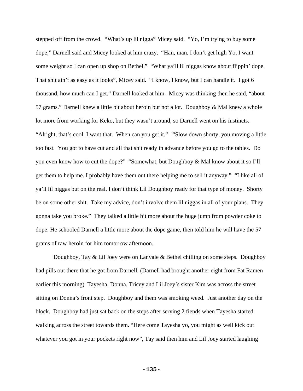stepped off from the crowd. "What's up lil nigga" Micey said. "Yo, I'm trying to buy some dope," Darnell said and Micey looked at him crazy. "Han, man, I don't get high Yo, I want some weight so I can open up shop on Bethel." "What ya'll lil niggas know about flippin' dope. That shit ain't as easy as it looks", Micey said. "I know, I know, but I can handle it. I got 6 thousand, how much can I get." Darnell looked at him. Micey was thinking then he said, "about 57 grams." Darnell knew a little bit about heroin but not a lot. Doughboy & Mal knew a whole lot more from working for Keko, but they wasn't around, so Darnell went on his instincts. "Alright, that's cool. I want that. When can you get it." "Slow down shorty, you moving a little too fast. You got to have cut and all that shit ready in advance before you go to the tables. Do you even know how to cut the dope?" "Somewhat, but Doughboy & Mal know about it so I'll get them to help me. I probably have them out there helping me to sell it anyway." "I like all of ya'll lil niggas but on the real, I don't think Lil Doughboy ready for that type of money. Shorty be on some other shit. Take my advice, don't involve them lil niggas in all of your plans. They gonna take you broke." They talked a little bit more about the huge jump from powder coke to dope. He schooled Darnell a little more about the dope game, then told him he will have the 57 grams of raw heroin for him tomorrow afternoon.

 Doughboy, Tay & Lil Joey were on Lanvale & Bethel chilling on some steps. Doughboy had pills out there that he got from Darnell. (Darnell had brought another eight from Fat Ramen earlier this morning) Tayesha, Donna, Tricey and Lil Joey's sister Kim was across the street sitting on Donna's front step. Doughboy and them was smoking weed. Just another day on the block. Doughboy had just sat back on the steps after serving 2 fiends when Tayesha started walking across the street towards them. "Here come Tayesha yo, you might as well kick out whatever you got in your pockets right now", Tay said then him and Lil Joey started laughing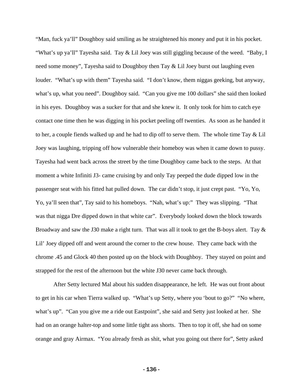"Man, fuck ya'll" Doughboy said smiling as he straightened his money and put it in his pocket. "What's up ya'll" Tayesha said. Tay & Lil Joey was still giggling because of the weed. "Baby, I need some money", Tayesha said to Doughboy then Tay & Lil Joey burst out laughing even louder. "What's up with them" Tayesha said. "I don't know, them niggas geeking, but anyway, what's up, what you need". Doughboy said. "Can you give me 100 dollars" she said then looked in his eyes. Doughboy was a sucker for that and she knew it. It only took for him to catch eye contact one time then he was digging in his pocket peeling off twenties. As soon as he handed it to her, a couple fiends walked up and he had to dip off to serve them. The whole time Tay & Lil Joey was laughing, tripping off how vulnerable their homeboy was when it came down to pussy. Tayesha had went back across the street by the time Doughboy came back to the steps. At that moment a white Infiniti J3- came cruising by and only Tay peeped the dude dipped low in the passenger seat with his fitted hat pulled down. The car didn't stop, it just crept past. "Yo, Yo, Yo, ya'll seen that", Tay said to his homeboys. "Nah, what's up:" They was slipping. "That was that nigga Dre dipped down in that white car". Everybody looked down the block towards Broadway and saw the J30 make a right turn. That was all it took to get the B-boys alert. Tay & Lil' Joey dipped off and went around the corner to the crew house. They came back with the chrome .45 and Glock 40 then posted up on the block with Doughboy. They stayed on point and strapped for the rest of the afternoon but the white J30 never came back through.

 After Setty lectured Mal about his sudden disappearance, he left. He was out front about to get in his car when Tierra walked up. "What's up Setty, where you 'bout to go?" "No where, what's up". "Can you give me a ride out Eastpoint", she said and Setty just looked at her. She had on an orange halter-top and some little tight ass shorts. Then to top it off, she had on some orange and gray Airmax. "You already fresh as shit, what you going out there for", Setty asked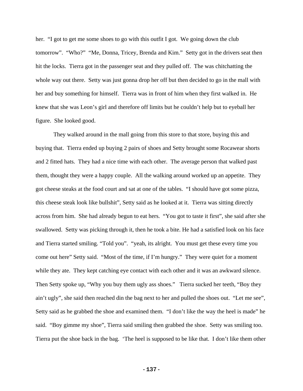her. "I got to get me some shoes to go with this outfit I got. We going down the club tomorrow". "Who?" "Me, Donna, Tricey, Brenda and Kim." Setty got in the drivers seat then hit the locks. Tierra got in the passenger seat and they pulled off. The was chitchatting the whole way out there. Setty was just gonna drop her off but then decided to go in the mall with her and buy something for himself. Tierra was in front of him when they first walked in. He knew that she was Leon's girl and therefore off limits but he couldn't help but to eyeball her figure. She looked good.

 They walked around in the mall going from this store to that store, buying this and buying that. Tierra ended up buying 2 pairs of shoes and Setty brought some Rocawear shorts and 2 fitted hats. They had a nice time with each other. The average person that walked past them, thought they were a happy couple. All the walking around worked up an appetite. They got cheese steaks at the food court and sat at one of the tables. "I should have got some pizza, this cheese steak look like bullshit", Setty said as he looked at it. Tierra was sitting directly across from him. She had already begun to eat hers. "You got to taste it first", she said after she swallowed. Setty was picking through it, then he took a bite. He had a satisfied look on his face and Tierra started smiling. "Told you". "yeah, its alright. You must get these every time you come out here" Setty said. "Most of the time, if I'm hungry." They were quiet for a moment while they ate. They kept catching eye contact with each other and it was an awkward silence. Then Setty spoke up, "Why you buy them ugly ass shoes." Tierra sucked her teeth, "Boy they ain't ugly", she said then reached din the bag next to her and pulled the shoes out. "Let me see", Setty said as he grabbed the shoe and examined them. "I don't like the way the heel is made" he said. "Boy gimme my shoe", Tierra said smiling then grabbed the shoe. Setty was smiling too. Tierra put the shoe back in the bag. 'The heel is supposed to be like that. I don't like them other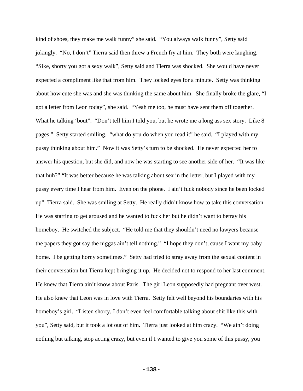kind of shoes, they make me walk funny" she said. "You always walk funny", Setty said jokingly. "No, I don't" Tierra said then threw a French fry at him. They both were laughing. "Sike, shorty you got a sexy walk", Setty said and Tierra was shocked. She would have never expected a compliment like that from him. They locked eyes for a minute. Setty was thinking about how cute she was and she was thinking the same about him. She finally broke the glare, "I got a letter from Leon today", she said. "Yeah me too, he must have sent them off together. What he talking 'bout''. "Don't tell him I told you, but he wrote me a long ass sex story. Like 8 pages." Setty started smiling. "what do you do when you read it" he said. "I played with my pussy thinking about him." Now it was Setty's turn to be shocked. He never expected her to answer his question, but she did, and now he was starting to see another side of her. "It was like that huh?" "It was better because he was talking about sex in the letter, but I played with my pussy every time I hear from him. Even on the phone. I ain't fuck nobody since he been locked up" Tierra said.. She was smiling at Setty. He really didn't know how to take this conversation. He was starting to get aroused and he wanted to fuck her but he didn't want to betray his homeboy. He switched the subject. "He told me that they shouldn't need no lawyers because the papers they got say the niggas ain't tell nothing." "I hope they don't, cause I want my baby home. I be getting horny sometimes." Setty had tried to stray away from the sexual content in their conversation but Tierra kept bringing it up. He decided not to respond to her last comment. He knew that Tierra ain't know about Paris. The girl Leon supposedly had pregnant over west. He also knew that Leon was in love with Tierra. Setty felt well beyond his boundaries with his homeboy's girl. "Listen shorty, I don't even feel comfortable talking about shit like this with you", Setty said, but it took a lot out of him. Tierra just looked at him crazy. "We ain't doing nothing but talking, stop acting crazy, but even if I wanted to give you some of this pussy, you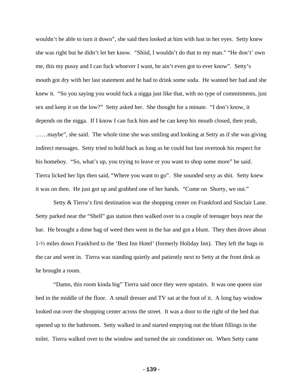wouldn't be able to turn it down", she said then looked at him with lust in her eyes. Setty knew she was right but he didn't let her know. "Shiid, I wouldn't do that to my man." "He don't' own me, this my pussy and I can fuck whoever I want, he ain't even got to ever know". Setty's mouth got dry with her last statement and he had to drink some soda. He wanted her bad and she knew it. "So you saying you would fuck a nigga just like that, with no type of commitments, just sex and keep it on the low?" Setty asked her. She thought for a minute. "I don't know, it depends on the nigga. If I know I can fuck him and he can keep his mouth closed, then yeah, ……maybe", she said. The whole time she was smiling and looking at Setty as if she was giving indirect messages. Setty tried to hold back as long as he could but lust overtook his respect for his homeboy. "So, what's up, you trying to leave or you want to shop some more" he said. Tierra licked her lips then said, "Where you want to go". She sounded sexy as shit. Setty knew it was on then. He just got up and grabbed one of her hands. "Come on Shorty, we out."

 Setty & Tierra's first destination was the shopping center on Frankford and Sinclair Lane. Setty parked near the "Shell" gas station then walked over to a couple of teenager boys near the bar. He brought a dime bag of weed then went in the bar and got a blunt. They then drove about 1-½ miles down Frankford to the 'Best Inn Hotel' (formerly Holiday Inn). They left the bags in the car and went in. Tierra was standing quietly and patiently next to Setty at the front desk as he brought a room.

 "Damn, this room kinda big" Tierra said once they were upstairs. It was one queen size bed in the middle of the floor. A small dresser and TV sat at the foot of it. A long bay window looked out over the shopping center across the street. It was a door to the right of the bed that opened up to the bathroom. Setty walked in and started emptying out the blunt fillings in the toilet. Tierra walked over to the window and turned the air conditioner on. When Setty came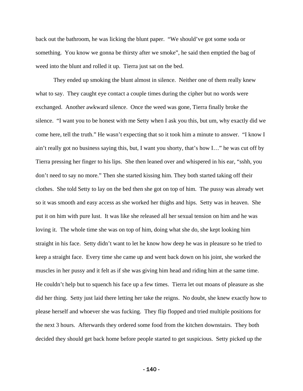back out the bathroom, he was licking the blunt paper. "We should've got some soda or something. You know we gonna be thirsty after we smoke", he said then emptied the bag of weed into the blunt and rolled it up. Tierra just sat on the bed.

 They ended up smoking the blunt almost in silence. Neither one of them really knew what to say. They caught eye contact a couple times during the cipher but no words were exchanged. Another awkward silence. Once the weed was gone, Tierra finally broke the silence. "I want you to be honest with me Setty when I ask you this, but um, why exactly did we come here, tell the truth." He wasn't expecting that so it took him a minute to answer. "I know I ain't really got no business saying this, but, I want you shorty, that's how I…" he was cut off by Tierra pressing her finger to his lips. She then leaned over and whispered in his ear, "sshh, you don't need to say no more." Then she started kissing him. They both started taking off their clothes. She told Setty to lay on the bed then she got on top of him. The pussy was already wet so it was smooth and easy access as she worked her thighs and hips. Setty was in heaven. She put it on him with pure lust. It was like she released all her sexual tension on him and he was loving it. The whole time she was on top of him, doing what she do, she kept looking him straight in his face. Setty didn't want to let he know how deep he was in pleasure so he tried to keep a straight face. Every time she came up and went back down on his joint, she worked the muscles in her pussy and it felt as if she was giving him head and riding him at the same time. He couldn't help but to squench his face up a few times. Tierra let out moans of pleasure as she did her thing. Setty just laid there letting her take the reigns. No doubt, she knew exactly how to please herself and whoever she was fucking. They flip flopped and tried multiple positions for the next 3 hours. Afterwards they ordered some food from the kitchen downstairs. They both decided they should get back home before people started to get suspicious. Setty picked up the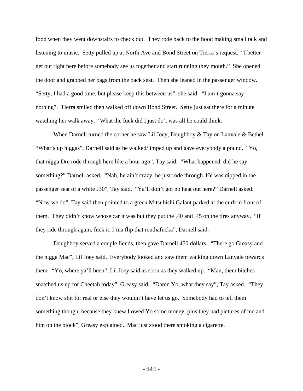food when they went downstairs to check out. They rode back to the hood making small talk and listening to music. Setty pulled up at North Ave and Bond Street on Tierra's request. "I better get out right here before somebody see us together and start running they mouth." She opened the door and grabbed her bags from the back seat. Then she leaned in the passenger window. "Setty, I had a good time, but please keep this between us", she said. "I ain't gonna say nothing". Tierra smiled then walked off down Bond Street. Setty just sat there for a minute watching her walk away. 'What the fuck did I just do', was all he could think.

When Darnell turned the corner he saw Lil Joey, Doughboy & Tay on Lanvale & Bethel. "What's up niggas", Darnell said as he walked/limped up and gave everybody a pound. "Yo, that nigga Dre rode through here like a hour ago", Tay said. "What happened, did he say something?" Darnell asked. "Nah, he ain't crazy, he just rode through. He was dipped in the passenger seat of a white J30", Tay said. "Ya'll don't got no heat out here?" Darnell asked. "Now we do", Tay said then pointed to a green Mitsubishi Galant parked at the curb in front of them. They didn't know whose car it was but they put the .40 and .45 on the tires anyway. "If they ride through again, fuck it, I'ma flip that muthafucka", Darnell said.

 Doughboy served a couple fiends, then gave Darnell 450 dollars. "There go Greasy and the nigga Mac", Lil Joey said. Everybody looked and saw them walking down Lanvale towards them. "Yo, where ya'll been", Lil Joey said as soon as they walked up. "Man, them bitches snatched us up for Cheetah today", Greasy said. "Damn Yo, what they say", Tay asked. "They don't know shit for real or else they wouldn't have let us go. Somebody had to tell them something though, because they knew I owed Yo some money, plus they had pictures of me and him on the block", Greasy explained. Mac just stood there smoking a cigarette.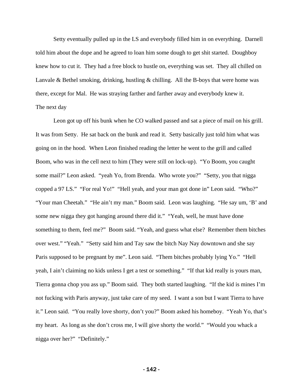Setty eventually pulled up in the LS and everybody filled him in on everything. Darnell told him about the dope and he agreed to loan him some dough to get shit started. Doughboy knew how to cut it. They had a free block to hustle on, everything was set. They all chilled on Lanvale & Bethel smoking, drinking, hustling & chilling. All the B-boys that were home was there, except for Mal. He was straying farther and farther away and everybody knew it. The next day

 Leon got up off his bunk when he CO walked passed and sat a piece of mail on his grill. It was from Setty. He sat back on the bunk and read it. Setty basically just told him what was going on in the hood. When Leon finished reading the letter he went to the grill and called Boom, who was in the cell next to him (They were still on lock-up). "Yo Boom, you caught some mail?" Leon asked. "yeah Yo, from Brenda. Who wrote you?" "Setty, you that nigga copped a 97 LS." "For real Yo!" "Hell yeah, and your man got done in" Leon said. "Who?" "Your man Cheetah." "He ain't my man." Boom said. Leon was laughing. "He say um, 'B' and some new nigga they got hanging around there did it." "Yeah, well, he must have done something to them, feel me?" Boom said. "Yeah, and guess what else? Remember them bitches over west." "Yeah." "Setty said him and Tay saw the bitch Nay Nay downtown and she say Paris supposed to be pregnant by me". Leon said. "Them bitches probably lying Yo." "Hell yeah, I ain't claiming no kids unless I get a test or something." "If that kid really is yours man, Tierra gonna chop you ass up." Boom said. They both started laughing. "If the kid is mines I'm not fucking with Paris anyway, just take care of my seed. I want a son but I want Tierra to have it." Leon said. "You really love shorty, don't you?" Boom asked his homeboy. "Yeah Yo, that's my heart. As long as she don't cross me, I will give shorty the world." "Would you whack a nigga over her?" "Definitely."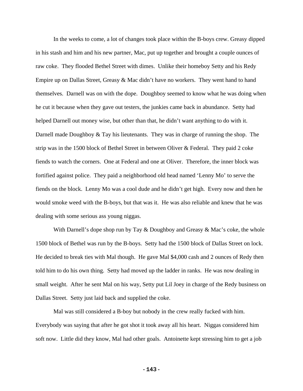In the weeks to come, a lot of changes took place within the B-boys crew. Greasy dipped in his stash and him and his new partner, Mac, put up together and brought a couple ounces of raw coke. They flooded Bethel Street with dimes. Unlike their homeboy Setty and his Redy Empire up on Dallas Street, Greasy & Mac didn't have no workers. They went hand to hand themselves. Darnell was on with the dope. Doughboy seemed to know what he was doing when he cut it because when they gave out testers, the junkies came back in abundance. Setty had helped Darnell out money wise, but other than that, he didn't want anything to do with it. Darnell made Doughboy & Tay his lieutenants. They was in charge of running the shop. The strip was in the 1500 block of Bethel Street in between Oliver & Federal. They paid 2 coke fiends to watch the corners. One at Federal and one at Oliver. Therefore, the inner block was fortified against police. They paid a neighborhood old head named 'Lenny Mo' to serve the fiends on the block. Lenny Mo was a cool dude and he didn't get high. Every now and then he would smoke weed with the B-boys, but that was it. He was also reliable and knew that he was dealing with some serious ass young niggas.

With Darnell's dope shop run by Tay & Doughboy and Greasy & Mac's coke, the whole 1500 block of Bethel was run by the B-boys. Setty had the 1500 block of Dallas Street on lock. He decided to break ties with Mal though. He gave Mal \$4,000 cash and 2 ounces of Redy then told him to do his own thing. Setty had moved up the ladder in ranks. He was now dealing in small weight. After he sent Mal on his way, Setty put Lil Joey in charge of the Redy business on Dallas Street. Setty just laid back and supplied the coke.

 Mal was still considered a B-boy but nobody in the crew really fucked with him. Everybody was saying that after he got shot it took away all his heart. Niggas considered him soft now. Little did they know, Mal had other goals. Antoinette kept stressing him to get a job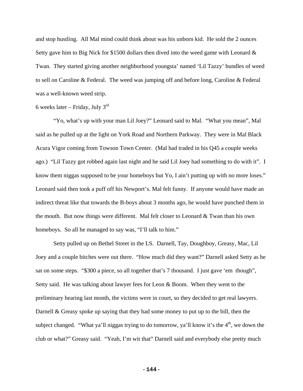and stop hustling. All Mal mind could think about was his unborn kid. He sold the 2 ounces Setty gave him to Big Nick for \$1500 dollars then dived into the weed game with Leonard  $\&$ Twan. They started giving another neighborhood youngsta' named 'Lil Tazzy' bundles of weed to sell on Caroline & Federal. The weed was jumping off and before long, Caroline & Federal was a well-known weed strip.

6 weeks later – Friday, July  $3<sup>rd</sup>$ 

 "Yo, what's up with your man Lil Joey?" Leonard said to Mal. "What you mean", Mal said as he pulled up at the light on York Road and Northern Parkway. They were in Mal Black Acura Vigor coming from Towson Town Center. (Mal had traded in his Q45 a couple weeks ago.) "Lil Tazzy got robbed again last night and he said Lil Joey had something to do with it". I know them niggas supposed to be your homeboys but Yo, I ain't putting up with no more loses." Leonard said then took a puff off his Newport's. Mal felt funny. If anyone would have made an indirect threat like that towards the B-boys about 3 months ago, he would have punched them in the mouth. But now things were different. Mal felt closer to Leonard & Twan than his own homeboys. So all he managed to say was, "I'll talk to him."

 Setty pulled up on Bethel Street in the LS. Darnell, Tay, Doughboy, Greasy, Mac, Lil Joey and a couple bitches were out there. "How much did they want?" Darnell asked Setty as he sat on some steps. "\$300 a piece, so all together that's 7 thousand. I just gave 'em though", Setty said. He was talking about lawyer fees for Leon & Boom. When they went to the preliminary hearing last month, the victims were in court, so they decided to get real lawyers. Darnell & Greasy spoke up saying that they had some money to put up to the bill, then the subject changed. "What ya'll niggas trying to do tomorrow, ya'll know it's the  $4<sup>th</sup>$ , we down the club or what?" Greasy said. "Yeah, I'm wit that" Darnell said and everybody else pretty much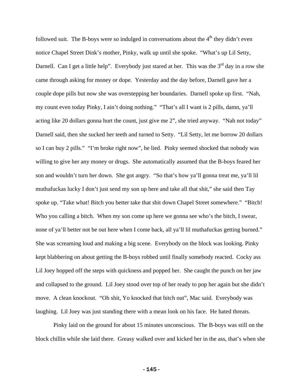followed suit. The B-boys were so indulged in conversations about the  $4<sup>th</sup>$  they didn't even notice Chapel Street Dink's mother, Pinky, walk up until she spoke. "What's up Lil Setty, Darnell. Can I get a little help". Everybody just stared at her. This was the  $3<sup>rd</sup>$  day in a row she came through asking for money or dope. Yesterday and the day before, Darnell gave her a couple dope pills but now she was overstepping her boundaries. Darnell spoke up first. "Nah, my count even today Pinky, I ain't doing nothing." "That's all I want is 2 pills, damn, ya'll acting like 20 dollars gonna hurt the count, just give me 2", she tried anyway. "Nah not today" Darnell said, then she sucked her teeth and turned to Setty. "Lil Setty, let me borrow 20 dollars so I can buy 2 pills." "I'm broke right now", he lied. Pinky seemed shocked that nobody was willing to give her any money or drugs. She automatically assumed that the B-boys feared her son and wouldn't turn her down. She got angry. "So that's how ya'll gonna treat me, ya'll lil muthafuckas lucky I don't just send my son up here and take all that shit," she said then Tay spoke up. "Take what! Bitch you better take that shit down Chapel Street somewhere." "Bitch! Who you calling a bitch. When my son come up here we gonna see who's the bitch, I swear, none of ya'll better not be out here when I come back, all ya'll lil muthafuckas getting burned." She was screaming loud and making a big scene. Everybody on the block was looking. Pinky kept blabbering on about getting the B-boys robbed until finally somebody reacted. Cocky ass Lil Joey hopped off the steps with quickness and popped her. She caught the punch on her jaw and collapsed to the ground. Lil Joey stood over top of her ready to pop her again but she didn't move. A clean knockout. "Oh shit, Yo knocked that bitch out", Mac said. Everybody was laughing. Lil Joey was just standing there with a mean look on his face. He hated threats.

 Pinky laid on the ground for about 15 minutes unconscious. The B-boys was still on the block chillin while she laid there. Greasy walked over and kicked her in the ass, that's when she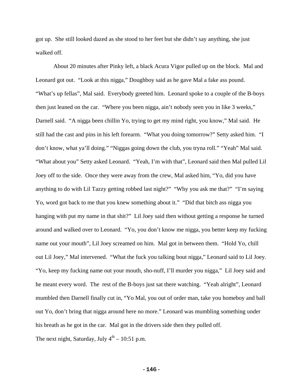got up. She still looked dazed as she stood to her feet but she didn't say anything, she just walked off.

 About 20 minutes after Pinky left, a black Acura Vigor pulled up on the block. Mal and Leonard got out. "Look at this nigga," Doughboy said as he gave Mal a fake ass pound. "What's up fellas", Mal said. Everybody greeted him. Leonard spoke to a couple of the B-boys then just leaned on the car. "Where you been nigga, ain't nobody seen you in like 3 weeks," Darnell said. "A nigga been chillin Yo, trying to get my mind right, you know," Mal said. He still had the cast and pins in his left forearm. "What you doing tomorrow?" Setty asked him. "I don't know, what ya'll doing." "Niggas going down the club, you tryna roll." "Yeah" Mal said. "What about you" Setty asked Leonard. "Yeah, I'm with that", Leonard said then Mal pulled Lil Joey off to the side. Once they were away from the crew, Mal asked him, "Yo, did you have anything to do with Lil Tazzy getting robbed last night?" "Why you ask me that?" "I'm saying Yo, word got back to me that you knew something about it." "Did that bitch ass nigga you hanging with put my name in that shit?" Lil Joey said then without getting a response he turned around and walked over to Leonard. "Yo, you don't know me nigga, you better keep my fucking name out your mouth", Lil Joey screamed on him. Mal got in between them. "Hold Yo, chill out Lil Joey," Mal intervened. "What the fuck you talking bout nigga," Leonard said to Lil Joey. "Yo, keep my fucking name out your mouth, sho-nuff, I'll murder you nigga," Lil Joey said and he meant every word. The rest of the B-boys just sat there watching. "Yeah alright", Leonard mumbled then Darnell finally cut in, "Yo Mal, you out of order man, take you homeboy and ball out Yo, don't bring that nigga around here no more." Leonard was mumbling something under his breath as he got in the car. Mal got in the drivers side then they pulled off. The next night, Saturday, July  $4^{th}$  – 10:51 p.m.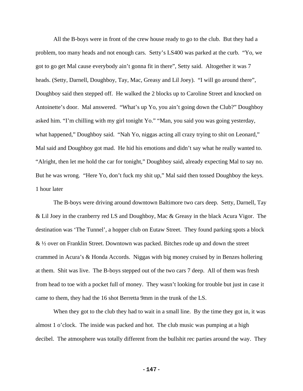All the B-boys were in front of the crew house ready to go to the club. But they had a problem, too many heads and not enough cars. Setty's LS400 was parked at the curb. "Yo, we got to go get Mal cause everybody ain't gonna fit in there", Setty said. Altogether it was 7 heads. (Setty, Darnell, Doughboy, Tay, Mac, Greasy and Lil Joey). "I will go around there", Doughboy said then stepped off. He walked the 2 blocks up to Caroline Street and knocked on Antoinette's door. Mal answered. "What's up Yo, you ain't going down the Club?" Doughboy asked him. "I'm chilling with my girl tonight Yo." "Man, you said you was going yesterday, what happened," Doughboy said. "Nah Yo, niggas acting all crazy trying to shit on Leonard," Mal said and Doughboy got mad. He hid his emotions and didn't say what he really wanted to. "Alright, then let me hold the car for tonight," Doughboy said, already expecting Mal to say no. But he was wrong. "Here Yo, don't fuck my shit up," Mal said then tossed Doughboy the keys. 1 hour later

 The B-boys were driving around downtown Baltimore two cars deep. Setty, Darnell, Tay & Lil Joey in the cranberry red LS and Doughboy, Mac & Greasy in the black Acura Vigor. The destination was 'The Tunnel', a hopper club on Eutaw Street. They found parking spots a block & ½ over on Franklin Street. Downtown was packed. Bitches rode up and down the street crammed in Acura's & Honda Accords. Niggas with big money cruised by in Benzes hollering at them. Shit was live. The B-boys stepped out of the two cars 7 deep. All of them was fresh from head to toe with a pocket full of money. They wasn't looking for trouble but just in case it came to them, they had the 16 shot Berretta 9mm in the trunk of the LS.

When they got to the club they had to wait in a small line. By the time they got in, it was almost 1 o'clock. The inside was packed and hot. The club music was pumping at a high decibel. The atmosphere was totally different from the bullshit rec parties around the way. They

- 147 -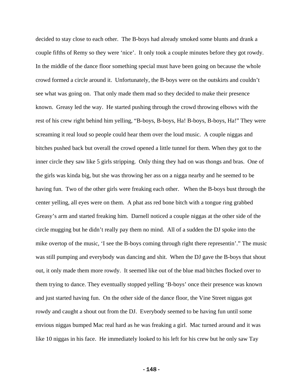decided to stay close to each other. The B-boys had already smoked some blunts and drank a couple fifths of Remy so they were 'nice'. It only took a couple minutes before they got rowdy. In the middle of the dance floor something special must have been going on because the whole crowd formed a circle around it. Unfortunately, the B-boys were on the outskirts and couldn't see what was going on. That only made them mad so they decided to make their presence known. Greasy led the way. He started pushing through the crowd throwing elbows with the rest of his crew right behind him yelling, "B-boys, B-boys, Ha! B-boys, B-boys, Ha!" They were screaming it real loud so people could hear them over the loud music. A couple niggas and bitches pushed back but overall the crowd opened a little tunnel for them. When they got to the inner circle they saw like 5 girls stripping. Only thing they had on was thongs and bras. One of the girls was kinda big, but she was throwing her ass on a nigga nearby and he seemed to be having fun. Two of the other girls were freaking each other. When the B-boys bust through the center yelling, all eyes were on them. A phat ass red bone bitch with a tongue ring grabbed Greasy's arm and started freaking him. Darnell noticed a couple niggas at the other side of the circle mugging but he didn't really pay them no mind. All of a sudden the DJ spoke into the mike overtop of the music, 'I see the B-boys coming through right there representin'." The music was still pumping and everybody was dancing and shit. When the DJ gave the B-boys that shout out, it only made them more rowdy. It seemed like out of the blue mad bitches flocked over to them trying to dance. They eventually stopped yelling 'B-boys' once their presence was known and just started having fun. On the other side of the dance floor, the Vine Street niggas got rowdy and caught a shout out from the DJ. Everybody seemed to be having fun until some envious niggas bumped Mac real hard as he was freaking a girl. Mac turned around and it was like 10 niggas in his face. He immediately looked to his left for his crew but he only saw Tay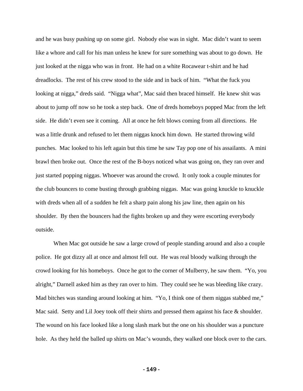and he was busy pushing up on some girl. Nobody else was in sight. Mac didn't want to seem like a whore and call for his man unless he knew for sure something was about to go down. He just looked at the nigga who was in front. He had on a white Rocawear t-shirt and he had dreadlocks. The rest of his crew stood to the side and in back of him. "What the fuck you looking at nigga," dreds said. "Nigga what", Mac said then braced himself. He knew shit was about to jump off now so he took a step back. One of dreds homeboys popped Mac from the left side. He didn't even see it coming. All at once he felt blows coming from all directions. He was a little drunk and refused to let them niggas knock him down. He started throwing wild punches. Mac looked to his left again but this time he saw Tay pop one of his assailants. A mini brawl then broke out. Once the rest of the B-boys noticed what was going on, they ran over and just started popping niggas. Whoever was around the crowd. It only took a couple minutes for the club bouncers to come busting through grabbing niggas. Mac was going knuckle to knuckle with dreds when all of a sudden he felt a sharp pain along his jaw line, then again on his shoulder. By then the bouncers had the fights broken up and they were escorting everybody outside.

 When Mac got outside he saw a large crowd of people standing around and also a couple police. He got dizzy all at once and almost fell out. He was real bloody walking through the crowd looking for his homeboys. Once he got to the corner of Mulberry, he saw them. "Yo, you alright," Darnell asked him as they ran over to him. They could see he was bleeding like crazy. Mad bitches was standing around looking at him. "Yo, I think one of them niggas stabbed me," Mac said. Setty and Lil Joey took off their shirts and pressed them against his face & shoulder. The wound on his face looked like a long slash mark but the one on his shoulder was a puncture hole. As they held the balled up shirts on Mac's wounds, they walked one block over to the cars.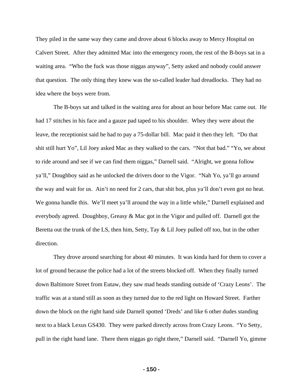They piled in the same way they came and drove about 6 blocks away to Mercy Hospital on Calvert Street. After they admitted Mac into the emergency room, the rest of the B-boys sat in a waiting area. "Who the fuck was those niggas anyway", Setty asked and nobody could answer that question. The only thing they knew was the so-called leader had dreadlocks. They had no idea where the boys were from.

 The B-boys sat and talked in the waiting area for about an hour before Mac came out. He had 17 stitches in his face and a gauze pad taped to his shoulder. Whey they were about the leave, the receptionist said he had to pay a 75-dollar bill. Mac paid it then they left. "Do that shit still hurt Yo", Lil Joey asked Mac as they walked to the cars. "Not that bad." "Yo, we about to ride around and see if we can find them niggas," Darnell said. "Alright, we gonna follow ya'll," Doughboy said as he unlocked the drivers door to the Vigor. "Nah Yo, ya'll go around the way and wait for us. Ain't no need for 2 cars, that shit hot, plus ya'll don't even got no heat. We gonna handle this. We'll meet ya'll around the way in a little while," Darnell explained and everybody agreed. Doughboy, Greasy & Mac got in the Vigor and pulled off. Darnell got the Beretta out the trunk of the LS, then him, Setty, Tay & Lil Joey pulled off too, but in the other direction.

 They drove around searching for about 40 minutes. It was kinda hard for them to cover a lot of ground because the police had a lot of the streets blocked off. When they finally turned down Baltimore Street from Eutaw, they saw mad heads standing outside of 'Crazy Leons'. The traffic was at a stand still as soon as they turned due to the red light on Howard Street. Farther down the block on the right hand side Darnell spotted 'Dreds' and like 6 other dudes standing next to a black Lexus GS430. They were parked directly across from Crazy Leons. "Yo Setty, pull in the right hand lane. There them niggas go right there," Darnell said. "Darnell Yo, gimme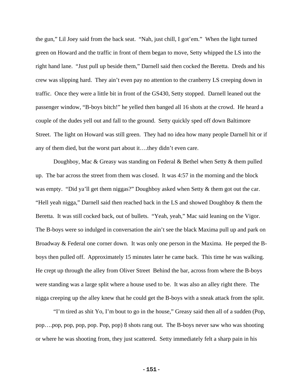the gun," Lil Joey said from the back seat. "Nah, just chill, I got'em." When the light turned green on Howard and the traffic in front of them began to move, Setty whipped the LS into the right hand lane. "Just pull up beside them," Darnell said then cocked the Beretta. Dreds and his crew was slipping hard. They ain't even pay no attention to the cranberry LS creeping down in traffic. Once they were a little bit in front of the GS430, Setty stopped. Darnell leaned out the passenger window, "B-boys bitch!" he yelled then banged all 16 shots at the crowd. He heard a couple of the dudes yell out and fall to the ground. Setty quickly sped off down Baltimore Street. The light on Howard was still green. They had no idea how many people Darnell hit or if any of them died, but the worst part about it….they didn't even care.

 Doughboy, Mac & Greasy was standing on Federal & Bethel when Setty & them pulled up. The bar across the street from them was closed. It was 4:57 in the morning and the block was empty. "Did ya'll get them niggas?" Doughboy asked when Setty & them got out the car. "Hell yeah nigga," Darnell said then reached back in the LS and showed Doughboy & them the Beretta. It was still cocked back, out of bullets. "Yeah, yeah," Mac said leaning on the Vigor. The B-boys were so indulged in conversation the ain't see the black Maxima pull up and park on Broadway & Federal one corner down. It was only one person in the Maxima. He peeped the Bboys then pulled off. Approximately 15 minutes later he came back. This time he was walking. He crept up through the alley from Oliver Street Behind the bar, across from where the B-boys were standing was a large split where a house used to be. It was also an alley right there. The nigga creeping up the alley knew that he could get the B-boys with a sneak attack from the split.

 "I'm tired as shit Yo, I'm bout to go in the house," Greasy said then all of a sudden (Pop, pop….pop, pop, pop, pop. Pop, pop) 8 shots rang out. The B-boys never saw who was shooting or where he was shooting from, they just scattered. Setty immediately felt a sharp pain in his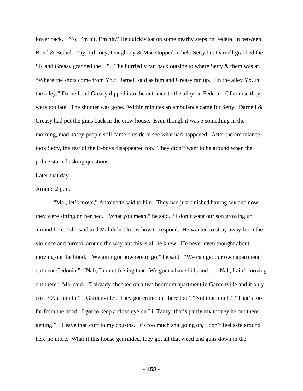lower back. "Yo, I'm hit, I'm hit." He quickly sat on some nearby steps on Federal in between Bond & Bethel. Tay, Lil Joey, Doughboy & Mac stopped to help Setty but Darnell grabbed the SK and Greasy grabbed the .45. The hurriedly ran back outside to where Setty & them was at. "Where the shots come from Yo," Darnell said as him and Greasy ran up. "In the alley Yo, in the alley." Darnell and Greasy dipped into the entrance to the alley on Federal. Of course they were too late. The shooter was gone. Within minutes an ambulance came for Setty. Darnell & Greasy had put the guns back in the crew house. Even though it was 5 something in the morning, mad nosey people still came outside to see what had happened. After the ambulance took Setty, the rest of the B-boys disappeared too. They didn't want to be around when the police started asking questions.

## Later that day

# Around 2 p.m.

"Mal, let's move," Antoinette said to him. They had just finished having sex and now they were sitting on her bed. "What you mean," he said. "I don't want our son growing up around here," she said and Mal didn't know how to respond. He wanted to stray away from the violence and turmoil around the way but this is all he knew. He never even thought about moving out the hood. "We ain't got nowhere to go," he said. "We can get our own apartment out near Cedonia," "Nah, I'm not feeling that. We gonna have bills and……Nah, I ain't moving out there." Mal said. "I already checked on a two bedroom apartment in Gardenville and it only cost 399 a month." "Gardenville!! They got crime out there too." "Not that much." "That's too far from the hood. I got to keep a close eye on Lil Tazzy, that's partly my money he out there getting." "Leave that stuff to my cousins. It's too much shit going on, I don't feel safe around here no more. What if this house get raided, they got all that weed and guns down in the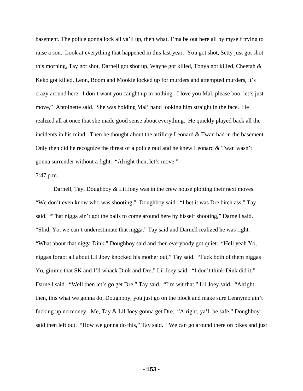basement. The police gonna lock all ya'll up, then what, I'ma be out here all by myself trying to raise a son. Look at everything that happened in this last year. You got shot, Setty just got shot this morning, Tay got shot, Darnell got shot up, Wayne got killed, Tonya got killed, Cheetah & Keko got killed, Leon, Boom and Mookie locked up for murders and attempted murders, it's crazy around here. I don't want you caught up in nothing. I love you Mal, please boo, let's just move," Antoinette said. She was holding Mal' hand looking him straight in the face. He realized all at once that she made good sense about everything. He quickly played back all the incidents in his mind. Then he thought about the artillery Leonard & Twan had in the basement. Only then did he recognize the threat of a police raid and he knew Leonard & Twan wasn't gonna surrender without a fight. "Alright then, let's move."

# 7:47 p.m.

Darnell, Tay, Doughboy  $&$  Lil Joey was in the crew house plotting their next moves. "We don't even know who was shooting," Doughboy said. "I bet it was Dre bitch ass," Tay said. "That nigga ain't got the balls to come around here by hisself shooting," Darnell said. "Shid, Yo, we can't underestimate that nigga," Tay said and Darnell realized he was right. "What about that nigga Dink," Doughboy said and then everybody got quiet. "Hell yeah Yo, niggas forgot all about Lil Joey knocked his mother out," Tay said. "Fuck both of them niggas Yo, gimme that SK and I'll whack Dink and Dre," Lil Joey said. "I don't think Dink did it," Darnell said. "Well then let's go get Dre," Tay said. "I'm wit that," Lil Joey said. "Alright then, this what we gonna do, Doughboy, you just go on the block and make sure Lennymo ain't fucking up no money. Me, Tay & Lil Joey gonna get Dre. "Alright, ya'll be safe," Doughboy said then left out. "How we gonna do this," Tay said. "We can go around there on bikes and just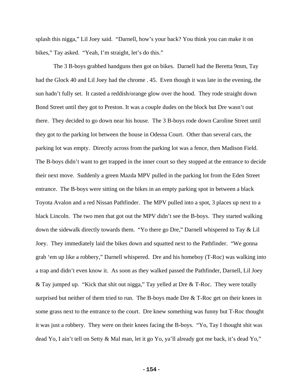splash this nigga," Lil Joey said. "Darnell, how's your back? You think you can make it on bikes," Tay asked. "Yeah, I'm straight, let's do this."

 The 3 B-boys grabbed handguns then got on bikes. Darnell had the Beretta 9mm, Tay had the Glock 40 and Lil Joey had the chrome . 45. Even though it was late in the evening, the sun hadn't fully set. It casted a reddish/orange glow over the hood. They rode straight down Bond Street until they got to Preston. It was a couple dudes on the block but Dre wasn't out there. They decided to go down near his house. The 3 B-boys rode down Caroline Street until they got to the parking lot between the house in Odessa Court. Other than several cars, the parking lot was empty. Directly across from the parking lot was a fence, then Madison Field. The B-boys didn't want to get trapped in the inner court so they stopped at the entrance to decide their next move. Suddenly a green Mazda MPV pulled in the parking lot from the Eden Street entrance. The B-boys were sitting on the bikes in an empty parking spot in between a black Toyota Avalon and a red Nissan Pathfinder. The MPV pulled into a spot, 3 places up next to a black Lincoln. The two men that got out the MPV didn't see the B-boys. They started walking down the sidewalk directly towards them. "Yo there go Dre," Darnell whispered to Tay & Lil Joey. They immediately laid the bikes down and squatted next to the Pathfinder. "We gonna grab 'em up like a robbery," Darnell whispered. Dre and his homeboy (T-Roc) was walking into a trap and didn't even know it. As soon as they walked passed the Pathfinder, Darnell, Lil Joey & Tay jumped up. "Kick that shit out nigga," Tay yelled at Dre & T-Roc. They were totally surprised but neither of them tried to run. The B-boys made Dre & T-Roc get on their knees in some grass next to the entrance to the court. Dre knew something was funny but T-Roc thought it was just a robbery. They were on their knees facing the B-boys. "Yo, Tay I thought shit was dead Yo, I ain't tell on Setty & Mal man, let it go Yo, ya'll already got me back, it's dead Yo,"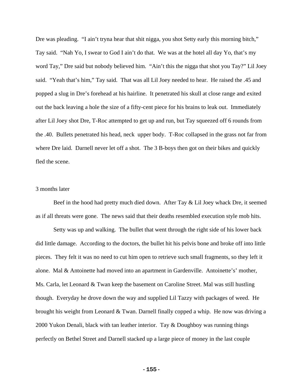Dre was pleading. "I ain't tryna hear that shit nigga, you shot Setty early this morning bitch," Tay said. "Nah Yo, I swear to God I ain't do that. We was at the hotel all day Yo, that's my word Tay," Dre said but nobody believed him. "Ain't this the nigga that shot you Tay?" Lil Joey said. "Yeah that's him," Tay said. That was all Lil Joey needed to hear. He raised the .45 and popped a slug in Dre's forehead at his hairline. It penetrated his skull at close range and exited out the back leaving a hole the size of a fifty-cent piece for his brains to leak out. Immediately after Lil Joey shot Dre, T-Roc attempted to get up and run, but Tay squeezed off 6 rounds from the .40. Bullets penetrated his head, neck upper body. T-Roc collapsed in the grass not far from where Dre laid. Darnell never let off a shot. The 3 B-boys then got on their bikes and quickly fled the scene.

## 3 months later

 Beef in the hood had pretty much died down. After Tay & Lil Joey whack Dre, it seemed as if all threats were gone. The news said that their deaths resembled execution style mob hits.

 Setty was up and walking. The bullet that went through the right side of his lower back did little damage. According to the doctors, the bullet hit his pelvis bone and broke off into little pieces. They felt it was no need to cut him open to retrieve such small fragments, so they left it alone. Mal & Antoinette had moved into an apartment in Gardenville. Antoinette's' mother, Ms. Carla, let Leonard & Twan keep the basement on Caroline Street. Mal was still hustling though. Everyday he drove down the way and supplied Lil Tazzy with packages of weed. He brought his weight from Leonard & Twan. Darnell finally copped a whip. He now was driving a 2000 Yukon Denali, black with tan leather interior. Tay  $\&$  Doughboy was running things perfectly on Bethel Street and Darnell stacked up a large piece of money in the last couple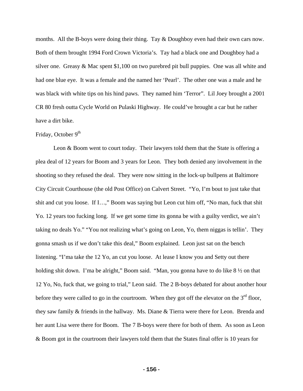months. All the B-boys were doing their thing. Tay & Doughboy even had their own cars now. Both of them brought 1994 Ford Crown Victoria's. Tay had a black one and Doughboy had a silver one. Greasy & Mac spent \$1,100 on two purebred pit bull puppies. One was all white and had one blue eye. It was a female and the named her 'Pearl'. The other one was a male and he was black with white tips on his hind paws. They named him 'Terror". Lil Joey brought a 2001 CR 80 fresh outta Cycle World on Pulaski Highway. He could've brought a car but he rather have a dirt bike.

### Friday, October 9<sup>th</sup>

 Leon & Boom went to court today. Their lawyers told them that the State is offering a plea deal of 12 years for Boom and 3 years for Leon. They both denied any involvement in the shooting so they refused the deal. They were now sitting in the lock-up bullpens at Baltimore City Circuit Courthouse (the old Post Office) on Calvert Street. "Yo, I'm bout to just take that shit and cut you loose. If I…," Boom was saying but Leon cut him off, "No man, fuck that shit Yo. 12 years too fucking long. If we get some time its gonna be with a guilty verdict, we ain't taking no deals Yo." "You not realizing what's going on Leon, Yo, them niggas is tellin'. They gonna smash us if we don't take this deal," Boom explained. Leon just sat on the bench listening. "I'ma take the 12 Yo, an cut you loose. At lease I know you and Setty out there holding shit down. I'ma be alright," Boom said. "Man, you gonna have to do like 8  $\frac{1}{2}$  on that 12 Yo, No, fuck that, we going to trial," Leon said. The 2 B-boys debated for about another hour before they were called to go in the courtroom. When they got off the elevator on the  $3<sup>rd</sup>$  floor, they saw family & friends in the hallway. Ms. Diane & Tierra were there for Leon. Brenda and her aunt Lisa were there for Boom. The 7 B-boys were there for both of them. As soon as Leon & Boom got in the courtroom their lawyers told them that the States final offer is 10 years for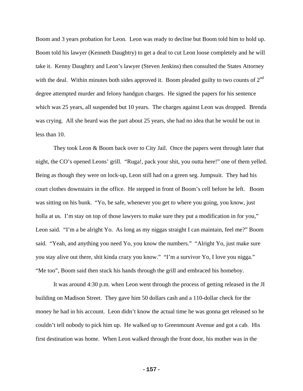Boom and 3 years probation for Leon. Leon was ready to decline but Boom told him to hold up. Boom told his lawyer (Kenneth Daughtry) to get a deal to cut Leon loose completely and he will take it. Kenny Daughtry and Leon's lawyer (Steven Jenkins) then consulted the States Attorney with the deal. Within minutes both sides approved it. Boom pleaded guilty to two counts of  $2<sup>nd</sup>$ degree attempted murder and felony handgun charges. He signed the papers for his sentence which was 25 years, all suspended but 10 years. The charges against Leon was dropped. Brenda was crying. All she heard was the part about 25 years, she had no idea that he would be out in less than 10.

They took Leon & Boom back over to City Jail. Once the papers went through later that night, the CO's opened Leons' grill. "Ruga!, pack your shit, you outta here!" one of them yelled. Being as though they were on lock-up, Leon still had on a green seg. Jumpsuit. They had his court clothes downstairs in the office. He stepped in front of Boom's cell before he left. Boom was sitting on his bunk. "Yo, be safe, whenever you get to where you going, you know, just holla at us. I'm stay on top of those lawyers to make sure they put a modification in for you," Leon said. "I'm a be alright Yo. As long as my niggas straight I can maintain, feel me?" Boom said. "Yeah, and anything you need Yo, you know the numbers." "Alright Yo, just make sure you stay alive out there, shit kinda crazy you know." "I'm a survivor Yo, I love you nigga." "Me too", Boom said then stuck his hands through the grill and embraced his homeboy.

 It was around 4:30 p.m. when Leon went through the process of getting released in the JI building on Madison Street. They gave him 50 dollars cash and a 110-dollar check for the money he had in his account. Leon didn't know the actual time he was gonna get released so he couldn't tell nobody to pick him up. He walked up to Greenmount Avenue and got a cab. His first destination was home. When Leon walked through the front door, his mother was in the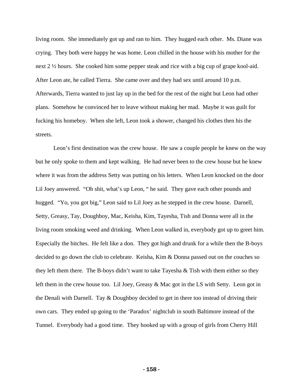living room. She immediately got up and ran to him. They hugged each other. Ms. Diane was crying. They both were happy he was home. Leon chilled in the house with his mother for the next 2 ½ hours. She cooked him some pepper steak and rice with a big cup of grape kool-aid. After Leon ate, he called Tierra. She came over and they had sex until around 10 p.m. Afterwards, Tierra wanted to just lay up in the bed for the rest of the night but Leon had other plans. Somehow he convinced her to leave without making her mad. Maybe it was guilt for fucking his homeboy. When she left, Leon took a shower, changed his clothes then his the streets.

 Leon's first destination was the crew house. He saw a couple people he knew on the way but he only spoke to them and kept walking. He had never been to the crew house but he knew where it was from the address Setty was putting on his letters. When Leon knocked on the door Lil Joey answered. "Oh shit, what's up Leon, " he said. They gave each other pounds and hugged. "Yo, you got big," Leon said to Lil Joey as he stepped in the crew house. Darnell, Setty, Greasy, Tay, Doughboy, Mac, Keisha, Kim, Tayesha, Tish and Donna were all in the living room smoking weed and drinking. When Leon walked in, everybody got up to greet him. Especially the bitches. He felt like a don. They got high and drunk for a while then the B-boys decided to go down the club to celebrate. Keisha, Kim & Donna passed out on the couches so they left them there. The B-boys didn't want to take Tayesha & Tish with them either so they left them in the crew house too. Lil Joey, Greasy & Mac got in the LS with Setty. Leon got in the Denali with Darnell. Tay & Doughboy decided to get in there too instead of driving their own cars. They ended up going to the 'Paradox' nightclub in south Baltimore instead of the Tunnel. Everybody had a good time. They hooked up with a group of girls from Cherry Hill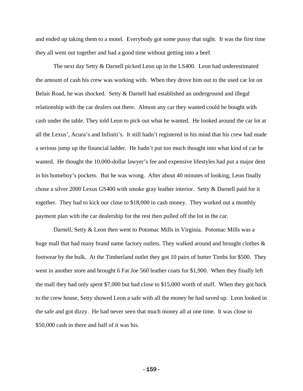and ended up taking them to a motel. Everybody got some pussy that night. It was the first time they all went out together and had a good time without getting into a beef.

 The next day Setty & Darnell picked Leon up in the LS400. Leon had underestimated the amount of cash his crew was working with. When they drove him out to the used car lot on Belair Road, he was shocked. Setty & Darnell had established an underground and illegal relationship with the car dealers out there. Almost any car they wanted could be bought with cash under the table. They told Leon to pick out what he wanted. He looked around the car lot at all the Lexus', Acura's and Infiniti's. It still hadn't registered in his mind that his crew had made a serious jump up the financial ladder. He hadn't put too much thought into what kind of car he wanted. He thought the 10,000-dollar lawyer's fee and expensive lifestyles had put a major dent in his homeboy's pockets. But he was wrong. After about 40 minutes of looking, Leon finally chose a silver 2000 Lexus GS400 with smoke gray leather interior. Setty & Darnell paid for it together. They had to kick our close to \$18,000 in cash money. They worked out a monthly payment plan with the car dealership for the rest then pulled off the lot in the car.

 Darnell, Setty & Leon then went to Potomac Mills in Virginia. Potomac Mills was a huge mall that had many brand name factory outlets. They walked around and brought clothes  $\&$ footwear by the bulk. At the Timberland outlet they got 10 pairs of butter Timbs for \$500. They went in another store and brought 6 Fat Joe 560 leather coats for \$1,900. When they finally left the mall they had only spent \$7,000 but had close to \$15,000 worth of stuff. When they got back to the crew house, Setty showed Leon a safe with all the money he had saved up. Leon looked in the safe and got dizzy. He had never seen that much money all at one time. It was close to \$50,000 cash in there and half of it was his.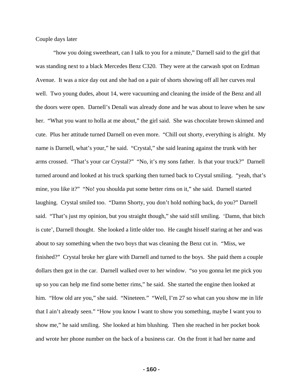Couple days later

 "how you doing sweetheart, can I talk to you for a minute," Darnell said to the girl that was standing next to a black Mercedes Benz C320. They were at the carwash spot on Erdman Avenue. It was a nice day out and she had on a pair of shorts showing off all her curves real well. Two young dudes, about 14, were vacuuming and cleaning the inside of the Benz and all the doors were open. Darnell's Denali was already done and he was about to leave when he saw her. "What you want to holla at me about," the girl said. She was chocolate brown skinned and cute. Plus her attitude turned Darnell on even more. "Chill out shorty, everything is alright. My name is Darnell, what's your," he said. "Crystal," she said leaning against the trunk with her arms crossed. "That's your car Crystal?" "No, it's my sons father. Is that your truck?" Darnell turned around and looked at his truck sparking then turned back to Crystal smiling. "yeah, that's mine, you like it?" "No! you shoulda put some better rims on it," she said. Darnell started laughing. Crystal smiled too. "Damn Shorty, you don't hold nothing back, do you?" Darnell said. "That's just my opinion, but you straight though," she said still smiling. 'Damn, that bitch is cute', Darnell thought. She looked a little older too. He caught hisself staring at her and was about to say something when the two boys that was cleaning the Benz cut in. "Miss, we finished?" Crystal broke her glare with Darnell and turned to the boys. She paid them a couple dollars then got in the car. Darnell walked over to her window. "so you gonna let me pick you up so you can help me find some better rims," he said. She started the engine then looked at him. "How old are you," she said. "Nineteen." "Well, I'm 27 so what can you show me in life that I ain't already seen." "How you know I want to show you something, maybe I want you to show me," he said smiling. She looked at him blushing. Then she reached in her pocket book and wrote her phone number on the back of a business car. On the front it had her name and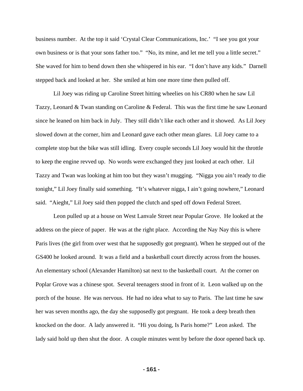business number. At the top it said 'Crystal Clear Communications, Inc.' "I see you got your own business or is that your sons father too." "No, its mine, and let me tell you a little secret." She waved for him to bend down then she whispered in his ear. "I don't have any kids." Darnell stepped back and looked at her. She smiled at him one more time then pulled off.

 Lil Joey was riding up Caroline Street hitting wheelies on his CR80 when he saw Lil Tazzy, Leonard & Twan standing on Caroline & Federal. This was the first time he saw Leonard since he leaned on him back in July. They still didn't like each other and it showed. As Lil Joey slowed down at the corner, him and Leonard gave each other mean glares. Lil Joey came to a complete stop but the bike was still idling. Every couple seconds Lil Joey would hit the throttle to keep the engine revved up. No words were exchanged they just looked at each other. Lil Tazzy and Twan was looking at him too but they wasn't mugging. "Nigga you ain't ready to die tonight," Lil Joey finally said something. "It's whatever nigga, I ain't going nowhere," Leonard said. "Aieght," Lil Joey said then popped the clutch and sped off down Federal Street.

 Leon pulled up at a house on West Lanvale Street near Popular Grove. He looked at the address on the piece of paper. He was at the right place. According the Nay Nay this is where Paris lives (the girl from over west that he supposedly got pregnant). When he stepped out of the GS400 he looked around. It was a field and a basketball court directly across from the houses. An elementary school (Alexander Hamilton) sat next to the basketball court. At the corner on Poplar Grove was a chinese spot. Several teenagers stood in front of it. Leon walked up on the porch of the house. He was nervous. He had no idea what to say to Paris. The last time he saw her was seven months ago, the day she supposedly got pregnant. He took a deep breath then knocked on the door. A lady answered it. "Hi you doing, Is Paris home?" Leon asked. The lady said hold up then shut the door. A couple minutes went by before the door opened back up.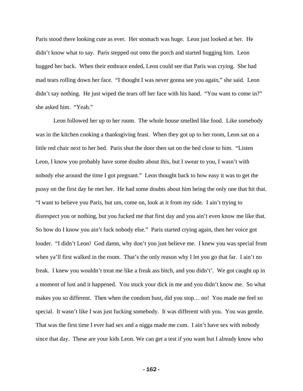Paris stood there looking cute as ever. Her stomach was huge. Leon just looked at her. He didn't know what to say. Paris stepped out onto the porch and started hugging him. Leon hugged her back. When their embrace ended, Leon could see that Paris was crying. She had mad tears rolling down her face. "I thought I was never gonna see you again," she said. Leon didn't say nothing. He just wiped the tears off her face with his hand. "You want to come in?" she asked him. "Yeah."

 Leon followed her up to her room. The whole house smelled like food. Like somebody was in the kitchen cooking a thanksgiving feast. When they got up to her room, Leon sat on a little red chair next to her bed. Paris shut the door then sat on the bed close to him. "Listen Leon, I know you probably have some doubts about this, but I swear to you, I wasn't with nobody else around the time I got pregnant." Leon thought back to how easy it was to get the pussy on the first day he met her. He had some doubts about him being the only one that hit that. "I want to believe you Paris, but um, come on, look at it from my side. I ain't trying to disrespect you or nothing, but you fucked me that first day and you ain't even know me like that. So how do I know you ain't fuck nobody else." Paris started crying again, then her voice got louder. "I didn't Leon! God damn, why don't you just believe me. I knew you was special from when ya'll first walked in the room. That's the only reason why I let you go that far. I ain't no freak. I knew you wouldn't treat me like a freak ass bitch, and you didn't'. We got caught up in a moment of lust and it happened. You stuck your dick in me and you didn't know me. So what makes you so different. Then when the condom bust, did you stop… no! You made me feel so special. It wasn't like I was just fucking somebody. It was different with you. You was gentle. That was the first time I ever had sex and a nigga made me cum. I ain't have sex with nobody since that day. These are your kids Leon. We can get a test if you want but I already know who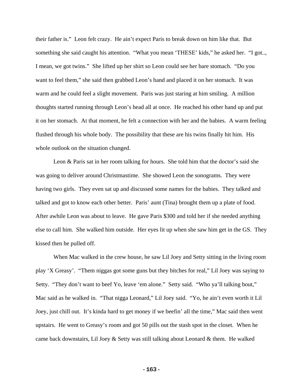their father is." Leon felt crazy. He ain't expect Paris to break down on him like that. But something she said caught his attention. "What you mean 'THESE' kids," he asked her. "I got.., I mean, we got twins." She lifted up her shirt so Leon could see her bare stomach. "Do you want to feel them," she said then grabbed Leon's hand and placed it on her stomach. It was warm and he could feel a slight movement. Paris was just staring at him smiling. A million thoughts started running through Leon's head all at once. He reached his other hand up and put it on her stomach. At that moment, he felt a connection with her and the babies. A warm feeling flushed through his whole body. The possibility that these are his twins finally hit him. His whole outlook on the situation changed.

Leon & Paris sat in her room talking for hours. She told him that the doctor's said she was going to deliver around Christmastime. She showed Leon the sonograms. They were having two girls. They even sat up and discussed some names for the babies. They talked and talked and got to know each other better. Paris' aunt (Tina) brought them up a plate of food. After awhile Leon was about to leave. He gave Paris \$300 and told her if she needed anything else to call him. She walked him outside. Her eyes lit up when she saw him get in the GS. They kissed then he pulled off.

 When Mac walked in the crew house, he saw Lil Joey and Setty sitting in the living room play 'X Greasy'. "Them niggas got some guns but they bitches for real," Lil Joey was saying to Setty. "They don't want to beef Yo, leave 'em alone." Setty said. "Who ya'll talking bout," Mac said as he walked in. "That nigga Leonard," Lil Joey said. "Yo, he ain't even worth it Lil Joey, just chill out. It's kinda hard to get money if we beefin' all the time," Mac said then went upstairs. He went to Greasy's room and got 50 pills out the stash spot in the closet. When he came back downstairs, Lil Joey & Setty was still talking about Leonard & them. He walked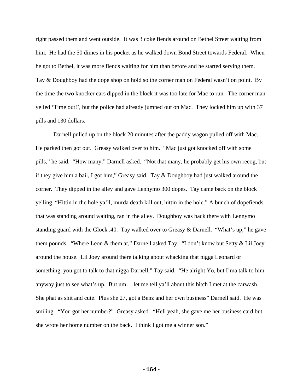right passed them and went outside. It was 3 coke fiends around on Bethel Street waiting from him. He had the 50 dimes in his pocket as he walked down Bond Street towards Federal. When he got to Bethel, it was more fiends waiting for him than before and he started serving them. Tay & Doughboy had the dope shop on hold so the corner man on Federal wasn't on point. By the time the two knocker cars dipped in the block it was too late for Mac to run. The corner man yelled 'Time out!', but the police had already jumped out on Mac. They locked him up with 37 pills and 130 dollars.

 Darnell pulled up on the block 20 minutes after the paddy wagon pulled off with Mac. He parked then got out. Greasy walked over to him. "Mac just got knocked off with some pills," he said. "How many," Darnell asked. "Not that many, he probably get his own recog, but if they give him a bail, I got him," Greasy said. Tay & Doughboy had just walked around the corner. They dipped in the alley and gave Lennymo 300 dopes. Tay came back on the block yelling, "Hittin in the hole ya'll, murda death kill out, hittin in the hole." A bunch of dopefiends that was standing around waiting, ran in the alley. Doughboy was back there with Lennymo standing guard with the Glock .40. Tay walked over to Greasy & Darnell. "What's up," he gave them pounds. "Where Leon & them at," Darnell asked Tay. "I don't know but Setty & Lil Joey around the house. Lil Joey around there talking about whacking that nigga Leonard or something, you got to talk to that nigga Darnell," Tay said. "He alright Yo, but I'ma talk to him anyway just to see what's up. But um… let me tell ya'll about this bitch I met at the carwash. She phat as shit and cute. Plus she 27, got a Benz and her own business" Darnell said. He was smiling. "You got her number?" Greasy asked. "Hell yeah, she gave me her business card but she wrote her home number on the back. I think I got me a winner son."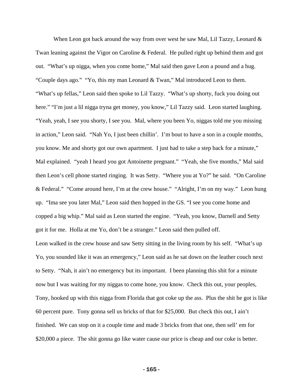When Leon got back around the way from over west he saw Mal, Lil Tazzy, Leonard  $\&$ Twan leaning against the Vigor on Caroline & Federal. He pulled right up behind them and got out. "What's up nigga, when you come home," Mal said then gave Leon a pound and a hug. "Couple days ago." "Yo, this my man Leonard & Twan," Mal introduced Leon to them. "What's up fellas," Leon said then spoke to Lil Tazzy. "What's up shorty, fuck you doing out here." "I'm just a lil nigga tryna get money, you know," Lil Tazzy said. Leon started laughing. "Yeah, yeah, I see you shorty, I see you. Mal, where you been Yo, niggas told me you missing in action," Leon said. "Nah Yo, I just been chillin'. I'm bout to have a son in a couple months, you know. Me and shorty got our own apartment. I just had to take a step back for a minute," Mal explained. "yeah I heard you got Antoinette pregnant." "Yeah, she five months," Mal said then Leon's cell phone started ringing. It was Setty. "Where you at Yo?" he said. "On Caroline & Federal." "Come around here, I'm at the crew house." "Alright, I'm on my way." Leon hung up. "Ima see you later Mal," Leon said then hopped in the GS. "I see you come home and copped a big whip." Mal said as Leon started the engine. "Yeah, you know, Darnell and Setty got it for me. Holla at me Yo, don't be a stranger." Leon said then pulled off. Leon walked in the crew house and saw Setty sitting in the living room by his self. "What's up Yo, you sounded like it was an emergency," Leon said as he sat down on the leather couch next to Setty. "Nah, it ain't no emergency but its important. I been planning this shit for a minute now but I was waiting for my niggas to come hone, you know. Check this out, your peoples, Tony, hooked up with this nigga from Florida that got coke up the ass. Plus the shit he got is like 60 percent pure. Tony gonna sell us bricks of that for \$25,000. But check this out, I ain't

\$20,000 a piece. The shit gonna go like water cause our price is cheap and our coke is better.

finished. We can stop on it a couple time and made 3 bricks from that one, then sell' em for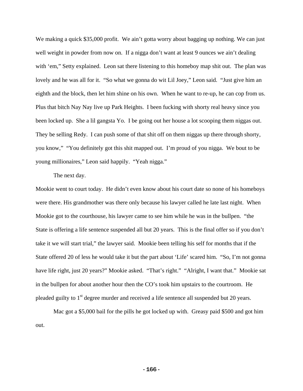We making a quick \$35,000 profit. We ain't gotta worry about bagging up nothing. We can just well weight in powder from now on. If a nigga don't want at least 9 ounces we ain't dealing with 'em," Setty explained. Leon sat there listening to this homeboy map shit out. The plan was lovely and he was all for it. "So what we gonna do wit Lil Joey," Leon said. "Just give him an eighth and the block, then let him shine on his own. When he want to re-up, he can cop from us. Plus that bitch Nay Nay live up Park Heights. I been fucking with shorty real heavy since you been locked up. She a lil gangsta Yo. I be going out her house a lot scooping them niggas out. They be selling Redy. I can push some of that shit off on them niggas up there through shorty, you know," "You definitely got this shit mapped out. I'm proud of you nigga. We bout to be young millionaires," Leon said happily. "Yeah nigga."

## The next day.

Mookie went to court today. He didn't even know about his court date so none of his homeboys were there. His grandmother was there only because his lawyer called he late last night. When Mookie got to the courthouse, his lawyer came to see him while he was in the bullpen. "the State is offering a life sentence suspended all but 20 years. This is the final offer so if you don't take it we will start trial," the lawyer said. Mookie been telling his self for months that if the State offered 20 of less he would take it but the part about 'Life' scared him. "So, I'm not gonna have life right, just 20 years?" Mookie asked. "That's right." "Alright, I want that." Mookie sat in the bullpen for about another hour then the CO's took him upstairs to the courtroom. He pleaded guilty to 1<sup>st</sup> degree murder and received a life sentence all suspended but 20 years.

 Mac got a \$5,000 bail for the pills he got locked up with. Greasy paid \$500 and got him out.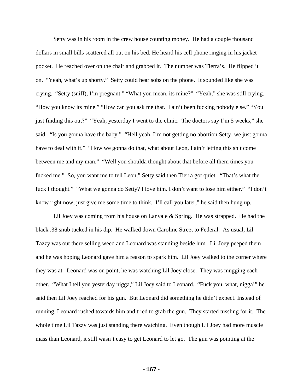Setty was in his room in the crew house counting money. He had a couple thousand dollars in small bills scattered all out on his bed. He heard his cell phone ringing in his jacket pocket. He reached over on the chair and grabbed it. The number was Tierra's. He flipped it on. "Yeah, what's up shorty." Setty could hear sobs on the phone. It sounded like she was crying. "Setty (sniff), I'm pregnant." "What you mean, its mine?" "Yeah," she was still crying. "How you know its mine." "How can you ask me that. I ain't been fucking nobody else." "You just finding this out?" "Yeah, yesterday I went to the clinic. The doctors say I'm 5 weeks," she said. "Is you gonna have the baby." "Hell yeah, I'm not getting no abortion Setty, we just gonna have to deal with it." "How we gonna do that, what about Leon, I ain't letting this shit come between me and my man." "Well you shoulda thought about that before all them times you fucked me." So, you want me to tell Leon," Setty said then Tierra got quiet. "That's what the fuck I thought." "What we gonna do Setty? I love him. I don't want to lose him either." "I don't know right now, just give me some time to think. I'll call you later," he said then hung up.

Lil Joey was coming from his house on Lanvale & Spring. He was strapped. He had the black .38 snub tucked in his dip. He walked down Caroline Street to Federal. As usual, Lil Tazzy was out there selling weed and Leonard was standing beside him. Lil Joey peeped them and he was hoping Leonard gave him a reason to spark him. Lil Joey walked to the corner where they was at. Leonard was on point, he was watching Lil Joey close. They was mugging each other. "What I tell you yesterday nigga," Lil Joey said to Leonard. "Fuck you, what, nigga!" he said then Lil Joey reached for his gun. But Leonard did something he didn't expect. Instead of running, Leonard rushed towards him and tried to grab the gun. They started tussling for it. The whole time Lil Tazzy was just standing there watching. Even though Lil Joey had more muscle mass than Leonard, it still wasn't easy to get Leonard to let go. The gun was pointing at the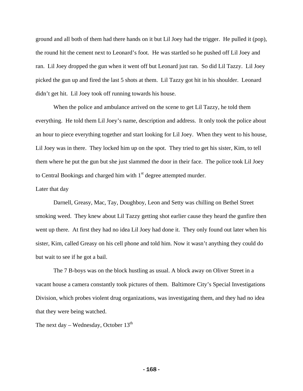ground and all both of them had there hands on it but Lil Joey had the trigger. He pulled it (pop), the round hit the cement next to Leonard's foot. He was startled so he pushed off Lil Joey and ran. Lil Joey dropped the gun when it went off but Leonard just ran. So did Lil Tazzy. Lil Joey picked the gun up and fired the last 5 shots at them. Lil Tazzy got hit in his shoulder. Leonard didn't get hit. Lil Joey took off running towards his house.

 When the police and ambulance arrived on the scene to get Lil Tazzy, he told them everything. He told them Lil Joey's name, description and address. It only took the police about an hour to piece everything together and start looking for Lil Joey. When they went to his house, Lil Joey was in there. They locked him up on the spot. They tried to get his sister, Kim, to tell them where he put the gun but she just slammed the door in their face. The police took Lil Joey to Central Bookings and charged him with  $1<sup>st</sup>$  degree attempted murder.

#### Later that day

 Darnell, Greasy, Mac, Tay, Doughboy, Leon and Setty was chilling on Bethel Street smoking weed. They knew about Lil Tazzy getting shot earlier cause they heard the gunfire then went up there. At first they had no idea Lil Joey had done it. They only found out later when his sister, Kim, called Greasy on his cell phone and told him. Now it wasn't anything they could do but wait to see if he got a bail.

 The 7 B-boys was on the block hustling as usual. A block away on Oliver Street in a vacant house a camera constantly took pictures of them. Baltimore City's Special Investigations Division, which probes violent drug organizations, was investigating them, and they had no idea that they were being watched.

The next day – Wednesday, October  $13<sup>th</sup>$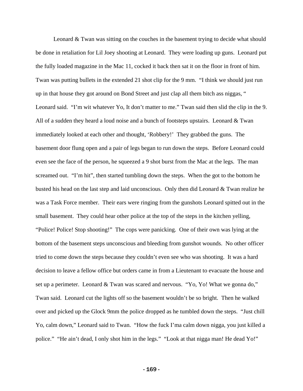Leonard & Twan was sitting on the couches in the basement trying to decide what should be done in retaliation for Lil Joey shooting at Leonard. They were loading up guns. Leonard put the fully loaded magazine in the Mac 11, cocked it back then sat it on the floor in front of him. Twan was putting bullets in the extended 21 shot clip for the 9 mm. "I think we should just run up in that house they got around on Bond Street and just clap all them bitch ass niggas, " Leonard said. "I'm wit whatever Yo, It don't matter to me." Twan said then slid the clip in the 9. All of a sudden they heard a loud noise and a bunch of footsteps upstairs. Leonard & Twan immediately looked at each other and thought, 'Robbery!' They grabbed the guns. The basement door flung open and a pair of legs began to run down the steps. Before Leonard could even see the face of the person, he squeezed a 9 shot burst from the Mac at the legs. The man screamed out. "I'm hit", then started tumbling down the steps. When the got to the bottom he busted his head on the last step and laid unconscious. Only then did Leonard & Twan realize he was a Task Force member. Their ears were ringing from the gunshots Leonard spitted out in the small basement. They could hear other police at the top of the steps in the kitchen yelling, "Police! Police! Stop shooting!" The cops were panicking. One of their own was lying at the bottom of the basement steps unconscious and bleeding from gunshot wounds. No other officer tried to come down the steps because they couldn't even see who was shooting. It was a hard decision to leave a fellow office but orders came in from a Lieutenant to evacuate the house and set up a perimeter. Leonard & Twan was scared and nervous. "Yo, Yo! What we gonna do," Twan said. Leonard cut the lights off so the basement wouldn't be so bright. Then he walked over and picked up the Glock 9mm the police dropped as he tumbled down the steps. "Just chill Yo, calm down," Leonard said to Twan. "How the fuck I'ma calm down nigga, you just killed a police." "He ain't dead, I only shot him in the legs." "Look at that nigga man! He dead Yo!"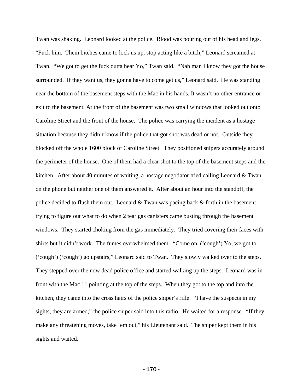Twan was shaking. Leonard looked at the police. Blood was pouring out of his head and legs. "Fuck him. Them bitches came to lock us up, stop acting like a bitch," Leonard screamed at Twan. "We got to get the fuck outta hear Yo," Twan said. "Nah man I know they got the house surrounded. If they want us, they gonna have to come get us," Leonard said. He was standing near the bottom of the basement steps with the Mac in his hands. It wasn't no other entrance or exit to the basement. At the front of the basement was two small windows that looked out onto Caroline Street and the front of the house. The police was carrying the incident as a hostage situation because they didn't know if the police that got shot was dead or not. Outside they blocked off the whole 1600 block of Caroline Street. They positioned snipers accurately around the perimeter of the house. One of them had a clear shot to the top of the basement steps and the kitchen. After about 40 minutes of waiting, a hostage negotiator tried calling Leonard  $&$  Twan on the phone but neither one of them answered it. After about an hour into the standoff, the police decided to flush them out. Leonard  $&$  Twan was pacing back  $&$  forth in the basement trying to figure out what to do when 2 tear gas canisters came busting through the basement windows. They started choking from the gas immediately. They tried covering their faces with shirts but it didn't work. The fumes overwhelmed them. "Come on, ('cough') Yo, we got to ('cough') ('cough') go upstairs," Leonard said to Twan. They slowly walked over to the steps. They stepped over the now dead police office and started walking up the steps. Leonard was in front with the Mac 11 pointing at the top of the steps. When they got to the top and into the kitchen, they came into the cross hairs of the police sniper's rifle. "I have the suspects in my sights, they are armed," the police sniper said into this radio. He waited for a response. "If they make any threatening moves, take 'em out," his Lieutenant said. The sniper kept them in his sights and waited.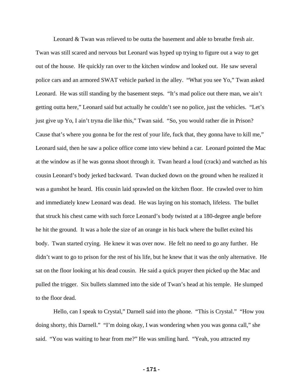Leonard & Twan was relieved to be outta the basement and able to breathe fresh air. Twan was still scared and nervous but Leonard was hyped up trying to figure out a way to get out of the house. He quickly ran over to the kitchen window and looked out. He saw several police cars and an armored SWAT vehicle parked in the alley. "What you see Yo," Twan asked Leonard. He was still standing by the basement steps. "It's mad police out there man, we ain't getting outta here," Leonard said but actually he couldn't see no police, just the vehicles. "Let's just give up Yo, I ain't tryna die like this," Twan said. "So, you would rather die in Prison? Cause that's where you gonna be for the rest of your life, fuck that, they gonna have to kill me," Leonard said, then he saw a police office come into view behind a car. Leonard pointed the Mac at the window as if he was gonna shoot through it. Twan heard a loud (crack) and watched as his cousin Leonard's body jerked backward. Twan ducked down on the ground when he realized it was a gunshot he heard. His cousin laid sprawled on the kitchen floor. He crawled over to him and immediately knew Leonard was dead. He was laying on his stomach, lifeless. The bullet that struck his chest came with such force Leonard's body twisted at a 180-degree angle before he hit the ground. It was a hole the size of an orange in his back where the bullet exited his body. Twan started crying. He knew it was over now. He felt no need to go any further. He didn't want to go to prison for the rest of his life, but he knew that it was the only alternative. He sat on the floor looking at his dead cousin. He said a quick prayer then picked up the Mac and pulled the trigger. Six bullets slammed into the side of Twan's head at his temple. He slumped to the floor dead.

 Hello, can I speak to Crystal," Darnell said into the phone. "This is Crystal." "How you doing shorty, this Darnell." "I'm doing okay, I was wondering when you was gonna call," she said. "You was waiting to hear from me?" He was smiling hard. "Yeah, you attracted my

- 171 -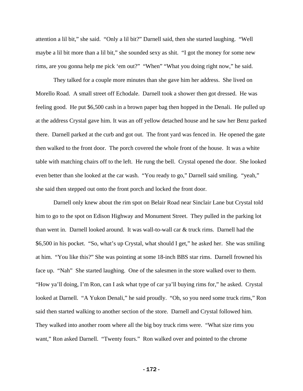attention a lil bit," she said. "Only a lil bit?" Darnell said, then she started laughing. "Well maybe a lil bit more than a lil bit," she sounded sexy as shit. "I got the money for some new rims, are you gonna help me pick 'em out?" "When" "What you doing right now," he said.

 They talked for a couple more minutes than she gave him her address. She lived on Morello Road. A small street off Echodale. Darnell took a shower then got dressed. He was feeling good. He put \$6,500 cash in a brown paper bag then hopped in the Denali. He pulled up at the address Crystal gave him. It was an off yellow detached house and he saw her Benz parked there. Darnell parked at the curb and got out. The front yard was fenced in. He opened the gate then walked to the front door. The porch covered the whole front of the house. It was a white table with matching chairs off to the left. He rung the bell. Crystal opened the door. She looked even better than she looked at the car wash. "You ready to go," Darnell said smiling. "yeah," she said then stepped out onto the front porch and locked the front door.

 Darnell only knew about the rim spot on Belair Road near Sinclair Lane but Crystal told him to go to the spot on Edison Highway and Monument Street. They pulled in the parking lot than went in. Darnell looked around. It was wall-to-wall car & truck rims. Darnell had the \$6,500 in his pocket. "So, what's up Crystal, what should I get," he asked her. She was smiling at him. "You like this?" She was pointing at some 18-inch BBS star rims. Darnell frowned his face up. "Nah" She started laughing. One of the salesmen in the store walked over to them. "How ya'll doing, I'm Ron, can I ask what type of car ya'll buying rims for," he asked. Crystal looked at Darnell. "A Yukon Denali," he said proudly. "Oh, so you need some truck rims," Ron said then started walking to another section of the store. Darnell and Crystal followed him. They walked into another room where all the big boy truck rims were. "What size rims you want," Ron asked Darnell. "Twenty fours." Ron walked over and pointed to the chrome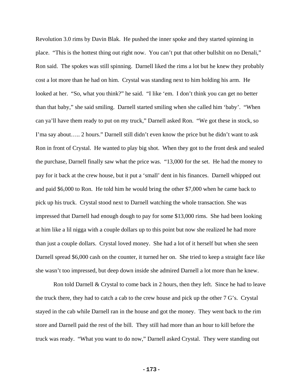Revolution 3.0 rims by Davin Blak. He pushed the inner spoke and they started spinning in place. "This is the hottest thing out right now. You can't put that other bullshit on no Denali," Ron said. The spokes was still spinning. Darnell liked the rims a lot but he knew they probably cost a lot more than he had on him. Crystal was standing next to him holding his arm. He looked at her. "So, what you think?" he said. "I like 'em. I don't think you can get no better than that baby," she said smiling. Darnell started smiling when she called him 'baby'. "When can ya'll have them ready to put on my truck," Darnell asked Ron. "We got these in stock, so I'ma say about….. 2 hours." Darnell still didn't even know the price but he didn't want to ask Ron in front of Crystal. He wanted to play big shot. When they got to the front desk and sealed the purchase, Darnell finally saw what the price was. "13,000 for the set. He had the money to pay for it back at the crew house, but it put a 'small' dent in his finances. Darnell whipped out and paid \$6,000 to Ron. He told him he would bring the other \$7,000 when he came back to pick up his truck. Crystal stood next to Darnell watching the whole transaction. She was impressed that Darnell had enough dough to pay for some \$13,000 rims. She had been looking at him like a lil nigga with a couple dollars up to this point but now she realized he had more than just a couple dollars. Crystal loved money. She had a lot of it herself but when she seen Darnell spread \$6,000 cash on the counter, it turned her on. She tried to keep a straight face like she wasn't too impressed, but deep down inside she admired Darnell a lot more than he knew.

Ron told Darnell  $& Crystal$  to come back in 2 hours, then they left. Since he had to leave the truck there, they had to catch a cab to the crew house and pick up the other 7 G's. Crystal stayed in the cab while Darnell ran in the house and got the money. They went back to the rim store and Darnell paid the rest of the bill. They still had more than an hour to kill before the truck was ready. "What you want to do now," Darnell asked Crystal. They were standing out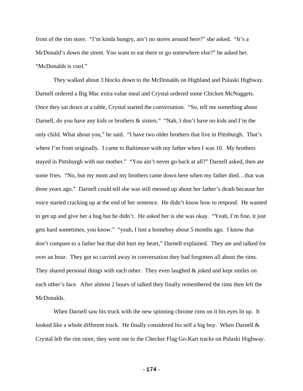front of the rim store. "I'm kinda hungry, ain't no stores around here?" she asked. "It's a McDonald's down the street. You want to eat there or go somewhere else?" he asked her. "McDonalds is cool."

 They walked about 3 blocks down to the McDonalds on Highland and Pulaski Highway. Darnell ordered a Big Mac extra value meal and Crystal ordered some Chicken McNuggets. Once they sat down at a table, Crystal started the conversation. "So, tell me something about Darnell, do you have any kids or brothers & sisters." "Nah, I don't have no kids and I'm the only child. What about you," he said. "I have two older brothers that live in Pittsburgh. That's where I'm from originally. I came to Baltimore with my father when I was 10. My brothers stayed in Pittsburgh with our mother." "You ain't never go back at all?" Darnell asked, then ate some fries. "No, but my mom and my brothers came down here when my father died...that was three years ago." Darnell could tell she was still messed up about her father's death because her voice started cracking up at the end of her sentence. He didn't know how to respond. He wanted to get up and give her a hug but he didn't. He asked her is she was okay. "Yeah, I'm fine, it just gets hard sometimes, you know." "yeah, I lost a homeboy about 5 months ago. I know that don't compare to a father but that shit hurt my heart," Darnell explained. They ate and talked for over an hour. They got so carried away in conversation they had forgotten all about the rims. They shared personal things with each other. They even laughed  $\&$  joked and kept smiles on each other's face. After almost 2 hours of talked they finally remembered the rims then left the McDonalds.

 When Darnell saw his truck with the new spinning chrome rims on it his eyes lit up. It looked like a whole different truck. He finally considered his self a big boy. When Darnell  $\&$ Crystal left the rim store, they went out to the Checker Flag Go-Kart tracks on Pulaski Highway.

- 174 -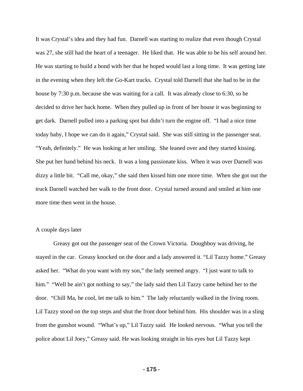It was Crystal's idea and they had fun. Darnell was starting to realize that even though Crystal was 27, she still had the heart of a teenager. He liked that. He was able to be his self around her. He was starting to build a bond with her that he hoped would last a long time. It was getting late in the evening when they left the Go-Kart tracks. Crystal told Darnell that she had to be in the house by 7:30 p.m. because she was waiting for a call. It was already close to 6:30, so he decided to drive her back home. When they pulled up in front of her house it was beginning to get dark. Darnell pulled into a parking spot but didn't turn the engine off. "I had a nice time today baby, I hope we can do it again," Crystal said. She was still sitting in the passenger seat. "Yeah, definitely." He was looking at her smiling. She leaned over and they started kissing. She put her hand behind his neck. It was a long passionate kiss. When it was over Darnell was dizzy a little bit. "Call me, okay," she said then kissed him one more time. When she got out the truck Darnell watched her walk to the front door. Crystal turned around and smiled at him one more time then went in the house.

# A couple days later

 Greasy got out the passenger seat of the Crown Victoria. Doughboy was driving, he stayed in the car. Greasy knocked on the door and a lady answered it. "Lil Tazzy home." Greasy asked her. "What do you want with my son," the lady seemed angry. "I just want to talk to him." "Well he ain't got nothing to say," the lady said then Lil Tazzy came behind her to the door. "Chill Ma, he cool, let me talk to him." The lady reluctantly walked in the living room. Lil Tazzy stood on the top steps and shut the front door behind him. His shoulder was in a sling from the gunshot wound. "What's up," Lil Tazzy said. He looked nervous. "What you tell the police about Lil Joey," Greasy said. He was looking straight in his eyes but Lil Tazzy kept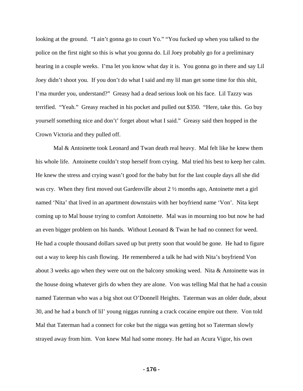looking at the ground. "I ain't gonna go to court Yo." "You fucked up when you talked to the police on the first night so this is what you gonna do. Lil Joey probably go for a preliminary hearing in a couple weeks. I'ma let you know what day it is. You gonna go in there and say Lil Joey didn't shoot you. If you don't do what I said and my lil man get some time for this shit, I'ma murder you, understand?" Greasy had a dead serious look on his face. Lil Tazzy was terrified. "Yeah." Greasy reached in his pocket and pulled out \$350. "Here, take this. Go buy yourself something nice and don't' forget about what I said." Greasy said then hopped in the Crown Victoria and they pulled off.

 Mal & Antoinette took Leonard and Twan death real heavy. Mal felt like he knew them his whole life. Antoinette couldn't stop herself from crying. Mal tried his best to keep her calm. He knew the stress and crying wasn't good for the baby but for the last couple days all she did was cry. When they first moved out Gardenville about 2  $\frac{1}{2}$  months ago, Antoinette met a girl named 'Nita' that lived in an apartment downstairs with her boyfriend name 'Von'. Nita kept coming up to Mal house trying to comfort Antoinette. Mal was in mourning too but now he had an even bigger problem on his hands. Without Leonard & Twan he had no connect for weed. He had a couple thousand dollars saved up but pretty soon that would be gone. He had to figure out a way to keep his cash flowing. He remembered a talk he had with Nita's boyfriend Von about 3 weeks ago when they were out on the balcony smoking weed. Nita  $\&$  Antoinette was in the house doing whatever girls do when they are alone. Von was telling Mal that he had a cousin named Taterman who was a big shot out O'Donnell Heights. Taterman was an older dude, about 30, and he had a bunch of lil' young niggas running a crack cocaine empire out there. Von told Mal that Taterman had a connect for coke but the nigga was getting hot so Taterman slowly strayed away from him. Von knew Mal had some money. He had an Acura Vigor, his own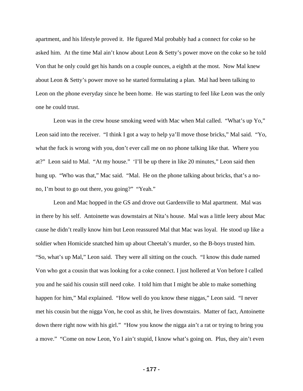apartment, and his lifestyle proved it. He figured Mal probably had a connect for coke so he asked him. At the time Mal ain't know about Leon & Setty's power move on the coke so he told Von that he only could get his hands on a couple ounces, a eighth at the most. Now Mal knew about Leon & Setty's power move so he started formulating a plan. Mal had been talking to Leon on the phone everyday since he been home. He was starting to feel like Leon was the only one he could trust.

 Leon was in the crew house smoking weed with Mac when Mal called. "What's up Yo," Leon said into the receiver. "I think I got a way to help ya'll move those bricks," Mal said. "Yo, what the fuck is wrong with you, don't ever call me on no phone talking like that. Where you at?" Leon said to Mal. "At my house." 'I'll be up there in like 20 minutes," Leon said then hung up. "Who was that," Mac said. "Mal. He on the phone talking about bricks, that's a nono, I'm bout to go out there, you going?" "Yeah."

 Leon and Mac hopped in the GS and drove out Gardenville to Mal apartment. Mal was in there by his self. Antoinette was downstairs at Nita's house. Mal was a little leery about Mac cause he didn't really know him but Leon reassured Mal that Mac was loyal. He stood up like a soldier when Homicide snatched him up about Cheetah's murder, so the B-boys trusted him. "So, what's up Mal," Leon said. They were all sitting on the couch. "I know this dude named Von who got a cousin that was looking for a coke connect. I just hollered at Von before I called you and he said his cousin still need coke. I told him that I might be able to make something happen for him," Mal explained. "How well do you know these niggas," Leon said. "I never met his cousin but the nigga Von, he cool as shit, he lives downstairs. Matter of fact, Antoinette down there right now with his girl." "How you know the nigga ain't a rat or trying to bring you a move." "Come on now Leon, Yo I ain't stupid, I know what's going on. Plus, they ain't even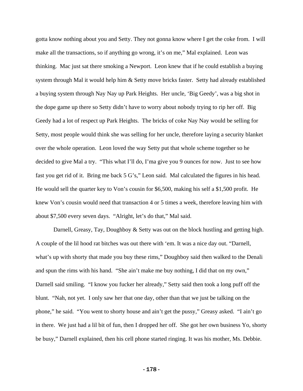gotta know nothing about you and Setty. They not gonna know where I get the coke from. I will make all the transactions, so if anything go wrong, it's on me," Mal explained. Leon was thinking. Mac just sat there smoking a Newport. Leon knew that if he could establish a buying system through Mal it would help him & Setty move bricks faster. Setty had already established a buying system through Nay Nay up Park Heights. Her uncle, 'Big Geedy', was a big shot in the dope game up there so Setty didn't have to worry about nobody trying to rip her off. Big Geedy had a lot of respect up Park Heights. The bricks of coke Nay Nay would be selling for Setty, most people would think she was selling for her uncle, therefore laying a security blanket over the whole operation. Leon loved the way Setty put that whole scheme together so he decided to give Mal a try. "This what I'll do, I'ma give you 9 ounces for now. Just to see how fast you get rid of it. Bring me back 5 G's," Leon said. Mal calculated the figures in his head. He would sell the quarter key to Von's cousin for \$6,500, making his self a \$1,500 profit. He knew Von's cousin would need that transaction 4 or 5 times a week, therefore leaving him with about \$7,500 every seven days. "Alright, let's do that," Mal said.

Darnell, Greasy, Tay, Doughboy & Setty was out on the block hustling and getting high. A couple of the lil hood rat bitches was out there with 'em. It was a nice day out. "Darnell, what's up with shorty that made you buy these rims," Doughboy said then walked to the Denali and spun the rims with his hand. "She ain't make me buy nothing, I did that on my own," Darnell said smiling. "I know you fucker her already," Setty said then took a long puff off the blunt. "Nah, not yet. I only saw her that one day, other than that we just be talking on the phone," he said. "You went to shorty house and ain't get the pussy," Greasy asked. "I ain't go in there. We just had a lil bit of fun, then I dropped her off. She got her own business Yo, shorty be busy," Darnell explained, then his cell phone started ringing. It was his mother, Ms. Debbie.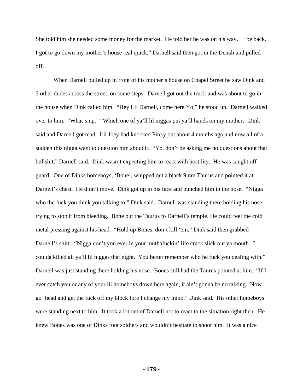She told him she needed some money for the market. He told her he was on his way. 'I be back. I got to go down my mother's house real quick," Darnell said then got in the Denali and pulled off.

 When Darnell pulled up in front of his mother's house on Chapel Street he saw Dink and 3 other dudes across the street, on some steps. Darnell got out the truck and was about to go in the house when Dink called him. "Hey Lil Darnell, come here Yo," he stood up. Darnell walked over to him. "What's up." "Which one of ya'll lil niggas put ya'll hands on my mother," Dink said and Darnell got mad. Lil Joey had knocked Pinky out about 4 months ago and now all of a sudden this nigga want to question him about it. "Yo, don't be asking me no questions about that bullshit," Darnell said. Dink wasn't expecting him to react with hostility. He was caught off guard. One of Dinks homeboys, 'Bone', whipped out a black 9mm Taurus and pointed it at Darnell's chest. He didn't move. Dink got up in his face and punched him in the nose. "Nigga who the fuck you think you talking to," Dink said. Darnell was standing there holding his nose trying to stop it from bleeding. Bone put the Taurus to Darnell's temple. He could feel the cold metal pressing against his head. "Hold up Bones, don't kill 'em," Dink said then grabbed Darnell's shirt. "Nigga don't you ever in your muthafuckin' life crack slick out ya mouth. I coulda killed all ya'll lil niggas that night. You better remember who he fuck you dealing with." Darnell was just standing there holding his nose. Bones still had the Taurus pointed at him. "If I ever catch you or any of your lil homeboys down here again, it ain't gonna be no talking. Now go 'head and get the fuck off my block fore I change my mind." Dink said. His other homeboys were standing next to him. It took a lot out of Darnell not to react to the situation right then. He knew Bones was one of Dinks foot soldiers and wouldn't hesitate to shoot him. It was a nice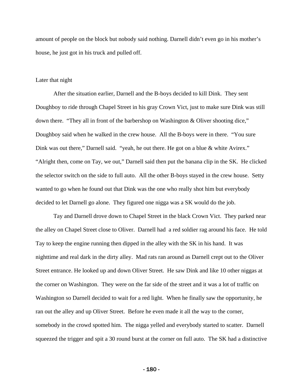amount of people on the block but nobody said nothing. Darnell didn't even go in his mother's house, he just got in his truck and pulled off.

## Later that night

 After the situation earlier, Darnell and the B-boys decided to kill Dink. They sent Doughboy to ride through Chapel Street in his gray Crown Vict, just to make sure Dink was still down there. "They all in front of the barbershop on Washington & Oliver shooting dice," Doughboy said when he walked in the crew house. All the B-boys were in there. "You sure Dink was out there," Darnell said. "yeah, he out there. He got on a blue & white Avirex." "Alright then, come on Tay, we out," Darnell said then put the banana clip in the SK. He clicked the selector switch on the side to full auto. All the other B-boys stayed in the crew house. Setty wanted to go when he found out that Dink was the one who really shot him but everybody decided to let Darnell go alone. They figured one nigga was a SK would do the job.

 Tay and Darnell drove down to Chapel Street in the black Crown Vict. They parked near the alley on Chapel Street close to Oliver. Darnell had a red soldier rag around his face. He told Tay to keep the engine running then dipped in the alley with the SK in his hand. It was nighttime and real dark in the dirty alley. Mad rats ran around as Darnell crept out to the Oliver Street entrance. He looked up and down Oliver Street. He saw Dink and like 10 other niggas at the corner on Washington. They were on the far side of the street and it was a lot of traffic on Washington so Darnell decided to wait for a red light. When he finally saw the opportunity, he ran out the alley and up Oliver Street. Before he even made it all the way to the corner, somebody in the crowd spotted him. The nigga yelled and everybody started to scatter. Darnell squeezed the trigger and spit a 30 round burst at the corner on full auto. The SK had a distinctive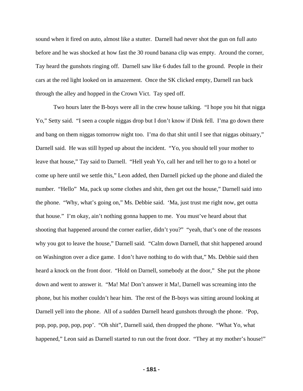sound when it fired on auto, almost like a stutter. Darnell had never shot the gun on full auto before and he was shocked at how fast the 30 round banana clip was empty. Around the corner, Tay heard the gunshots ringing off. Darnell saw like 6 dudes fall to the ground. People in their cars at the red light looked on in amazement. Once the SK clicked empty, Darnell ran back through the alley and hopped in the Crown Vict. Tay sped off.

 Two hours later the B-boys were all in the crew house talking. "I hope you hit that nigga Yo," Setty said. "I seen a couple niggas drop but I don't know if Dink fell. I'ma go down there and bang on them niggas tomorrow night too. I'ma do that shit until I see that niggas obituary," Darnell said. He was still hyped up about the incident. "Yo, you should tell your mother to leave that house," Tay said to Darnell. "Hell yeah Yo, call her and tell her to go to a hotel or come up here until we settle this," Leon added, then Darnell picked up the phone and dialed the number. "Hello" Ma, pack up some clothes and shit, then get out the house," Darnell said into the phone. "Why, what's going on," Ms. Debbie said. 'Ma, just trust me right now, get outta that house." I'm okay, ain't nothing gonna happen to me. You must've heard about that shooting that happened around the corner earlier, didn't you?" "yeah, that's one of the reasons why you got to leave the house," Darnell said. "Calm down Darnell, that shit happened around on Washington over a dice game. I don't have nothing to do with that," Ms. Debbie said then heard a knock on the front door. "Hold on Darnell, somebody at the door," She put the phone down and went to answer it. "Ma! Ma! Don't answer it Ma!, Darnell was screaming into the phone, but his mother couldn't hear him. The rest of the B-boys was sitting around looking at Darnell yell into the phone. All of a sudden Darnell heard gunshots through the phone. 'Pop, pop, pop, pop, pop, pop'. "Oh shit", Darnell said, then dropped the phone. "What Yo, what happened," Leon said as Darnell started to run out the front door. "They at my mother's house!"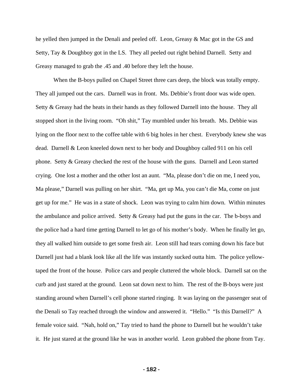he yelled then jumped in the Denali and peeled off. Leon, Greasy & Mac got in the GS and Setty, Tay & Doughboy got in the LS. They all peeled out right behind Darnell. Setty and Greasy managed to grab the .45 and .40 before they left the house.

 When the B-boys pulled on Chapel Street three cars deep, the block was totally empty. They all jumped out the cars. Darnell was in front. Ms. Debbie's front door was wide open. Setty & Greasy had the heats in their hands as they followed Darnell into the house. They all stopped short in the living room. "Oh shit," Tay mumbled under his breath. Ms. Debbie was lying on the floor next to the coffee table with 6 big holes in her chest. Everybody knew she was dead. Darnell & Leon kneeled down next to her body and Doughboy called 911 on his cell phone. Setty & Greasy checked the rest of the house with the guns. Darnell and Leon started crying. One lost a mother and the other lost an aunt. "Ma, please don't die on me, I need you, Ma please," Darnell was pulling on her shirt. "Ma, get up Ma, you can't die Ma, come on just get up for me." He was in a state of shock. Leon was trying to calm him down. Within minutes the ambulance and police arrived. Setty & Greasy had put the guns in the car. The b-boys and the police had a hard time getting Darnell to let go of his mother's body. When he finally let go, they all walked him outside to get some fresh air. Leon still had tears coming down his face but Darnell just had a blank look like all the life was instantly sucked outta him. The police yellowtaped the front of the house. Police cars and people cluttered the whole block. Darnell sat on the curb and just stared at the ground. Leon sat down next to him. The rest of the B-boys were just standing around when Darnell's cell phone started ringing. It was laying on the passenger seat of the Denali so Tay reached through the window and answered it. "Hello." "Is this Darnell?" A female voice said. "Nah, hold on," Tay tried to hand the phone to Darnell but he wouldn't take it. He just stared at the ground like he was in another world. Leon grabbed the phone from Tay.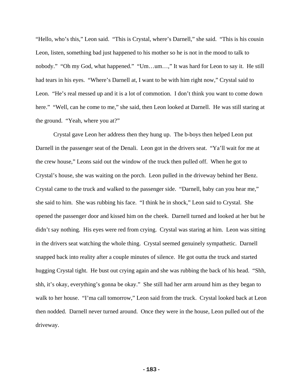"Hello, who's this," Leon said. "This is Crystal, where's Darnell," she said. "This is his cousin Leon, listen, something bad just happened to his mother so he is not in the mood to talk to nobody." "Oh my God, what happened." "Um…um…," It was hard for Leon to say it. He still had tears in his eyes. "Where's Darnell at, I want to be with him right now," Crystal said to Leon. "He's real messed up and it is a lot of commotion. I don't think you want to come down here." "Well, can he come to me," she said, then Leon looked at Darnell. He was still staring at the ground. "Yeah, where you at?"

 Crystal gave Leon her address then they hung up. The b-boys then helped Leon put Darnell in the passenger seat of the Denali. Leon got in the drivers seat. "Ya'll wait for me at the crew house," Leons said out the window of the truck then pulled off. When he got to Crystal's house, she was waiting on the porch. Leon pulled in the driveway behind her Benz. Crystal came to the truck and walked to the passenger side. "Darnell, baby can you hear me," she said to him. She was rubbing his face. "I think he in shock," Leon said to Crystal. She opened the passenger door and kissed him on the cheek. Darnell turned and looked at her but he didn't say nothing. His eyes were red from crying. Crystal was staring at him. Leon was sitting in the drivers seat watching the whole thing. Crystal seemed genuinely sympathetic. Darnell snapped back into reality after a couple minutes of silence. He got outta the truck and started hugging Crystal tight. He bust out crying again and she was rubbing the back of his head. "Shh, shh, it's okay, everything's gonna be okay." She still had her arm around him as they began to walk to her house. "I'ma call tomorrow," Leon said from the truck. Crystal looked back at Leon then nodded. Darnell never turned around. Once they were in the house, Leon pulled out of the driveway.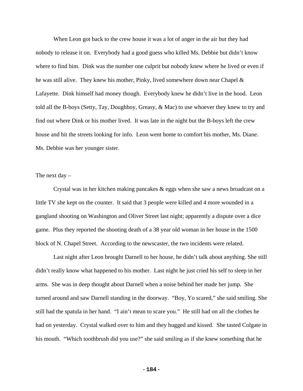When Leon got back to the crew house it was a lot of anger in the air but they had nobody to release it on. Everybody had a good guess who killed Ms. Debbie but didn't know where to find him. Dink was the number one culprit but nobody knew where he lived or even if he was still alive. They knew his mother, Pinky, lived somewhere down near Chapel & Lafayette. Dink himself had money though. Everybody knew he didn't live in the hood. Leon told all the B-boys (Setty, Tay, Doughboy, Greasy, & Mac) to use whoever they knew to try and find out where Dink or his mother lived. It was late in the night but the B-boys left the crew house and hit the streets looking for info. Leon went home to comfort his mother, Ms. Diane. Ms. Debbie was her younger sister.

The next day  $-$ 

 Crystal was in her kitchen making pancakes & eggs when she saw a news broadcast on a little TV she kept on the counter. It said that 3 people were killed and 4 more wounded in a gangland shooting on Washington and Oliver Street last night; apparently a dispute over a dice game. Plus they reported the shooting death of a 38 year old woman in her house in the 1500 block of N. Chapel Street. According to the newscaster, the two incidents were related.

 Last night after Leon brought Darnell to her house, he didn't talk about anything. She still didn't really know what happened to his mother. Last night he just cried his self to sleep in her arms. She was in deep thought about Darnell when a noise behind her made her jump. She turned around and saw Darnell standing in the doorway. "Boy, Yo scared," she said smiling. She still had the spatula in her hand. "I ain't mean to scare you." He still had on all the clothes he had on yesterday. Crystal walked over to him and they hugged and kissed. She tasted Colgate in his mouth. "Which toothbrush did you use?" she said smiling as if she knew something that he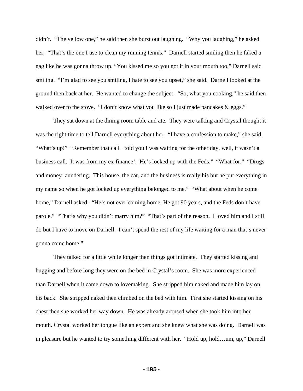didn't. "The yellow one," he said then she burst out laughing. "Why you laughing," he asked her. "That's the one I use to clean my running tennis." Darnell started smiling then he faked a gag like he was gonna throw up. "You kissed me so you got it in your mouth too," Darnell said smiling. "I'm glad to see you smiling, I hate to see you upset," she said. Darnell looked at the ground then back at her. He wanted to change the subject. "So, what you cooking," he said then walked over to the stove. "I don't know what you like so I just made pancakes & eggs."

 They sat down at the dining room table and ate. They were talking and Crystal thought it was the right time to tell Darnell everything about her. "I have a confession to make," she said. "What's up!" "Remember that call I told you I was waiting for the other day, well, it wasn't a business call. It was from my ex-finance'. He's locked up with the Feds." "What for." "Drugs and money laundering. This house, the car, and the business is really his but he put everything in my name so when he got locked up everything belonged to me." "What about when he come home," Darnell asked. "He's not ever coming home. He got 90 years, and the Feds don't have parole." "That's why you didn't marry him?" "That's part of the reason. I loved him and I still do but I have to move on Darnell. I can't spend the rest of my life waiting for a man that's never gonna come home."

 They talked for a little while longer then things got intimate. They started kissing and hugging and before long they were on the bed in Crystal's room. She was more experienced than Darnell when it came down to lovemaking. She stripped him naked and made him lay on his back. She stripped naked then climbed on the bed with him. First she started kissing on his chest then she worked her way down. He was already aroused when she took him into her mouth. Crystal worked her tongue like an expert and she knew what she was doing. Darnell was in pleasure but he wanted to try something different with her. "Hold up, hold…um, up," Darnell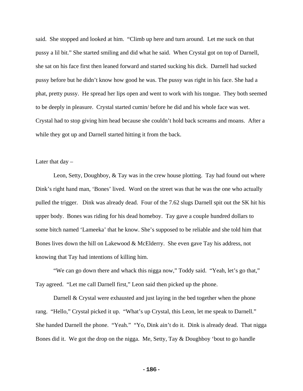said. She stopped and looked at him. "Climb up here and turn around. Let me suck on that pussy a lil bit." She started smiling and did what he said. When Crystal got on top of Darnell, she sat on his face first then leaned forward and started sucking his dick. Darnell had sucked pussy before but he didn't know how good he was. The pussy was right in his face. She had a phat, pretty pussy. He spread her lips open and went to work with his tongue. They both seemed to be deeply in pleasure. Crystal started cumin/ before he did and his whole face was wet. Crystal had to stop giving him head because she couldn't hold back screams and moans. After a while they got up and Darnell started hitting it from the back.

Later that  $day -$ 

 Leon, Setty, Doughboy, & Tay was in the crew house plotting. Tay had found out where Dink's right hand man, 'Bones' lived. Word on the street was that he was the one who actually pulled the trigger. Dink was already dead. Four of the 7.62 slugs Darnell spit out the SK hit his upper body. Bones was riding for his dead homeboy. Tay gave a couple hundred dollars to some bitch named 'Lameeka' that he know. She's supposed to be reliable and she told him that Bones lives down the hill on Lakewood & McElderry. She even gave Tay his address, not knowing that Tay had intentions of killing him.

 "We can go down there and whack this nigga now," Toddy said. "Yeah, let's go that," Tay agreed. "Let me call Darnell first," Leon said then picked up the phone.

Darnell & Crystal were exhausted and just laying in the bed together when the phone rang. "Hello," Crystal picked it up. "What's up Crystal, this Leon, let me speak to Darnell." She handed Darnell the phone. "Yeah." "Yo, Dink ain't do it. Dink is already dead. That nigga Bones did it. We got the drop on the nigga. Me, Setty, Tay & Doughboy 'bout to go handle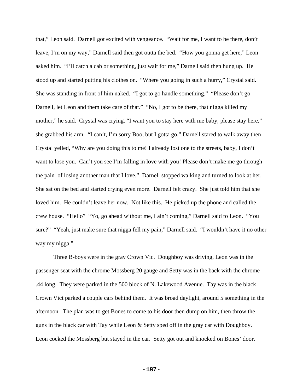that," Leon said. Darnell got excited with vengeance. "Wait for me, I want to be there, don't leave, I'm on my way," Darnell said then got outta the bed. "How you gonna get here," Leon asked him. "I'll catch a cab or something, just wait for me," Darnell said then hung up. He stood up and started putting his clothes on. "Where you going in such a hurry," Crystal said. She was standing in front of him naked. "I got to go handle something." "Please don't go Darnell, let Leon and them take care of that." "No, I got to be there, that nigga killed my mother," he said. Crystal was crying. "I want you to stay here with me baby, please stay here," she grabbed his arm. "I can't, I'm sorry Boo, but I gotta go," Darnell stared to walk away then Crystal yelled, "Why are you doing this to me! I already lost one to the streets, baby, I don't want to lose you. Can't you see I'm falling in love with you! Please don't make me go through the pain of losing another man that I love." Darnell stopped walking and turned to look at her. She sat on the bed and started crying even more. Darnell felt crazy. She just told him that she loved him. He couldn't leave her now. Not like this. He picked up the phone and called the crew house. "Hello" "Yo, go ahead without me, I ain't coming," Darnell said to Leon. "You sure?" "Yeah, just make sure that nigga fell my pain," Darnell said. "I wouldn't have it no other way my nigga."

 Three B-boys were in the gray Crown Vic. Doughboy was driving, Leon was in the passenger seat with the chrome Mossberg 20 gauge and Setty was in the back with the chrome .44 long. They were parked in the 500 block of N. Lakewood Avenue. Tay was in the black Crown Vict parked a couple cars behind them. It was broad daylight, around 5 something in the afternoon. The plan was to get Bones to come to his door then dump on him, then throw the guns in the black car with Tay while Leon & Setty sped off in the gray car with Doughboy. Leon cocked the Mossberg but stayed in the car. Setty got out and knocked on Bones' door.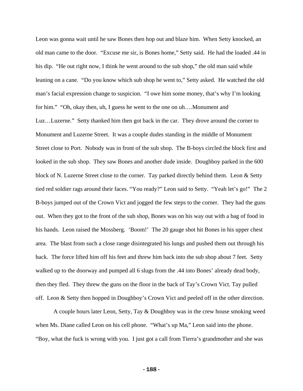Leon was gonna wait until he saw Bones then hop out and blaze him. When Setty knocked, an old man came to the door. "Excuse me sir, is Bones home," Setty said. He had the loaded .44 in his dip. "He out right now, I think he went around to the sub shop," the old man said while leaning on a cane. "Do you know which sub shop he went to," Setty asked. He watched the old man's facial expression change to suspicion. "I owe him some money, that's why I'm looking for him." "Oh, okay then, uh, I guess he went to the one on uh….Monument and Luz…Luzerne." Setty thanked him then got back in the car. They drove around the corner to Monument and Luzerne Street. It was a couple dudes standing in the middle of Monument Street close to Port. Nobody was in front of the sub shop. The B-boys circled the block first and looked in the sub shop. They saw Bones and another dude inside. Doughboy parked in the 600 block of N. Luzerne Street close to the corner. Tay parked directly behind them. Leon & Setty tied red soldier rags around their faces. "You ready?" Leon said to Setty. "Yeah let's go!" The 2 B-boys jumped out of the Crown Vict and jogged the few steps to the corner. They had the guns out. When they got to the front of the sub shop, Bones was on his way out with a bag of food in his hands. Leon raised the Mossberg. 'Boom!' The 20 gauge shot hit Bones in his upper chest area. The blast from such a close range disintegrated his lungs and pushed them out through his back. The force lifted him off his feet and threw him back into the sub shop about 7 feet. Setty walked up to the doorway and pumped all 6 slugs from the .44 into Bones' already dead body, then they fled. They threw the guns on the floor in the back of Tay's Crown Vict. Tay pulled off. Leon & Setty then hopped in Doughboy's Crown Vict and peeled off in the other direction.

 A couple hours later Leon, Setty, Tay & Doughboy was in the crew house smoking weed when Ms. Diane called Leon on his cell phone. "What's up Ma," Leon said into the phone. "Boy, what the fuck is wrong with you. I just got a call from Tierra's grandmother and she was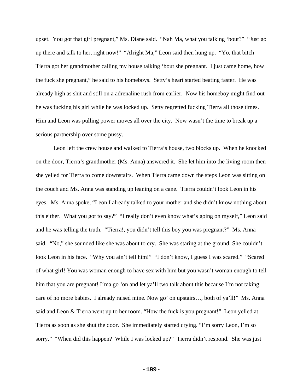upset. You got that girl pregnant," Ms. Diane said. "Nah Ma, what you talking 'bout?" "Just go up there and talk to her, right now!" "Alright Ma," Leon said then hung up. "Yo, that bitch Tierra got her grandmother calling my house talking 'bout she pregnant. I just came home, how the fuck she pregnant," he said to his homeboys. Setty's heart started beating faster. He was already high as shit and still on a adrenaline rush from earlier. Now his homeboy might find out he was fucking his girl while he was locked up. Setty regretted fucking Tierra all those times. Him and Leon was pulling power moves all over the city. Now wasn't the time to break up a serious partnership over some pussy.

 Leon left the crew house and walked to Tierra's house, two blocks up. When he knocked on the door, Tierra's grandmother (Ms. Anna) answered it. She let him into the living room then she yelled for Tierra to come downstairs. When Tierra came down the steps Leon was sitting on the couch and Ms. Anna was standing up leaning on a cane. Tierra couldn't look Leon in his eyes. Ms. Anna spoke, "Leon I already talked to your mother and she didn't know nothing about this either. What you got to say?" "I really don't even know what's going on myself," Leon said and he was telling the truth. "Tierra!, you didn't tell this boy you was pregnant?" Ms. Anna said. "No," she sounded like she was about to cry. She was staring at the ground. She couldn't look Leon in his face. "Why you ain't tell him!" "I don't know, I guess I was scared." "Scared of what girl! You was woman enough to have sex with him but you wasn't woman enough to tell him that you are pregnant! I'ma go 'on and let ya'll two talk about this because I'm not taking care of no more babies. I already raised mine. Now go' on upstairs…, both of ya'll!" Ms. Anna said and Leon & Tierra went up to her room. "How the fuck is you pregnant!" Leon yelled at Tierra as soon as she shut the door. She immediately started crying. "I'm sorry Leon, I'm so sorry." "When did this happen? While I was locked up?" Tierra didn't respond. She was just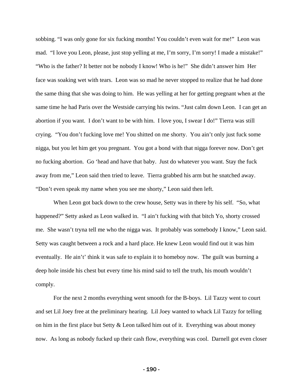sobbing. "I was only gone for six fucking months! You couldn't even wait for me!" Leon was mad. "I love you Leon, please, just stop yelling at me, I'm sorry, I'm sorry! I made a mistake!" "Who is the father? It better not be nobody I know! Who is he!" She didn't answer him Her face was soaking wet with tears. Leon was so mad he never stopped to realize that he had done the same thing that she was doing to him. He was yelling at her for getting pregnant when at the same time he had Paris over the Westside carrying his twins. "Just calm down Leon. I can get an abortion if you want. I don't want to be with him. I love you, I swear I do!" Tierra was still crying. "You don't fucking love me! You shitted on me shorty. You ain't only just fuck some nigga, but you let him get you pregnant. You got a bond with that nigga forever now. Don't get no fucking abortion. Go 'head and have that baby. Just do whatever you want. Stay the fuck away from me," Leon said then tried to leave. Tierra grabbed his arm but he snatched away. "Don't even speak my name when you see me shorty," Leon said then left.

 When Leon got back down to the crew house, Setty was in there by his self. "So, what happened?" Setty asked as Leon walked in. "I ain't fucking with that bitch Yo, shorty crossed me. She wasn't tryna tell me who the nigga was. It probably was somebody I know," Leon said. Setty was caught between a rock and a hard place. He knew Leon would find out it was him eventually. He ain't' think it was safe to explain it to homeboy now. The guilt was burning a deep hole inside his chest but every time his mind said to tell the truth, his mouth wouldn't comply.

 For the next 2 months everything went smooth for the B-boys. Lil Tazzy went to court and set Lil Joey free at the preliminary hearing. Lil Joey wanted to whack Lil Tazzy for telling on him in the first place but Setty  $\&$  Leon talked him out of it. Everything was about money now. As long as nobody fucked up their cash flow, everything was cool. Darnell got even closer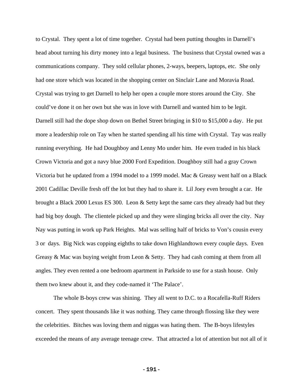to Crystal. They spent a lot of time together. Crystal had been putting thoughts in Darnell's head about turning his dirty money into a legal business. The business that Crystal owned was a communications company. They sold cellular phones, 2-ways, beepers, laptops, etc. She only had one store which was located in the shopping center on Sinclair Lane and Moravia Road. Crystal was trying to get Darnell to help her open a couple more stores around the City. She could've done it on her own but she was in love with Darnell and wanted him to be legit. Darnell still had the dope shop down on Bethel Street bringing in \$10 to \$15,000 a day. He put more a leadership role on Tay when he started spending all his time with Crystal. Tay was really running everything. He had Doughboy and Lenny Mo under him. He even traded in his black Crown Victoria and got a navy blue 2000 Ford Expedition. Doughboy still had a gray Crown Victoria but he updated from a 1994 model to a 1999 model. Mac & Greasy went half on a Black 2001 Cadillac Deville fresh off the lot but they had to share it. Lil Joey even brought a car. He brought a Black 2000 Lexus ES 300. Leon & Setty kept the same cars they already had but they had big boy dough. The clientele picked up and they were slinging bricks all over the city. Nay Nay was putting in work up Park Heights. Mal was selling half of bricks to Von's cousin every 3 or days. Big Nick was copping eighths to take down Highlandtown every couple days. Even Greasy & Mac was buying weight from Leon & Setty. They had cash coming at them from all angles. They even rented a one bedroom apartment in Parkside to use for a stash house. Only them two knew about it, and they code-named it 'The Palace'.

 The whole B-boys crew was shining. They all went to D.C. to a Rocafella-Ruff Riders concert. They spent thousands like it was nothing. They came through flossing like they were the celebrities. Bitches was loving them and niggas was hating them. The B-boys lifestyles exceeded the means of any average teenage crew. That attracted a lot of attention but not all of it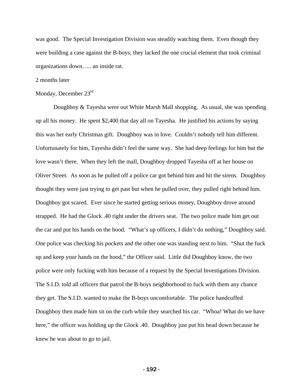was good. The Special Investigation Division was steadily watching them. Even though they were building a case against the B-boys; they lacked the one crucial element that took criminal organizations down….. an inside rat.

## 2 months later

## Monday, December 23rd

 Doughboy & Tayesha were out White Marsh Mall shopping. As usual, she was spending up all his money. He spent \$2,400 that day all on Tayesha. He justified his actions by saying this was her early Christmas gift. Doughboy was in love. Couldn't nobody tell him different. Unfortunately for him, Tayesha didn't feel the same way. She had deep feelings for him but the love wasn't there. When they left the mall, Doughboy dropped Tayesha off at her house on Oliver Street. As soon as he pulled off a police car got behind him and hit the sirens. Doughboy thought they were just trying to get past but when he pulled over, they pulled right behind him. Doughboy got scared. Ever since he started getting serious money, Doughboy drove around strapped. He had the Glock .40 right under the drivers seat. The two police made him get out the car and put his hands on the hood. "What's up officers, I didn't do nothing," Doughboy said. One police was checking his pockets and the other one was standing next to him. "Shut the fuck up and keep your hands on the hood," the Officer said. Little did Doughboy know, the two police were only fucking with him because of a request by the Special Investigations Division. The S.I.D. told all officers that patrol the B-boys neighborhood to fuck with them any chance they get. The S.I.D. wanted to make the B-boys uncomfortable. The police handcuffed Doughboy then made him sit on the curb while they searched his car. "Whoa! What do we have here," the officer was holding up the Glock .40. Doughboy just put his head down because he knew he was about to go to jail.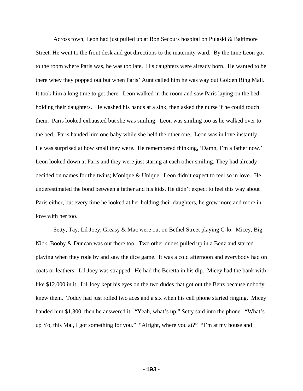Across town, Leon had just pulled up at Bon Secours hospital on Pulaski & Baltimore Street. He went to the front desk and got directions to the maternity ward. By the time Leon got to the room where Paris was, he was too late. His daughters were already born. He wanted to be there whey they popped out but when Paris' Aunt called him he was way out Golden Ring Mall. It took him a long time to get there. Leon walked in the room and saw Paris laying on the bed holding their daughters. He washed his hands at a sink, then asked the nurse if he could touch them. Paris looked exhausted but she was smiling. Leon was smiling too as he walked over to the bed. Paris handed him one baby while she held the other one. Leon was in love instantly. He was surprised at how small they were. He remembered thinking, 'Damn, I'm a father now.' Leon looked down at Paris and they were just staring at each other smiling. They had already decided on names for the twins; Monique & Unique. Leon didn't expect to feel so in love. He underestimated the bond between a father and his kids. He didn't expect to feel this way about Paris either, but every time he looked at her holding their daughters, he grew more and more in love with her too.

 Setty, Tay, Lil Joey, Greasy & Mac were out on Bethel Street playing C-lo. Micey, Big Nick, Booby & Duncan was out there too. Two other dudes pulled up in a Benz and started playing when they rode by and saw the dice game. It was a cold afternoon and everybody had on coats or leathers. Lil Joey was strapped. He had the Beretta in his dip. Micey had the bank with like \$12,000 in it. Lil Joey kept his eyes on the two dudes that got out the Benz because nobody knew them. Toddy had just rolled two aces and a six when his cell phone started ringing. Micey handed him \$1,300, then he answered it. "Yeah, what's up," Setty said into the phone. "What's up Yo, this Mal, I got something for you." "Alright, where you at?" "I'm at my house and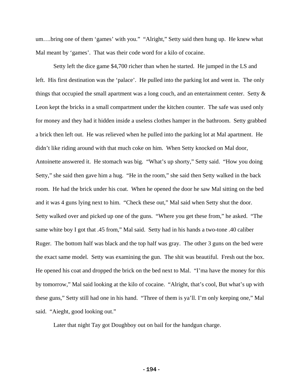um….bring one of them 'games' with you." "Alright," Setty said then hung up. He knew what Mal meant by 'games'. That was their code word for a kilo of cocaine.

 Setty left the dice game \$4,700 richer than when he started. He jumped in the LS and left. His first destination was the 'palace'. He pulled into the parking lot and went in. The only things that occupied the small apartment was a long couch, and an entertainment center. Setty  $\&$ Leon kept the bricks in a small compartment under the kitchen counter. The safe was used only for money and they had it hidden inside a useless clothes hamper in the bathroom. Setty grabbed a brick then left out. He was relieved when he pulled into the parking lot at Mal apartment. He didn't like riding around with that much coke on him. When Setty knocked on Mal door, Antoinette answered it. He stomach was big. "What's up shorty," Setty said. "How you doing Setty," she said then gave him a hug. "He in the room," she said then Setty walked in the back room. He had the brick under his coat. When he opened the door he saw Mal sitting on the bed and it was 4 guns lying next to him. "Check these out," Mal said when Setty shut the door. Setty walked over and picked up one of the guns. "Where you get these from," he asked. "The same white boy I got that .45 from," Mal said. Setty had in his hands a two-tone .40 caliber Ruger. The bottom half was black and the top half was gray. The other 3 guns on the bed were the exact same model. Setty was examining the gun. The shit was beautiful. Fresh out the box. He opened his coat and dropped the brick on the bed next to Mal. "I'ma have the money for this by tomorrow," Mal said looking at the kilo of cocaine. "Alright, that's cool, But what's up with these guns," Setty still had one in his hand. "Three of them is ya'll. I'm only keeping one," Mal said. "Aieght, good looking out."

Later that night Tay got Doughboy out on bail for the handgun charge.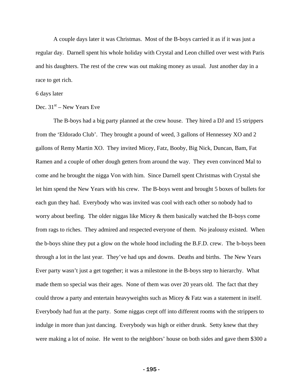A couple days later it was Christmas. Most of the B-boys carried it as if it was just a regular day. Darnell spent his whole holiday with Crystal and Leon chilled over west with Paris and his daughters. The rest of the crew was out making money as usual. Just another day in a race to get rich.

## 6 days later

## Dec.  $31<sup>st</sup>$  – New Years Eve

 The B-boys had a big party planned at the crew house. They hired a DJ and 15 strippers from the 'Eldorado Club'. They brought a pound of weed, 3 gallons of Hennessey XO and 2 gallons of Remy Martin XO. They invited Micey, Fatz, Booby, Big Nick, Duncan, Bam, Fat Ramen and a couple of other dough getters from around the way. They even convinced Mal to come and he brought the nigga Von with him. Since Darnell spent Christmas with Crystal she let him spend the New Years with his crew. The B-boys went and brought 5 boxes of bullets for each gun they had. Everybody who was invited was cool with each other so nobody had to worry about beefing. The older niggas like Micey & them basically watched the B-boys come from rags to riches. They admired and respected everyone of them. No jealousy existed. When the b-boys shine they put a glow on the whole hood including the B.F.D. crew. The b-boys been through a lot in the last year. They've had ups and downs. Deaths and births. The New Years Ever party wasn't just a get together; it was a milestone in the B-boys step to hierarchy. What made them so special was their ages. None of them was over 20 years old. The fact that they could throw a party and entertain heavyweights such as Micey & Fatz was a statement in itself. Everybody had fun at the party. Some niggas crept off into different rooms with the strippers to indulge in more than just dancing. Everybody was high or either drunk. Setty knew that they were making a lot of noise. He went to the neighbors' house on both sides and gave them \$300 a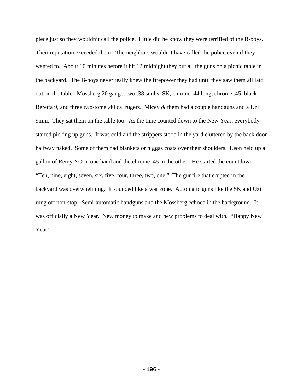piece just so they wouldn't call the police. Little did he know they were terrified of the B-boys. Their reputation exceeded them. The neighbors wouldn't have called the police even if they wanted to. About 10 minutes before it hit 12 midnight they put all the guns on a picnic table in the backyard. The B-boys never really knew the firepower they had until they saw them all laid out on the table. Mossberg 20 gauge, two .38 snubs, SK, chrome .44 long, chrome .45, black Beretta 9, and three two-tome .40 cal rugers. Micey & them had a couple handguns and a Uzi 9mm. They sat them on the table too. As the time counted down to the New Year, everybody started picking up guns. It was cold and the strippers stood in the yard cluttered by the back door halfway naked. Some of them had blankets or niggas coats over their shoulders. Leon held up a gallon of Remy XO in one hand and the chrome .45 in the other. He started the countdown. "Ten, nine, eight, seven, six, five, four, three, two, one." The gunfire that erupted in the backyard was overwhelming. It sounded like a war zone. Automatic guns like the SK and Uzi rung off non-stop. Semi-automatic handguns and the Mossberg echoed in the background. It was officially a New Year. New money to make and new problems to deal with. "Happy New Year!"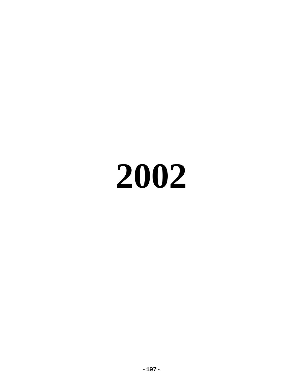# **2002**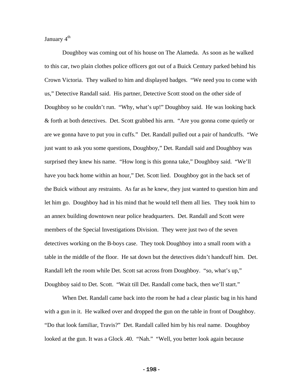January 4<sup>th</sup>

 Doughboy was coming out of his house on The Alameda. As soon as he walked to this car, two plain clothes police officers got out of a Buick Century parked behind his Crown Victoria. They walked to him and displayed badges. "We need you to come with us," Detective Randall said. His partner, Detective Scott stood on the other side of Doughboy so he couldn't run. "Why, what's up!" Doughboy said. He was looking back & forth at both detectives. Det. Scott grabbed his arm. "Are you gonna come quietly or are we gonna have to put you in cuffs." Det. Randall pulled out a pair of handcuffs. "We just want to ask you some questions, Doughboy," Det. Randall said and Doughboy was surprised they knew his name. "How long is this gonna take," Doughboy said. "We'll have you back home within an hour," Det. Scott lied. Doughboy got in the back set of the Buick without any restraints. As far as he knew, they just wanted to question him and let him go. Doughboy had in his mind that he would tell them all lies. They took him to an annex building downtown near police headquarters. Det. Randall and Scott were members of the Special Investigations Division. They were just two of the seven detectives working on the B-boys case. They took Doughboy into a small room with a table in the middle of the floor. He sat down but the detectives didn't handcuff him. Det. Randall left the room while Det. Scott sat across from Doughboy. "so, what's up," Doughboy said to Det. Scott. "Wait till Det. Randall come back, then we'll start."

 When Det. Randall came back into the room he had a clear plastic bag in his hand with a gun in it. He walked over and dropped the gun on the table in front of Doughboy. "Do that look familiar, Travis?" Det. Randall called him by his real name. Doughboy looked at the gun. It was a Glock .40. "Nah." "Well, you better look again because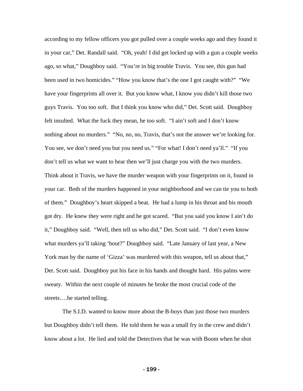according to my fellow officers you got pulled over a couple weeks ago and they found it in your car," Det. Randall said. "Oh, yeah! I did get locked up with a gun a couple weeks ago, so what," Doughboy said. "You're in big trouble Travis. You see, this gun had been used in two homicides." "How you know that's the one I got caught with?" "We have your fingerprints all over it. But you know what, I know you didn't kill those two guys Travis. You too soft. But I think you know who did," Det. Scott said. Doughboy felt insulted. What the fuck they mean, he too soft. "I ain't soft and I don't know nothing about no murders." "No, no, no, Travis, that's not the answer we're looking for. You see, we don't need you but you need us." "For what! I don't need ya'll." "If you don't tell us what we want to hear then we'll just charge you with the two murders. Think about it Travis, we have the murder weapon with your fingerprints on it, found in your car. Both of the murders happened in your neighborhood and we can tie you to both of them." Doughboy's heart skipped a beat. He had a lump in his throat and his mouth got dry. He knew they were right and he got scared. "But you said you know I ain't do it," Doughboy said. "Well, then tell us who did," Det. Scott said. "I don't even know what murders ya'll taking 'bout?" Doughboy said. "Late January of last year, a New York man by the name of 'Gizza' was murdered with this weapon, tell us about that," Det. Scott said. Doughboy put his face in his hands and thought hard. His palms were sweaty. Within the next couple of minutes he broke the most crucial code of the streets….he started telling.

 The S.I.D. wanted to know more about the B-boys than just those two murders but Doughboy didn't tell them. He told them he was a small fry in the crew and didn't know about a lot. He lied and told the Detectives that he was with Boom when he shot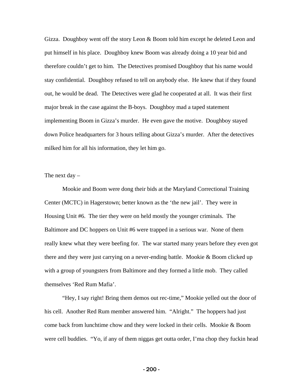Gizza. Doughboy went off the story Leon & Boom told him except he deleted Leon and put himself in his place. Doughboy knew Boom was already doing a 10 year bid and therefore couldn't get to him. The Detectives promised Doughboy that his name would stay confidential. Doughboy refused to tell on anybody else. He knew that if they found out, he would be dead. The Detectives were glad he cooperated at all. It was their first major break in the case against the B-boys. Doughboy mad a taped statement implementing Boom in Gizza's murder. He even gave the motive. Doughboy stayed down Police headquarters for 3 hours telling about Gizza's murder. After the detectives milked him for all his information, they let him go.

## The next day  $-$

 Mookie and Boom were dong their bids at the Maryland Correctional Training Center (MCTC) in Hagerstown; better known as the 'the new jail'. They were in Housing Unit #6. The tier they were on held mostly the younger criminals. The Baltimore and DC hoppers on Unit #6 were trapped in a serious war. None of them really knew what they were beefing for. The war started many years before they even got there and they were just carrying on a never-ending battle. Mookie & Boom clicked up with a group of youngsters from Baltimore and they formed a little mob. They called themselves 'Red Rum Mafia'.

 "Hey, I say right! Bring them demos out rec-time," Mookie yelled out the door of his cell. Another Red Rum member answered him. "Alright." The hoppers had just come back from lunchtime chow and they were locked in their cells. Mookie & Boom were cell buddies. "Yo, if any of them niggas get outta order, I'ma chop they fuckin head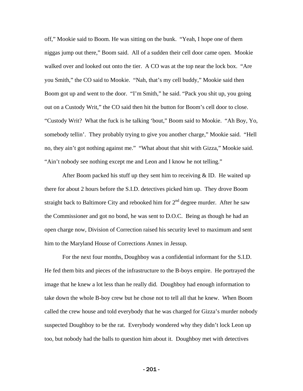off," Mookie said to Boom. He was sitting on the bunk. "Yeah, I hope one of them niggas jump out there," Boom said. All of a sudden their cell door came open. Mookie walked over and looked out onto the tier. A CO was at the top near the lock box. "Are you Smith," the CO said to Mookie. "Nah, that's my cell buddy," Mookie said then Boom got up and went to the door. "I'm Smith," he said. "Pack you shit up, you going out on a Custody Writ," the CO said then hit the button for Boom's cell door to close. "Custody Writ? What the fuck is he talking 'bout," Boom said to Mookie. "Ah Boy, Yo, somebody tellin'. They probably trying to give you another charge," Mookie said. "Hell no, they ain't got nothing against me." "What about that shit with Gizza," Mookie said. "Ain't nobody see nothing except me and Leon and I know he not telling."

After Boom packed his stuff up they sent him to receiving  $\&$  ID. He waited up there for about 2 hours before the S.I.D. detectives picked him up. They drove Boom straight back to Baltimore City and rebooked him for  $2<sup>nd</sup>$  degree murder. After he saw the Commissioner and got no bond, he was sent to D.O.C. Being as though he had an open charge now, Division of Correction raised his security level to maximum and sent him to the Maryland House of Corrections Annex in Jessup.

 For the next four months, Doughboy was a confidential informant for the S.I.D. He fed them bits and pieces of the infrastructure to the B-boys empire. He portrayed the image that he knew a lot less than he really did. Doughboy had enough information to take down the whole B-boy crew but he chose not to tell all that he knew. When Boom called the crew house and told everybody that he was charged for Gizza's murder nobody suspected Doughboy to be the rat. Everybody wondered why they didn't lock Leon up too, but nobody had the balls to question him about it. Doughboy met with detectives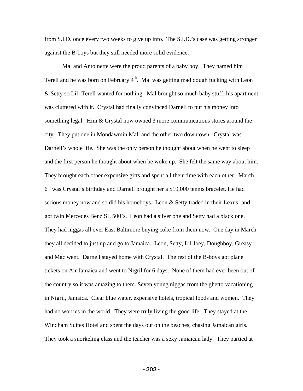from S.I.D. once every two weeks to give up info. The S.I.D.'s case was getting stronger against the B-boys but they still needed more solid evidence.

 Mal and Antoinette were the proud parents of a baby boy. They named him Terell and he was born on February  $4<sup>th</sup>$ . Mal was getting mad dough fucking with Leon & Setty so Lil' Terell wanted for nothing. Mal brought so much baby stuff, his apartment was cluttered with it. Crystal had finally convinced Darnell to put his money into something legal. Him & Crystal now owned 3 more communications stores around the city. They put one in Mondawmin Mall and the other two downtown. Crystal was Darnell's whole life. She was the only person he thought about when he went to sleep and the first person he thought about when he woke up. She felt the same way about him. They brought each other expensive gifts and spent all their time with each other. March  $6<sup>th</sup>$  was Crystal's birthday and Darnell brought her a \$19,000 tennis bracelet. He had serious money now and so did his homeboys. Leon & Setty traded in their Lexus' and got twin Mercedes Benz SL 500's. Leon had a silver one and Setty had a black one. They had niggas all over East Baltimore buying coke from them now. One day in March they all decided to just up and go to Jamaica. Leon, Setty, Lil Joey, Doughboy, Greasy and Mac went. Darnell stayed home with Crystal. The rest of the B-boys got plane tickets on Air Jamaica and went to Nigril for 6 days. None of them had ever been out of the country so it was amazing to them. Seven young niggas from the ghetto vacationing in Nigril, Jamaica. Clear blue water, expensive hotels, tropical foods and women. They had no worries in the world. They were truly living the good life. They stayed at the Windham Suites Hotel and spent the days out on the beaches, chasing Jamaican girls. They took a snorkeling class and the teacher was a sexy Jamaican lady. They partied at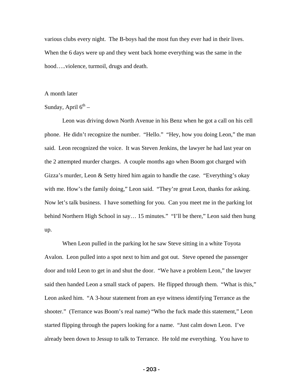various clubs every night. The B-boys had the most fun they ever had in their lives. When the 6 days were up and they went back home everything was the same in the hood…..violence, turmoil, drugs and death.

## A month later

# Sunday, April  $6^{th}$  –

 Leon was driving down North Avenue in his Benz when he got a call on his cell phone. He didn't recognize the number. "Hello." "Hey, how you doing Leon," the man said. Leon recognized the voice. It was Steven Jenkins, the lawyer he had last year on the 2 attempted murder charges. A couple months ago when Boom got charged with Gizza's murder, Leon & Setty hired him again to handle the case. "Everything's okay with me. How's the family doing," Leon said. "They're great Leon, thanks for asking. Now let's talk business. I have something for you. Can you meet me in the parking lot behind Northern High School in say... 15 minutes." "I'll be there," Leon said then hung up.

 When Leon pulled in the parking lot he saw Steve sitting in a white Toyota Avalon. Leon pulled into a spot next to him and got out. Steve opened the passenger door and told Leon to get in and shut the door. "We have a problem Leon," the lawyer said then handed Leon a small stack of papers. He flipped through them. "What is this," Leon asked him. "A 3-hour statement from an eye witness identifying Terrance as the shooter." (Terrance was Boom's real name) "Who the fuck made this statement," Leon started flipping through the papers looking for a name. "Just calm down Leon. I've already been down to Jessup to talk to Terrance. He told me everything. You have to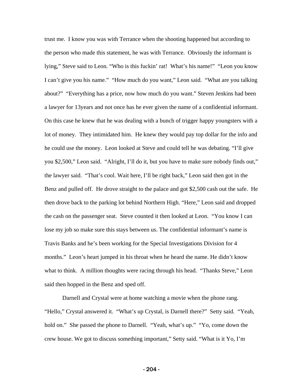trust me. I know you was with Terrance when the shooting happened but according to the person who made this statement, he was with Terrance. Obviously the informant is lying," Steve said to Leon. "Who is this fuckin' rat! What's his name!" "Leon you know I can't give you his name." "How much do you want," Leon said. "What are you talking about?" "Everything has a price, now how much do you want." Steven Jenkins had been a lawyer for 13years and not once has he ever given the name of a confidential informant. On this case he knew that he was dealing with a bunch of trigger happy youngsters with a lot of money. They intimidated him. He knew they would pay top dollar for the info and he could use the money. Leon looked at Steve and could tell he was debating. "I'll give you \$2,500," Leon said. "Alright, I'll do it, but you have to make sure nobody finds out," the lawyer said. "That's cool. Wait here, I'll be right back," Leon said then got in the Benz and pulled off. He drove straight to the palace and got \$2,500 cash out the safe. He then drove back to the parking lot behind Northern High. "Here," Leon said and dropped the cash on the passenger seat. Steve counted it then looked at Leon. "You know I can lose my job so make sure this stays between us. The confidential informant's name is Travis Banks and he's been working for the Special Investigations Division for 4 months." Leon's heart jumped in his throat when he heard the name. He didn't know what to think. A million thoughts were racing through his head. "Thanks Steve," Leon said then hopped in the Benz and sped off.

 Darnell and Crystal were at home watching a movie when the phone rang. "Hello," Crystal answered it. "What's up Crystal, is Darnell there?" Setty said. "Yeah, hold on." She passed the phone to Darnell. "Yeah, what's up." "Yo, come down the crew house. We got to discuss something important," Setty said. "What is it Yo, I'm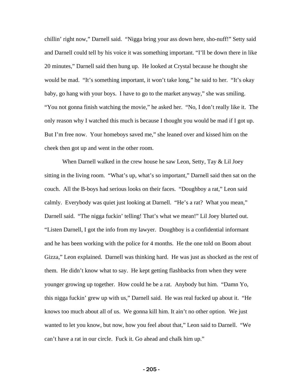chillin' right now," Darnell said. "Nigga bring your ass down here, sho-nuff!" Setty said and Darnell could tell by his voice it was something important. "I'll be down there in like 20 minutes," Darnell said then hung up. He looked at Crystal because he thought she would be mad. "It's something important, it won't take long," he said to her. "It's okay baby, go hang with your boys. I have to go to the market anyway," she was smiling. "You not gonna finish watching the movie," he asked her. "No, I don't really like it. The only reason why I watched this much is because I thought you would be mad if I got up. But I'm free now. Your homeboys saved me," she leaned over and kissed him on the cheek then got up and went in the other room.

 When Darnell walked in the crew house he saw Leon, Setty, Tay & Lil Joey sitting in the living room. "What's up, what's so important," Darnell said then sat on the couch. All the B-boys had serious looks on their faces. "Doughboy a rat," Leon said calmly. Everybody was quiet just looking at Darnell. "He's a rat? What you mean," Darnell said. "The nigga fuckin' telling! That's what we mean!" Lil Joey blurted out. "Listen Darnell, I got the info from my lawyer. Doughboy is a confidential informant and he has been working with the police for 4 months. He the one told on Boom about Gizza," Leon explained. Darnell was thinking hard. He was just as shocked as the rest of them. He didn't know what to say. He kept getting flashbacks from when they were younger growing up together. How could he be a rat. Anybody but him. "Damn Yo, this nigga fuckin' grew up with us," Darnell said. He was real fucked up about it. "He knows too much about all of us. We gonna kill him. It ain't no other option. We just wanted to let you know, but now, how you feel about that," Leon said to Darnell. "We can't have a rat in our circle. Fuck it. Go ahead and chalk him up."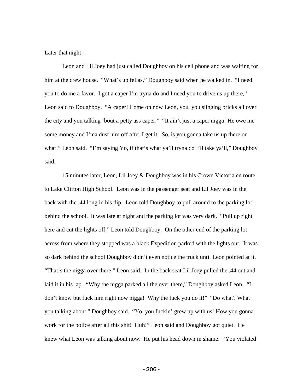Later that  $night$  –

 Leon and Lil Joey had just called Doughboy on his cell phone and was waiting for him at the crew house. "What's up fellas," Doughboy said when he walked in. "I need you to do me a favor. I got a caper I'm tryna do and I need you to drive us up there," Leon said to Doughboy. "A caper! Come on now Leon, you, you slinging bricks all over the city and you talking 'bout a petty ass caper." "It ain't just a caper nigga! He owe me some money and I'ma dust him off after I get it. So, is you gonna take us up there or what!" Leon said. "I'm saying Yo, if that's what ya'll tryna do I'll take ya'll," Doughboy said.

 15 minutes later, Leon, Lil Joey & Doughboy was in his Crown Victoria en route to Lake Clifton High School. Leon was in the passenger seat and Lil Joey was in the back with the .44 long in his dip. Leon told Doughboy to pull around to the parking lot behind the school. It was late at night and the parking lot was very dark. "Pull up right here and cut the lights off," Leon told Doughboy. On the other end of the parking lot across from where they stopped was a black Expedition parked with the lights out. It was so dark behind the school Doughboy didn't even notice the truck until Leon pointed at it. "That's the nigga over there," Leon said. In the back seat Lil Joey pulled the .44 out and laid it in his lap. "Why the nigga parked all the over there," Doughboy asked Leon. "I don't know but fuck him right now nigga! Why the fuck you do it!" "Do what? What you talking about," Doughboy said. "Yo, you fuckin' grew up with us! How you gonna work for the police after all this shit! Huh!" Leon said and Doughboy got quiet. He knew what Leon was talking about now. He put his head down in shame. "You violated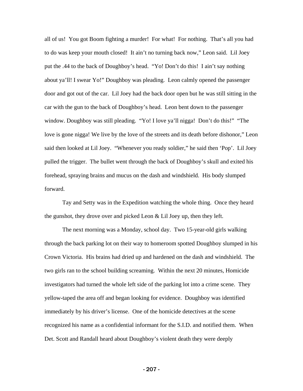all of us! You got Boom fighting a murder! For what! For nothing. That's all you had to do was keep your mouth closed! It ain't no turning back now," Leon said. Lil Joey put the .44 to the back of Doughboy's head. "Yo! Don't do this! I ain't say nothing about ya'll! I swear Yo!" Doughboy was pleading. Leon calmly opened the passenger door and got out of the car. Lil Joey had the back door open but he was still sitting in the car with the gun to the back of Doughboy's head. Leon bent down to the passenger window. Doughboy was still pleading. "Yo! I love ya'll nigga! Don't do this!" "The love is gone nigga! We live by the love of the streets and its death before dishonor," Leon said then looked at Lil Joey. "Whenever you ready soldier," he said then 'Pop'. Lil Joey pulled the trigger. The bullet went through the back of Doughboy's skull and exited his forehead, spraying brains and mucus on the dash and windshield. His body slumped forward.

 Tay and Setty was in the Expedition watching the whole thing. Once they heard the gunshot, they drove over and picked Leon & Lil Joey up, then they left.

 The next morning was a Monday, school day. Two 15-year-old girls walking through the back parking lot on their way to homeroom spotted Doughboy slumped in his Crown Victoria. His brains had dried up and hardened on the dash and windshield. The two girls ran to the school building screaming. Within the next 20 minutes, Homicide investigators had turned the whole left side of the parking lot into a crime scene. They yellow-taped the area off and began looking for evidence. Doughboy was identified immediately by his driver's license. One of the homicide detectives at the scene recognized his name as a confidential informant for the S.I.D. and notified them. When Det. Scott and Randall heard about Doughboy's violent death they were deeply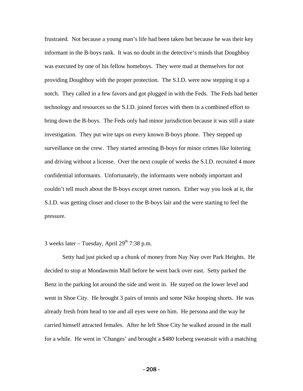frustrated. Not because a young man's life had been taken but because he was their key informant in the B-boys rank. It was no doubt in the detective's minds that Doughboy was executed by one of his fellow homeboys. They were mad at themselves for not providing Doughboy with the proper protection. The S.I.D. were now stepping it up a notch. They called in a few favors and got plugged in with the Feds. The Feds had better technology and resources so the S.I.D. joined forces with them in a combined effort to bring down the B-boys. The Feds only had minor jurisdiction because it was still a state investigation. They put wire taps on every known B-boys phone. They stepped up surveillance on the crew. They started arresting B-boys for minor crimes like loitering and driving without a license. Over the next couple of weeks the S.I.D. recruited 4 more confidential informants. Unfortunately, the informants were nobody important and couldn't tell much about the B-boys except street rumors. Either way you look at it, the S.I.D. was getting closer and closer to the B-boys lair and the were starting to feel the pressure.

3 weeks later – Tuesday, April  $29^{th}$  7:38 p.m.

 Setty had just picked up a chunk of money from Nay Nay over Park Heights. He decided to stop at Mondawmin Mall before he went back over east. Setty parked the Benz in the parking lot around the side and went in. He stayed on the lower level and went in Shoe City. He brought 3 pairs of tennis and some Nike hooping shorts. He was already fresh from head to toe and all eyes were on him. He persona and the way he carried himself attracted females. After he left Shoe City he walked around in the mall for a while. He went in 'Changes' and brought a \$480 Iceberg sweatsuit with a matching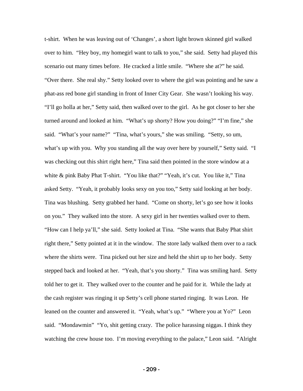t-shirt. When he was leaving out of 'Changes', a short light brown skinned girl walked over to him. "Hey boy, my homegirl want to talk to you," she said. Setty had played this scenario out many times before. He cracked a little smile. "Where she at?" he said. "Over there. She real shy." Setty looked over to where the girl was pointing and he saw a phat-ass red bone girl standing in front of Inner City Gear. She wasn't looking his way. "I'll go holla at her," Setty said, then walked over to the girl. As he got closer to her she turned around and looked at him. "What's up shorty? How you doing?" "I'm fine," she said. "What's your name?" "Tina, what's yours," she was smiling. "Setty, so um, what's up with you. Why you standing all the way over here by yourself," Setty said. "I was checking out this shirt right here," Tina said then pointed in the store window at a white & pink Baby Phat T-shirt. "You like that?" "Yeah, it's cut. You like it," Tina asked Setty. "Yeah, it probably looks sexy on you too," Setty said looking at her body. Tina was blushing. Setty grabbed her hand. "Come on shorty, let's go see how it looks on you." They walked into the store. A sexy girl in her twenties walked over to them. "How can I help ya'll," she said. Setty looked at Tina. "She wants that Baby Phat shirt right there," Setty pointed at it in the window. The store lady walked them over to a rack where the shirts were. Tina picked out her size and held the shirt up to her body. Setty stepped back and looked at her. "Yeah, that's you shorty." Tina was smiling hard. Setty told her to get it. They walked over to the counter and he paid for it. While the lady at the cash register was ringing it up Setty's cell phone started ringing. It was Leon. He leaned on the counter and answered it. "Yeah, what's up." "Where you at Yo?" Leon said. "Mondawmin" "Yo, shit getting crazy. The police harassing niggas. I think they watching the crew house too. I'm moving everything to the palace," Leon said. "Alright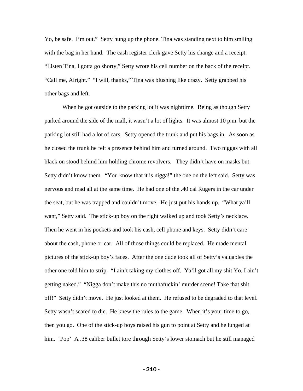Yo, be safe. I'm out." Setty hung up the phone. Tina was standing next to him smiling with the bag in her hand. The cash register clerk gave Setty his change and a receipt. "Listen Tina, I gotta go shorty," Setty wrote his cell number on the back of the receipt. "Call me, Alright." "I will, thanks," Tina was blushing like crazy. Setty grabbed his other bags and left.

 When he got outside to the parking lot it was nighttime. Being as though Setty parked around the side of the mall, it wasn't a lot of lights. It was almost 10 p.m. but the parking lot still had a lot of cars. Setty opened the trunk and put his bags in. As soon as he closed the trunk he felt a presence behind him and turned around. Two niggas with all black on stood behind him holding chrome revolvers. They didn't have on masks but Setty didn't know them. "You know that it is nigga!" the one on the left said. Setty was nervous and mad all at the same time. He had one of the .40 cal Rugers in the car under the seat, but he was trapped and couldn't move. He just put his hands up. "What ya'll want," Setty said. The stick-up boy on the right walked up and took Setty's necklace. Then he went in his pockets and took his cash, cell phone and keys. Setty didn't care about the cash, phone or car. All of those things could be replaced. He made mental pictures of the stick-up boy's faces. After the one dude took all of Setty's valuables the other one told him to strip. "I ain't taking my clothes off. Ya'll got all my shit Yo, I ain't getting naked." "Nigga don't make this no muthafuckin' murder scene! Take that shit off!" Setty didn't move. He just looked at them. He refused to be degraded to that level. Setty wasn't scared to die. He knew the rules to the game. When it's your time to go, then you go. One of the stick-up boys raised his gun to point at Setty and he lunged at him. 'Pop' A .38 caliber bullet tore through Setty's lower stomach but he still managed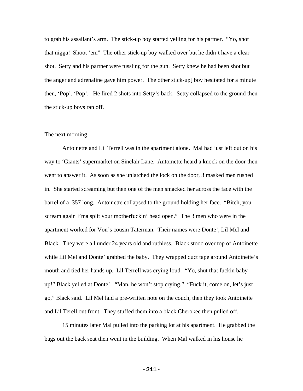to grab his assailant's arm. The stick-up boy started yelling for his partner. "Yo, shot that nigga! Shoot 'em" The other stick-up boy walked over but he didn't have a clear shot. Setty and his partner were tussling for the gun. Setty knew he had been shot but the anger and adrenaline gave him power. The other stick-up[ boy hesitated for a minute then, 'Pop', 'Pop'. He fired 2 shots into Setty's back. Setty collapsed to the ground then the stick-up boys ran off.

### The next morning  $-$

 Antoinette and Lil Terrell was in the apartment alone. Mal had just left out on his way to 'Giants' supermarket on Sinclair Lane. Antoinette heard a knock on the door then went to answer it. As soon as she unlatched the lock on the door, 3 masked men rushed in. She started screaming but then one of the men smacked her across the face with the barrel of a .357 long. Antoinette collapsed to the ground holding her face. "Bitch, you scream again I'ma split your motherfuckin' head open." The 3 men who were in the apartment worked for Von's cousin Taterman. Their names were Donte', Lil Mel and Black. They were all under 24 years old and ruthless. Black stood over top of Antoinette while Lil Mel and Donte' grabbed the baby. They wrapped duct tape around Antoinette's mouth and tied her hands up. Lil Terrell was crying loud. "Yo, shut that fuckin baby up!" Black yelled at Donte'. "Man, he won't stop crying." "Fuck it, come on, let's just go," Black said. Lil Mel laid a pre-written note on the couch, then they took Antoinette and Lil Terell out front. They stuffed them into a black Cherokee then pulled off.

 15 minutes later Mal pulled into the parking lot at his apartment. He grabbed the bags out the back seat then went in the building. When Mal walked in his house he

- 211 -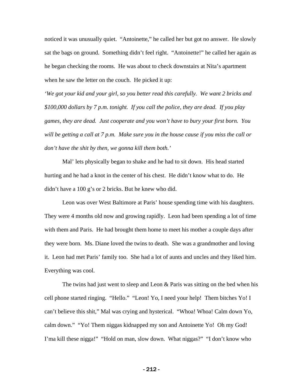noticed it was unusually quiet. "Antoinette," he called her but got no answer. He slowly sat the bags on ground. Something didn't feel right. "Antoinette!" he called her again as he began checking the rooms. He was about to check downstairs at Nita's apartment when he saw the letter on the couch. He picked it up:

*'We got your kid and your girl, so you better read this carefully. We want 2 bricks and \$100,000 dollars by 7 p.m. tonight. If you call the police, they are dead. If you play games, they are dead. Just cooperate and you won't have to bury your first born. You will be getting a call at 7 p.m. Make sure you in the house cause if you miss the call or don't have the shit by then, we gonna kill them both.'* 

 Mal' lets physically began to shake and he had to sit down. His head started hurting and he had a knot in the center of his chest. He didn't know what to do. He didn't have a 100 g's or 2 bricks. But he knew who did.

 Leon was over West Baltimore at Paris' house spending time with his daughters. They were 4 months old now and growing rapidly. Leon had been spending a lot of time with them and Paris. He had brought them home to meet his mother a couple days after they were born. Ms. Diane loved the twins to death. She was a grandmother and loving it. Leon had met Paris' family too. She had a lot of aunts and uncles and they liked him. Everything was cool.

 The twins had just went to sleep and Leon & Paris was sitting on the bed when his cell phone started ringing. "Hello." "Leon! Yo, I need your help! Them bitches Yo! I can't believe this shit," Mal was crying and hysterical. "Whoa! Whoa! Calm down Yo, calm down." "Yo! Them niggas kidnapped my son and Antoinette Yo! Oh my God! I'ma kill these nigga!" "Hold on man, slow down. What niggas?" "I don't know who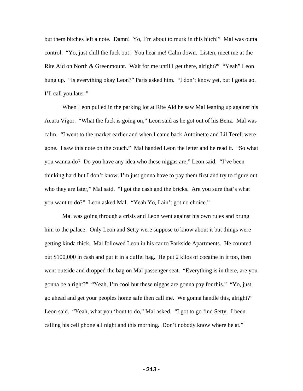but them bitches left a note. Damn! Yo, I'm about to murk in this bitch!" Mal was outta control. "Yo, just chill the fuck out! You hear me! Calm down. Listen, meet me at the Rite Aid on North & Greenmount. Wait for me until I get there, alright?" "Yeah" Leon hung up. "Is everything okay Leon?" Paris asked him. "I don't know yet, but I gotta go. I'll call you later."

 When Leon pulled in the parking lot at Rite Aid he saw Mal leaning up against his Acura Vigor. "What the fuck is going on," Leon said as he got out of his Benz. Mal was calm. "I went to the market earlier and when I came back Antoinette and Lil Terell were gone. I saw this note on the couch." Mal handed Leon the letter and he read it. "So what you wanna do? Do you have any idea who these niggas are," Leon said. "I've been thinking hard but I don't know. I'm just gonna have to pay them first and try to figure out who they are later," Mal said. "I got the cash and the bricks. Are you sure that's what you want to do?" Leon asked Mal. "Yeah Yo, I ain't got no choice."

 Mal was going through a crisis and Leon went against his own rules and brung him to the palace. Only Leon and Setty were suppose to know about it but things were getting kinda thick. Mal followed Leon in his car to Parkside Apartments. He counted out \$100,000 in cash and put it in a duffel bag. He put 2 kilos of cocaine in it too, then went outside and dropped the bag on Mal passenger seat. "Everything is in there, are you gonna be alright?" "Yeah, I'm cool but these niggas are gonna pay for this." "Yo, just go ahead and get your peoples home safe then call me. We gonna handle this, alright?" Leon said. "Yeah, what you 'bout to do," Mal asked. "I got to go find Setty. I been calling his cell phone all night and this morning. Don't nobody know where he at."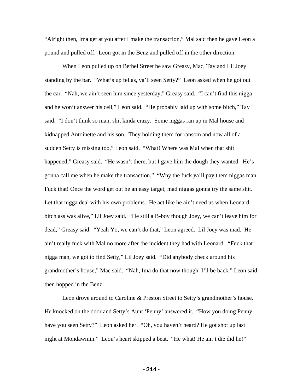"Alright then, Ima get at you after I make the transaction," Mal said then he gave Leon a pound and pulled off. Leon got in the Benz and pulled off in the other direction.

 When Leon pulled up on Bethel Street he saw Greasy, Mac, Tay and Lil Joey standing by the bar. "What's up fellas, ya'll seen Setty?" Leon asked when he got out the car. "Nah, we ain't seen him since yesterday," Greasy said. "I can't find this nigga and he won't answer his cell," Leon said. "He probably laid up with some bitch," Tay said. "I don't think so man, shit kinda crazy. Some niggas ran up in Mal house and kidnapped Antoinette and his son. They holding them for ransom and now all of a sudden Setty is missing too," Leon said. "What! Where was Mal when that shit happened," Greasy said. "He wasn't there, but I gave him the dough they wanted. He's gonna call me when he make the transaction." "Why the fuck ya'll pay them niggas man. Fuck that! Once the word get out he an easy target, mad niggas gonna try the same shit. Let that nigga deal with his own problems. He act like he ain't need us when Leonard bitch ass was alive," Lil Joey said. "He still a B-boy though Joey, we can't leave him for dead," Greasy said. "Yeah Yo, we can't do that," Leon agreed. Lil Joey was mad. He ain't really fuck with Mal no more after the incident they had with Leonard. "Fuck that nigga man, we got to find Setty," Lil Joey said. "Did anybody check around his grandmother's house," Mac said. "Nah, Ima do that now though. I'll be back," Leon said then hopped in the Benz.

 Leon drove around to Caroline & Preston Street to Setty's grandmother's house. He knocked on the door and Setty's Aunt 'Penny' answered it. "How you doing Penny, have you seen Setty?" Leon asked her. "Oh, you haven't heard? He got shot up last night at Mondawmin." Leon's heart skipped a beat. "He what! He ain't die did he!"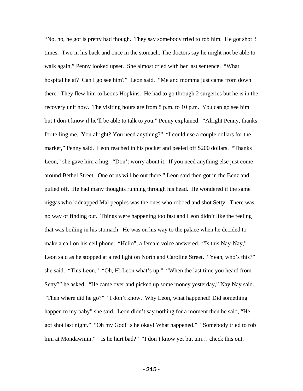"No, no, he got is pretty bad though. They say somebody tried to rob him. He got shot 3 times. Two in his back and once in the stomach. The doctors say he might not be able to walk again," Penny looked upset. She almost cried with her last sentence. "What hospital he at? Can I go see him?" Leon said. "Me and momma just came from down there. They flew him to Leons Hopkins. He had to go through 2 surgeries but he is in the recovery unit now. The visiting hours are from 8 p.m. to 10 p.m. You can go see him but I don't know if he'll be able to talk to you." Penny explained. "Alright Penny, thanks for telling me. You alright? You need anything?" "I could use a couple dollars for the market," Penny said. Leon reached in his pocket and peeled off \$200 dollars. "Thanks Leon," she gave him a hug. "Don't worry about it. If you need anything else just come around Bethel Street. One of us will be out there," Leon said then got in the Benz and pulled off. He had many thoughts running through his head. He wondered if the same niggas who kidnapped Mal peoples was the ones who robbed and shot Setty. There was no way of finding out. Things were happening too fast and Leon didn't like the feeling that was boiling in his stomach. He was on his way to the palace when he decided to make a call on his cell phone. "Hello", a female voice answered. "Is this Nay-Nay," Leon said as he stopped at a red light on North and Caroline Street. "Yeah, who's this?" she said. "This Leon." "Oh, Hi Leon what's up." "When the last time you heard from Setty?" he asked. "He came over and picked up some money yesterday," Nay Nay said. "Then where did he go?" "I don't know. Why Leon, what happened! Did something happen to my baby" she said. Leon didn't say nothing for a moment then he said, "He got shot last night." "Oh my God! Is he okay! What happened." "Somebody tried to rob him at Mondawmin." "Is he hurt bad?" "I don't know yet but um… check this out.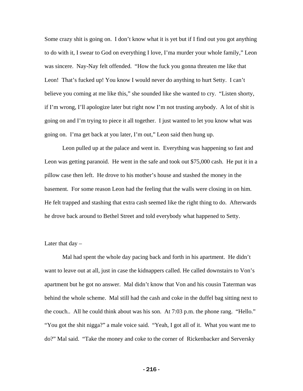Some crazy shit is going on. I don't know what it is yet but if I find out you got anything to do with it, I swear to God on everything I love, I'ma murder your whole family," Leon was sincere. Nay-Nay felt offended. "How the fuck you gonna threaten me like that Leon! That's fucked up! You know I would never do anything to hurt Setty. I can't believe you coming at me like this," she sounded like she wanted to cry. "Listen shorty, if I'm wrong, I'll apologize later but right now I'm not trusting anybody. A lot of shit is going on and I'm trying to piece it all together. I just wanted to let you know what was going on. I'ma get back at you later, I'm out," Leon said then hung up.

 Leon pulled up at the palace and went in. Everything was happening so fast and Leon was getting paranoid. He went in the safe and took out \$75,000 cash. He put it in a pillow case then left. He drove to his mother's house and stashed the money in the basement. For some reason Leon had the feeling that the walls were closing in on him. He felt trapped and stashing that extra cash seemed like the right thing to do. Afterwards he drove back around to Bethel Street and told everybody what happened to Setty.

## Later that  $day -$

 Mal had spent the whole day pacing back and forth in his apartment. He didn't want to leave out at all, just in case the kidnappers called. He called downstairs to Von's apartment but he got no answer. Mal didn't know that Von and his cousin Taterman was behind the whole scheme. Mal still had the cash and coke in the duffel bag sitting next to the couch.. All he could think about was his son. At 7:03 p.m. the phone rang. "Hello." "You got the shit nigga?" a male voice said. "Yeah, I got all of it. What you want me to do?" Mal said. "Take the money and coke to the corner of Rickenbacker and Serversky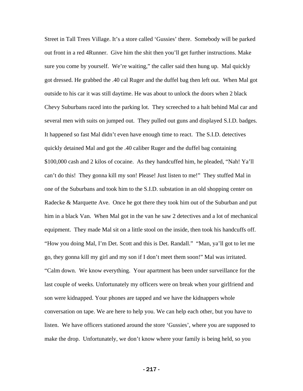Street in Tall Trees Village. It's a store called 'Gussies' there. Somebody will be parked out front in a red 4Runner. Give him the shit then you'll get further instructions. Make sure you come by yourself. We're waiting," the caller said then hung up. Mal quickly got dressed. He grabbed the .40 cal Ruger and the duffel bag then left out. When Mal got outside to his car it was still daytime. He was about to unlock the doors when 2 black Chevy Suburbans raced into the parking lot. They screeched to a halt behind Mal car and several men with suits on jumped out. They pulled out guns and displayed S.I.D. badges. It happened so fast Mal didn't even have enough time to react. The S.I.D. detectives quickly detained Mal and got the .40 caliber Ruger and the duffel bag containing \$100,000 cash and 2 kilos of cocaine. As they handcuffed him, he pleaded, "Nah! Ya'll can't do this! They gonna kill my son! Please! Just listen to me!" They stuffed Mal in one of the Suburbans and took him to the S.I.D. substation in an old shopping center on Radecke & Marquette Ave. Once he got there they took him out of the Suburban and put him in a black Van. When Mal got in the van he saw 2 detectives and a lot of mechanical equipment. They made Mal sit on a little stool on the inside, then took his handcuffs off. "How you doing Mal, I'm Det. Scott and this is Det. Randall." "Man, ya'll got to let me go, they gonna kill my girl and my son if I don't meet them soon!" Mal was irritated. "Calm down. We know everything. Your apartment has been under surveillance for the last couple of weeks. Unfortunately my officers were on break when your girlfriend and son were kidnapped. Your phones are tapped and we have the kidnappers whole conversation on tape. We are here to help you. We can help each other, but you have to listen. We have officers stationed around the store 'Gussies', where you are supposed to make the drop. Unfortunately, we don't know where your family is being held, so you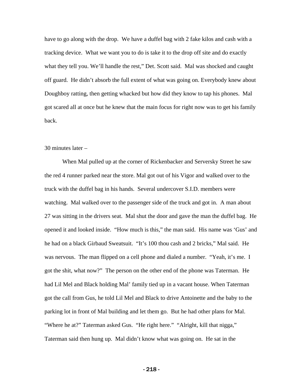have to go along with the drop. We have a duffel bag with 2 fake kilos and cash with a tracking device. What we want you to do is take it to the drop off site and do exactly what they tell you. We'll handle the rest," Det. Scott said. Mal was shocked and caught off guard. He didn't absorb the full extent of what was going on. Everybody knew about Doughboy ratting, then getting whacked but how did they know to tap his phones. Mal got scared all at once but he knew that the main focus for right now was to get his family back.

### 30 minutes later –

 When Mal pulled up at the corner of Rickenbacker and Serversky Street he saw the red 4 runner parked near the store. Mal got out of his Vigor and walked over to the truck with the duffel bag in his hands. Several undercover S.I.D. members were watching. Mal walked over to the passenger side of the truck and got in. A man about 27 was sitting in the drivers seat. Mal shut the door and gave the man the duffel bag. He opened it and looked inside. "How much is this," the man said. His name was 'Gus' and he had on a black Girbaud Sweatsuit. "It's 100 thou cash and 2 bricks," Mal said. He was nervous. The man flipped on a cell phone and dialed a number. "Yeah, it's me. I got the shit, what now?" The person on the other end of the phone was Taterman. He had Lil Mel and Black holding Mal' family tied up in a vacant house. When Taterman got the call from Gus, he told Lil Mel and Black to drive Antoinette and the baby to the parking lot in front of Mal building and let them go. But he had other plans for Mal. "Where he at?" Taterman asked Gus. "He right here." "Alright, kill that nigga," Taterman said then hung up. Mal didn't know what was going on. He sat in the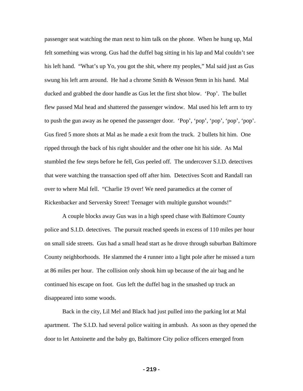passenger seat watching the man next to him talk on the phone. When he hung up, Mal felt something was wrong. Gus had the duffel bag sitting in his lap and Mal couldn't see his left hand. "What's up Yo, you got the shit, where my peoples," Mal said just as Gus swung his left arm around. He had a chrome Smith & Wesson 9mm in his hand. Mal ducked and grabbed the door handle as Gus let the first shot blow. 'Pop'. The bullet flew passed Mal head and shattered the passenger window. Mal used his left arm to try to push the gun away as he opened the passenger door. 'Pop', 'pop', 'pop', 'pop', 'pop'. Gus fired 5 more shots at Mal as he made a exit from the truck. 2 bullets hit him. One ripped through the back of his right shoulder and the other one hit his side. As Mal stumbled the few steps before he fell, Gus peeled off. The undercover S.I.D. detectives that were watching the transaction sped off after him. Detectives Scott and Randall ran over to where Mal fell. "Charlie 19 over! We need paramedics at the corner of Rickenbacker and Serversky Street! Teenager with multiple gunshot wounds!"

 A couple blocks away Gus was in a high speed chase with Baltimore County police and S.I.D. detectives. The pursuit reached speeds in excess of 110 miles per hour on small side streets. Gus had a small head start as he drove through suburban Baltimore County neighborhoods. He slammed the 4 runner into a light pole after he missed a turn at 86 miles per hour. The collision only shook him up because of the air bag and he continued his escape on foot. Gus left the duffel bag in the smashed up truck an disappeared into some woods.

 Back in the city, Lil Mel and Black had just pulled into the parking lot at Mal apartment. The S.I.D. had several police waiting in ambush. As soon as they opened the door to let Antoinette and the baby go, Baltimore City police officers emerged from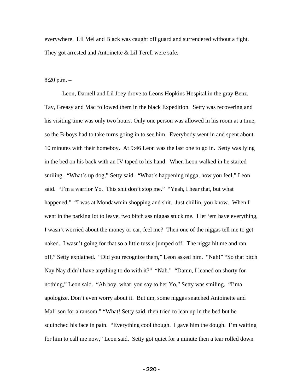everywhere. Lil Mel and Black was caught off guard and surrendered without a fight. They got arrested and Antoinette & Lil Terell were safe.

8:20 p.m. –

 Leon, Darnell and Lil Joey drove to Leons Hopkins Hospital in the gray Benz. Tay, Greasy and Mac followed them in the black Expedition. Setty was recovering and his visiting time was only two hours. Only one person was allowed in his room at a time, so the B-boys had to take turns going in to see him. Everybody went in and spent about 10 minutes with their homeboy. At 9:46 Leon was the last one to go in. Setty was lying in the bed on his back with an IV taped to his hand. When Leon walked in he started smiling. "What's up dog," Setty said. "What's happening nigga, how you feel," Leon said. "I'm a warrior Yo. This shit don't stop me." "Yeah, I hear that, but what happened." "I was at Mondawmin shopping and shit. Just chillin, you know. When I went in the parking lot to leave, two bitch ass niggas stuck me. I let 'em have everything, I wasn't worried about the money or car, feel me? Then one of the niggas tell me to get naked. I wasn't going for that so a little tussle jumped off. The nigga hit me and ran off," Setty explained. "Did you recognize them," Leon asked him. "Nah!" "So that bitch Nay Nay didn't have anything to do with it?" "Nah." "Damn, I leaned on shorty for nothing," Leon said. "Ah boy, what you say to her Yo," Setty was smiling. "I'ma apologize. Don't even worry about it. But um, some niggas snatched Antoinette and Mal' son for a ransom." "What! Setty said, then tried to lean up in the bed but he squinched his face in pain. "Everything cool though. I gave him the dough. I'm waiting for him to call me now," Leon said. Setty got quiet for a minute then a tear rolled down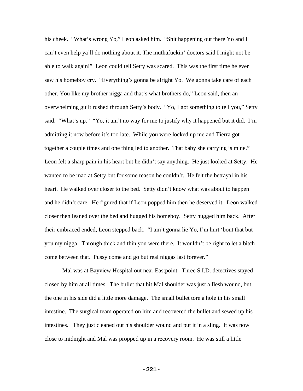his cheek. "What's wrong Yo," Leon asked him. "Shit happening out there Yo and I can't even help ya'll do nothing about it. The muthafuckin' doctors said I might not be able to walk again!" Leon could tell Setty was scared. This was the first time he ever saw his homeboy cry. "Everything's gonna be alright Yo. We gonna take care of each other. You like my brother nigga and that's what brothers do," Leon said, then an overwhelming guilt rushed through Setty's body. "Yo, I got something to tell you," Setty said. "What's up." "Yo, it ain't no way for me to justify why it happened but it did. I'm admitting it now before it's too late. While you were locked up me and Tierra got together a couple times and one thing led to another. That baby she carrying is mine." Leon felt a sharp pain in his heart but he didn't say anything. He just looked at Setty. He wanted to be mad at Setty but for some reason he couldn't. He felt the betrayal in his heart. He walked over closer to the bed. Setty didn't know what was about to happen and he didn't care. He figured that if Leon popped him then he deserved it. Leon walked closer then leaned over the bed and hugged his homeboy. Setty hugged him back. After their embraced ended, Leon stepped back. "I ain't gonna lie Yo, I'm hurt 'bout that but you my nigga. Through thick and thin you were there. It wouldn't be right to let a bitch come between that. Pussy come and go but real niggas last forever."

 Mal was at Bayview Hospital out near Eastpoint. Three S.I.D. detectives stayed closed by him at all times. The bullet that hit Mal shoulder was just a flesh wound, but the one in his side did a little more damage. The small bullet tore a hole in his small intestine. The surgical team operated on him and recovered the bullet and sewed up his intestines. They just cleaned out his shoulder wound and put it in a sling. It was now close to midnight and Mal was propped up in a recovery room. He was still a little

- 221 -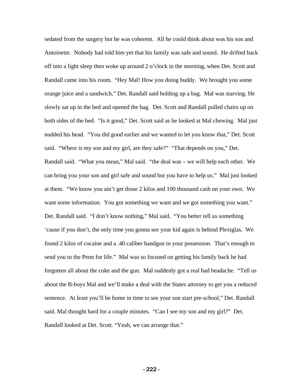sedated from the surgery but he was coherent. All he could think about was his son and Antoinette. Nobody had told him yet that his family was safe and sound. He drifted back off into a light sleep then woke up around 2 o'clock in the morning, when Det. Scott and Randall came into his room. "Hey Mal! How you doing buddy. We brought you some orange juice and a sandwich," Det. Randall said holding up a bag. Mal was starving. He slowly sat up in the bed and opened the bag. Det. Scott and Randall pulled chairs up on both sides of the bed. "Is it good," Det. Scott said as he looked at Mal chewing. Mal just nodded his head. "You did good earlier and we wanted to let you know that," Det. Scott said. "Where is my son and my girl, are they safe?" "That depends on you," Det. Randall said. "What you mean," Mal said. "the deal was – we will help each other. We can bring you your son and girl safe and sound but you have to help us." Mal just looked at them. "We know you ain't get those 2 kilos and 100 thousand cash on your own. We want some information. You got something we want and we got something you want." Det. Randall said. "I don't know nothing," Mal said. "You better tell us something 'cause if you don't, the only time you gonna see your kid again is behind Plexiglas. We found 2 kilos of cocaine and a .40 caliber handgun in your possession. That's enough to send you to the Penn for life." Mal was so focused on getting his family back he had forgotten all about the coke and the gun. Mal suddenly got a real bad headache. "Tell us about the B-boys Mal and we'll make a deal with the States attorney to get you a reduced sentence. At least you'll be home in time to see your son start pre-school," Det. Randall said. Mal thought hard for a couple minutes. "Can I see my son and my girl?" Det. Randall looked at Det. Scott. "Yeah, we can arrange that."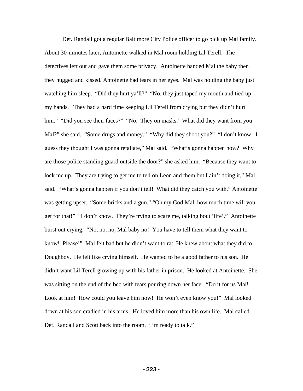Det. Randall got a regular Baltimore City Police officer to go pick up Mal family. About 30-minutes later, Antoinette walked in Mal room holding Lil Terell. The detectives left out and gave them some privacy. Antoinette handed Mal the baby then they hugged and kissed. Antoinette had tears in her eyes. Mal was holding the baby just watching him sleep. "Did they hurt ya'll?" "No, they just taped my mouth and tied up my hands. They had a hard time keeping Lil Terell from crying but they didn't hurt him." "Did you see their faces?" "No. They on masks." What did they want from you Mal?" she said. "Some drugs and money." "Why did they shoot you?" "I don't know. I guess they thought I was gonna retaliate," Mal said. "What's gonna happen now? Why are those police standing guard outside the door?" she asked him. "Because they want to lock me up. They are trying to get me to tell on Leon and them but I ain't doing it," Mal said. "What's gonna happen if you don't tell! What did they catch you with," Antoinette was getting upset. "Some bricks and a gun." "Oh my God Mal, how much time will you get for that!" "I don't know. They're trying to scare me, talking bout 'life'." Antoinette burst out crying. "No, no, no, Mal baby no! You have to tell them what they want to know! Please!" Mal felt bad but he didn't want to rat. He knew about what they did to Doughboy. He felt like crying himself. He wanted to be a good father to his son. He didn't want Lil Terell growing up with his father in prison. He looked at Antoinette. She was sitting on the end of the bed with tears pouring down her face. "Do it for us Mal! Look at him! How could you leave him now! He won't even know you!" Mal looked down at his son cradled in his arms. He loved him more than his own life. Mal called Det. Randall and Scott back into the room. "I'm ready to talk."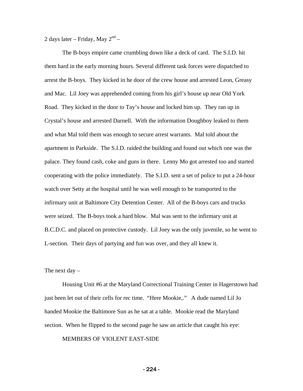2 days later – Friday, May  $2<sup>nd</sup>$  –

 The B-boys empire came crumbling down like a deck of card. The S.I.D. hit them hard in the early morning hours. Several different task forces were dispatched to arrest the B-boys. They kicked in he door of the crew house and arrested Leon, Greasy and Mac. Lil Joey was apprehended coming from his girl's house up near Old York Road. They kicked in the door to Tay's house and locked him up. They ran up in Crystal's house and arrested Darnell. With the information Doughboy leaked to them and what Mal told them was enough to secure arrest warrants. Mal told about the apartment in Parkside. The S.I.D. raided the building and found out which one was the palace. They found cash, coke and guns in there. Lenny Mo got arrested too and started cooperating with the police immediately. The S.I.D. sent a set of police to put a 24-hour watch over Setty at the hospital until he was well enough to be transported to the infirmary unit at Baltimore City Detention Center. All of the B-boys cars and trucks were seized. The B-boys took a hard blow. Mal was sent to the infirmary unit at B.C.D.C. and placed on protective custody. Lil Joey was the only juvenile, so he went to L-section. Their days of partying and fun was over, and they all knew it.

The next day  $-$ 

 Housing Unit #6 at the Maryland Correctional Training Center in Hagerstown had just been let out of their cells for rec time. "Here Mookie,." A dude named Lil Jo handed Mookie the Baltimore Sun as he sat at a table. Mookie read the Maryland section. When he flipped to the second page he saw an article that caught his eye:

### MEMBERS OF VIOLENT EAST-SIDE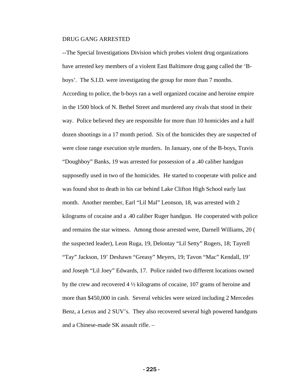### DRUG GANG ARRESTED

--The Special Investigations Division which probes violent drug organizations have arrested key members of a violent East Baltimore drug gang called the 'Bboys'. The S.I.D. were investigating the group for more than 7 months. According to police, the b-boys ran a well organized cocaine and heroine empire in the 1500 block of N. Bethel Street and murdered any rivals that stood in their way. Police believed they are responsible for more than 10 homicides and a half dozen shootings in a 17 month period. Six of the homicides they are suspected of were close range execution style murders. In January, one of the B-boys, Travis "Doughboy" Banks, 19 was arrested for possession of a .40 caliber handgun supposedly used in two of the homicides. He started to cooperate with police and was found shot to death in his car behind Lake Clifton High School early last month. Another member, Earl "Lil Mal" Leonson, 18, was arrested with 2 kilograms of cocaine and a .40 caliber Ruger handgun. He cooperated with police and remains the star witness. Among those arrested were, Darnell Williams, 20 ( the suspected leader), Leon Ruga, 19, Delontay "Lil Setty" Rogers, 18; Tayrell "Tay" Jackson, 19' Deshawn "Greasy" Meyers, 19; Tavon "Mac" Kendall, 19' and Joseph "Lil Joey" Edwards, 17. Police raided two different locations owned by the crew and recovered  $4\frac{1}{2}$  kilograms of cocaine, 107 grams of heroine and more than \$450,000 in cash. Several vehicles were seized including 2 Mercedes Benz, a Lexus and 2 SUV's. They also recovered several high powered handguns and a Chinese-made SK assault rifle. –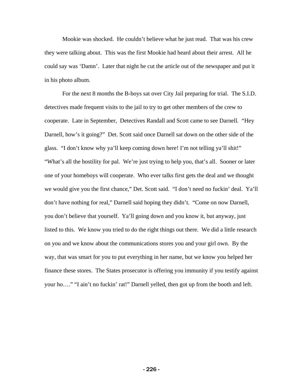Mookie was shocked. He couldn't believe what he just read. That was his crew they were talking about. This was the first Mookie had heard about their arrest. All he could say was 'Damn'. Later that night he cut the article out of the newspaper and put it in his photo album.

 For the next 8 months the B-boys sat over City Jail preparing for trial. The S.I.D. detectives made frequent visits to the jail to try to get other members of the crew to cooperate. Late in September, Detectives Randall and Scott came to see Darnell. "Hey Darnell, how's it going?" Det. Scott said once Darnell sat down on the other side of the glass. "I don't know why ya'll keep coming down here! I'm not telling ya'll shit!" "What's all the hostility for pal. We're just trying to help you, that's all. Sooner or later one of your homeboys will cooperate. Who ever talks first gets the deal and we thought we would give you the first chance," Det. Scott said. "I don't need no fuckin' deal. Ya'll don't have nothing for real," Darnell said hoping they didn't. "Come on now Darnell, you don't believe that yourself. Ya'll going down and you know it, but anyway, just listed to this. We know you tried to do the right things out there. We did a little research on you and we know about the communications stores you and your girl own. By the way, that was smart for you to put everything in her name, but we know you helped her finance these stores. The States prosecutor is offering you immunity if you testify against your ho…." "I ain't no fuckin' rat!" Darnell yelled, then got up from the booth and left.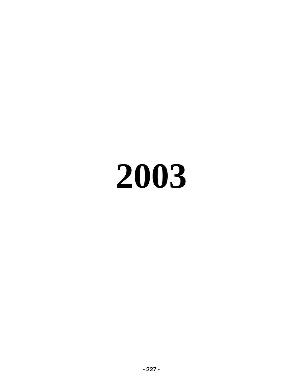# **2003**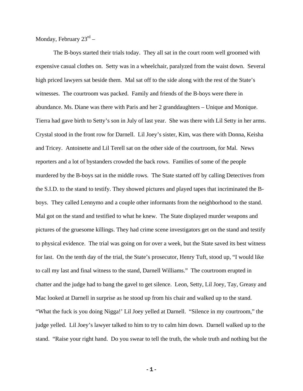Monday, February  $23^{\text{rd}}$  –

 The B-boys started their trials today. They all sat in the court room well groomed with expensive casual clothes on. Setty was in a wheelchair, paralyzed from the waist down. Several high priced lawyers sat beside them. Mal sat off to the side along with the rest of the State's witnesses. The courtroom was packed. Family and friends of the B-boys were there in abundance. Ms. Diane was there with Paris and her 2 granddaughters – Unique and Monique. Tierra had gave birth to Setty's son in July of last year. She was there with Lil Setty in her arms. Crystal stood in the front row for Darnell. Lil Joey's sister, Kim, was there with Donna, Keisha and Tricey. Antoinette and Lil Terell sat on the other side of the courtroom, for Mal. News reporters and a lot of bystanders crowded the back rows. Families of some of the people murdered by the B-boys sat in the middle rows. The State started off by calling Detectives from the S.I.D. to the stand to testify. They showed pictures and played tapes that incriminated the Bboys. They called Lennymo and a couple other informants from the neighborhood to the stand. Mal got on the stand and testified to what he knew. The State displayed murder weapons and pictures of the gruesome killings. They had crime scene investigators get on the stand and testify to physical evidence. The trial was going on for over a week, but the State saved its best witness for last. On the tenth day of the trial, the State's prosecutor, Henry Tuft, stood up, "I would like to call my last and final witness to the stand, Darnell Williams." The courtroom erupted in chatter and the judge had to bang the gavel to get silence. Leon, Setty, Lil Joey, Tay, Greasy and Mac looked at Darnell in surprise as he stood up from his chair and walked up to the stand. "What the fuck is you doing Nigga!' Lil Joey yelled at Darnell. "Silence in my courtroom," the judge yelled. Lil Joey's lawyer talked to him to try to calm him down. Darnell walked up to the stand. "Raise your right hand. Do you swear to tell the truth, the whole truth and nothing but the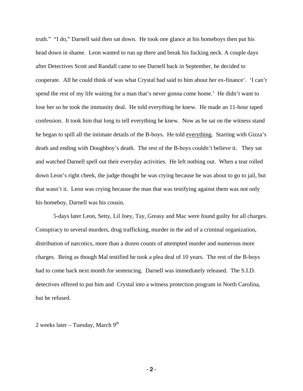truth." "I do," Darnell said then sat down. He took one glance at his homeboys then put his head down in shame. Leon wanted to run up there and break his fucking neck. A couple days after Detectives Scott and Randall came to see Darnell back in September, he decided to cooperate. All he could think of was what Crystal had said to him about her ex-finance'. 'I can't spend the rest of my life waiting for a man that's never gonna come home.' He didn't want to lose her so he took the immunity deal. He told everything he knew. He made an 11-hour taped confession. It took him that long to tell everything he knew. Now as he sat on the witness stand he began to spill all the intimate details of the B-boys. He told everything. Starting with Gizza's death and ending with Doughboy's death. The rest of the B-boys couldn't believe it. They sat and watched Darnell spell out their everyday activities. He left nothing out. When a tear rolled down Leon's right cheek, the judge thought he was crying because he was about to go to jail, but that wasn't it. Leon was crying because the man that was testifying against them was not only his homeboy, Darnell was his cousin.

 5-days later Leon, Setty, Lil Joey, Tay, Greasy and Mac were found guilty for all charges. Conspiracy to several murders, drug trafficking, murder in the aid of a criminal organization, distribution of narcotics, more than a dozen counts of attempted murder and numerous more charges. Being as though Mal testified he took a plea deal of 10 years. The rest of the B-boys had to come back next month for sentencing. Darnell was immediately released. The S.I.D. detectives offered to put him and Crystal into a witness protection program in North Carolina, but he refused.

2 weeks later – Tuesday, March  $9<sup>th</sup>$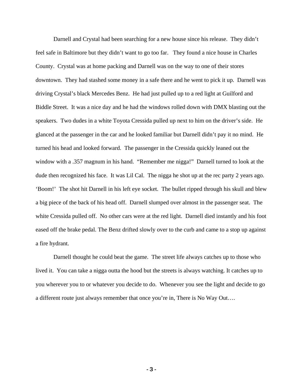Darnell and Crystal had been searching for a new house since his release. They didn't feel safe in Baltimore but they didn't want to go too far. They found a nice house in Charles County. Crystal was at home packing and Darnell was on the way to one of their stores downtown. They had stashed some money in a safe there and he went to pick it up. Darnell was driving Crystal's black Mercedes Benz. He had just pulled up to a red light at Guilford and Biddle Street. It was a nice day and he had the windows rolled down with DMX blasting out the speakers. Two dudes in a white Toyota Cressida pulled up next to him on the driver's side. He glanced at the passenger in the car and he looked familiar but Darnell didn't pay it no mind. He turned his head and looked forward. The passenger in the Cressida quickly leaned out the window with a .357 magnum in his hand. "Remember me nigga!" Darnell turned to look at the dude then recognized his face. It was Lil Cal. The nigga he shot up at the rec party 2 years ago. 'Boom!' The shot hit Darnell in his left eye socket. The bullet ripped through his skull and blew a big piece of the back of his head off. Darnell slumped over almost in the passenger seat. The white Cressida pulled off. No other cars were at the red light. Darnell died instantly and his foot eased off the brake pedal. The Benz drifted slowly over to the curb and came to a stop up against a fire hydrant.

 Darnell thought he could beat the game. The street life always catches up to those who lived it. You can take a nigga outta the hood but the streets is always watching. It catches up to you wherever you to or whatever you decide to do. Whenever you see the light and decide to go a different route just always remember that once you're in, There is No Way Out….